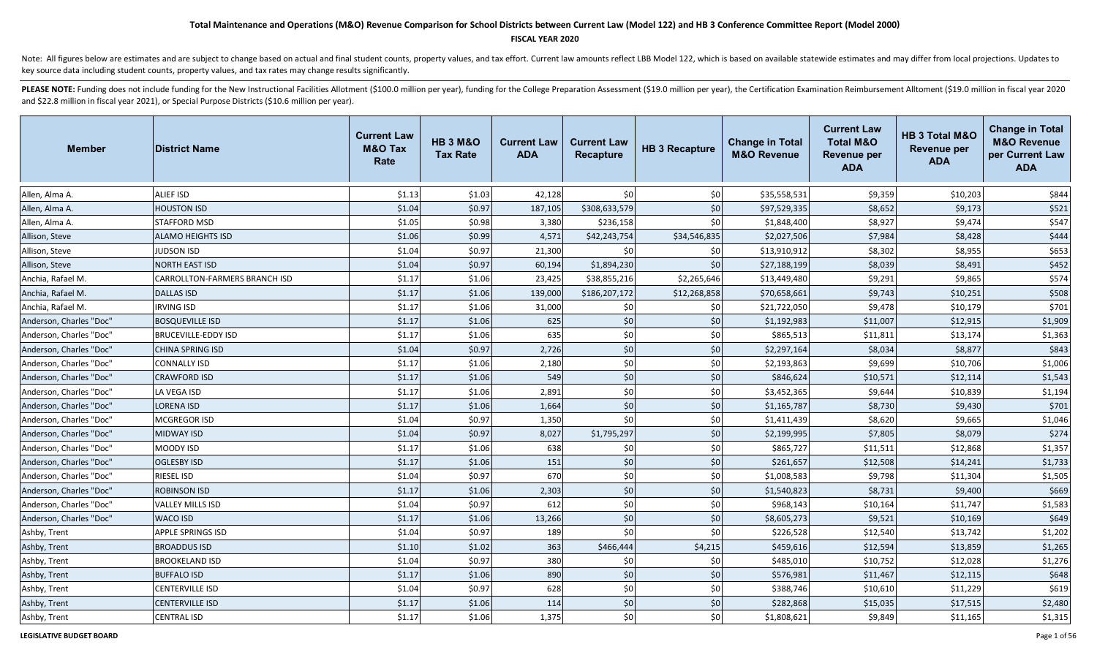#### **FISCAL YEAR 2020**

Note: All figures below are estimates and are subject to change based on actual and final student counts, property values, and tax effort. Current law amounts reflect LBB Model 122, which is based on available statewide es key source data including student counts, property values, and tax rates may change results significantly.

| <b>Member</b>           | <b>District Name</b>          | <b>Current Law</b><br><b>M&amp;O Tax</b><br>Rate | <b>HB 3 M&amp;O</b><br><b>Tax Rate</b> | <b>Current Law</b><br><b>ADA</b> | <b>Current Law</b><br><b>Recapture</b> | <b>HB 3 Recapture</b> | <b>Change in Total</b><br><b>M&amp;O Revenue</b> | <b>Current Law</b><br><b>Total M&amp;O</b><br><b>Revenue per</b><br><b>ADA</b> | HB 3 Total M&O<br>Revenue per<br><b>ADA</b> | <b>Change in Total</b><br><b>M&amp;O Revenue</b><br>per Current Law<br><b>ADA</b> |
|-------------------------|-------------------------------|--------------------------------------------------|----------------------------------------|----------------------------------|----------------------------------------|-----------------------|--------------------------------------------------|--------------------------------------------------------------------------------|---------------------------------------------|-----------------------------------------------------------------------------------|
| Allen, Alma A.          | <b>ALIEF ISD</b>              | \$1.13                                           | \$1.03                                 | 42,128                           | \$0                                    | \$0                   | \$35,558,531                                     | \$9,359                                                                        | \$10,203                                    | \$844                                                                             |
| Allen, Alma A.          | <b>HOUSTON ISD</b>            | \$1.04                                           | \$0.97                                 | 187,105                          | \$308,633,579                          | \$0                   | \$97,529,335                                     | \$8,652                                                                        | \$9,173                                     | \$521                                                                             |
| Allen, Alma A.          | STAFFORD MSD                  | \$1.05                                           | \$0.98                                 | 3,380                            | \$236,158                              | \$0                   | \$1,848,400                                      | \$8,927                                                                        | \$9,474                                     | \$547                                                                             |
| Allison, Steve          | <b>ALAMO HEIGHTS ISD</b>      | \$1.06                                           | \$0.99                                 | 4,571                            | \$42,243,754                           | \$34,546,835          | \$2,027,506                                      | \$7,984                                                                        | \$8,428                                     | \$444                                                                             |
| Allison, Steve          | JUDSON ISD                    | \$1.04                                           | \$0.97                                 | 21,300                           | \$0                                    | \$0                   | \$13,910,912                                     | \$8,302                                                                        | \$8,955                                     | \$653                                                                             |
| Allison, Steve          | <b>NORTH EAST ISD</b>         | \$1.04                                           | \$0.97                                 | 60,194                           | \$1,894,230                            | \$0                   | \$27,188,199                                     | \$8,039                                                                        | \$8,491                                     | \$452                                                                             |
| Anchia, Rafael M.       | CARROLLTON-FARMERS BRANCH ISD | \$1.17                                           | \$1.06                                 | 23,425                           | \$38,855,216                           | \$2,265,646           | \$13,449,480                                     | \$9,291                                                                        | \$9,865                                     | \$574                                                                             |
| Anchia, Rafael M.       | <b>DALLAS ISD</b>             | \$1.17                                           | \$1.06                                 | 139,000                          | \$186,207,172                          | \$12,268,858          | \$70,658,661                                     | \$9,743                                                                        | \$10,251                                    | \$508                                                                             |
| Anchia, Rafael M.       | <b>IRVING ISD</b>             | \$1.17                                           | \$1.06                                 | 31,000                           | \$0                                    | \$0                   | \$21,722,050                                     | \$9,478                                                                        | \$10,179                                    | \$701                                                                             |
| Anderson, Charles "Doc" | <b>BOSQUEVILLE ISD</b>        | \$1.17                                           | \$1.06                                 | 625                              | \$0                                    | \$0                   | \$1,192,983                                      | \$11,007                                                                       | \$12,915                                    | \$1,909                                                                           |
| Anderson, Charles "Doc" | <b>BRUCEVILLE-EDDY ISD</b>    | \$1.17                                           | \$1.06                                 | 635                              | \$0                                    | \$0                   | \$865,513                                        | \$11,811                                                                       | \$13,174                                    | \$1,363                                                                           |
| Anderson, Charles "Doc" | <b>CHINA SPRING ISD</b>       | \$1.04                                           | \$0.97                                 | 2,726                            | \$0                                    | \$0                   | \$2,297,164                                      | \$8,034                                                                        | \$8,877                                     | \$843                                                                             |
| Anderson, Charles "Doc" | <b>CONNALLY ISD</b>           | \$1.17                                           | \$1.06                                 | 2,180                            | \$0                                    | \$0                   | \$2,193,863                                      | \$9,699                                                                        | \$10,706                                    | \$1,006                                                                           |
| Anderson, Charles "Doc" | <b>CRAWFORD ISD</b>           | \$1.17                                           | \$1.06                                 | 549                              | \$0                                    | $$0$                  | \$846,624                                        | \$10,571                                                                       | \$12,114                                    | \$1,543                                                                           |
| Anderson, Charles "Doc" | LA VEGA ISD                   | \$1.17                                           | \$1.06                                 | 2,891                            | \$0                                    | \$0                   | \$3,452,365                                      | \$9,644                                                                        | \$10,839                                    | \$1,194                                                                           |
| Anderson, Charles "Doc" | <b>LORENA ISD</b>             | \$1.17                                           | \$1.06                                 | 1,664                            | \$0                                    | \$0                   | \$1,165,787                                      | \$8,730                                                                        | \$9,430                                     | \$701                                                                             |
| Anderson, Charles "Doc" | MCGREGOR ISD                  | \$1.04                                           | \$0.97                                 | 1,350                            | \$0                                    | \$0                   | \$1,411,439                                      | \$8,620                                                                        | \$9,665                                     | \$1,046                                                                           |
| Anderson, Charles "Doc" | <b>MIDWAY ISD</b>             | \$1.04                                           | \$0.97                                 | 8,027                            | \$1,795,297                            | \$0                   | \$2,199,995                                      | \$7,805                                                                        | \$8,079                                     | \$274                                                                             |
| Anderson, Charles "Doc" | MOODY ISD                     | \$1.17                                           | \$1.06                                 | 638                              | \$0                                    | \$0                   | \$865,727                                        | \$11,511                                                                       | \$12,868                                    | \$1,357                                                                           |
| Anderson, Charles "Doc" | <b>OGLESBY ISD</b>            | \$1.17                                           | \$1.06                                 | 151                              | \$0                                    | \$0                   | \$261,657                                        | \$12,508                                                                       | \$14,241                                    | \$1,733                                                                           |
| Anderson, Charles "Doc" | RIESEL ISD                    | \$1.04                                           | \$0.97                                 | 670                              | \$0                                    | \$0                   | \$1,008,583                                      | \$9,798                                                                        | \$11,304                                    | \$1,505                                                                           |
| Anderson, Charles "Doc" | <b>ROBINSON ISD</b>           | \$1.17                                           | \$1.06                                 | 2,303                            | \$0                                    | \$0                   | \$1,540,823                                      | \$8,731                                                                        | \$9,400                                     | \$669                                                                             |
| Anderson, Charles "Doc" | VALLEY MILLS ISD              | \$1.04                                           | \$0.97                                 | 612                              | \$0                                    | \$0                   | \$968,143                                        | \$10,164                                                                       | \$11,747                                    | \$1,583                                                                           |
| Anderson, Charles "Doc" | <b>WACO ISD</b>               | \$1.17                                           | \$1.06                                 | 13,266                           | \$0                                    | \$0                   | \$8,605,273                                      | \$9,521                                                                        | \$10,169                                    | \$649                                                                             |
| Ashby, Trent            | <b>APPLE SPRINGS ISD</b>      | \$1.04                                           | \$0.97                                 | 189                              | \$0                                    | \$0                   | \$226,528                                        | \$12,540                                                                       | \$13,742                                    | \$1,202                                                                           |
| Ashby, Trent            | <b>BROADDUS ISD</b>           | \$1.10                                           | \$1.02                                 | 363                              | \$466,444                              | \$4,215               | \$459,616                                        | \$12,594                                                                       | \$13,859                                    | \$1,265                                                                           |
| Ashby, Trent            | <b>BROOKELAND ISD</b>         | \$1.04                                           | \$0.97                                 | 380                              | \$0                                    | \$0                   | \$485,010                                        | \$10,752                                                                       | \$12,028                                    | \$1,276                                                                           |
| Ashby, Trent            | <b>BUFFALO ISD</b>            | \$1.17                                           | \$1.06                                 | 890                              | \$0                                    | $$0$                  | \$576,981                                        | \$11,467                                                                       | \$12,115                                    | \$648                                                                             |
| Ashby, Trent            | <b>CENTERVILLE ISD</b>        | \$1.04                                           | \$0.97                                 | 628                              | \$0                                    | \$0                   | \$388,746                                        | \$10,610                                                                       | \$11,229                                    | \$619                                                                             |
| Ashby, Trent            | <b>CENTERVILLE ISD</b>        | \$1.17                                           | \$1.06                                 | 114                              | \$0                                    | \$0                   | \$282,868                                        | \$15,035                                                                       | \$17,515                                    | \$2,480                                                                           |
| Ashby, Trent            | <b>CENTRAL ISD</b>            | \$1.17                                           | \$1.06                                 | 1,375                            | \$0                                    | \$0                   | \$1,808,621                                      | \$9,849                                                                        | \$11,165                                    | \$1,315                                                                           |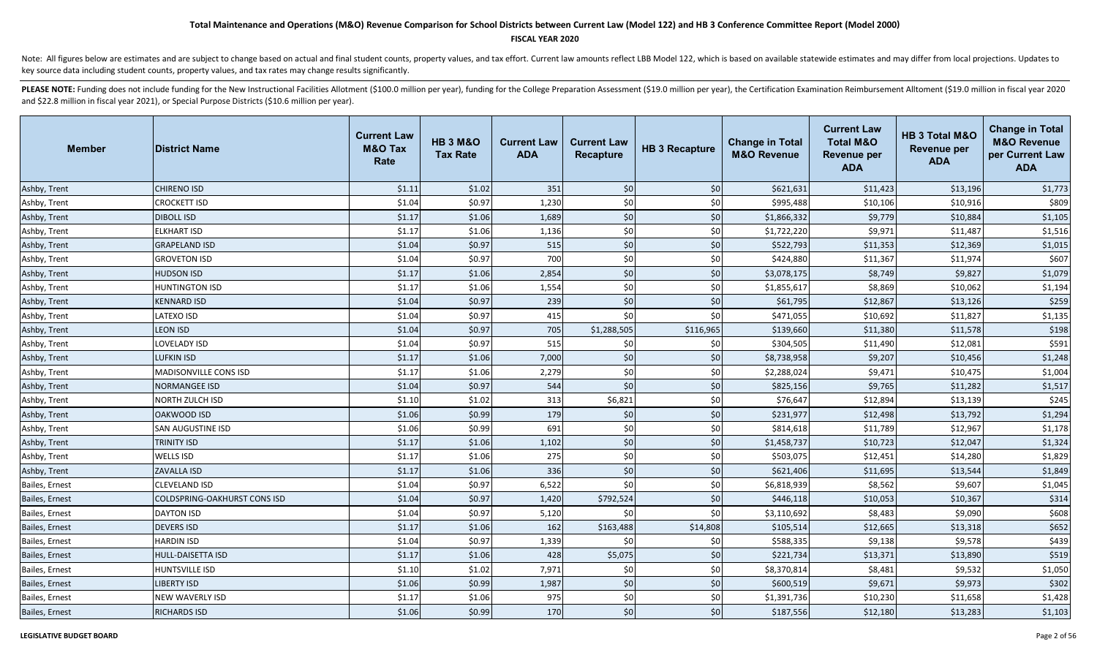### **FISCAL YEAR 2020**

Note: All figures below are estimates and are subject to change based on actual and final student counts, property values, and tax effort. Current law amounts reflect LBB Model 122, which is based on available statewide es key source data including student counts, property values, and tax rates may change results significantly.

| <b>Member</b>  | <b>District Name</b>                | <b>Current Law</b><br><b>M&amp;O Tax</b><br>Rate | <b>HB 3 M&amp;O</b><br><b>Tax Rate</b> | <b>Current Law</b><br><b>ADA</b> | <b>Current Law</b><br><b>Recapture</b> | <b>HB 3 Recapture</b> | <b>Change in Total</b><br><b>M&amp;O Revenue</b> | <b>Current Law</b><br><b>Total M&amp;O</b><br><b>Revenue per</b><br><b>ADA</b> | HB 3 Total M&O<br><b>Revenue per</b><br><b>ADA</b> | <b>Change in Total</b><br><b>M&amp;O Revenue</b><br>per Current Law<br><b>ADA</b> |
|----------------|-------------------------------------|--------------------------------------------------|----------------------------------------|----------------------------------|----------------------------------------|-----------------------|--------------------------------------------------|--------------------------------------------------------------------------------|----------------------------------------------------|-----------------------------------------------------------------------------------|
| Ashby, Trent   | <b>CHIRENO ISD</b>                  | \$1.11                                           | \$1.02                                 | 351                              | \$0                                    | \$0                   | \$621,631                                        | \$11,423                                                                       | \$13,196                                           | \$1,773                                                                           |
| Ashby, Trent   | <b>CROCKETT ISD</b>                 | \$1.04                                           | \$0.97                                 | 1,230                            | \$0                                    | \$0                   | \$995,488                                        | \$10,106                                                                       | \$10,916                                           | \$809                                                                             |
| Ashby, Trent   | <b>DIBOLL ISD</b>                   | \$1.17                                           | \$1.06                                 | 1,689                            | \$0                                    | \$0                   | \$1,866,332                                      | \$9,779                                                                        | \$10,884                                           | \$1,105                                                                           |
| Ashby, Trent   | <b>ELKHART ISD</b>                  | \$1.17                                           | \$1.06                                 | 1,136                            | \$0                                    | \$0                   | \$1,722,220                                      | \$9,971                                                                        | \$11,487                                           | \$1,516                                                                           |
| Ashby, Trent   | <b>GRAPELAND ISD</b>                | \$1.04                                           | \$0.97                                 | 515                              | \$0                                    | $$0$                  | \$522,793                                        | \$11,353                                                                       | \$12,369                                           | \$1,015                                                                           |
| Ashby, Trent   | <b>GROVETON ISD</b>                 | \$1.04                                           | \$0.97                                 | 700                              | \$0                                    | $$0$$                 | \$424,880                                        | \$11,367                                                                       | \$11,974                                           | \$607                                                                             |
| Ashby, Trent   | <b>HUDSON ISD</b>                   | \$1.17                                           | \$1.06                                 | 2,854                            | \$0                                    | \$0                   | \$3,078,175                                      | \$8,749                                                                        | \$9,827                                            | \$1,079                                                                           |
| Ashby, Trent   | <b>HUNTINGTON ISD</b>               | \$1.17                                           | \$1.06                                 | 1,554                            | \$0                                    | \$0                   | \$1,855,617                                      | \$8,869                                                                        | \$10,062                                           | \$1,194                                                                           |
| Ashby, Trent   | <b>KENNARD ISD</b>                  | \$1.04                                           | \$0.97                                 | 239                              | \$0                                    | \$0                   | \$61,795                                         | \$12,867                                                                       | \$13,126                                           | \$259                                                                             |
| Ashby, Trent   | LATEXO ISD                          | \$1.04                                           | \$0.97                                 | 415                              | \$0                                    | \$0                   | \$471,055                                        | \$10,692                                                                       | \$11,827                                           | \$1,135                                                                           |
| Ashby, Trent   | <b>LEON ISD</b>                     | \$1.04                                           | \$0.97                                 | 705                              | \$1,288,505                            | \$116,965             | \$139,660                                        | \$11,380                                                                       | \$11,578                                           | \$198                                                                             |
| Ashby, Trent   | LOVELADY ISD                        | \$1.04                                           | \$0.97                                 | 515                              | \$0                                    | \$0                   | \$304,505                                        | \$11,490                                                                       | \$12,081                                           | \$591                                                                             |
| Ashby, Trent   | <b>LUFKIN ISD</b>                   | \$1.17                                           | \$1.06                                 | 7,000                            | \$0                                    | \$0                   | \$8,738,958                                      | \$9,207                                                                        | \$10,456                                           | \$1,248                                                                           |
| Ashby, Trent   | MADISONVILLE CONS ISD               | \$1.17                                           | \$1.06                                 | 2,279                            | \$0                                    | \$0                   | \$2,288,024                                      | \$9,471                                                                        | \$10,475                                           | \$1,004                                                                           |
| Ashby, Trent   | <b>NORMANGEE ISD</b>                | \$1.04                                           | \$0.97                                 | 544                              | \$0                                    | \$0                   | \$825,156                                        | \$9,765                                                                        | \$11,282                                           | \$1,517                                                                           |
| Ashby, Trent   | <b>NORTH ZULCH ISD</b>              | \$1.10                                           | \$1.02                                 | 313                              | \$6,821                                | \$0                   | \$76,647                                         | \$12,894                                                                       | \$13,139                                           | \$245                                                                             |
| Ashby, Trent   | <b>OAKWOOD ISD</b>                  | \$1.06                                           | \$0.99                                 | 179                              | \$0                                    | \$0                   | \$231,977                                        | \$12,498                                                                       | \$13,792                                           | \$1,294                                                                           |
| Ashby, Trent   | <b>SAN AUGUSTINE ISD</b>            | \$1.06                                           | \$0.99                                 | 691                              | \$0                                    | \$0                   | \$814,618                                        | \$11,789                                                                       | \$12,967                                           | \$1,178                                                                           |
| Ashby, Trent   | <b>TRINITY ISD</b>                  | \$1.17                                           | \$1.06                                 | 1,102                            | \$0                                    | \$0                   | \$1,458,737                                      | \$10,723                                                                       | \$12,047                                           | \$1,324                                                                           |
| Ashby, Trent   | <b>WELLS ISD</b>                    | \$1.17                                           | \$1.06                                 | 275                              | \$0                                    | \$0                   | \$503,075                                        | \$12,451                                                                       | \$14,280                                           | \$1,829                                                                           |
| Ashby, Trent   | <b>ZAVALLA ISD</b>                  | \$1.17                                           | \$1.06                                 | 336                              | \$0                                    | \$0                   | \$621,406                                        | \$11,695                                                                       | \$13,544                                           | \$1,849                                                                           |
| Bailes, Ernest | <b>CLEVELAND ISD</b>                | \$1.04                                           | \$0.97                                 | 6,522                            | \$0                                    | \$0                   | \$6,818,939                                      | \$8,562                                                                        | \$9,607                                            | \$1,045                                                                           |
| Bailes, Ernest | <b>COLDSPRING-OAKHURST CONS ISD</b> | \$1.04                                           | \$0.97                                 | 1,420                            | \$792,524                              | \$0                   | \$446,118                                        | \$10,053                                                                       | \$10,367                                           | \$314                                                                             |
| Bailes, Ernest | <b>DAYTON ISD</b>                   | \$1.04                                           | \$0.97                                 | 5,120                            | \$0                                    | \$0                   | \$3,110,692                                      | \$8,483                                                                        | \$9,090                                            | \$608                                                                             |
| Bailes, Ernest | <b>DEVERS ISD</b>                   | \$1.17                                           | \$1.06                                 | 162                              | \$163,488                              | \$14,808              | \$105,514                                        | \$12,665                                                                       | \$13,318                                           | \$652                                                                             |
| Bailes, Ernest | <b>HARDIN ISD</b>                   | \$1.04                                           | \$0.97                                 | 1,339                            | 50                                     | \$0                   | \$588,335                                        | \$9,138                                                                        | \$9,578                                            | \$439                                                                             |
| Bailes, Ernest | <b>HULL-DAISETTA ISD</b>            | \$1.17                                           | \$1.06                                 | 428                              | \$5,075                                | \$0                   | \$221,734                                        | \$13,371                                                                       | \$13,890                                           | \$519                                                                             |
| Bailes, Ernest | <b>HUNTSVILLE ISD</b>               | \$1.10                                           | \$1.02                                 | 7,971                            | \$0                                    | \$0                   | \$8,370,814                                      | \$8,481                                                                        | \$9,532                                            | \$1,050                                                                           |
| Bailes, Ernest | <b>LIBERTY ISD</b>                  | \$1.06                                           | \$0.99                                 | 1,987                            | \$0                                    | \$0                   | \$600,519                                        | \$9,671                                                                        | \$9,973                                            | \$302                                                                             |
| Bailes, Ernest | <b>NEW WAVERLY ISD</b>              | \$1.17                                           | \$1.06                                 | 975                              | \$0                                    | \$0                   | \$1,391,736                                      | \$10,230                                                                       | \$11,658                                           | \$1,428                                                                           |
| Bailes, Ernest | <b>RICHARDS ISD</b>                 | \$1.06                                           | \$0.99                                 | 170                              | \$0                                    | \$0                   | \$187,556                                        | \$12,180                                                                       | \$13,283                                           | \$1,103                                                                           |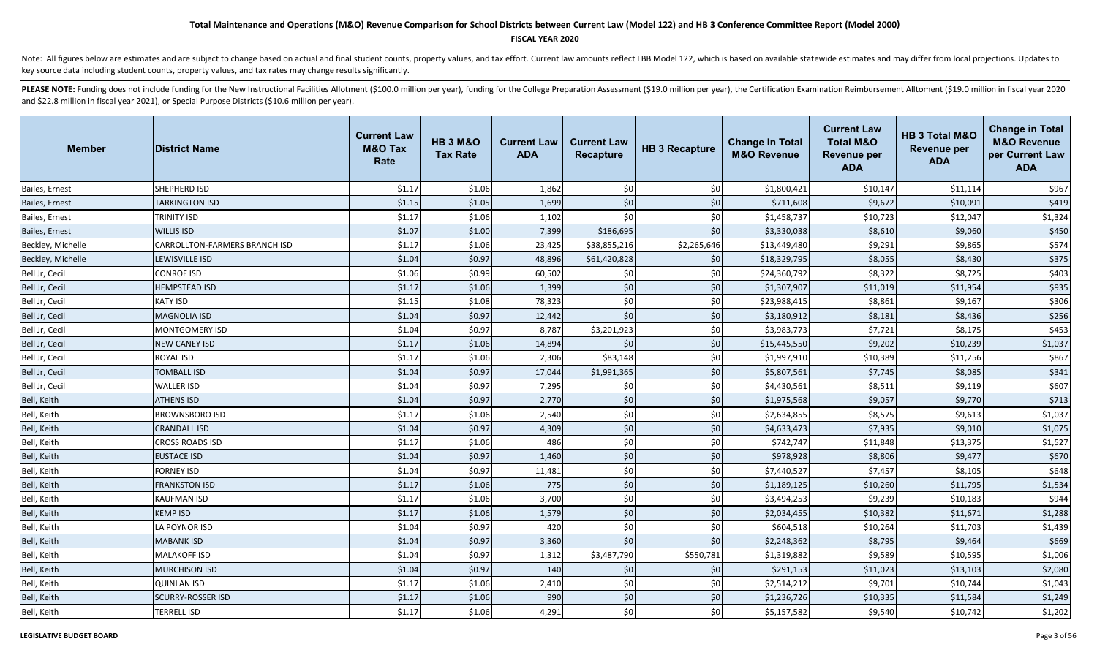### **FISCAL YEAR 2020**

Note: All figures below are estimates and are subject to change based on actual and final student counts, property values, and tax effort. Current law amounts reflect LBB Model 122, which is based on available statewide es key source data including student counts, property values, and tax rates may change results significantly.

| Member            | <b>District Name</b>          | <b>Current Law</b><br><b>M&amp;O Tax</b><br>Rate | <b>HB 3 M&amp;O</b><br><b>Tax Rate</b> | <b>Current Law</b><br><b>ADA</b> | <b>Current Law</b><br>Recapture | <b>HB 3 Recapture</b> | <b>Change in Total</b><br><b>M&amp;O Revenue</b> | <b>Current Law</b><br><b>Total M&amp;O</b><br><b>Revenue per</b><br><b>ADA</b> | HB 3 Total M&O<br><b>Revenue per</b><br><b>ADA</b> | <b>Change in Total</b><br><b>M&amp;O Revenue</b><br>per Current Law<br><b>ADA</b> |
|-------------------|-------------------------------|--------------------------------------------------|----------------------------------------|----------------------------------|---------------------------------|-----------------------|--------------------------------------------------|--------------------------------------------------------------------------------|----------------------------------------------------|-----------------------------------------------------------------------------------|
| Bailes, Ernest    | SHEPHERD ISD                  | \$1.17                                           | \$1.06                                 | 1,862                            | \$0                             | \$0                   | \$1,800,421                                      | \$10,147                                                                       | \$11,114                                           | \$967                                                                             |
| Bailes, Ernest    | <b>TARKINGTON ISD</b>         | \$1.15                                           | \$1.05                                 | 1,699                            | \$0                             | \$0                   | \$711,608                                        | \$9,672                                                                        | \$10,091                                           | \$419                                                                             |
| Bailes, Ernest    | TRINITY ISD                   | \$1.17                                           | \$1.06                                 | 1,102                            | \$0                             | \$0                   | \$1,458,737                                      | \$10,723                                                                       | \$12,047                                           | \$1,324                                                                           |
| Bailes, Ernest    | <b>WILLIS ISD</b>             | \$1.07                                           | \$1.00                                 | 7,399                            | \$186,695                       | \$0                   | \$3,330,038                                      | \$8,610                                                                        | \$9,060                                            | \$450                                                                             |
| Beckley, Michelle | CARROLLTON-FARMERS BRANCH ISD | \$1.17                                           | \$1.06                                 | 23,425                           | \$38,855,216                    | \$2,265,646           | \$13,449,480                                     | \$9,291                                                                        | \$9,865                                            | \$574                                                                             |
| Beckley, Michelle | LEWISVILLE ISD                | \$1.04                                           | \$0.97                                 | 48,896                           | \$61,420,828                    | \$0                   | \$18,329,795                                     | \$8,055                                                                        | \$8,430                                            | \$375                                                                             |
| Bell Jr, Cecil    | <b>CONROE ISD</b>             | \$1.06                                           | \$0.99                                 | 60,502                           | \$0                             | \$0                   | \$24,360,792                                     | \$8,322                                                                        | \$8,725                                            | \$403                                                                             |
| Bell Jr, Cecil    | <b>HEMPSTEAD ISD</b>          | \$1.17                                           | \$1.06                                 | 1,399                            | \$0                             | \$0                   | \$1,307,907                                      | \$11,019                                                                       | \$11,954                                           | \$935                                                                             |
| Bell Jr, Cecil    | <b>KATY ISD</b>               | \$1.15                                           | \$1.08                                 | 78,323                           | \$0                             | \$0                   | \$23,988,415                                     | \$8,861                                                                        | \$9,167                                            | \$306                                                                             |
| Bell Jr, Cecil    | <b>MAGNOLIA ISD</b>           | \$1.04                                           | \$0.97                                 | 12,442                           | \$0                             | \$0                   | \$3,180,912                                      | \$8,181                                                                        | \$8,436                                            | \$256                                                                             |
| Bell Jr, Cecil    | <b>MONTGOMERY ISD</b>         | \$1.04                                           | \$0.97                                 | 8,787                            | \$3,201,923                     | \$0                   | \$3,983,773                                      | \$7,721                                                                        | \$8,175                                            | \$453                                                                             |
| Bell Jr, Cecil    | <b>NEW CANEY ISD</b>          | \$1.17                                           | \$1.06                                 | 14,894                           | \$0                             | \$0                   | \$15,445,550                                     | \$9,202                                                                        | \$10,239                                           | \$1,037                                                                           |
| Bell Jr, Cecil    | <b>ROYAL ISD</b>              | \$1.17                                           | \$1.06                                 | 2,306                            | \$83,148                        | \$0                   | \$1,997,910                                      | \$10,389                                                                       | \$11,256                                           | \$867                                                                             |
| Bell Jr, Cecil    | <b>TOMBALL ISD</b>            | \$1.04                                           | \$0.97                                 | 17,044                           | \$1,991,365                     | \$0                   | \$5,807,561                                      | \$7,745                                                                        | \$8,085                                            | \$341                                                                             |
| Bell Jr, Cecil    | WALLER ISD                    | \$1.04                                           | \$0.97                                 | 7,295                            | \$0                             | \$0                   | \$4,430,561                                      | \$8,511                                                                        | \$9,119                                            | \$607                                                                             |
| Bell, Keith       | <b>ATHENS ISD</b>             | \$1.04                                           | \$0.97                                 | 2,770                            | \$0                             | \$0                   | \$1,975,568                                      | \$9,057                                                                        | \$9,770                                            | \$713                                                                             |
| Bell, Keith       | <b>BROWNSBORO ISD</b>         | \$1.17                                           | \$1.06                                 | 2,540                            | \$0                             | \$0                   | \$2,634,855                                      | \$8,575                                                                        | \$9,613                                            | \$1,037                                                                           |
| Bell, Keith       | <b>CRANDALL ISD</b>           | \$1.04                                           | \$0.97                                 | 4,309                            | \$0                             | \$0                   | \$4,633,473                                      | \$7,935                                                                        | \$9,010                                            | \$1,075                                                                           |
| Bell, Keith       | <b>CROSS ROADS ISD</b>        | \$1.17                                           | \$1.06                                 | 486                              | \$0                             | \$0                   | \$742,747                                        | \$11,848                                                                       | \$13,375                                           | \$1,527                                                                           |
| Bell, Keith       | <b>EUSTACE ISD</b>            | \$1.04                                           | \$0.97                                 | 1,460                            | \$0                             | \$0                   | \$978,928                                        | \$8,806                                                                        | \$9,477                                            | \$670                                                                             |
| Bell, Keith       | <b>FORNEY ISD</b>             | \$1.04                                           | \$0.97                                 | 11,481                           | \$0                             | \$0                   | \$7,440,527                                      | \$7,457                                                                        | \$8,105                                            | \$648                                                                             |
| Bell, Keith       | <b>FRANKSTON ISD</b>          | \$1.17                                           | \$1.06                                 | 775                              | \$0                             | \$0                   | \$1,189,125                                      | \$10,260                                                                       | \$11,795                                           | \$1,534                                                                           |
| Bell, Keith       | <b>KAUFMAN ISD</b>            | \$1.17                                           | \$1.06                                 | 3,700                            | \$0                             | \$0                   | \$3,494,253                                      | \$9,239                                                                        | \$10,183                                           | \$944                                                                             |
| Bell, Keith       | <b>KEMP ISD</b>               | \$1.17                                           | \$1.06                                 | 1,579                            | \$0                             | \$0                   | \$2,034,455                                      | \$10,382                                                                       | \$11,671                                           | \$1,288                                                                           |
| Bell, Keith       | LA POYNOR ISD                 | \$1.04                                           | \$0.97                                 | 420                              | \$0                             | \$0                   | \$604,518                                        | \$10,264                                                                       | \$11,703                                           | \$1,439                                                                           |
| Bell, Keith       | <b>MABANK ISD</b>             | \$1.04                                           | \$0.97                                 | 3,360                            | \$0                             | \$0                   | \$2,248,362                                      | \$8,795                                                                        | \$9,464                                            | \$669                                                                             |
| Bell, Keith       | <b>MALAKOFF ISD</b>           | \$1.04                                           | \$0.97                                 | 1,312                            | \$3,487,790                     | \$550,781             | \$1,319,882                                      | \$9,589                                                                        | \$10,595                                           | \$1,006                                                                           |
| Bell, Keith       | <b>MURCHISON ISD</b>          | \$1.04                                           | \$0.97                                 | 140                              | \$0                             | \$0                   | \$291,153                                        | \$11,023                                                                       | \$13,103                                           | \$2,080                                                                           |
| Bell, Keith       | <b>QUINLAN ISD</b>            | \$1.17                                           | \$1.06                                 | 2,410                            | \$0                             | \$0                   | \$2,514,212                                      | \$9,701                                                                        | \$10,744                                           | \$1,043                                                                           |
| Bell, Keith       | <b>SCURRY-ROSSER ISD</b>      | \$1.17                                           | \$1.06                                 | 990                              | \$0                             | \$0                   | \$1,236,726                                      | \$10,335                                                                       | \$11,584                                           | \$1,249                                                                           |
| Bell, Keith       | <b>TERRELL ISD</b>            | \$1.17                                           | \$1.06                                 | 4,291                            | \$0                             | \$0                   | \$5,157,582                                      | \$9,540                                                                        | \$10,742                                           | \$1,202                                                                           |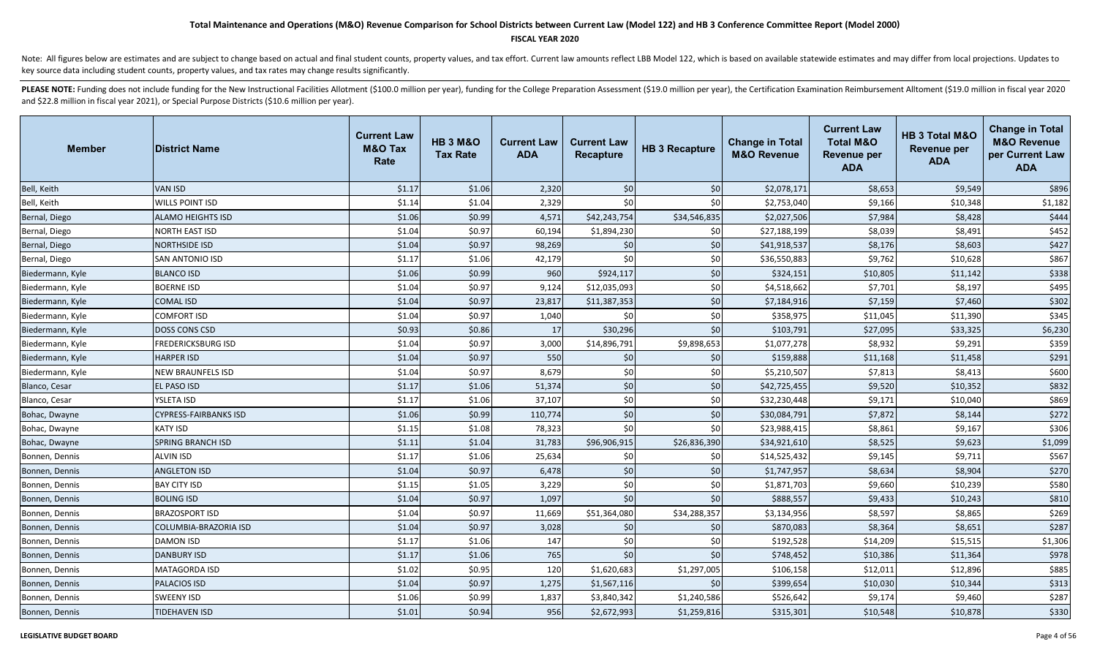#### **FISCAL YEAR 2020**

Note: All figures below are estimates and are subject to change based on actual and final student counts, property values, and tax effort. Current law amounts reflect LBB Model 122, which is based on available statewide es key source data including student counts, property values, and tax rates may change results significantly.

| <b>Member</b>    | <b>District Name</b>         | <b>Current Law</b><br><b>M&amp;O Tax</b><br>Rate | <b>HB 3 M&amp;O</b><br><b>Tax Rate</b> | <b>Current Law</b><br><b>ADA</b> | <b>Current Law</b><br><b>Recapture</b> | <b>HB 3 Recapture</b> | <b>Change in Total</b><br><b>M&amp;O Revenue</b> | <b>Current Law</b><br><b>Total M&amp;O</b><br><b>Revenue per</b><br><b>ADA</b> | <b>HB 3 Total M&amp;O</b><br><b>Revenue per</b><br><b>ADA</b> | <b>Change in Total</b><br><b>M&amp;O Revenue</b><br>per Current Law<br><b>ADA</b> |
|------------------|------------------------------|--------------------------------------------------|----------------------------------------|----------------------------------|----------------------------------------|-----------------------|--------------------------------------------------|--------------------------------------------------------------------------------|---------------------------------------------------------------|-----------------------------------------------------------------------------------|
| Bell, Keith      | <b>VAN ISD</b>               | \$1.17                                           | \$1.06                                 | 2,320                            | \$0                                    | \$0                   | \$2,078,171                                      | \$8,653                                                                        | \$9,549                                                       | \$896                                                                             |
| Bell, Keith      | <b>WILLS POINT ISD</b>       | \$1.14                                           | \$1.04                                 | 2,329                            | \$0                                    | \$0                   | \$2,753,040                                      | \$9,166                                                                        | \$10,348                                                      | \$1,182                                                                           |
| Bernal, Diego    | ALAMO HEIGHTS ISD            | \$1.06                                           | \$0.99                                 | 4,571                            | \$42,243,754                           | \$34,546,835          | \$2,027,506                                      | \$7,984                                                                        | \$8,428                                                       | \$444                                                                             |
| Bernal, Diego    | NORTH EAST ISD               | \$1.04                                           | \$0.97                                 | 60,194                           | \$1,894,230                            | \$0                   | \$27,188,199                                     | \$8,039                                                                        | \$8,491                                                       | \$452                                                                             |
| Bernal, Diego    | <b>NORTHSIDE ISD</b>         | \$1.04                                           | \$0.97                                 | 98,269                           | \$0                                    | \$0                   | \$41,918,537                                     | \$8,176                                                                        | \$8,603                                                       | \$427                                                                             |
| Bernal, Diego    | SAN ANTONIO ISD              | \$1.17                                           | \$1.06                                 | 42,179                           | \$0                                    | \$0                   | \$36,550,883                                     | \$9,762                                                                        | \$10,628                                                      | \$867                                                                             |
| Biedermann, Kyle | <b>BLANCO ISD</b>            | \$1.06                                           | \$0.99                                 | 960                              | \$924,117                              | \$0                   | \$324,151                                        | \$10,805                                                                       | \$11,142                                                      | \$338                                                                             |
| Biedermann, Kyle | <b>BOERNE ISD</b>            | \$1.04                                           | \$0.97                                 | 9,124                            | \$12,035,093                           | \$0                   | \$4,518,662                                      | \$7,701                                                                        | \$8,197                                                       | \$495                                                                             |
| Biedermann, Kyle | <b>COMAL ISD</b>             | \$1.04                                           | \$0.97                                 | 23,817                           | \$11,387,353                           | \$0                   | \$7,184,916                                      | \$7,159                                                                        | \$7,460                                                       | \$302                                                                             |
| Biedermann, Kyle | <b>COMFORT ISD</b>           | \$1.04                                           | \$0.97                                 | 1,040                            | \$0                                    | \$0                   | \$358,975                                        | \$11,045                                                                       | \$11,390                                                      | \$345                                                                             |
| Biedermann, Kyle | <b>DOSS CONS CSD</b>         | \$0.93                                           | \$0.86                                 | 17                               | \$30,296                               | \$0                   | \$103,791                                        | \$27,095                                                                       | \$33,325                                                      | \$6,230                                                                           |
| Biedermann, Kyle | <b>FREDERICKSBURG ISD</b>    | \$1.04                                           | \$0.97                                 | 3,000                            | \$14,896,791                           | \$9,898,653           | \$1,077,278                                      | \$8,932                                                                        | \$9,291                                                       | \$359                                                                             |
| Biedermann, Kyle | <b>HARPER ISD</b>            | \$1.04                                           | \$0.97                                 | 550                              | \$0                                    | \$0                   | \$159,888                                        | \$11,168                                                                       | \$11,458                                                      | \$291                                                                             |
| Biedermann, Kyle | <b>NEW BRAUNFELS ISD</b>     | \$1.04                                           | \$0.97                                 | 8,679                            | \$0                                    | \$0                   | \$5,210,507                                      | \$7,813                                                                        | \$8,413                                                       | \$600                                                                             |
| Blanco, Cesar    | EL PASO ISD                  | \$1.17                                           | \$1.06                                 | 51,374                           | \$0                                    | $$0$$                 | \$42,725,455                                     | \$9,520                                                                        | \$10,352                                                      | \$832                                                                             |
| Blanco, Cesar    | YSLETA ISD                   | \$1.17                                           | \$1.06                                 | 37,107                           | \$0                                    | \$0                   | \$32,230,448                                     | \$9,171                                                                        | \$10,040                                                      | \$869                                                                             |
| Bohac, Dwayne    | <b>CYPRESS-FAIRBANKS ISD</b> | \$1.06                                           | \$0.99                                 | 110,774                          | \$0                                    | \$0                   | \$30,084,791                                     | \$7,872                                                                        | \$8,144                                                       | \$272                                                                             |
| Bohac, Dwayne    | <b>KATY ISD</b>              | \$1.15                                           | \$1.08                                 | 78,323                           | \$0                                    | \$0                   | \$23,988,415                                     | \$8,861                                                                        | \$9,167                                                       | \$306                                                                             |
| Bohac, Dwayne    | <b>SPRING BRANCH ISD</b>     | \$1.11                                           | \$1.04                                 | 31,783                           | \$96,906,915                           | \$26,836,390          | \$34,921,610                                     | \$8,525                                                                        | \$9,623                                                       | \$1,099                                                                           |
| Bonnen, Dennis   | <b>ALVIN ISD</b>             | \$1.17                                           | \$1.06                                 | 25,634                           | \$0                                    | \$0                   | \$14,525,432                                     | \$9,145                                                                        | \$9,711                                                       | \$567                                                                             |
| Bonnen, Dennis   | <b>ANGLETON ISD</b>          | \$1.04                                           | \$0.97                                 | 6,478                            | \$0                                    | \$0                   | \$1,747,957                                      | \$8,634                                                                        | \$8,904                                                       | \$270                                                                             |
| Bonnen, Dennis   | <b>BAY CITY ISD</b>          | \$1.15                                           | \$1.05                                 | 3,229                            | \$0                                    | \$0                   | \$1,871,703                                      | \$9,660                                                                        | \$10,239                                                      | \$580                                                                             |
| Bonnen, Dennis   | <b>BOLING ISD</b>            | \$1.04                                           | \$0.97                                 | 1,097                            | \$0                                    | \$0                   | \$888,557                                        | \$9,433                                                                        | \$10,243                                                      | \$810                                                                             |
| Bonnen, Dennis   | <b>BRAZOSPORT ISD</b>        | \$1.04                                           | \$0.97                                 | 11,669                           | \$51,364,080                           | \$34,288,357          | \$3,134,956                                      | \$8,597                                                                        | \$8,865                                                       | \$269                                                                             |
| Bonnen, Dennis   | COLUMBIA-BRAZORIA ISD        | \$1.04                                           | \$0.97                                 | 3,028                            | \$0                                    | \$0                   | \$870,083                                        | \$8,364                                                                        | \$8,651                                                       | \$287                                                                             |
| Bonnen, Dennis   | DAMON ISD                    | \$1.17                                           | \$1.06                                 | 147                              | \$0                                    | \$0                   | \$192,528                                        | \$14,209                                                                       | \$15,515                                                      | \$1,306                                                                           |
| Bonnen, Dennis   | <b>DANBURY ISD</b>           | \$1.17                                           | \$1.06                                 | 765                              | \$0                                    | \$0                   | \$748,452                                        | \$10,386                                                                       | \$11,364                                                      | \$978                                                                             |
| Bonnen, Dennis   | <b>MATAGORDA ISD</b>         | \$1.02                                           | \$0.95                                 | 120                              | \$1,620,683                            | \$1,297,005           | \$106,158                                        | \$12,011                                                                       | \$12,896                                                      | \$885                                                                             |
| Bonnen, Dennis   | <b>PALACIOS ISD</b>          | \$1.04                                           | \$0.97                                 | 1,275                            | \$1,567,116                            | \$0                   | \$399,654                                        | \$10,030                                                                       | \$10,344                                                      | \$313                                                                             |
| Bonnen, Dennis   | <b>SWEENY ISD</b>            | \$1.06                                           | \$0.99                                 | 1,837                            | \$3,840,342                            | \$1,240,586           | \$526,642                                        | \$9,174                                                                        | \$9,460                                                       | \$287                                                                             |
| Bonnen, Dennis   | TIDEHAVEN ISD                | \$1.01                                           | \$0.94                                 | 956                              | \$2,672,993                            | \$1,259,816           | \$315,301                                        | \$10,548                                                                       | \$10,878                                                      | \$330                                                                             |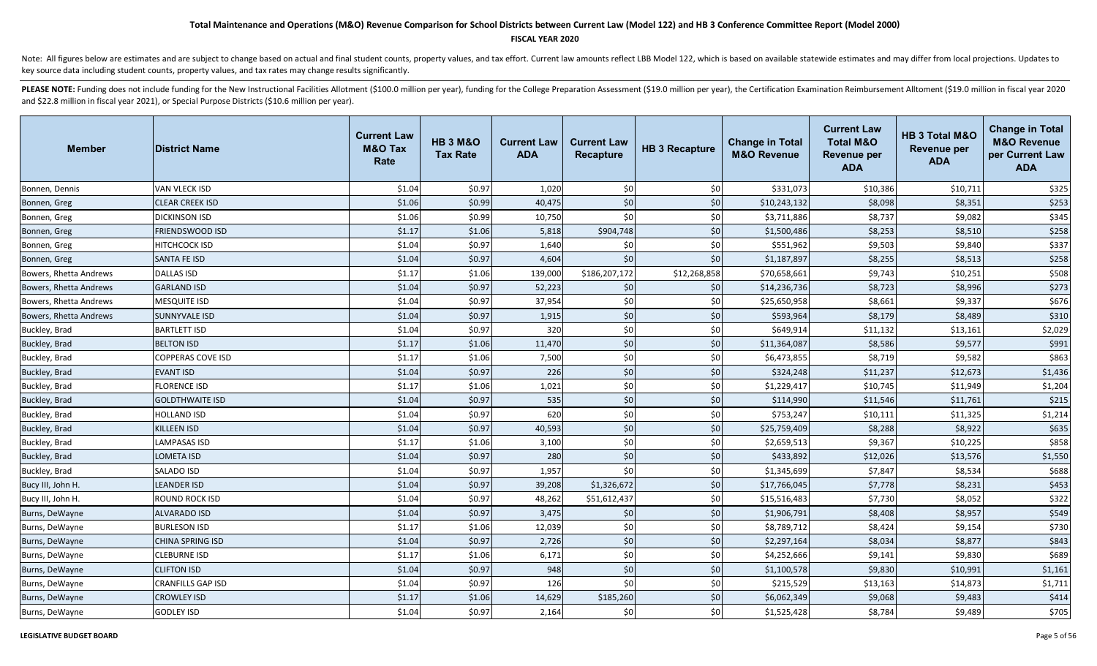### **FISCAL YEAR 2020**

Note: All figures below are estimates and are subject to change based on actual and final student counts, property values, and tax effort. Current law amounts reflect LBB Model 122, which is based on available statewide es key source data including student counts, property values, and tax rates may change results significantly.

| <b>Member</b>          | <b>District Name</b>     | <b>Current Law</b><br><b>M&amp;O Tax</b><br>Rate | <b>HB 3 M&amp;O</b><br><b>Tax Rate</b> | <b>Current Law</b><br><b>ADA</b> | <b>Current Law</b><br><b>Recapture</b> | <b>HB 3 Recapture</b> | <b>Change in Total</b><br><b>M&amp;O Revenue</b> | <b>Current Law</b><br><b>Total M&amp;O</b><br><b>Revenue per</b><br><b>ADA</b> | HB 3 Total M&O<br><b>Revenue per</b><br><b>ADA</b> | <b>Change in Total</b><br><b>M&amp;O Revenue</b><br>per Current Law<br><b>ADA</b> |
|------------------------|--------------------------|--------------------------------------------------|----------------------------------------|----------------------------------|----------------------------------------|-----------------------|--------------------------------------------------|--------------------------------------------------------------------------------|----------------------------------------------------|-----------------------------------------------------------------------------------|
| Bonnen, Dennis         | VAN VLECK ISD            | \$1.04                                           | \$0.97                                 | 1,020                            | \$0                                    | \$0                   | \$331,073                                        | \$10,386                                                                       | \$10,711                                           | \$325                                                                             |
| Bonnen, Greg           | <b>CLEAR CREEK ISD</b>   | \$1.06                                           | \$0.99                                 | 40,475                           | \$0                                    | \$0                   | \$10,243,132                                     | \$8,098                                                                        | \$8,351                                            | \$253                                                                             |
| Bonnen, Greg           | <b>DICKINSON ISD</b>     | \$1.06                                           | \$0.99                                 | 10,750                           | \$0                                    | \$0                   | \$3,711,886                                      | \$8,737                                                                        | \$9,082                                            | \$345                                                                             |
| Bonnen, Greg           | FRIENDSWOOD ISD          | \$1.17                                           | \$1.06                                 | 5,818                            | \$904,748                              | \$0                   | \$1,500,486                                      | \$8,253                                                                        | \$8,510                                            | \$258                                                                             |
| Bonnen, Greg           | HITCHCOCK ISD            | \$1.04                                           | \$0.97                                 | 1,640                            | \$0                                    | \$0                   | \$551,962                                        | \$9,503                                                                        | \$9,840                                            | \$337                                                                             |
| Bonnen, Greg           | <b>SANTA FE ISD</b>      | \$1.04                                           | \$0.97                                 | 4,604                            | \$0                                    | \$0                   | \$1,187,897                                      | \$8,255                                                                        | \$8,513                                            | \$258                                                                             |
| Bowers, Rhetta Andrews | <b>DALLAS ISD</b>        | \$1.17                                           | \$1.06                                 | 139,000                          | \$186,207,172                          | \$12,268,858          | \$70,658,661                                     | \$9,743                                                                        | \$10,251                                           | \$508                                                                             |
| Bowers, Rhetta Andrews | <b>GARLAND ISD</b>       | \$1.04                                           | \$0.97                                 | 52,223                           | \$0                                    | \$0                   | \$14,236,736                                     | \$8,723                                                                        | \$8,996                                            | \$273                                                                             |
| Bowers, Rhetta Andrews | <b>MESQUITE ISD</b>      | \$1.04                                           | \$0.97                                 | 37,954                           | \$0                                    | \$0                   | \$25,650,958                                     | \$8,661                                                                        | \$9,337                                            | \$676                                                                             |
| Bowers, Rhetta Andrews | <b>SUNNYVALE ISD</b>     | \$1.04                                           | \$0.97                                 | 1,915                            | \$0                                    | \$0                   | \$593,964                                        | \$8,179                                                                        | \$8,489                                            | \$310                                                                             |
| Buckley, Brad          | <b>BARTLETT ISD</b>      | \$1.04                                           | \$0.97                                 | 320                              | \$0                                    | \$0                   | \$649,914                                        | \$11,132                                                                       | \$13,161                                           | \$2,029                                                                           |
| Buckley, Brad          | <b>BELTON ISD</b>        | \$1.17                                           | \$1.06                                 | 11,470                           | \$0                                    | \$0                   | \$11,364,087                                     | \$8,586                                                                        | \$9,577                                            | \$991                                                                             |
| Buckley, Brad          | COPPERAS COVE ISD        | \$1.17                                           | \$1.06                                 | 7,500                            | \$0                                    | \$0                   | \$6,473,855                                      | \$8,719                                                                        | \$9,582                                            | \$863                                                                             |
| Buckley, Brad          | <b>EVANT ISD</b>         | \$1.04                                           | \$0.97                                 | 226                              | \$0                                    | \$0                   | \$324,248                                        | \$11,237                                                                       | \$12,673                                           | \$1,436                                                                           |
| Buckley, Brad          | FLORENCE ISD             | \$1.17                                           | \$1.06                                 | 1,021                            | \$0                                    | \$0                   | \$1,229,417                                      | \$10,745                                                                       | \$11,949                                           | \$1,204                                                                           |
| Buckley, Brad          | <b>GOLDTHWAITE ISD</b>   | \$1.04                                           | \$0.97                                 | 535                              | \$0                                    | \$0                   | \$114,990                                        | \$11,546                                                                       | \$11,761                                           | \$215                                                                             |
| Buckley, Brad          | <b>HOLLAND ISD</b>       | \$1.04                                           | \$0.97                                 | 620                              | \$0                                    | \$0                   | \$753,247                                        | \$10,111                                                                       | \$11,325                                           | \$1,214                                                                           |
| Buckley, Brad          | <b>KILLEEN ISD</b>       | \$1.04                                           | \$0.97                                 | 40,593                           | \$0                                    | \$0                   | \$25,759,409                                     | \$8,288                                                                        | \$8,922                                            | \$635                                                                             |
| Buckley, Brad          | <b>LAMPASAS ISD</b>      | \$1.17                                           | \$1.06                                 | 3,100                            | \$0                                    | \$0                   | \$2,659,513                                      | \$9,367                                                                        | \$10,225                                           | \$858                                                                             |
| Buckley, Brad          | <b>LOMETA ISD</b>        | \$1.04                                           | \$0.97                                 | 280                              | \$0                                    | \$0                   | \$433,892                                        | \$12,026                                                                       | \$13,576                                           | \$1,550                                                                           |
| Buckley, Brad          | SALADO ISD               | \$1.04                                           | \$0.97                                 | 1,957                            | \$0                                    | \$0                   | \$1,345,699                                      | \$7,847                                                                        | \$8,534                                            | \$688                                                                             |
| Bucy III, John H.      | <b>LEANDER ISD</b>       | \$1.04                                           | \$0.97                                 | 39,208                           | \$1,326,672                            | \$0                   | \$17,766,045                                     | \$7,778                                                                        | \$8,231                                            | \$453                                                                             |
| Bucy III, John H.      | ROUND ROCK ISD           | \$1.04                                           | \$0.97                                 | 48,262                           | \$51,612,437                           | \$0                   | \$15,516,483                                     | \$7,730                                                                        | \$8,052                                            | \$322                                                                             |
| Burns, DeWayne         | ALVARADO ISD             | \$1.04                                           | \$0.97                                 | 3,475                            | \$0                                    | \$0                   | \$1,906,791                                      | \$8,408                                                                        | \$8,957                                            | \$549                                                                             |
| Burns, DeWayne         | <b>BURLESON ISD</b>      | \$1.17                                           | \$1.06                                 | 12,039                           | \$0                                    | \$0                   | \$8,789,712                                      | \$8,424                                                                        | \$9,154                                            | \$730                                                                             |
| Burns, DeWayne         | <b>CHINA SPRING ISD</b>  | \$1.04                                           | \$0.97                                 | 2,726                            | \$0                                    | \$0                   | \$2,297,164                                      | \$8,034                                                                        | \$8,877                                            | \$843                                                                             |
| Burns, DeWayne         | <b>CLEBURNE ISD</b>      | \$1.17                                           | \$1.06                                 | 6,171                            | \$0                                    | \$0                   | \$4,252,666                                      | \$9,141                                                                        | \$9,830                                            | \$689                                                                             |
| Burns, DeWayne         | <b>CLIFTON ISD</b>       | \$1.04                                           | \$0.97                                 | 948                              | \$0                                    | \$0                   | \$1,100,578                                      | \$9,830                                                                        | \$10,991                                           | \$1,161                                                                           |
| Burns, DeWayne         | <b>CRANFILLS GAP ISD</b> | \$1.04                                           | \$0.97                                 | 126                              | \$0                                    | \$0                   | \$215,529                                        | \$13,163                                                                       | \$14,873                                           | \$1,711                                                                           |
| Burns, DeWayne         | <b>CROWLEY ISD</b>       | \$1.17                                           | \$1.06                                 | 14,629                           | \$185,260                              | \$0                   | \$6,062,349                                      | \$9,068                                                                        | \$9,483                                            | \$414                                                                             |
| Burns, DeWayne         | <b>GODLEY ISD</b>        | \$1.04                                           | \$0.97                                 | 2,164                            | \$0                                    | \$0                   | \$1,525,428                                      | \$8,784                                                                        | \$9,489                                            | \$705                                                                             |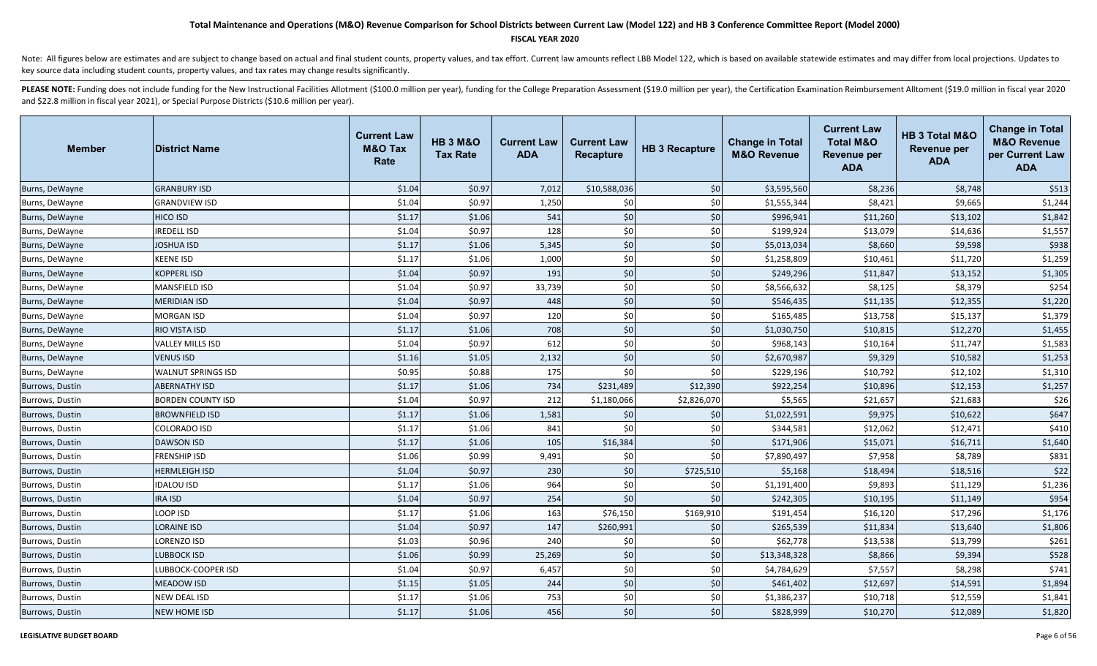#### **FISCAL YEAR 2020**

Note: All figures below are estimates and are subject to change based on actual and final student counts, property values, and tax effort. Current law amounts reflect LBB Model 122, which is based on available statewide es key source data including student counts, property values, and tax rates may change results significantly.

| <b>Member</b>   | <b>IDistrict Name</b>   | <b>Current Law</b><br><b>M&amp;O Tax</b><br>Rate | <b>HB 3 M&amp;O</b><br><b>Tax Rate</b> | <b>Current Law</b><br><b>ADA</b> | <b>Current Law</b><br><b>Recapture</b> | <b>HB 3 Recapture</b> | <b>Change in Total</b><br><b>M&amp;O Revenue</b> | <b>Current Law</b><br><b>Total M&amp;O</b><br><b>Revenue per</b><br><b>ADA</b> | HB 3 Total M&O<br><b>Revenue per</b><br><b>ADA</b> | <b>Change in Total</b><br><b>M&amp;O Revenue</b><br>per Current Law<br><b>ADA</b> |
|-----------------|-------------------------|--------------------------------------------------|----------------------------------------|----------------------------------|----------------------------------------|-----------------------|--------------------------------------------------|--------------------------------------------------------------------------------|----------------------------------------------------|-----------------------------------------------------------------------------------|
| Burns, DeWayne  | <b>GRANBURY ISD</b>     | \$1.04                                           | \$0.97                                 | 7,012                            | \$10,588,036                           | \$0                   | \$3,595,560                                      | \$8,236                                                                        | \$8,748                                            | \$513                                                                             |
| Burns, DeWayne  | <b>GRANDVIEW ISD</b>    | \$1.04                                           | \$0.97                                 | 1,250                            | \$0                                    | \$0                   | \$1,555,344                                      | \$8,421                                                                        | \$9,665                                            | \$1,244                                                                           |
| Burns, DeWayne  | <b>HICO ISD</b>         | \$1.17                                           | \$1.06                                 | 541                              | \$0                                    | \$0                   | \$996,941                                        | \$11,260                                                                       | \$13,102                                           | \$1,842                                                                           |
| Burns, DeWayne  | <b>REDELL ISD</b>       | \$1.04                                           | \$0.97                                 | 128                              | \$0                                    | \$0                   | \$199,924                                        | \$13,079                                                                       | \$14,636                                           | \$1,557                                                                           |
| Burns, DeWayne  | <b>JOSHUA ISD</b>       | \$1.17                                           | \$1.06                                 | 5,345                            | $$0$                                   | \$0                   | \$5,013,034                                      | \$8,660                                                                        | \$9,598                                            | \$938                                                                             |
| Burns, DeWayne  | KEENE ISD               | \$1.17                                           | \$1.06                                 | 1,000                            | \$0                                    | \$0                   | \$1,258,809                                      | \$10,461                                                                       | \$11,720                                           | \$1,259                                                                           |
| Burns, DeWayne  | KOPPERL ISD             | \$1.04                                           | \$0.97                                 | 191                              | \$0                                    | \$0                   | \$249,296                                        | \$11,847                                                                       | \$13,152                                           | \$1,305                                                                           |
| Burns, DeWayne  | MANSFIELD ISD           | \$1.04                                           | \$0.97                                 | 33,739                           | \$0                                    | \$0                   | \$8,566,632                                      | \$8,125                                                                        | \$8,379                                            | \$254                                                                             |
| Burns, DeWayne  | <b>MERIDIAN ISD</b>     | \$1.04                                           | \$0.97                                 | 448                              | $$0$                                   | \$0                   | \$546,435                                        | \$11,135                                                                       | \$12,355                                           | \$1,220                                                                           |
| Burns, DeWayne  | <b>MORGAN ISD</b>       | \$1.04                                           | \$0.97                                 | 120                              | \$0                                    | \$0                   | \$165,485                                        | \$13,758                                                                       | \$15,137                                           | \$1,379                                                                           |
| Burns, DeWayne  | RIO VISTA ISD           | \$1.17                                           | \$1.06                                 | 708                              | \$0                                    | \$0                   | \$1,030,750                                      | \$10,815                                                                       | \$12,270                                           | \$1,455                                                                           |
| Burns, DeWayne  | <b>VALLEY MILLS ISD</b> | \$1.04                                           | \$0.97                                 | 612                              | \$0                                    | \$0                   | \$968,143                                        | \$10,164                                                                       | \$11,747                                           | \$1,583                                                                           |
| Burns, DeWayne  | <b>VENUS ISD</b>        | \$1.16                                           | \$1.05                                 | 2,132                            | \$0                                    | \$0                   | \$2,670,987                                      | \$9,329                                                                        | \$10,582                                           | \$1,253                                                                           |
| Burns, DeWayne  | WALNUT SPRINGS ISD      | \$0.95                                           | \$0.88                                 | 175                              | \$0                                    | \$0                   | \$229,196                                        | \$10,792                                                                       | \$12,102                                           | \$1,310                                                                           |
| Burrows, Dustin | ABERNATHY ISD           | \$1.17                                           | \$1.06                                 | 734                              | \$231,489                              | \$12,390              | \$922,254                                        | \$10,896                                                                       | \$12,153                                           | \$1,257                                                                           |
| Burrows, Dustin | BORDEN COUNTY ISD       | \$1.04                                           | \$0.97                                 | 212                              | \$1,180,066                            | \$2,826,070           | \$5,565                                          | \$21,657                                                                       | \$21,683                                           | \$26                                                                              |
| Burrows, Dustin | <b>BROWNFIELD ISD</b>   | \$1.17                                           | \$1.06                                 | 1,581                            | \$0                                    | \$0                   | \$1,022,591                                      | \$9,975                                                                        | \$10,622                                           | \$647                                                                             |
| Burrows, Dustin | COLORADO ISD            | \$1.17                                           | \$1.06                                 | 841                              | \$0                                    | \$0                   | \$344,581                                        | \$12,062                                                                       | \$12,471                                           | \$410                                                                             |
| Burrows, Dustin | <b>DAWSON ISD</b>       | \$1.17                                           | \$1.06                                 | 105                              | \$16,384                               | \$0                   | \$171,906                                        | \$15,071                                                                       | \$16,711                                           | \$1,640                                                                           |
| Burrows, Dustin | <b>FRENSHIP ISD</b>     | \$1.06                                           | \$0.99                                 | 9,491                            | \$0                                    | \$0                   | \$7,890,497                                      | \$7,958                                                                        | \$8,789                                            | \$831                                                                             |
| Burrows, Dustin | <b>HERMLEIGH ISD</b>    | \$1.04                                           | \$0.97                                 | 230                              | \$0                                    | \$725,510             | \$5,168                                          | \$18,494                                                                       | \$18,516                                           | \$22                                                                              |
| Burrows, Dustin | <b>IDALOU ISD</b>       | \$1.17                                           | \$1.06                                 | 964                              | \$0                                    | \$0                   | \$1,191,400                                      | \$9,893                                                                        | \$11,129                                           | \$1,236                                                                           |
| Burrows, Dustin | <b>IRA ISD</b>          | \$1.04                                           | \$0.97                                 | 254                              | \$0                                    | \$0                   | \$242,305                                        | \$10,195                                                                       | \$11,149                                           | \$954                                                                             |
| Burrows, Dustin | LOOP ISD                | \$1.17                                           | \$1.06                                 | 163                              | \$76,150                               | \$169,910             | \$191,454                                        | \$16,120                                                                       | \$17,296                                           | \$1,176                                                                           |
| Burrows, Dustin | <b>LORAINE ISD</b>      | \$1.04                                           | \$0.97                                 | 147                              | \$260,991                              | \$0                   | \$265,539                                        | \$11,834                                                                       | \$13,640                                           | \$1,806                                                                           |
| Burrows, Dustin | LORENZO ISD             | \$1.03                                           | \$0.96                                 | 240                              | \$0                                    | \$0                   | \$62,778                                         | \$13,538                                                                       | \$13,799                                           | \$261                                                                             |
| Burrows, Dustin | <b>LUBBOCK ISD</b>      | \$1.06                                           | \$0.99                                 | 25,269                           | \$0                                    | \$0                   | \$13,348,328                                     | \$8,866                                                                        | \$9,394                                            | \$528                                                                             |
| Burrows, Dustin | LUBBOCK-COOPER ISD      | \$1.04                                           | \$0.97                                 | 6,457                            | \$0                                    | \$0                   | \$4,784,629                                      | \$7,557                                                                        | \$8,298                                            | \$741                                                                             |
| Burrows, Dustin | <b>MEADOW ISD</b>       | \$1.15                                           | \$1.05                                 | 244                              | \$0                                    | \$0                   | \$461,402                                        | \$12,697                                                                       | \$14,591                                           | \$1,894                                                                           |
| Burrows, Dustin | NEW DEAL ISD            | \$1.17                                           | \$1.06                                 | 753                              | \$0                                    | \$0                   | \$1,386,237                                      | \$10,718                                                                       | \$12,559                                           | \$1,841                                                                           |
| Burrows, Dustin | <b>NEW HOME ISD</b>     | \$1.17                                           | \$1.06                                 | 456                              | \$0                                    | \$0                   | \$828,999                                        | \$10,270                                                                       | \$12,089                                           | \$1,820                                                                           |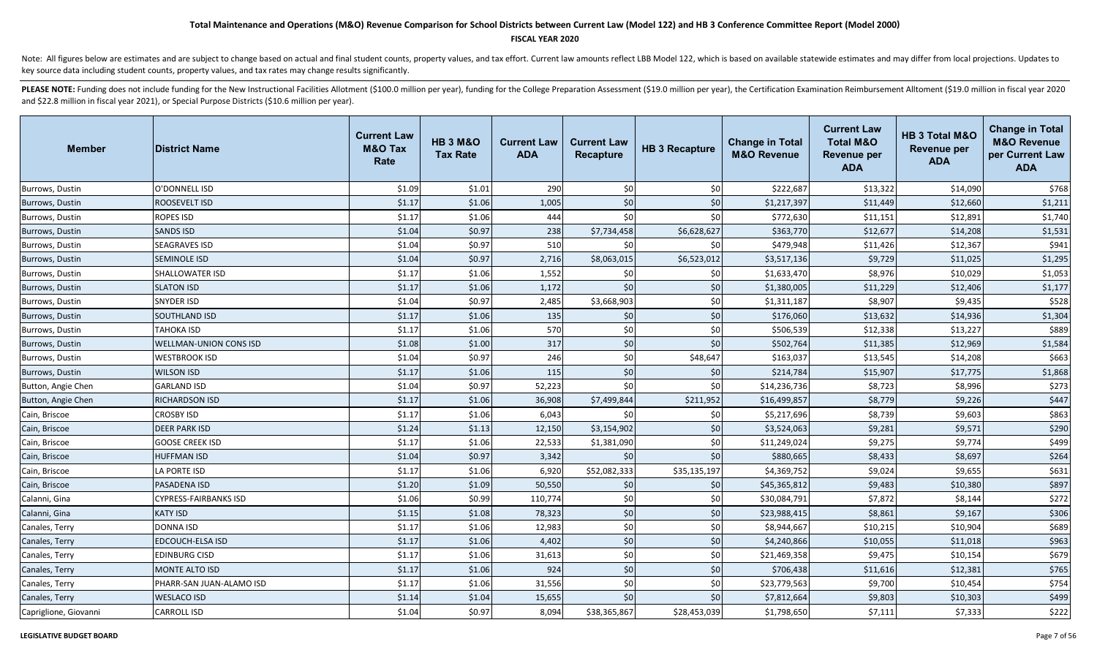### **FISCAL YEAR 2020**

Note: All figures below are estimates and are subject to change based on actual and final student counts, property values, and tax effort. Current law amounts reflect LBB Model 122, which is based on available statewide es key source data including student counts, property values, and tax rates may change results significantly.

| <b>Member</b>         | <b>District Name</b>          | <b>Current Law</b><br><b>M&amp;O Tax</b><br>Rate | <b>HB 3 M&amp;O</b><br><b>Tax Rate</b> | <b>Current Law</b><br><b>ADA</b> | <b>Current Law</b><br>Recapture | <b>HB 3 Recapture</b> | <b>Change in Total</b><br><b>M&amp;O Revenue</b> | <b>Current Law</b><br><b>Total M&amp;O</b><br><b>Revenue per</b><br><b>ADA</b> | HB 3 Total M&O<br>Revenue per<br><b>ADA</b> | <b>Change in Total</b><br><b>M&amp;O Revenue</b><br>per Current Law<br><b>ADA</b> |
|-----------------------|-------------------------------|--------------------------------------------------|----------------------------------------|----------------------------------|---------------------------------|-----------------------|--------------------------------------------------|--------------------------------------------------------------------------------|---------------------------------------------|-----------------------------------------------------------------------------------|
| Burrows, Dustin       | O'DONNELL ISD                 | \$1.09                                           | \$1.01                                 | 290                              | \$0                             | \$0                   | \$222,687                                        | \$13,322                                                                       | \$14,090                                    | \$768                                                                             |
| Burrows, Dustin       | ROOSEVELT ISD                 | \$1.17                                           | \$1.06                                 | 1,005                            | \$0                             | \$0                   | \$1,217,397                                      | \$11,449                                                                       | \$12,660                                    | \$1,211                                                                           |
| Burrows, Dustin       | ROPES ISD                     | \$1.17                                           | \$1.06                                 | 444                              | \$0                             | \$0                   | \$772,630                                        | \$11,151                                                                       | \$12,891                                    | \$1,740                                                                           |
| Burrows, Dustin       | <b>SANDS ISD</b>              | \$1.04                                           | \$0.97                                 | 238                              | \$7,734,458                     | \$6,628,627           | \$363,770                                        | \$12,677                                                                       | \$14,208                                    | \$1,531                                                                           |
| Burrows, Dustin       | SEAGRAVES ISD                 | \$1.04                                           | \$0.97                                 | 510                              | \$0                             | \$0                   | \$479,948                                        | \$11,426                                                                       | \$12,367                                    | \$941                                                                             |
| Burrows, Dustin       | <b>SEMINOLE ISD</b>           | \$1.04                                           | \$0.97                                 | 2,716                            | \$8,063,015                     | \$6,523,012           | \$3,517,136                                      | \$9,729                                                                        | \$11,025                                    | \$1,295                                                                           |
| Burrows, Dustin       | SHALLOWATER ISD               | \$1.17                                           | \$1.06                                 | 1,552                            | \$0                             | \$0                   | \$1,633,470                                      | \$8,976                                                                        | \$10,029                                    | \$1,053                                                                           |
| Burrows, Dustin       | <b>SLATON ISD</b>             | \$1.17                                           | \$1.06                                 | 1,172                            | \$0                             | \$0                   | \$1,380,005                                      | \$11,229                                                                       | \$12,406                                    | \$1,177                                                                           |
| Burrows, Dustin       | <b>SNYDER ISD</b>             | \$1.04                                           | \$0.97                                 | 2,485                            | \$3,668,903                     | \$0                   | \$1,311,187                                      | \$8,907                                                                        | \$9,435                                     | \$528                                                                             |
| Burrows, Dustin       | <b>SOUTHLAND ISD</b>          | \$1.17                                           | \$1.06                                 | 135                              | \$0                             | \$0                   | \$176,060                                        | \$13,632                                                                       | \$14,936                                    | \$1,304                                                                           |
| Burrows, Dustin       | <b>TAHOKA ISD</b>             | \$1.17                                           | \$1.06                                 | 570                              | \$0                             | \$0                   | \$506,539                                        | \$12,338                                                                       | \$13,227                                    | \$889                                                                             |
| Burrows, Dustin       | <b>WELLMAN-UNION CONS ISD</b> | \$1.08                                           | \$1.00                                 | 317                              | \$0                             | \$0                   | \$502,764                                        | \$11,385                                                                       | \$12,969                                    | \$1,584                                                                           |
| Burrows, Dustin       | <b>WESTBROOK ISD</b>          | \$1.04                                           | \$0.97                                 | 246                              | \$0                             | \$48,647              | \$163,037                                        | \$13,545                                                                       | \$14,208                                    | \$663                                                                             |
| Burrows, Dustin       | <b>WILSON ISD</b>             | \$1.17                                           | \$1.06                                 | 115                              | \$0                             | \$0                   | \$214,784                                        | \$15,907                                                                       | \$17,775                                    | \$1,868                                                                           |
| Button, Angie Chen    | <b>GARLAND ISD</b>            | \$1.04                                           | \$0.97                                 | 52,223                           | \$0                             | \$0                   | \$14,236,736                                     | \$8,723                                                                        | \$8,996                                     | \$273                                                                             |
| Button, Angie Chen    | RICHARDSON ISD                | \$1.17                                           | \$1.06                                 | 36,908                           | \$7,499,844                     | \$211,952             | \$16,499,857                                     | \$8,779                                                                        | \$9,226                                     | \$447                                                                             |
| Cain, Briscoe         | <b>CROSBY ISD</b>             | \$1.17                                           | \$1.06                                 | 6,043                            | $\mathsf{S}0$                   | \$0                   | \$5,217,696                                      | \$8,739                                                                        | \$9,603                                     | \$863                                                                             |
| Cain, Briscoe         | <b>DEER PARK ISD</b>          | \$1.24                                           | \$1.13                                 | 12,150                           | \$3,154,902                     | \$0                   | \$3,524,063                                      | \$9,281                                                                        | \$9,571                                     | \$290                                                                             |
| Cain, Briscoe         | <b>GOOSE CREEK ISD</b>        | \$1.17                                           | \$1.06                                 | 22,533                           | \$1,381,090                     | \$0                   | \$11,249,024                                     | \$9,275                                                                        | \$9,774                                     | \$499                                                                             |
| Cain, Briscoe         | <b>HUFFMAN ISD</b>            | \$1.04                                           | \$0.97                                 | 3,342                            | \$0                             | \$0                   | \$880,665                                        | \$8,433                                                                        | \$8,697                                     | \$264                                                                             |
| Cain, Briscoe         | <b>LA PORTE ISD</b>           | \$1.17                                           | \$1.06                                 | 6,920                            | \$52,082,333                    | \$35,135,197          | \$4,369,752                                      | \$9,024                                                                        | \$9,655                                     | \$631                                                                             |
| Cain, Briscoe         | <b>PASADENA ISD</b>           | \$1.20                                           | \$1.09                                 | 50,550                           | \$0                             | \$0                   | \$45,365,812                                     | \$9,483                                                                        | \$10,380                                    | \$897                                                                             |
| Calanni, Gina         | CYPRESS-FAIRBANKS ISD         | \$1.06                                           | \$0.99                                 | 110,774                          | \$0                             | \$0                   | \$30,084,791                                     | \$7,872                                                                        | \$8,144                                     | \$272                                                                             |
| Calanni, Gina         | <b>KATY ISD</b>               | \$1.15                                           | \$1.08                                 | 78,323                           | \$0                             | \$0                   | \$23,988,415                                     | \$8,861                                                                        | \$9,167                                     | \$306                                                                             |
| Canales, Terry        | <b>DONNA ISD</b>              | \$1.17                                           | \$1.06                                 | 12,983                           | \$0                             | \$0                   | \$8,944,667                                      | \$10,215                                                                       | \$10,904                                    | \$689                                                                             |
| Canales, Terry        | EDCOUCH-ELSA ISD              | \$1.17                                           | \$1.06                                 | 4,402                            | \$0                             | \$0                   | \$4,240,866                                      | \$10,055                                                                       | \$11,018                                    | \$963                                                                             |
| Canales, Terry        | <b>EDINBURG CISD</b>          | \$1.17                                           | \$1.06                                 | 31,613                           | \$0                             | \$0                   | \$21,469,358                                     | \$9,475                                                                        | \$10,154                                    | \$679                                                                             |
| Canales, Terry        | <b>MONTE ALTO ISD</b>         | \$1.17                                           | \$1.06                                 | 924                              | \$0                             | \$0                   | \$706,438                                        | \$11,616                                                                       | \$12,381                                    | \$765                                                                             |
| Canales, Terry        | PHARR-SAN JUAN-ALAMO ISD      | \$1.17                                           | \$1.06                                 | 31,556                           | \$0                             | \$0                   | \$23,779,563                                     | \$9,700                                                                        | \$10,454                                    | \$754                                                                             |
| Canales, Terry        | <b>WESLACO ISD</b>            | \$1.14                                           | \$1.04                                 | 15,655                           | \$0                             | \$0                   | \$7,812,664                                      | \$9,803                                                                        | \$10,303                                    | \$499                                                                             |
| Capriglione, Giovanni | <b>CARROLL ISD</b>            | \$1.04                                           | \$0.97                                 | 8,094                            | \$38,365,867                    | \$28,453,039          | \$1,798,650                                      | \$7,111                                                                        | \$7,333                                     | \$222                                                                             |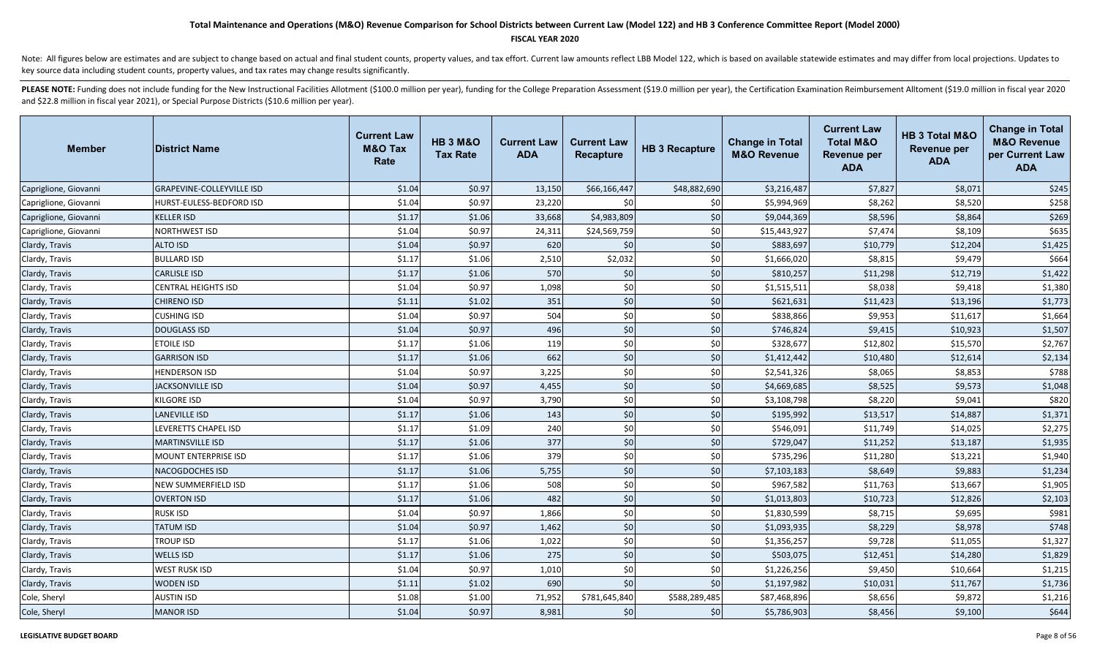#### **FISCAL YEAR 2020**

Note: All figures below are estimates and are subject to change based on actual and final student counts, property values, and tax effort. Current law amounts reflect LBB Model 122, which is based on available statewide es key source data including student counts, property values, and tax rates may change results significantly.

| <b>Member</b>         | <b>District Name</b>             | <b>Current Law</b><br><b>M&amp;O Tax</b><br>Rate | <b>HB 3 M&amp;O</b><br><b>Tax Rate</b> | <b>Current Law</b><br><b>ADA</b> | <b>Current Law</b><br><b>Recapture</b> | <b>HB 3 Recapture</b> | <b>Change in Total</b><br><b>M&amp;O Revenue</b> | <b>Current Law</b><br><b>Total M&amp;O</b><br>Revenue per<br><b>ADA</b> | <b>HB 3 Total M&amp;O</b><br><b>Revenue per</b><br><b>ADA</b> | <b>Change in Total</b><br><b>M&amp;O Revenue</b><br>per Current Law<br><b>ADA</b> |
|-----------------------|----------------------------------|--------------------------------------------------|----------------------------------------|----------------------------------|----------------------------------------|-----------------------|--------------------------------------------------|-------------------------------------------------------------------------|---------------------------------------------------------------|-----------------------------------------------------------------------------------|
| Capriglione, Giovanni | <b>GRAPEVINE-COLLEYVILLE ISD</b> | \$1.04                                           | \$0.97                                 | 13,150                           | \$66,166,447                           | \$48,882,690          | \$3,216,487                                      | \$7,827                                                                 | \$8,071                                                       | \$245                                                                             |
| Capriglione, Giovanni | HURST-EULESS-BEDFORD ISD         | \$1.04                                           | \$0.97                                 | 23,220                           | \$0                                    | \$0                   | \$5,994,969                                      | \$8,262                                                                 | \$8,520                                                       | \$258                                                                             |
| Capriglione, Giovanni | <b>KELLER ISD</b>                | \$1.17                                           | \$1.06                                 | 33,668                           | \$4,983,809                            | \$0                   | \$9,044,369                                      | \$8,596                                                                 | \$8,864                                                       | \$269                                                                             |
| Capriglione, Giovanni | NORTHWEST ISD                    | \$1.04                                           | \$0.97                                 | 24,311                           | \$24,569,759                           | \$0                   | \$15,443,927                                     | \$7,474                                                                 | \$8,109                                                       | \$635                                                                             |
| Clardy, Travis        | <b>ALTO ISD</b>                  | \$1.04                                           | \$0.97                                 | 620                              | \$0                                    | \$0                   | \$883,697                                        | \$10,779                                                                | \$12,204                                                      | \$1,425                                                                           |
| Clardy, Travis        | <b>BULLARD ISD</b>               | \$1.17                                           | \$1.06                                 | 2,510                            | \$2,032                                | \$0                   | \$1,666,020                                      | \$8,815                                                                 | \$9,479                                                       | \$664                                                                             |
| Clardy, Travis        | <b>CARLISLE ISD</b>              | \$1.17                                           | \$1.06                                 | 570                              | \$0                                    | \$0                   | \$810,257                                        | \$11,298                                                                | \$12,719                                                      | \$1,422                                                                           |
| Clardy, Travis        | <b>CENTRAL HEIGHTS ISD</b>       | \$1.04                                           | \$0.97                                 | 1,098                            | \$0                                    | \$0                   | \$1,515,511                                      | \$8,038                                                                 | \$9,418                                                       | \$1,380                                                                           |
| Clardy, Travis        | <b>CHIRENO ISD</b>               | \$1.11                                           | \$1.02                                 | 351                              | \$0                                    | \$0                   | \$621,631                                        | \$11,423                                                                | \$13,196                                                      | \$1,773                                                                           |
| Clardy, Travis        | <b>CUSHING ISD</b>               | \$1.04                                           | \$0.97                                 | 504                              | \$0                                    | \$0                   | \$838,866                                        | \$9,953                                                                 | \$11,617                                                      | \$1,664                                                                           |
| Clardy, Travis        | <b>DOUGLASS ISD</b>              | \$1.04                                           | \$0.97                                 | 496                              | \$0                                    | \$0                   | \$746,824                                        | \$9,415                                                                 | \$10,923                                                      | \$1,507                                                                           |
| Clardy, Travis        | <b>ETOILE ISD</b>                | \$1.17                                           | \$1.06                                 | 119                              | \$0                                    | \$0                   | \$328,677                                        | \$12,802                                                                | \$15,570                                                      | \$2,767                                                                           |
| Clardy, Travis        | <b>GARRISON ISD</b>              | \$1.17                                           | \$1.06                                 | 662                              | \$0                                    | \$0                   | \$1,412,442                                      | \$10,480                                                                | \$12,614                                                      | \$2,134                                                                           |
| Clardy, Travis        | <b>HENDERSON ISD</b>             | \$1.04                                           | \$0.97                                 | 3,225                            | \$0                                    | \$0                   | \$2,541,326                                      | \$8,065                                                                 | \$8,853                                                       | \$788                                                                             |
| Clardy, Travis        | <b>JACKSONVILLE ISD</b>          | \$1.04                                           | \$0.97                                 | 4,455                            | \$0                                    | \$0                   | \$4,669,685                                      | \$8,525                                                                 | \$9,573                                                       | \$1,048                                                                           |
| Clardy, Travis        | KILGORE ISD                      | \$1.04                                           | \$0.97                                 | 3,790                            | \$0                                    | \$0                   | \$3,108,798                                      | \$8,220                                                                 | \$9,041                                                       | \$820                                                                             |
| Clardy, Travis        | <b>LANEVILLE ISD</b>             | \$1.17                                           | \$1.06                                 | 143                              | \$0                                    | $$0$                  | \$195,992                                        | \$13,517                                                                | \$14,887                                                      | \$1,371                                                                           |
| Clardy, Travis        | LEVERETTS CHAPEL ISD             | \$1.17                                           | \$1.09                                 | 240                              | \$0                                    | \$0                   | \$546,091                                        | \$11,749                                                                | \$14,025                                                      | \$2,275                                                                           |
| Clardy, Travis        | <b>MARTINSVILLE ISD</b>          | \$1.17                                           | \$1.06                                 | 377                              | \$0                                    | $$0$$                 | \$729,047                                        | \$11,252                                                                | \$13,187                                                      | \$1,935                                                                           |
| Clardy, Travis        | <b>MOUNT ENTERPRISE ISD</b>      | \$1.17                                           | \$1.06                                 | 379                              | \$0                                    | \$0                   | \$735,296                                        | \$11,280                                                                | \$13,221                                                      | \$1,940                                                                           |
| Clardy, Travis        | <b>NACOGDOCHES ISD</b>           | \$1.17                                           | \$1.06                                 | 5,755                            | \$0                                    | \$0                   | \$7,103,183                                      | \$8,649                                                                 | \$9,883                                                       | \$1,234                                                                           |
| Clardy, Travis        | NEW SUMMERFIELD ISD              | \$1.17                                           | \$1.06                                 | 508                              | \$0                                    | \$0                   | \$967,582                                        | \$11,763                                                                | \$13,667                                                      | \$1,905                                                                           |
| Clardy, Travis        | <b>OVERTON ISD</b>               | \$1.17                                           | \$1.06                                 | 482                              | \$0                                    | \$0                   | \$1,013,803                                      | \$10,723                                                                | \$12,826                                                      | \$2,103                                                                           |
| Clardy, Travis        | <b>RUSK ISD</b>                  | \$1.04                                           | \$0.97                                 | 1,866                            | \$0                                    | \$0                   | \$1,830,599                                      | \$8,715                                                                 | \$9,695                                                       | \$981                                                                             |
| Clardy, Travis        | <b>TATUM ISD</b>                 | \$1.04                                           | \$0.97                                 | 1,462                            | \$0                                    | \$0                   | \$1,093,935                                      | \$8,229                                                                 | \$8,978                                                       | \$748                                                                             |
| Clardy, Travis        | <b>TROUP ISD</b>                 | \$1.17                                           | \$1.06                                 | 1,022                            | \$0                                    | \$0                   | \$1,356,257                                      | \$9,728                                                                 | \$11,055                                                      | \$1,327                                                                           |
| Clardy, Travis        | <b>WELLS ISD</b>                 | \$1.17                                           | \$1.06                                 | 275                              | \$0                                    | \$0                   | \$503,075                                        | \$12,451                                                                | \$14,280                                                      | \$1,829                                                                           |
| Clardy, Travis        | <b>WEST RUSK ISD</b>             | \$1.04                                           | \$0.97                                 | 1,010                            | \$0                                    | \$0                   | \$1,226,256                                      | \$9,450                                                                 | \$10,664                                                      | \$1,215                                                                           |
| Clardy, Travis        | <b>WODEN ISD</b>                 | \$1.11                                           | \$1.02                                 | 690                              | \$0                                    | \$0                   | \$1,197,982                                      | \$10,031                                                                | \$11,767                                                      | \$1,736                                                                           |
| Cole, Sheryl          | <b>AUSTIN ISD</b>                | \$1.08                                           | \$1.00                                 | 71,952                           | \$781,645,840                          | \$588,289,485         | \$87,468,896                                     | \$8,656                                                                 | \$9,872                                                       | \$1,216                                                                           |
| Cole, Sheryl          | <b>MANOR ISD</b>                 | \$1.04                                           | \$0.97                                 | 8,981                            | 50 <sup>1</sup>                        | \$0                   | \$5,786,903                                      | \$8,456                                                                 | \$9,100                                                       | \$644                                                                             |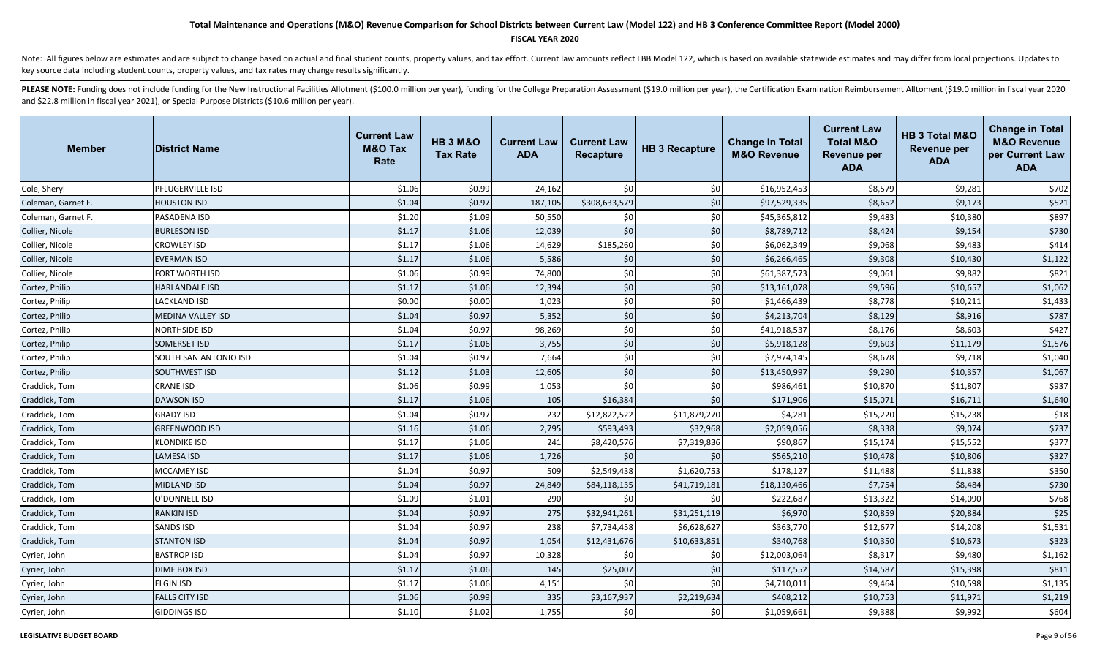#### **FISCAL YEAR 2020**

Note: All figures below are estimates and are subject to change based on actual and final student counts, property values, and tax effort. Current law amounts reflect LBB Model 122, which is based on available statewide es key source data including student counts, property values, and tax rates may change results significantly.

| <b>Member</b>      | <b>District Name</b>     | <b>Current Law</b><br><b>M&amp;O Tax</b><br>Rate | <b>HB 3 M&amp;O</b><br><b>Tax Rate</b> | <b>Current Law</b><br><b>ADA</b> | <b>Current Law</b><br>Recapture | <b>HB 3 Recapture</b> | <b>Change in Total</b><br><b>M&amp;O Revenue</b> | <b>Current Law</b><br><b>Total M&amp;O</b><br><b>Revenue per</b><br><b>ADA</b> | HB 3 Total M&O<br><b>Revenue per</b><br><b>ADA</b> | <b>Change in Total</b><br><b>M&amp;O Revenue</b><br>per Current Law<br><b>ADA</b> |
|--------------------|--------------------------|--------------------------------------------------|----------------------------------------|----------------------------------|---------------------------------|-----------------------|--------------------------------------------------|--------------------------------------------------------------------------------|----------------------------------------------------|-----------------------------------------------------------------------------------|
| Cole, Sheryl       | PFLUGERVILLE ISD         | \$1.06                                           | \$0.99                                 | 24,162                           | \$0                             | \$0                   | \$16,952,453                                     | \$8,579                                                                        | \$9,281                                            | \$702                                                                             |
| Coleman, Garnet F. | <b>HOUSTON ISD</b>       | \$1.04                                           | \$0.97                                 | 187,105                          | \$308,633,579                   | \$0                   | \$97,529,335                                     | \$8,652                                                                        | \$9,173                                            | \$521                                                                             |
| Coleman, Garnet F. | PASADENA ISD             | \$1.20                                           | \$1.09                                 | 50,550                           | \$0                             | \$0                   | \$45,365,812                                     | \$9,483                                                                        | \$10,380                                           | \$897                                                                             |
| Collier, Nicole    | <b>BURLESON ISD</b>      | \$1.17                                           | \$1.06                                 | 12,039                           | \$0                             | $$0$                  | \$8,789,712                                      | \$8,424                                                                        | \$9,154                                            | \$730                                                                             |
| Collier, Nicole    | CROWLEY ISD              | \$1.17                                           | \$1.06                                 | 14,629                           | \$185,260                       | \$0                   | \$6,062,349                                      | \$9,068                                                                        | \$9,483                                            | \$414                                                                             |
| Collier, Nicole    | <b>EVERMAN ISD</b>       | \$1.17                                           | \$1.06                                 | 5,586                            | \$0                             | $$0$$                 | \$6,266,465                                      | \$9,308                                                                        | \$10,430                                           | \$1,122                                                                           |
| Collier, Nicole    | FORT WORTH ISD           | \$1.06                                           | \$0.99                                 | 74,800                           | \$0                             | \$0                   | \$61,387,573                                     | \$9,061                                                                        | \$9,882                                            | \$821                                                                             |
| Cortez, Philip     | <b>HARLANDALE ISD</b>    | \$1.17                                           | \$1.06                                 | 12,394                           | \$0                             | \$0                   | \$13,161,078                                     | \$9,596                                                                        | \$10,657                                           | \$1,062                                                                           |
| Cortez, Philip     | <b>LACKLAND ISD</b>      | \$0.00                                           | \$0.00                                 | 1,023                            | \$0                             | \$0                   | \$1,466,439                                      | \$8,778                                                                        | \$10,211                                           | \$1,433                                                                           |
| Cortez, Philip     | <b>MEDINA VALLEY ISD</b> | \$1.04                                           | \$0.97                                 | 5,352                            | \$0                             | \$0                   | \$4,213,704                                      | \$8,129                                                                        | \$8,916                                            | \$787                                                                             |
| Cortez, Philip     | NORTHSIDE ISD            | \$1.04                                           | \$0.97                                 | 98,269                           | \$0                             | \$0                   | \$41,918,537                                     | \$8,176                                                                        | \$8,603                                            | \$427                                                                             |
| Cortez, Philip     | SOMERSET ISD             | \$1.17                                           | \$1.06                                 | 3,755                            | \$0                             | \$0                   | \$5,918,128                                      | \$9,603                                                                        | \$11,179                                           | \$1,576                                                                           |
| Cortez, Philip     | SOUTH SAN ANTONIO ISD    | \$1.04                                           | \$0.97                                 | 7,664                            | \$0                             | \$0                   | \$7,974,145                                      | \$8,678                                                                        | \$9,718                                            | \$1,040                                                                           |
| Cortez, Philip     | SOUTHWEST ISD            | \$1.12                                           | \$1.03                                 | 12,605                           | \$0                             | \$0                   | \$13,450,997                                     | \$9,290                                                                        | \$10,357                                           | \$1,067                                                                           |
| Craddick, Tom      | CRANE ISD                | \$1.06                                           | \$0.99                                 | 1,053                            | \$0                             | \$0                   | \$986,461                                        | \$10,870                                                                       | \$11,807                                           | \$937                                                                             |
| Craddick, Tom      | <b>DAWSON ISD</b>        | \$1.17                                           | \$1.06                                 | 105                              | \$16,384                        | \$0                   | \$171,906                                        | \$15,071                                                                       | \$16,711                                           | \$1,640                                                                           |
| Craddick, Tom      | <b>GRADY ISD</b>         | \$1.04                                           | \$0.97                                 | 232                              | \$12,822,522                    | \$11,879,270          | \$4,281                                          | \$15,220                                                                       | \$15,238                                           | \$18                                                                              |
| Craddick, Tom      | <b>GREENWOOD ISD</b>     | \$1.16                                           | \$1.06                                 | 2,795                            | \$593,493                       | \$32,968              | \$2,059,056                                      | \$8,338                                                                        | \$9,074                                            | \$737                                                                             |
| Craddick, Tom      | <b>KLONDIKE ISD</b>      | \$1.17                                           | \$1.06                                 | 241                              | \$8,420,576                     | \$7,319,836           | \$90,867                                         | \$15,174                                                                       | \$15,552                                           | \$377                                                                             |
| Craddick, Tom      | <b>LAMESA ISD</b>        | \$1.17                                           | \$1.06                                 | 1,726                            | \$0                             | \$0                   | \$565,210                                        | \$10,478                                                                       | \$10,806                                           | \$327                                                                             |
| Craddick, Tom      | MCCAMEY ISD              | \$1.04                                           | \$0.97                                 | 509                              | \$2,549,438                     | \$1,620,753           | \$178,127                                        | \$11,488                                                                       | \$11,838                                           | \$350                                                                             |
| Craddick, Tom      | MIDLAND ISD              | \$1.04                                           | \$0.97                                 | 24,849                           | \$84,118,135                    | \$41,719,181          | \$18,130,466                                     | \$7,754                                                                        | \$8,484                                            | \$730                                                                             |
| Craddick, Tom      | O'DONNELL ISD            | \$1.09                                           | \$1.01                                 | 290                              | \$0                             | \$0                   | \$222,687                                        | \$13,322                                                                       | \$14,090                                           | \$768                                                                             |
| Craddick, Tom      | RANKIN ISD               | \$1.04                                           | \$0.97                                 | 275                              | \$32,941,261                    | \$31,251,119          | \$6,970                                          | \$20,859                                                                       | \$20,884                                           | \$25                                                                              |
| Craddick, Tom      | SANDS ISD                | \$1.04                                           | \$0.97                                 | 238                              | \$7,734,458                     | \$6,628,627           | \$363,770                                        | \$12,677                                                                       | \$14,208                                           | \$1,531                                                                           |
| Craddick, Tom      | <b>STANTON ISD</b>       | \$1.04                                           | \$0.97                                 | 1,054                            | \$12,431,676                    | \$10,633,851          | \$340,768                                        | \$10,350                                                                       | \$10,673                                           | \$323                                                                             |
| Cyrier, John       | <b>BASTROP ISD</b>       | \$1.04                                           | \$0.97                                 | 10,328                           | \$0                             | \$0                   | \$12,003,064                                     | \$8,317                                                                        | \$9,480                                            | \$1,162                                                                           |
| Cyrier, John       | <b>DIME BOX ISD</b>      | \$1.17                                           | \$1.06                                 | 145                              | \$25,007                        | \$0                   | \$117,552                                        | \$14,587                                                                       | \$15,398                                           | \$811                                                                             |
| Cyrier, John       | <b>ELGIN ISD</b>         | \$1.17                                           | \$1.06                                 | 4,151                            | \$0                             | \$0                   | \$4,710,011                                      | \$9,464                                                                        | \$10,598                                           | \$1,135                                                                           |
| Cyrier, John       | <b>FALLS CITY ISD</b>    | \$1.06                                           | \$0.99                                 | 335                              | \$3,167,937                     | \$2,219,634           | \$408,212                                        | \$10,753                                                                       | \$11,971                                           | \$1,219                                                                           |
| Cyrier, John       | <b>GIDDINGS ISD</b>      | \$1.10                                           | \$1.02                                 | 1,755                            | \$0                             | \$0                   | \$1,059,661                                      | \$9,388                                                                        | \$9,992                                            | \$604                                                                             |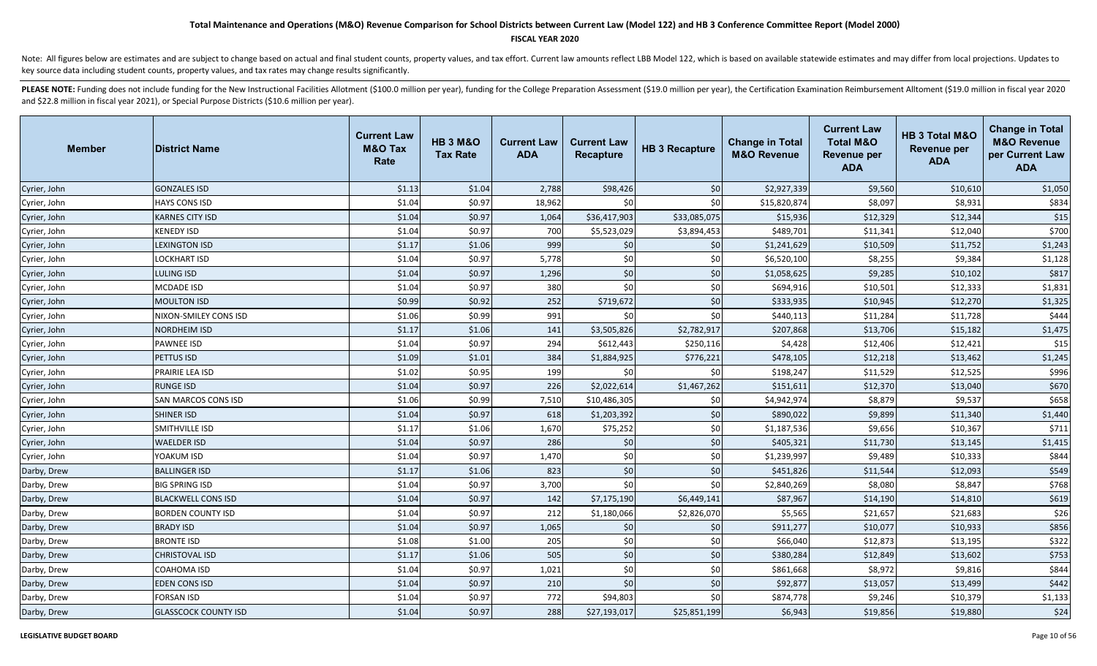#### **FISCAL YEAR 2020**

Note: All figures below are estimates and are subject to change based on actual and final student counts, property values, and tax effort. Current law amounts reflect LBB Model 122, which is based on available statewide es key source data including student counts, property values, and tax rates may change results significantly.

| <b>Member</b> | <b>District Name</b>        | <b>Current Law</b><br><b>M&amp;O Tax</b><br>Rate | <b>HB 3 M&amp;O</b><br><b>Tax Rate</b> | <b>Current Law</b><br><b>ADA</b> | <b>Current Law</b><br><b>Recapture</b> | <b>HB 3 Recapture</b> | <b>Change in Total</b><br><b>M&amp;O Revenue</b> | <b>Current Law</b><br><b>Total M&amp;O</b><br><b>Revenue per</b><br><b>ADA</b> | HB 3 Total M&O<br><b>Revenue per</b><br><b>ADA</b> | <b>Change in Total</b><br><b>M&amp;O Revenue</b><br>per Current Law<br><b>ADA</b> |
|---------------|-----------------------------|--------------------------------------------------|----------------------------------------|----------------------------------|----------------------------------------|-----------------------|--------------------------------------------------|--------------------------------------------------------------------------------|----------------------------------------------------|-----------------------------------------------------------------------------------|
| Cyrier, John  | <b>GONZALES ISD</b>         | \$1.13                                           | \$1.04                                 | 2,788                            | \$98,426                               | \$0                   | \$2,927,339                                      | \$9,560                                                                        | \$10,610                                           | \$1,050                                                                           |
| Cyrier, John  | <b>HAYS CONS ISD</b>        | \$1.04                                           | \$0.97                                 | 18,962                           | \$0                                    | \$0                   | \$15,820,874                                     | \$8,097                                                                        | \$8,931                                            | \$834                                                                             |
| Cyrier, John  | <b>KARNES CITY ISD</b>      | \$1.04                                           | \$0.97                                 | 1,064                            | \$36,417,903                           | \$33,085,075          | \$15,936                                         | \$12,329                                                                       | \$12,344                                           | \$15                                                                              |
| Cyrier, John  | <b>KENEDY ISD</b>           | \$1.04                                           | \$0.97                                 | 700                              | \$5,523,029                            | \$3,894,453           | \$489,701                                        | \$11,341                                                                       | \$12,040                                           | \$700                                                                             |
| Cyrier, John  | <b>LEXINGTON ISD</b>        | \$1.17                                           | \$1.06                                 | 999                              | \$0                                    | \$0                   | \$1,241,629                                      | \$10,509                                                                       | \$11,752                                           | \$1,243                                                                           |
| Cyrier, John  | <b>LOCKHART ISD</b>         | \$1.04                                           | \$0.97                                 | 5,778                            | \$0                                    | \$0                   | \$6,520,100                                      | \$8,255                                                                        | \$9,384                                            | \$1,128                                                                           |
| Cyrier, John  | LULING ISD                  | \$1.04                                           | \$0.97                                 | 1,296                            | \$0                                    | \$0                   | \$1,058,625                                      | \$9,285                                                                        | \$10,102                                           | \$817                                                                             |
| Cyrier, John  | <b>MCDADE ISD</b>           | \$1.04                                           | \$0.97                                 | 380                              | \$0                                    | \$0                   | \$694,916                                        | \$10,501                                                                       | \$12,333                                           | \$1,831                                                                           |
| Cyrier, John  | <b>MOULTON ISD</b>          | \$0.99                                           | \$0.92                                 | 252                              | \$719,672                              | $$0$                  | \$333,935                                        | \$10,945                                                                       | \$12,270                                           | \$1,325                                                                           |
| Cyrier, John  | NIXON-SMILEY CONS ISD       | \$1.06                                           | \$0.99                                 | 991                              | \$0                                    | \$0                   | \$440,113                                        | \$11,284                                                                       | \$11,728                                           | \$444                                                                             |
| Cyrier, John  | NORDHEIM ISD                | \$1.17                                           | \$1.06                                 | 141                              | \$3,505,826                            | \$2,782,917           | \$207,868                                        | \$13,706                                                                       | \$15,182                                           | \$1,475                                                                           |
| Cyrier, John  | <b>PAWNEE ISD</b>           | \$1.04                                           | \$0.97                                 | 294                              | \$612,443                              | \$250,116             | \$4,428                                          | \$12,406                                                                       | \$12,421                                           | \$15                                                                              |
| Cyrier, John  | PETTUS ISD                  | \$1.09                                           | \$1.01                                 | 384                              | \$1,884,925                            | \$776,221             | \$478,105                                        | \$12,218                                                                       | \$13,462                                           | \$1,245                                                                           |
| Cyrier, John  | PRAIRIE LEA ISD             | \$1.02                                           | \$0.95                                 | 199                              | \$0                                    | \$0                   | \$198,247                                        | \$11,529                                                                       | \$12,525                                           | \$996                                                                             |
| Cyrier, John  | <b>RUNGE ISD</b>            | \$1.04                                           | \$0.97                                 | 226                              | \$2,022,614                            | \$1,467,262           | \$151,611                                        | \$12,370                                                                       | \$13,040                                           | \$670                                                                             |
| Cyrier, John  | SAN MARCOS CONS ISD         | \$1.06                                           | \$0.99                                 | 7,510                            | \$10,486,305                           | \$0                   | \$4,942,974                                      | \$8,879                                                                        | \$9,537                                            | \$658                                                                             |
| Cyrier, John  | <b>SHINER ISD</b>           | \$1.04                                           | \$0.97                                 | 618                              | \$1,203,392                            | $$0$$                 | \$890,022                                        | \$9,899                                                                        | \$11,340                                           | \$1,440                                                                           |
| Cyrier, John  | SMITHVILLE ISD              | \$1.17                                           | \$1.06                                 | 1,670                            | \$75,252                               | \$0                   | \$1,187,536                                      | \$9,656                                                                        | \$10,367                                           | \$711                                                                             |
| Cyrier, John  | <b>WAELDER ISD</b>          | \$1.04                                           | \$0.97                                 | 286                              | \$0                                    | $$0$                  | \$405,321                                        | \$11,730                                                                       | \$13,145                                           | \$1,415                                                                           |
| Cyrier, John  | YOAKUM ISD                  | \$1.04                                           | \$0.97                                 | 1,470                            | \$0                                    | \$0                   | \$1,239,997                                      | \$9,489                                                                        | \$10,333                                           | \$844                                                                             |
| Darby, Drew   | <b>BALLINGER ISD</b>        | \$1.17                                           | \$1.06                                 | 823                              | \$0                                    | \$0                   | \$451,826                                        | \$11,544                                                                       | \$12,093                                           | \$549                                                                             |
| Darby, Drew   | <b>BIG SPRING ISD</b>       | \$1.04                                           | \$0.97                                 | 3,700                            | \$0                                    | \$0                   | \$2,840,269                                      | \$8,080                                                                        | \$8,847                                            | \$768                                                                             |
| Darby, Drew   | <b>BLACKWELL CONS ISD</b>   | \$1.04                                           | \$0.97                                 | 142                              | \$7,175,190                            | \$6,449,141           | \$87,967                                         | \$14,190                                                                       | \$14,810                                           | \$619                                                                             |
| Darby, Drew   | <b>BORDEN COUNTY ISD</b>    | \$1.04                                           | \$0.97                                 | 212                              | \$1,180,066                            | \$2,826,070           | \$5,565                                          | \$21,657                                                                       | \$21,683                                           | \$26                                                                              |
| Darby, Drew   | <b>BRADY ISD</b>            | \$1.04                                           | \$0.97                                 | 1,065                            | \$0                                    | \$0                   | \$911,277                                        | \$10,077                                                                       | \$10,933                                           | \$856                                                                             |
| Darby, Drew   | <b>BRONTE ISD</b>           | \$1.08                                           | \$1.00                                 | 205                              | \$0                                    | \$0                   | \$66,040                                         | \$12,873                                                                       | \$13,195                                           | \$322                                                                             |
| Darby, Drew   | <b>CHRISTOVAL ISD</b>       | \$1.17                                           | \$1.06                                 | 505                              | \$0                                    | \$0                   | \$380,284                                        | \$12,849                                                                       | \$13,602                                           | \$753                                                                             |
| Darby, Drew   | COAHOMA ISD                 | \$1.04                                           | \$0.97                                 | 1,021                            | \$0                                    | \$0                   | \$861,668                                        | \$8,972                                                                        | \$9,816                                            | \$844                                                                             |
| Darby, Drew   | <b>EDEN CONS ISD</b>        | \$1.04                                           | \$0.97                                 | 210                              | \$0                                    | \$0                   | \$92,877                                         | \$13,057                                                                       | \$13,499                                           | \$442                                                                             |
| Darby, Drew   | FORSAN ISD                  | \$1.04                                           | \$0.97                                 | 772                              | \$94,803                               | \$0                   | \$874,778                                        | \$9,246                                                                        | \$10,379                                           | \$1,133                                                                           |
| Darby, Drew   | <b>GLASSCOCK COUNTY ISD</b> | \$1.04                                           | \$0.97                                 | 288                              | \$27,193,017                           | \$25,851,199          | \$6,943                                          | \$19,856                                                                       | \$19,880                                           | \$24                                                                              |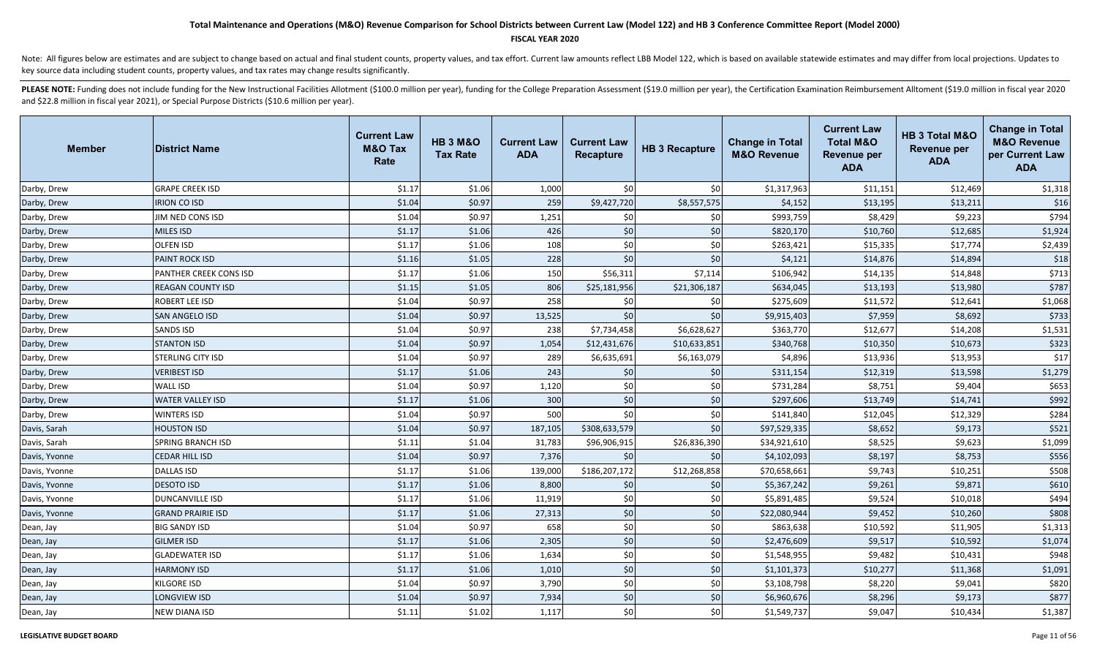### **FISCAL YEAR 2020**

Note: All figures below are estimates and are subject to change based on actual and final student counts, property values, and tax effort. Current law amounts reflect LBB Model 122, which is based on available statewide es key source data including student counts, property values, and tax rates may change results significantly.

| <b>Member</b> | <b>District Name</b>     | <b>Current Law</b><br><b>M&amp;O Tax</b><br>Rate | <b>HB 3 M&amp;O</b><br><b>Tax Rate</b> | <b>Current Law</b><br><b>ADA</b> | <b>Current Law</b><br><b>Recapture</b> | <b>HB 3 Recapture</b> | <b>Change in Total</b><br><b>M&amp;O Revenue</b> | <b>Current Law</b><br><b>Total M&amp;O</b><br><b>Revenue per</b><br><b>ADA</b> | HB 3 Total M&O<br><b>Revenue per</b><br><b>ADA</b> | <b>Change in Total</b><br><b>M&amp;O Revenue</b><br>per Current Law<br><b>ADA</b> |
|---------------|--------------------------|--------------------------------------------------|----------------------------------------|----------------------------------|----------------------------------------|-----------------------|--------------------------------------------------|--------------------------------------------------------------------------------|----------------------------------------------------|-----------------------------------------------------------------------------------|
| Darby, Drew   | <b>GRAPE CREEK ISD</b>   | \$1.17                                           | \$1.06                                 | 1,000                            | \$0                                    | \$0                   | \$1,317,963                                      | \$11,151                                                                       | \$12,469                                           | \$1,318                                                                           |
| Darby, Drew   | <b>IRION CO ISD</b>      | \$1.04                                           | \$0.97                                 | 259                              | \$9,427,720                            | \$8,557,575           | \$4,152                                          | \$13,195                                                                       | \$13,211                                           | \$16                                                                              |
| Darby, Drew   | JIM NED CONS ISD         | \$1.04                                           | \$0.97                                 | 1,251                            | \$0                                    | \$0                   | \$993,759                                        | \$8,429                                                                        | \$9,223                                            | \$794                                                                             |
| Darby, Drew   | MILES ISD                | \$1.17                                           | \$1.06                                 | 426                              | \$0                                    | $$0$$                 | \$820,170                                        | \$10,760                                                                       | \$12,685                                           | \$1,924                                                                           |
| Darby, Drew   | OLFEN ISD                | \$1.17                                           | \$1.06                                 | 108                              | \$0                                    | \$0                   | \$263,421                                        | \$15,335                                                                       | \$17,774                                           | \$2,439                                                                           |
| Darby, Drew   | <b>PAINT ROCK ISD</b>    | \$1.16                                           | \$1.05                                 | 228                              | \$0                                    | \$0                   | \$4,121                                          | \$14,876                                                                       | \$14,894                                           | \$18                                                                              |
| Darby, Drew   | PANTHER CREEK CONS ISD   | \$1.17                                           | \$1.06                                 | 150                              | \$56,311                               | \$7,114               | \$106,942                                        | \$14,135                                                                       | \$14,848                                           | \$713                                                                             |
| Darby, Drew   | <b>REAGAN COUNTY ISD</b> | \$1.15                                           | \$1.05                                 | 806                              | \$25,181,956                           | \$21,306,187          | \$634,045                                        | \$13,193                                                                       | \$13,980                                           | \$787                                                                             |
| Darby, Drew   | ROBERT LEE ISD           | \$1.04                                           | \$0.97                                 | 258                              | \$0                                    | \$0                   | \$275,609                                        | \$11,572                                                                       | \$12,641                                           | \$1,068                                                                           |
| Darby, Drew   | <b>SAN ANGELO ISD</b>    | \$1.04                                           | \$0.97                                 | 13,525                           | 50 <sup>1</sup>                        | \$0                   | \$9,915,403                                      | \$7,959                                                                        | \$8,692                                            | \$733                                                                             |
| Darby, Drew   | <b>SANDS ISD</b>         | \$1.04                                           | \$0.97                                 | 238                              | \$7,734,458                            | \$6,628,627           | \$363,770                                        | \$12,677                                                                       | \$14,208                                           | \$1,531                                                                           |
| Darby, Drew   | <b>STANTON ISD</b>       | \$1.04                                           | \$0.97                                 | 1,054                            | \$12,431,676                           | \$10,633,851          | \$340,768                                        | \$10,350                                                                       | \$10,673                                           | \$323                                                                             |
| Darby, Drew   | <b>STERLING CITY ISD</b> | \$1.04                                           | \$0.97                                 | 289                              | \$6,635,691                            | \$6,163,079           | \$4,896                                          | \$13,936                                                                       | \$13,953                                           | \$17                                                                              |
| Darby, Drew   | <b>VERIBEST ISD</b>      | \$1.17                                           | \$1.06                                 | 243                              | 50 <sup>1</sup>                        | \$0                   | \$311,154                                        | \$12,319                                                                       | \$13,598                                           | \$1,279                                                                           |
| Darby, Drew   | WALL ISD                 | \$1.04                                           | \$0.97                                 | 1,120                            | \$0                                    | \$0                   | \$731,284                                        | \$8,751                                                                        | \$9,404                                            | \$653                                                                             |
| Darby, Drew   | <b>WATER VALLEY ISD</b>  | \$1.17                                           | \$1.06                                 | 300                              | \$0                                    | \$0                   | \$297,606                                        | \$13,749                                                                       | \$14,741                                           | \$992                                                                             |
| Darby, Drew   | <b>WINTERS ISD</b>       | \$1.04                                           | \$0.97                                 | 500                              | \$0                                    | \$0                   | \$141,840                                        | \$12,045                                                                       | \$12,329                                           | \$284                                                                             |
| Davis, Sarah  | <b>HOUSTON ISD</b>       | \$1.04                                           | \$0.97                                 | 187,105                          | \$308,633,579                          | \$0                   | \$97,529,335                                     | \$8,652                                                                        | \$9,173                                            | \$521                                                                             |
| Davis, Sarah  | SPRING BRANCH ISD        | \$1.11                                           | \$1.04                                 | 31,783                           | \$96,906,915                           | \$26,836,390          | \$34,921,610                                     | \$8,525                                                                        | \$9,623                                            | \$1,099                                                                           |
| Davis, Yvonne | <b>CEDAR HILL ISD</b>    | \$1.04                                           | \$0.97                                 | 7,376                            | \$0                                    | \$0                   | \$4,102,093                                      | \$8,197                                                                        | \$8,753                                            | \$556                                                                             |
| Davis, Yvonne | <b>DALLAS ISD</b>        | \$1.17                                           | \$1.06                                 | 139,000                          | \$186,207,172                          | \$12,268,858          | \$70,658,661                                     | \$9,743                                                                        | \$10,251                                           | \$508                                                                             |
| Davis, Yvonne | <b>DESOTO ISD</b>        | \$1.17                                           | \$1.06                                 | 8,800                            | \$0                                    | \$0                   | \$5,367,242                                      | \$9,261                                                                        | \$9,871                                            | \$610                                                                             |
| Davis, Yvonne | <b>DUNCANVILLE ISD</b>   | \$1.17                                           | \$1.06                                 | 11,919                           | \$0                                    | \$0                   | \$5,891,485                                      | \$9,524                                                                        | \$10,018                                           | \$494                                                                             |
| Davis, Yvonne | <b>GRAND PRAIRIE ISD</b> | \$1.17                                           | \$1.06                                 | 27,313                           | \$0                                    | $$0$$                 | \$22,080,944                                     | \$9,452                                                                        | \$10,260                                           | \$808                                                                             |
| Dean, Jay     | <b>BIG SANDY ISD</b>     | \$1.04                                           | \$0.97                                 | 658                              | \$0                                    | \$0                   | \$863,638                                        | \$10,592                                                                       | \$11,905                                           | \$1,313                                                                           |
| Dean, Jay     | <b>GILMER ISD</b>        | \$1.17                                           | \$1.06                                 | 2,305                            | \$0                                    | $$0$                  | \$2,476,609                                      | \$9,517                                                                        | \$10,592                                           | \$1,074                                                                           |
| Dean, Jay     | <b>GLADEWATER ISD</b>    | \$1.17                                           | \$1.06                                 | 1,634                            | \$0                                    | \$0                   | \$1,548,955                                      | \$9,482                                                                        | \$10,431                                           | \$948                                                                             |
| Dean, Jay     | <b>HARMONY ISD</b>       | \$1.17                                           | \$1.06                                 | 1,010                            | \$0                                    | \$0                   | \$1,101,373                                      | \$10,277                                                                       | \$11,368                                           | \$1,091                                                                           |
| Dean, Jay     | <b>KILGORE ISD</b>       | \$1.04                                           | \$0.97                                 | 3,790                            | \$0                                    | \$0                   | \$3,108,798                                      | \$8,220                                                                        | \$9,041                                            | \$820                                                                             |
| Dean, Jay     | LONGVIEW ISD             | \$1.04                                           | \$0.97                                 | 7,934                            | \$0                                    | \$0                   | \$6,960,676                                      | \$8,296                                                                        | \$9,173                                            | \$877                                                                             |
| Dean, Jay     | <b>NEW DIANA ISD</b>     | \$1.11                                           | \$1.02                                 | 1,117                            | \$0                                    | \$0                   | \$1,549,737                                      | \$9,047                                                                        | \$10,434                                           | \$1,387                                                                           |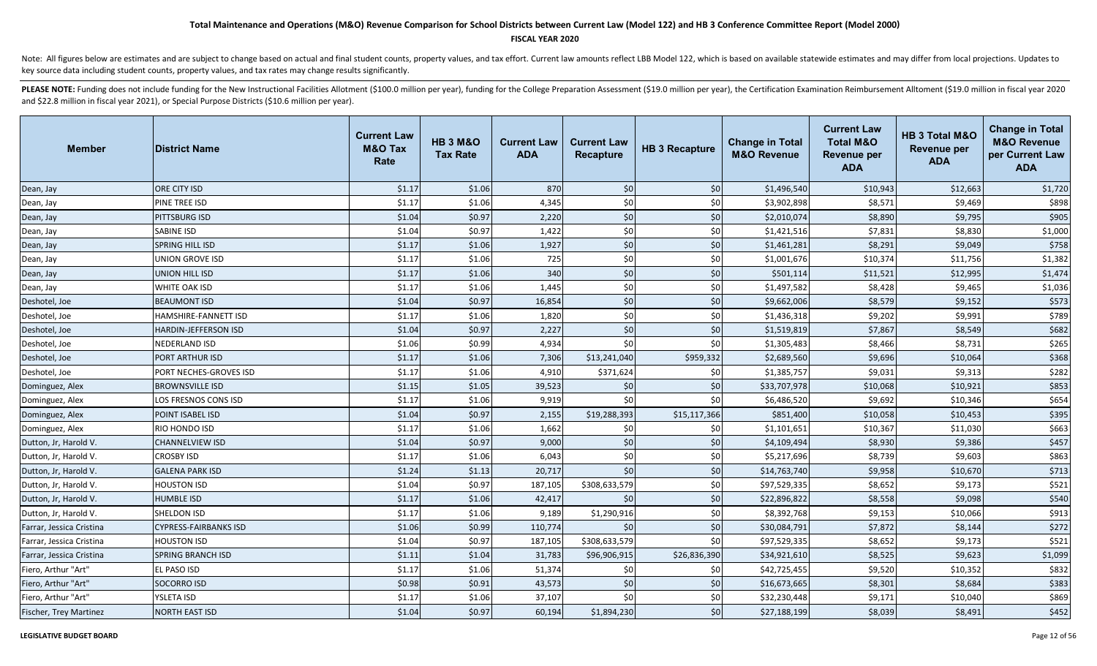### **FISCAL YEAR 2020**

Note: All figures below are estimates and are subject to change based on actual and final student counts, property values, and tax effort. Current law amounts reflect LBB Model 122, which is based on available statewide es key source data including student counts, property values, and tax rates may change results significantly.

| <b>Member</b>            | <b>District Name</b>         | <b>Current Law</b><br><b>M&amp;O Tax</b><br>Rate | <b>HB 3 M&amp;O</b><br><b>Tax Rate</b> | <b>Current Law</b><br><b>ADA</b> | <b>Current Law</b><br><b>Recapture</b> | <b>HB 3 Recapture</b> | <b>Change in Total</b><br><b>M&amp;O Revenue</b> | <b>Current Law</b><br><b>Total M&amp;O</b><br><b>Revenue per</b><br><b>ADA</b> | HB 3 Total M&O<br><b>Revenue per</b><br><b>ADA</b> | <b>Change in Total</b><br><b>M&amp;O Revenue</b><br>per Current Law<br><b>ADA</b> |
|--------------------------|------------------------------|--------------------------------------------------|----------------------------------------|----------------------------------|----------------------------------------|-----------------------|--------------------------------------------------|--------------------------------------------------------------------------------|----------------------------------------------------|-----------------------------------------------------------------------------------|
| Dean, Jay                | ORE CITY ISD                 | \$1.17                                           | \$1.06                                 | 870                              | \$0                                    | \$0                   | \$1,496,540                                      | \$10,943                                                                       | \$12,663                                           | \$1,720                                                                           |
| Dean, Jay                | PINE TREE ISD                | \$1.17                                           | \$1.06                                 | 4,345                            | \$0                                    | \$0                   | \$3,902,898                                      | \$8,571                                                                        | \$9,469                                            | \$898                                                                             |
| Dean, Jay                | PITTSBURG ISD                | \$1.04                                           | \$0.97                                 | 2,220                            | \$0                                    | \$0                   | \$2,010,074                                      | \$8,890                                                                        | \$9,795                                            | \$905                                                                             |
| Dean, Jay                | SABINE ISD                   | \$1.04                                           | \$0.97                                 | 1,422                            | \$0                                    | \$0                   | \$1,421,516                                      | \$7,831                                                                        | \$8,830                                            | \$1,000                                                                           |
| Dean, Jay                | SPRING HILL ISD              | \$1.17                                           | \$1.06                                 | 1,927                            | \$0                                    | $$0$                  | \$1,461,281                                      | \$8,291                                                                        | \$9,049                                            | \$758                                                                             |
| Dean, Jay                | <b>UNION GROVE ISD</b>       | \$1.17                                           | \$1.06                                 | 725                              | \$0                                    | \$0                   | \$1,001,676                                      | \$10,374                                                                       | \$11,756                                           | \$1,382                                                                           |
| Dean, Jay                | <b>UNION HILL ISD</b>        | \$1.17                                           | \$1.06                                 | 340                              | \$0                                    | \$0                   | \$501,114                                        | \$11,521                                                                       | \$12,995                                           | \$1,474                                                                           |
| Dean, Jay                | <b>WHITE OAK ISD</b>         | \$1.17                                           | \$1.06                                 | 1,445                            | \$0                                    | \$0                   | \$1,497,582                                      | \$8,428                                                                        | \$9,465                                            | \$1,036                                                                           |
| Deshotel, Joe            | <b>BEAUMONT ISD</b>          | \$1.04                                           | \$0.97                                 | 16,854                           | \$0                                    | \$0                   | \$9,662,006                                      | \$8,579                                                                        | \$9,152                                            | \$573                                                                             |
| Deshotel, Joe            | HAMSHIRE-FANNETT ISD         | \$1.17                                           | \$1.06                                 | 1,820                            | \$0                                    | \$0                   | \$1,436,318                                      | \$9,202                                                                        | \$9,991                                            | \$789                                                                             |
| Deshotel, Joe            | <b>HARDIN-JEFFERSON ISD</b>  | \$1.04                                           | \$0.97                                 | 2,227                            | \$0                                    | \$0                   | \$1,519,819                                      | \$7,867                                                                        | \$8,549                                            | \$682                                                                             |
| Deshotel, Joe            | NEDERLAND ISD                | \$1.06                                           | \$0.99                                 | 4,934                            | \$0                                    | \$0                   | \$1,305,483                                      | \$8,466                                                                        | \$8,731                                            | \$265                                                                             |
| Deshotel, Joe            | PORT ARTHUR ISD              | \$1.17                                           | \$1.06                                 | 7,306                            | \$13,241,040                           | \$959,332             | \$2,689,560                                      | \$9,696                                                                        | \$10,064                                           | \$368                                                                             |
| Deshotel, Joe            | PORT NECHES-GROVES ISD       | \$1.17                                           | \$1.06                                 | 4,910                            | \$371,624                              | \$0                   | \$1,385,757                                      | \$9,031                                                                        | \$9,313                                            | \$282                                                                             |
| Dominguez, Alex          | <b>BROWNSVILLE ISD</b>       | \$1.15                                           | \$1.05                                 | 39,523                           | \$0                                    | \$0                   | \$33,707,978                                     | \$10,068                                                                       | \$10,921                                           | \$853                                                                             |
| Dominguez, Alex          | LOS FRESNOS CONS ISD         | \$1.17                                           | \$1.06                                 | 9,919                            | \$0                                    | \$0                   | \$6,486,520                                      | \$9,692                                                                        | \$10,346                                           | \$654                                                                             |
| Dominguez, Alex          | POINT ISABEL ISD             | \$1.04                                           | \$0.97                                 | 2,155                            | \$19,288,393                           | \$15,117,366          | \$851,400                                        | \$10,058                                                                       | \$10,453                                           | \$395                                                                             |
| Dominguez, Alex          | RIO HONDO ISD                | \$1.17                                           | \$1.06                                 | 1,662                            | \$0                                    | \$0                   | \$1,101,651                                      | \$10,367                                                                       | \$11,030                                           | \$663                                                                             |
| Dutton, Jr, Harold V.    | <b>CHANNELVIEW ISD</b>       | \$1.04                                           | \$0.97                                 | 9,000                            | \$0                                    | \$0                   | \$4,109,494                                      | \$8,930                                                                        | \$9,386                                            | \$457                                                                             |
| Dutton, Jr, Harold V.    | <b>CROSBY ISD</b>            | \$1.17                                           | \$1.06                                 | 6,043                            | \$0                                    | \$0                   | \$5,217,696                                      | \$8,739                                                                        | \$9,603                                            | \$863                                                                             |
| Dutton, Jr, Harold V.    | <b>GALENA PARK ISD</b>       | \$1.24                                           | \$1.13                                 | 20,717                           | \$0                                    | \$0                   | \$14,763,740                                     | \$9,958                                                                        | \$10,670                                           | \$713                                                                             |
| Dutton, Jr, Harold V.    | <b>HOUSTON ISD</b>           | \$1.04                                           | \$0.97                                 | 187,105                          | \$308,633,579                          | \$0                   | \$97,529,335                                     | \$8,652                                                                        | \$9,173                                            | \$521                                                                             |
| Dutton, Jr, Harold V.    | <b>HUMBLE ISD</b>            | \$1.17                                           | \$1.06                                 | 42,417                           | \$0                                    | \$0                   | \$22,896,822                                     | \$8,558                                                                        | \$9,098                                            | \$540                                                                             |
| Dutton, Jr, Harold V.    | SHELDON ISD                  | \$1.17                                           | \$1.06                                 | 9,189                            | \$1,290,916                            | \$0                   | \$8,392,768                                      | \$9,153                                                                        | \$10,066                                           | \$913                                                                             |
| Farrar, Jessica Cristina | <b>CYPRESS-FAIRBANKS ISD</b> | \$1.06                                           | \$0.99                                 | 110,774                          | \$0                                    | \$0                   | \$30,084,791                                     | \$7,872                                                                        | \$8,144                                            | \$272                                                                             |
| Farrar, Jessica Cristina | <b>HOUSTON ISD</b>           | \$1.04                                           | \$0.97                                 | 187,105                          | \$308,633,579                          | \$0                   | \$97,529,335                                     | \$8,652                                                                        | \$9,173                                            | \$521                                                                             |
| Farrar, Jessica Cristina | <b>SPRING BRANCH ISD</b>     | \$1.11                                           | \$1.04                                 | 31,783                           | \$96,906,915                           | \$26,836,390          | \$34,921,610                                     | \$8,525                                                                        | \$9,623                                            | \$1,099                                                                           |
| Fiero, Arthur "Art"      | EL PASO ISD                  | \$1.17                                           | \$1.06                                 | 51,374                           | \$0                                    | \$0                   | \$42,725,455                                     | \$9,520                                                                        | \$10,352                                           | \$832                                                                             |
| Fiero, Arthur "Art"      | <b>SOCORRO ISD</b>           | \$0.98                                           | \$0.91                                 | 43,573                           | \$0                                    | \$0                   | \$16,673,665                                     | \$8,301                                                                        | \$8,684                                            | \$383                                                                             |
| Fiero, Arthur "Art"      | YSLETA ISD                   | \$1.17                                           | \$1.06                                 | 37,107                           | \$0                                    | \$0                   | \$32,230,448                                     | \$9,171                                                                        | \$10,040                                           | \$869                                                                             |
| Fischer, Trey Martinez   | <b>NORTH EAST ISD</b>        | \$1.04                                           | \$0.97                                 | 60,194                           | \$1,894,230                            | \$0                   | \$27,188,199                                     | \$8,039                                                                        | \$8,491                                            | \$452                                                                             |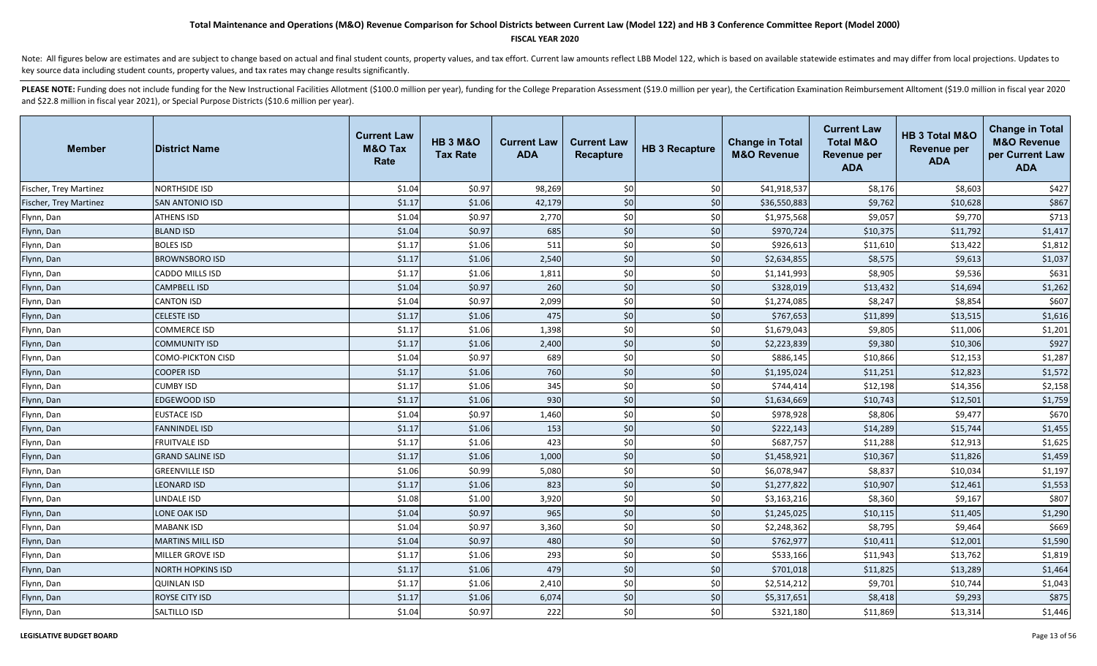### **FISCAL YEAR 2020**

Note: All figures below are estimates and are subject to change based on actual and final student counts, property values, and tax effort. Current law amounts reflect LBB Model 122, which is based on available statewide es key source data including student counts, property values, and tax rates may change results significantly.

| <b>Member</b>                 | <b>District Name</b>     | <b>Current Law</b><br><b>M&amp;O Tax</b><br>Rate | <b>HB 3 M&amp;O</b><br><b>Tax Rate</b> | <b>Current Law</b><br><b>ADA</b> | <b>Current Law</b><br><b>Recapture</b> | <b>HB 3 Recapture</b> | <b>Change in Total</b><br><b>M&amp;O Revenue</b> | <b>Current Law</b><br><b>Total M&amp;O</b><br><b>Revenue per</b><br><b>ADA</b> | HB 3 Total M&O<br><b>Revenue per</b><br><b>ADA</b> | <b>Change in Total</b><br><b>M&amp;O Revenue</b><br>per Current Law<br><b>ADA</b> |
|-------------------------------|--------------------------|--------------------------------------------------|----------------------------------------|----------------------------------|----------------------------------------|-----------------------|--------------------------------------------------|--------------------------------------------------------------------------------|----------------------------------------------------|-----------------------------------------------------------------------------------|
| Fischer, Trey Martinez        | <b>NORTHSIDE ISD</b>     | \$1.04                                           | \$0.97                                 | 98,269                           | \$0                                    | \$0                   | \$41,918,537                                     | \$8,176                                                                        | \$8,603                                            | \$427                                                                             |
| <b>Fischer, Trey Martinez</b> | <b>SAN ANTONIO ISD</b>   | \$1.17                                           | \$1.06                                 | 42,179                           | \$0                                    | \$0                   | \$36,550,883                                     | \$9,762                                                                        | \$10,628                                           | \$867                                                                             |
| Flynn, Dan                    | <b>ATHENS ISD</b>        | \$1.04                                           | \$0.97                                 | 2,770                            | \$0                                    | \$0                   | \$1,975,568                                      | \$9,057                                                                        | \$9,770                                            | \$713                                                                             |
| Flynn, Dan                    | <b>BLAND ISD</b>         | \$1.04                                           | \$0.97                                 | 685                              | \$0                                    | \$0                   | \$970,724                                        | \$10,375                                                                       | \$11,792                                           | \$1,417                                                                           |
| Flynn, Dan                    | <b>BOLES ISD</b>         | \$1.17                                           | \$1.06                                 | 511                              | \$0                                    | \$0                   | \$926,613                                        | \$11,610                                                                       | \$13,422                                           | \$1,812                                                                           |
| Flynn, Dan                    | <b>BROWNSBORO ISD</b>    | \$1.17                                           | \$1.06                                 | 2,540                            | \$0                                    | \$0                   | \$2,634,855                                      | \$8,575                                                                        | \$9,613                                            | \$1,037                                                                           |
| Flynn, Dan                    | CADDO MILLS ISD          | \$1.17                                           | \$1.06                                 | 1,811                            | \$0                                    | \$0                   | \$1,141,993                                      | \$8,905                                                                        | \$9,536                                            | \$631                                                                             |
| Flynn, Dan                    | <b>CAMPBELL ISD</b>      | \$1.04                                           | \$0.97                                 | 260                              | \$0                                    | \$0                   | \$328,019                                        | \$13,432                                                                       | \$14,694                                           | \$1,262                                                                           |
| Flynn, Dan                    | <b>CANTON ISD</b>        | \$1.04                                           | \$0.97                                 | 2,099                            | \$0                                    | \$0                   | \$1,274,085                                      | \$8,247                                                                        | \$8,854                                            | \$607                                                                             |
| Flynn, Dan                    | <b>CELESTE ISD</b>       | \$1.17                                           | \$1.06                                 | 475                              | \$0                                    | \$0                   | \$767,653                                        | \$11,899                                                                       | \$13,515                                           | \$1,616                                                                           |
| Flynn, Dan                    | COMMERCE ISD             | \$1.17                                           | \$1.06                                 | 1,398                            | \$0                                    | \$0                   | \$1,679,043                                      | \$9,805                                                                        | \$11,006                                           | \$1,201                                                                           |
| Flynn, Dan                    | <b>COMMUNITY ISD</b>     | \$1.17                                           | \$1.06                                 | 2,400                            | \$0                                    | \$0                   | \$2,223,839                                      | \$9,380                                                                        | \$10,306                                           | \$927                                                                             |
| Flynn, Dan                    | <b>COMO-PICKTON CISD</b> | \$1.04                                           | \$0.97                                 | 689                              | \$0                                    | \$0                   | \$886,145                                        | \$10,866                                                                       | \$12,153                                           | \$1,287                                                                           |
| Flynn, Dan                    | <b>COOPER ISD</b>        | \$1.17                                           | \$1.06                                 | 760                              | \$0                                    | $$0$                  | \$1,195,024                                      | \$11,251                                                                       | \$12,823                                           | \$1,572                                                                           |
| Flynn, Dan                    | <b>CUMBY ISD</b>         | \$1.17                                           | \$1.06                                 | 345                              | \$0                                    | \$0                   | \$744,414                                        | \$12,198                                                                       | \$14,356                                           | \$2,158                                                                           |
| Flynn, Dan                    | <b>EDGEWOOD ISD</b>      | \$1.17                                           | \$1.06                                 | 930                              | \$0                                    | \$0                   | \$1,634,669                                      | \$10,743                                                                       | \$12,501                                           | \$1,759                                                                           |
| Flynn, Dan                    | <b>EUSTACE ISD</b>       | \$1.04                                           | \$0.97                                 | 1,460                            | \$0                                    | \$0                   | \$978,928                                        | \$8,806                                                                        | \$9,477                                            | \$670                                                                             |
| Flynn, Dan                    | <b>FANNINDEL ISD</b>     | \$1.17                                           | \$1.06                                 | 153                              | \$0                                    | \$0                   | \$222,143                                        | \$14,289                                                                       | \$15,744                                           | \$1,455                                                                           |
| Flynn, Dan                    | <b>FRUITVALE ISD</b>     | \$1.17                                           | \$1.06                                 | 423                              | \$0                                    | \$0                   | \$687,757                                        | \$11,288                                                                       | \$12,913                                           | \$1,625                                                                           |
| Flynn, Dan                    | <b>GRAND SALINE ISD</b>  | \$1.17                                           | \$1.06                                 | 1,000                            | \$0                                    | \$0                   | \$1,458,921                                      | \$10,367                                                                       | \$11,826                                           | \$1,459                                                                           |
| Flynn, Dan                    | <b>GREENVILLE ISD</b>    | \$1.06                                           | \$0.99                                 | 5,080                            | \$0                                    | \$0                   | \$6,078,947                                      | \$8,837                                                                        | \$10,034                                           | \$1,197                                                                           |
| Flynn, Dan                    | <b>LEONARD ISD</b>       | \$1.17                                           | \$1.06                                 | 823                              | \$0                                    | \$0                   | \$1,277,822                                      | \$10,907                                                                       | \$12,461                                           | \$1,553                                                                           |
| Flynn, Dan                    | LINDALE ISD              | \$1.08                                           | \$1.00                                 | 3,920                            | \$0                                    | \$0                   | \$3,163,216                                      | \$8,360                                                                        | \$9,167                                            | \$807                                                                             |
| Flynn, Dan                    | LONE OAK ISD             | \$1.04                                           | \$0.97                                 | 965                              | \$0                                    | $$0$$                 | \$1,245,025                                      | \$10,115                                                                       | \$11,405                                           | \$1,290                                                                           |
| Flynn, Dan                    | <b>MABANK ISD</b>        | \$1.04                                           | \$0.97                                 | 3,360                            | \$0                                    | \$0                   | \$2,248,362                                      | \$8,795                                                                        | \$9,464                                            | \$669                                                                             |
| Flynn, Dan                    | <b>MARTINS MILL ISD</b>  | \$1.04                                           | \$0.97                                 | 480                              | \$0                                    | $$0$                  | \$762,977                                        | \$10,411                                                                       | \$12,001                                           | \$1,590                                                                           |
| Flynn, Dan                    | MILLER GROVE ISD         | \$1.17                                           | \$1.06                                 | 293                              | \$0                                    | \$0                   | \$533,166                                        | \$11,943                                                                       | \$13,762                                           | \$1,819                                                                           |
| Flynn, Dan                    | <b>NORTH HOPKINS ISD</b> | \$1.17                                           | \$1.06                                 | 479                              | \$0                                    | \$0                   | \$701,018                                        | \$11,825                                                                       | \$13,289                                           | \$1,464                                                                           |
| Flynn, Dan                    | <b>QUINLAN ISD</b>       | \$1.17                                           | \$1.06                                 | 2,410                            | \$0                                    | \$0                   | \$2,514,212                                      | \$9,701                                                                        | \$10,744                                           | \$1,043                                                                           |
| Flynn, Dan                    | ROYSE CITY ISD           | \$1.17                                           | \$1.06                                 | 6,074                            | \$0                                    | \$0                   | \$5,317,651                                      | \$8,418                                                                        | \$9,293                                            | \$875                                                                             |
| Flynn, Dan                    | SALTILLO ISD             | \$1.04                                           | \$0.97                                 | 222                              | \$0                                    | \$0                   | \$321,180                                        | \$11,869                                                                       | \$13,314                                           | \$1,446                                                                           |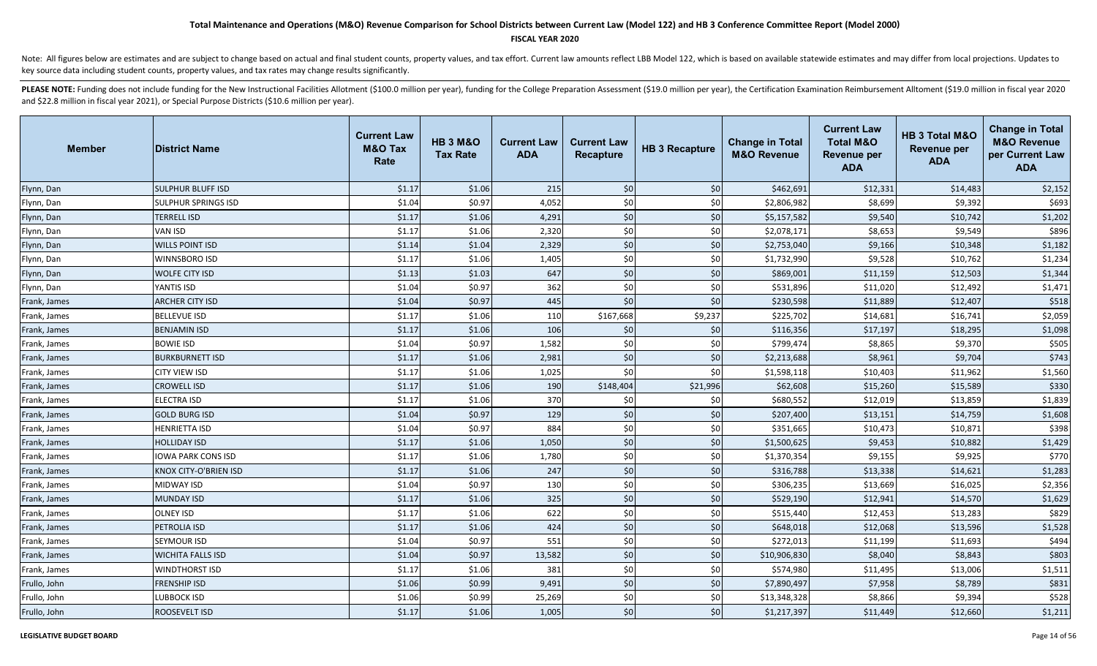### **FISCAL YEAR 2020**

Note: All figures below are estimates and are subject to change based on actual and final student counts, property values, and tax effort. Current law amounts reflect LBB Model 122, which is based on available statewide es key source data including student counts, property values, and tax rates may change results significantly.

| <b>Member</b> | <b>District Name</b>      | <b>Current Law</b><br><b>M&amp;O Tax</b><br>Rate | <b>HB 3 M&amp;O</b><br><b>Tax Rate</b> | <b>Current Law</b><br><b>ADA</b> | <b>Current Law</b><br><b>Recapture</b> | <b>HB 3 Recapture</b> | <b>Change in Total</b><br><b>M&amp;O Revenue</b> | <b>Current Law</b><br><b>Total M&amp;O</b><br><b>Revenue per</b><br><b>ADA</b> | HB 3 Total M&O<br><b>Revenue per</b><br><b>ADA</b> | <b>Change in Total</b><br><b>M&amp;O Revenue</b><br>per Current Law<br><b>ADA</b> |
|---------------|---------------------------|--------------------------------------------------|----------------------------------------|----------------------------------|----------------------------------------|-----------------------|--------------------------------------------------|--------------------------------------------------------------------------------|----------------------------------------------------|-----------------------------------------------------------------------------------|
| Flynn, Dan    | <b>SULPHUR BLUFF ISD</b>  | \$1.17                                           | \$1.06                                 | 215                              | \$0                                    | \$0                   | \$462,691                                        | \$12,331                                                                       | \$14,483                                           | \$2,152                                                                           |
| Flynn, Dan    | SULPHUR SPRINGS ISD       | \$1.04                                           | \$0.97                                 | 4,052                            | \$0                                    | \$0                   | \$2,806,982                                      | \$8,699                                                                        | \$9,392                                            | \$693                                                                             |
| Flynn, Dan    | <b>TERRELL ISD</b>        | \$1.17                                           | \$1.06                                 | 4,291                            | \$0                                    | \$0                   | \$5,157,582                                      | \$9,540                                                                        | \$10,742                                           | \$1,202                                                                           |
| Flynn, Dan    | VAN ISD                   | \$1.17                                           | \$1.06                                 | 2,320                            | \$0                                    | \$0                   | \$2,078,171                                      | \$8,653                                                                        | \$9,549                                            | \$896                                                                             |
| Flynn, Dan    | <b>WILLS POINT ISD</b>    | \$1.14                                           | \$1.04                                 | 2,329                            | \$0                                    | \$0                   | \$2,753,040                                      | \$9,166                                                                        | \$10,348                                           | \$1,182                                                                           |
| Flynn, Dan    | <b>WINNSBORO ISD</b>      | \$1.17                                           | \$1.06                                 | 1,405                            | \$0                                    | \$0                   | \$1,732,990                                      | \$9,528                                                                        | \$10,762                                           | \$1,234                                                                           |
| Flynn, Dan    | <b>WOLFE CITY ISD</b>     | \$1.13                                           | \$1.03                                 | 647                              | \$0                                    | \$0                   | \$869,001                                        | \$11,159                                                                       | \$12,503                                           | \$1,344                                                                           |
| Flynn, Dan    | YANTIS ISD                | \$1.04                                           | \$0.97                                 | 362                              | \$0                                    | \$0                   | \$531,896                                        | \$11,020                                                                       | \$12,492                                           | \$1,471                                                                           |
| Frank, James  | <b>ARCHER CITY ISD</b>    | \$1.04                                           | \$0.97                                 | 445                              | \$0                                    | \$0                   | \$230,598                                        | \$11,889                                                                       | \$12,407                                           | \$518                                                                             |
| Frank, James  | <b>BELLEVUE ISD</b>       | \$1.17                                           | \$1.06                                 | 110                              | \$167,668                              | \$9,237               | \$225,702                                        | \$14,681                                                                       | \$16,741                                           | \$2,059                                                                           |
| Frank, James  | <b>BENJAMIN ISD</b>       | \$1.17                                           | \$1.06                                 | 106                              | \$0                                    | \$0                   | \$116,356                                        | \$17,197                                                                       | \$18,295                                           | \$1,098                                                                           |
| Frank, James  | <b>BOWIE ISD</b>          | \$1.04                                           | \$0.97                                 | 1,582                            | \$0                                    | \$0                   | \$799,474                                        | \$8,865                                                                        | \$9,370                                            | \$505                                                                             |
| Frank, James  | <b>BURKBURNETT ISD</b>    | \$1.17                                           | \$1.06                                 | 2,981                            | \$0                                    | \$0                   | \$2,213,688                                      | \$8,961                                                                        | \$9,704                                            | \$743                                                                             |
| Frank, James  | CITY VIEW ISD             | \$1.17                                           | \$1.06                                 | 1,025                            | \$0                                    | \$0                   | \$1,598,118                                      | \$10,403                                                                       | \$11,962                                           | \$1,560                                                                           |
| Frank, James  | <b>CROWELL ISD</b>        | \$1.17                                           | \$1.06                                 | 190                              | \$148,404                              | \$21,996              | \$62,608                                         | \$15,260                                                                       | \$15,589                                           | \$330                                                                             |
| Frank, James  | <b>ELECTRA ISD</b>        | \$1.17                                           | \$1.06                                 | 370                              | \$0                                    | \$0                   | \$680,552                                        | \$12,019                                                                       | \$13,859                                           | \$1,839                                                                           |
| Frank, James  | <b>GOLD BURG ISD</b>      | \$1.04                                           | \$0.97                                 | 129                              | \$0                                    | \$0                   | \$207,400                                        | \$13,151                                                                       | \$14,759                                           | \$1,608                                                                           |
| Frank, James  | <b>HENRIETTA ISD</b>      | \$1.04                                           | \$0.97                                 | 884                              | \$0                                    | \$0                   | \$351,665                                        | \$10,473                                                                       | \$10,871                                           | \$398                                                                             |
| Frank, James  | <b>HOLLIDAY ISD</b>       | \$1.17                                           | \$1.06                                 | 1,050                            | \$0                                    | \$0                   | \$1,500,625                                      | \$9,453                                                                        | \$10,882                                           | \$1,429                                                                           |
| Frank, James  | <b>IOWA PARK CONS ISD</b> | \$1.17                                           | \$1.06                                 | 1,780                            | \$0                                    | \$0                   | \$1,370,354                                      | \$9,155                                                                        | \$9,925                                            | \$770                                                                             |
| Frank, James  | KNOX CITY-O'BRIEN ISD     | \$1.17                                           | \$1.06                                 | 247                              | \$0                                    | \$0                   | \$316,788                                        | \$13,338                                                                       | \$14,621                                           | \$1,283                                                                           |
| Frank, James  | MIDWAY ISD                | \$1.04                                           | \$0.97                                 | 130                              | \$0                                    | \$0                   | \$306,235                                        | \$13,669                                                                       | \$16,025                                           | \$2,356                                                                           |
| Frank, James  | <b>MUNDAY ISD</b>         | \$1.17                                           | \$1.06                                 | 325                              | \$0                                    | \$0                   | \$529,190                                        | \$12,941                                                                       | \$14,570                                           | \$1,629                                                                           |
| Frank, James  | <b>OLNEY ISD</b>          | \$1.17                                           | \$1.06                                 | 622                              | \$0                                    | \$0                   | \$515,440                                        | \$12,453                                                                       | \$13,283                                           | \$829                                                                             |
| Frank, James  | PETROLIA ISD              | \$1.17                                           | \$1.06                                 | 424                              | \$0                                    | \$0                   | \$648,018                                        | \$12,068                                                                       | \$13,596                                           | \$1,528                                                                           |
| Frank, James  | SEYMOUR ISD               | \$1.04                                           | \$0.97                                 | 551                              | \$0                                    | \$0                   | \$272,013                                        | \$11,199                                                                       | \$11,693                                           | \$494                                                                             |
| Frank, James  | <b>WICHITA FALLS ISD</b>  | \$1.04                                           | \$0.97                                 | 13,582                           | $$0$$                                  | \$0                   | \$10,906,830                                     | \$8,040                                                                        | \$8,843                                            | \$803                                                                             |
| Frank, James  | <b>WINDTHORST ISD</b>     | \$1.17                                           | \$1.06                                 | 381                              | \$0                                    | \$0                   | \$574,980                                        | \$11,495                                                                       | \$13,006                                           | \$1,511                                                                           |
| Frullo, John  | <b>FRENSHIP ISD</b>       | \$1.06                                           | \$0.99                                 | 9,491                            | \$0                                    | \$0                   | \$7,890,497                                      | \$7,958                                                                        | \$8,789                                            | \$831                                                                             |
| Frullo, John  | LUBBOCK ISD               | \$1.06                                           | \$0.99                                 | 25,269                           | \$0                                    | \$0                   | \$13,348,328                                     | \$8,866                                                                        | \$9,394                                            | \$528                                                                             |
| Frullo, John  | ROOSEVELT ISD             | \$1.17                                           | \$1.06                                 | 1,005                            | \$0                                    | \$0                   | \$1,217,397                                      | \$11,449                                                                       | \$12,660                                           | \$1,211                                                                           |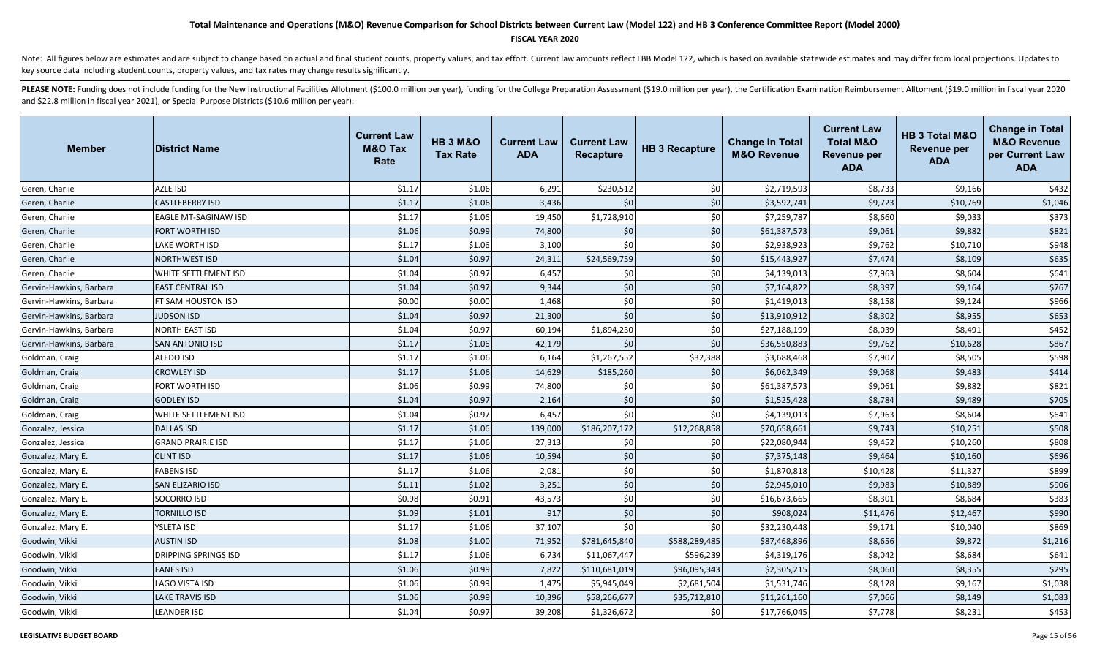### **FISCAL YEAR 2020**

Note: All figures below are estimates and are subject to change based on actual and final student counts, property values, and tax effort. Current law amounts reflect LBB Model 122, which is based on available statewide es key source data including student counts, property values, and tax rates may change results significantly.

| <b>Member</b>           | <b>District Name</b>        | <b>Current Law</b><br><b>M&amp;O Tax</b><br>Rate | <b>HB 3 M&amp;O</b><br><b>Tax Rate</b> | <b>Current Law</b><br><b>ADA</b> | <b>Current Law</b><br><b>Recapture</b> | <b>HB 3 Recapture</b> | <b>Change in Total</b><br><b>M&amp;O Revenue</b> | <b>Current Law</b><br><b>Total M&amp;O</b><br><b>Revenue per</b><br><b>ADA</b> | HB 3 Total M&O<br><b>Revenue per</b><br><b>ADA</b> | <b>Change in Total</b><br><b>M&amp;O Revenue</b><br>per Current Law<br><b>ADA</b> |
|-------------------------|-----------------------------|--------------------------------------------------|----------------------------------------|----------------------------------|----------------------------------------|-----------------------|--------------------------------------------------|--------------------------------------------------------------------------------|----------------------------------------------------|-----------------------------------------------------------------------------------|
| Geren, Charlie          | <b>AZLE ISD</b>             | \$1.17                                           | \$1.06                                 | 6,291                            | \$230,512                              | \$0                   | \$2,719,593                                      | \$8,733                                                                        | \$9,166                                            | \$432                                                                             |
| Geren, Charlie          | <b>CASTLEBERRY ISD</b>      | \$1.17                                           | \$1.06                                 | 3,436                            | \$0                                    | \$0                   | \$3,592,741                                      | \$9,723                                                                        | \$10,769                                           | \$1,046                                                                           |
| Geren, Charlie          | EAGLE MT-SAGINAW ISD        | \$1.17                                           | \$1.06                                 | 19,450                           | \$1,728,910                            | \$0                   | \$7,259,787                                      | \$8,660                                                                        | \$9,033                                            | \$373                                                                             |
| Geren, Charlie          | FORT WORTH ISD              | \$1.06                                           | \$0.99                                 | 74,800                           | \$0                                    | \$0                   | \$61,387,573                                     | \$9,061                                                                        | \$9,882                                            | \$821                                                                             |
| Geren, Charlie          | LAKE WORTH ISD              | \$1.17                                           | \$1.06                                 | 3,100                            | \$0                                    | \$0                   | \$2,938,923                                      | \$9,762                                                                        | \$10,710                                           | \$948                                                                             |
| Geren, Charlie          | NORTHWEST ISD               | \$1.04                                           | \$0.97                                 | 24,311                           | \$24,569,759                           | \$0                   | \$15,443,927                                     | \$7,474                                                                        | \$8,109                                            | \$635                                                                             |
| Geren, Charlie          | WHITE SETTLEMENT ISD        | \$1.04                                           | \$0.97                                 | 6,457                            | \$0                                    | \$0                   | \$4,139,013                                      | \$7,963                                                                        | \$8,604                                            | \$641                                                                             |
| Gervin-Hawkins, Barbara | <b>EAST CENTRAL ISD</b>     | \$1.04                                           | \$0.97                                 | 9,344                            | \$0                                    | \$0                   | \$7,164,822                                      | \$8,397                                                                        | \$9,164                                            | \$767                                                                             |
| Gervin-Hawkins, Barbara | FT SAM HOUSTON ISD          | \$0.00                                           | \$0.00                                 | 1,468                            | \$0                                    | \$0                   | \$1,419,013                                      | \$8,158                                                                        | \$9,124                                            | \$966                                                                             |
| Gervin-Hawkins, Barbara | <b>IUDSON ISD</b>           | \$1.04                                           | \$0.97                                 | 21,300                           | \$0                                    | \$0                   | \$13,910,912                                     | \$8,302                                                                        | \$8,955                                            | \$653                                                                             |
| Gervin-Hawkins, Barbara | NORTH EAST ISD              | \$1.04                                           | \$0.97                                 | 60,194                           | \$1,894,230                            | \$0                   | \$27,188,199                                     | \$8,039                                                                        | \$8,491                                            | \$452                                                                             |
| Gervin-Hawkins, Barbara | <b>SAN ANTONIO ISD</b>      | \$1.17                                           | \$1.06                                 | 42,179                           | \$0                                    | \$0                   | \$36,550,883                                     | \$9,762                                                                        | \$10,628                                           | \$867                                                                             |
| Goldman, Craig          | ALEDO ISD                   | \$1.17                                           | \$1.06                                 | 6,164                            | \$1,267,552                            | \$32,388              | \$3,688,468                                      | \$7,907                                                                        | \$8,505                                            | \$598                                                                             |
| Goldman, Craig          | <b>CROWLEY ISD</b>          | \$1.17                                           | \$1.06                                 | 14,629                           | \$185,260                              | \$0                   | \$6,062,349                                      | \$9,068                                                                        | \$9,483                                            | \$414                                                                             |
| Goldman, Craig          | FORT WORTH ISD              | \$1.06                                           | \$0.99                                 | 74,800                           | \$0                                    | \$0                   | \$61,387,573                                     | \$9,061                                                                        | \$9,882                                            | \$821                                                                             |
| Goldman, Craig          | <b>GODLEY ISD</b>           | \$1.04                                           | \$0.97                                 | 2,164                            | \$0                                    | \$0                   | \$1,525,428                                      | \$8,784                                                                        | \$9,489                                            | \$705                                                                             |
| Goldman, Craig          | WHITE SETTLEMENT ISD        | \$1.04                                           | \$0.97                                 | 6,457                            | \$0                                    | \$0                   | \$4,139,013                                      | \$7,963                                                                        | \$8,604                                            | \$641                                                                             |
| Gonzalez, Jessica       | <b>DALLAS ISD</b>           | \$1.17                                           | \$1.06                                 | 139,000                          | \$186,207,172                          | \$12,268,858          | \$70,658,661                                     | \$9,743                                                                        | \$10,251                                           | \$508                                                                             |
| Gonzalez, Jessica       | <b>GRAND PRAIRIE ISD</b>    | \$1.17                                           | \$1.06                                 | 27,313                           | \$0                                    | \$0                   | \$22,080,944                                     | \$9,452                                                                        | \$10,260                                           | \$808                                                                             |
| Gonzalez, Mary E.       | <b>CLINT ISD</b>            | \$1.17                                           | \$1.06                                 | 10,594                           | \$0                                    | \$0                   | \$7,375,148                                      | \$9,464                                                                        | \$10,160                                           | \$696                                                                             |
| Gonzalez, Mary E.       | <b>FABENS ISD</b>           | \$1.17                                           | \$1.06                                 | 2,081                            | \$0                                    | \$0                   | \$1,870,818                                      | \$10,428                                                                       | \$11,327                                           | \$899                                                                             |
| Gonzalez, Mary E.       | SAN ELIZARIO ISD            | \$1.11                                           | \$1.02                                 | 3,251                            | \$0                                    | \$0                   | \$2,945,010                                      | \$9,983                                                                        | \$10,889                                           | \$906                                                                             |
| Gonzalez, Mary E.       | SOCORRO ISD                 | \$0.98                                           | \$0.91                                 | 43,573                           | \$0                                    | \$0                   | \$16,673,665                                     | \$8,301                                                                        | \$8,684                                            | \$383                                                                             |
| Gonzalez, Mary E.       | <b>TORNILLO ISD</b>         | \$1.09                                           | \$1.01                                 | 917                              | \$0                                    | \$0                   | \$908,024                                        | \$11,476                                                                       | \$12,467                                           | \$990                                                                             |
| Gonzalez, Mary E.       | YSLETA ISD                  | \$1.17                                           | \$1.06                                 | 37,107                           | \$0                                    | \$0                   | \$32,230,448                                     | \$9,171                                                                        | \$10,040                                           | \$869                                                                             |
| Goodwin, Vikki          | <b>AUSTIN ISD</b>           | \$1.08                                           | \$1.00                                 | 71,952                           | \$781,645,840                          | \$588,289,485         | \$87,468,896                                     | \$8,656                                                                        | \$9,872                                            | \$1,216                                                                           |
| Goodwin, Vikki          | <b>DRIPPING SPRINGS ISD</b> | \$1.17                                           | \$1.06                                 | 6,734                            | \$11,067,447                           | \$596,239             | \$4,319,176                                      | \$8,042                                                                        | \$8,684                                            | \$641                                                                             |
| Goodwin, Vikki          | <b>EANES ISD</b>            | \$1.06                                           | \$0.99                                 | 7,822                            | \$110,681,019                          | \$96,095,343          | \$2,305,215                                      | \$8,060                                                                        | \$8,355                                            | \$295                                                                             |
| Goodwin, Vikki          | <b>LAGO VISTA ISD</b>       | \$1.06                                           | \$0.99                                 | 1,475                            | \$5,945,049                            | \$2,681,504           | \$1,531,746                                      | \$8,128                                                                        | \$9,167                                            | \$1,038                                                                           |
| Goodwin, Vikki          | <b>LAKE TRAVIS ISD</b>      | \$1.06                                           | \$0.99                                 | 10,396                           | \$58,266,677                           | \$35,712,810          | \$11,261,160                                     | \$7,066                                                                        | \$8,149                                            | \$1,083                                                                           |
| Goodwin, Vikki          | <b>LEANDER ISD</b>          | \$1.04                                           | \$0.97                                 | 39,208                           | \$1,326,672                            | \$0                   | \$17,766,045                                     | \$7,778                                                                        | \$8,231                                            | \$453                                                                             |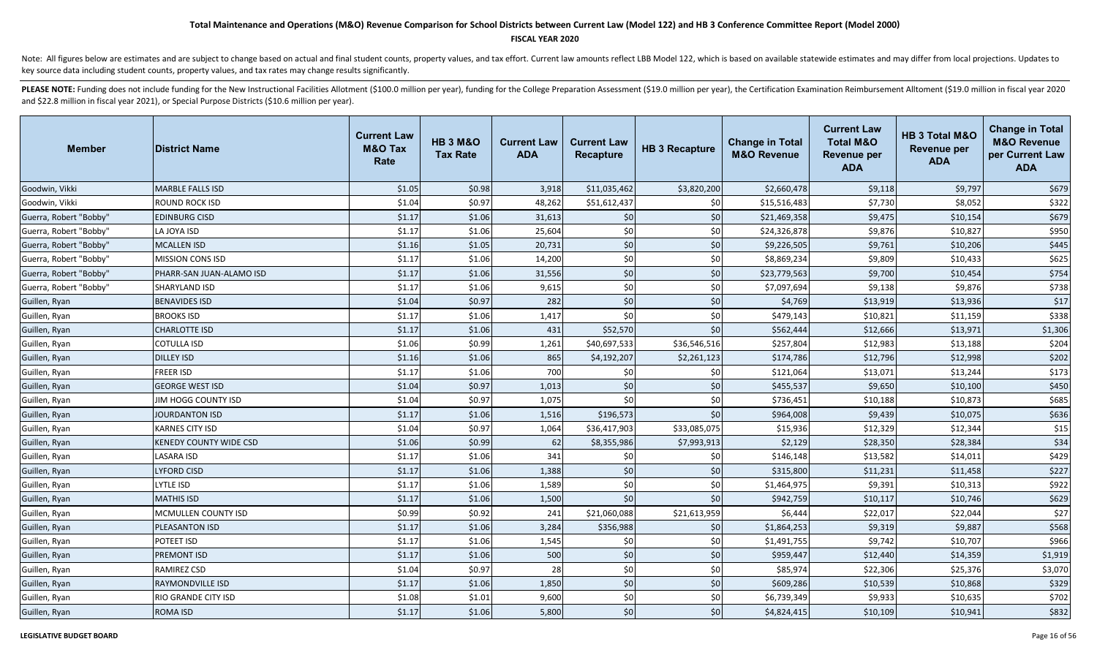#### **FISCAL YEAR 2020**

Note: All figures below are estimates and are subject to change based on actual and final student counts, property values, and tax effort. Current law amounts reflect LBB Model 122, which is based on available statewide es key source data including student counts, property values, and tax rates may change results significantly.

| <b>Member</b>          | <b>IDistrict Name</b>         | <b>Current Law</b><br><b>M&amp;O Tax</b><br>Rate | <b>HB 3 M&amp;O</b><br><b>Tax Rate</b> | <b>Current Law</b><br><b>ADA</b> | <b>Current Law</b><br>Recapture | <b>HB 3 Recapture</b> | <b>Change in Total</b><br><b>M&amp;O Revenue</b> | <b>Current Law</b><br><b>Total M&amp;O</b><br>Revenue per<br><b>ADA</b> | HB 3 Total M&O<br><b>Revenue per</b><br><b>ADA</b> | <b>Change in Total</b><br><b>M&amp;O Revenue</b><br>per Current Law<br><b>ADA</b> |
|------------------------|-------------------------------|--------------------------------------------------|----------------------------------------|----------------------------------|---------------------------------|-----------------------|--------------------------------------------------|-------------------------------------------------------------------------|----------------------------------------------------|-----------------------------------------------------------------------------------|
| Goodwin, Vikki         | <b>MARBLE FALLS ISD</b>       | \$1.05                                           | \$0.98                                 | 3,918                            | \$11,035,462                    | \$3,820,200           | \$2,660,478                                      | \$9,118                                                                 | \$9,797                                            | \$679                                                                             |
| Goodwin, Vikki         | <b>ROUND ROCK ISD</b>         | \$1.04                                           | \$0.97                                 | 48,262                           | \$51,612,437                    | \$0                   | \$15,516,483                                     | \$7,730                                                                 | \$8,052                                            | \$322                                                                             |
| Guerra, Robert "Bobby" | <b>EDINBURG CISD</b>          | \$1.17                                           | \$1.06                                 | 31,613                           | \$0                             | \$0                   | \$21,469,358                                     | \$9,475                                                                 | \$10,154                                           | \$679                                                                             |
| Guerra, Robert "Bobby" | LA JOYA ISD                   | \$1.17                                           | \$1.06                                 | 25,604                           | \$0                             | \$0                   | \$24,326,878                                     | \$9,876                                                                 | \$10,827                                           | \$950                                                                             |
| Guerra, Robert "Bobby" | <b>MCALLEN ISD</b>            | \$1.16                                           | \$1.05                                 | 20,731                           | \$0                             | \$0                   | \$9,226,505                                      | \$9,761                                                                 | \$10,206                                           | \$445                                                                             |
| Guerra, Robert "Bobby" | <b>MISSION CONS ISD</b>       | \$1.17                                           | \$1.06                                 | 14,200                           | \$0                             | \$0                   | \$8,869,234                                      | \$9,809                                                                 | \$10,433                                           | \$625                                                                             |
| Guerra, Robert "Bobby" | PHARR-SAN JUAN-ALAMO ISD      | \$1.17                                           | \$1.06                                 | 31,556                           | \$0                             | \$0                   | \$23,779,563                                     | \$9,700                                                                 | \$10,454                                           | \$754                                                                             |
| Guerra, Robert "Bobby" | SHARYLAND ISD                 | \$1.17                                           | \$1.06                                 | 9,615                            | \$0                             | \$0                   | \$7,097,694                                      | \$9,138                                                                 | \$9,876                                            | \$738                                                                             |
| Guillen, Ryan          | <b>BENAVIDES ISD</b>          | \$1.04                                           | \$0.97                                 | 282                              | \$0                             | \$0                   | \$4,769                                          | \$13,919                                                                | \$13,936                                           | \$17                                                                              |
| Guillen, Ryan          | <b>BROOKS ISD</b>             | \$1.17                                           | \$1.06                                 | 1,417                            | \$0                             | \$0                   | \$479,143                                        | \$10,821                                                                | \$11,159                                           | \$338                                                                             |
| Guillen, Ryan          | <b>CHARLOTTE ISD</b>          | \$1.17                                           | \$1.06                                 | 431                              | \$52,570                        | \$0                   | \$562,444                                        | \$12,666                                                                | \$13,971                                           | \$1,306                                                                           |
| Guillen, Ryan          | <b>COTULLA ISD</b>            | \$1.06                                           | \$0.99                                 | 1,261                            | \$40,697,533                    | \$36,546,516          | \$257,804                                        | \$12,983                                                                | \$13,188                                           | \$204                                                                             |
| Guillen, Ryan          | <b>DILLEY ISD</b>             | \$1.16                                           | \$1.06                                 | 865                              | \$4,192,207                     | \$2,261,123           | \$174,786                                        | \$12,796                                                                | \$12,998                                           | \$202                                                                             |
| Guillen, Ryan          | <b>FREER ISD</b>              | \$1.17                                           | \$1.06                                 | 700                              | \$0                             | \$0                   | \$121,064                                        | \$13,071                                                                | \$13,244                                           | \$173                                                                             |
| Guillen, Ryan          | <b>GEORGE WEST ISD</b>        | \$1.04                                           | \$0.97                                 | 1,013                            | \$0                             | \$0                   | \$455,537                                        | \$9,650                                                                 | \$10,100                                           | \$450                                                                             |
| Guillen, Ryan          | JIM HOGG COUNTY ISD           | \$1.04                                           | \$0.97                                 | 1,075                            | \$0                             | \$0                   | \$736,451                                        | \$10,188                                                                | \$10,873                                           | \$685                                                                             |
| Guillen, Ryan          | JOURDANTON ISD                | \$1.17                                           | \$1.06                                 | 1,516                            | \$196,573                       | \$0                   | \$964,008                                        | \$9,439                                                                 | \$10,075                                           | \$636                                                                             |
| Guillen, Ryan          | <b>KARNES CITY ISD</b>        | \$1.04                                           | \$0.97                                 | 1,064                            | \$36,417,903                    | \$33,085,075          | \$15,936                                         | \$12,329                                                                | \$12,344                                           | \$15                                                                              |
| Guillen, Ryan          | <b>KENEDY COUNTY WIDE CSD</b> | \$1.06                                           | \$0.99                                 | 62                               | \$8,355,986                     | \$7,993,913           | \$2,129                                          | \$28,350                                                                | \$28,384                                           | \$34                                                                              |
| Guillen, Ryan          | <b>LASARA ISD</b>             | \$1.17                                           | \$1.06                                 | 341                              | \$0                             | \$0                   | \$146,148                                        | \$13,582                                                                | \$14,011                                           | \$429                                                                             |
| Guillen, Ryan          | <b>LYFORD CISD</b>            | \$1.17                                           | \$1.06                                 | 1,388                            | \$0                             | \$0                   | \$315,800                                        | \$11,231                                                                | \$11,458                                           | \$227                                                                             |
| Guillen, Ryan          | <b>LYTLE ISD</b>              | \$1.17                                           | \$1.06                                 | 1,589                            | \$0                             | \$0                   | \$1,464,975                                      | \$9,391                                                                 | \$10,313                                           | \$922                                                                             |
| Guillen, Ryan          | <b>MATHIS ISD</b>             | \$1.17                                           | \$1.06                                 | 1,500                            | \$0                             | \$0                   | \$942,759                                        | \$10,117                                                                | \$10,746                                           | \$629                                                                             |
| Guillen, Ryan          | MCMULLEN COUNTY ISD           | \$0.99                                           | \$0.92                                 | 241                              | \$21,060,088                    | \$21,613,959          | \$6,444                                          | \$22,017                                                                | \$22,044                                           | \$27                                                                              |
| Guillen, Ryan          | <b>PLEASANTON ISD</b>         | \$1.17                                           | \$1.06                                 | 3,284                            | \$356,988                       | \$0                   | \$1,864,253                                      | \$9,319                                                                 | \$9,887                                            | \$568                                                                             |
| Guillen, Ryan          | POTEET ISD                    | \$1.17                                           | \$1.06                                 | 1,545                            | \$0                             | \$0                   | \$1,491,755                                      | \$9,742                                                                 | \$10,707                                           | \$966                                                                             |
| Guillen, Ryan          | <b>PREMONT ISD</b>            | \$1.17                                           | \$1.06                                 | 500                              | \$0                             | \$0                   | \$959,447                                        | \$12,440                                                                | \$14,359                                           | \$1,919                                                                           |
| Guillen, Ryan          | <b>RAMIREZ CSD</b>            | \$1.04                                           | \$0.97                                 | 28                               | \$0                             | \$0                   | \$85,974                                         | \$22,306                                                                | \$25,376                                           | \$3,070                                                                           |
| Guillen, Ryan          | RAYMONDVILLE ISD              | \$1.17                                           | \$1.06                                 | 1,850                            | \$0                             | \$0                   | \$609,286                                        | \$10,539                                                                | \$10,868                                           | \$329                                                                             |
| Guillen, Ryan          | <b>RIO GRANDE CITY ISD</b>    | \$1.08                                           | \$1.01                                 | 9,600                            | \$0                             | \$0                   | \$6,739,349                                      | \$9,933                                                                 | \$10,635                                           | \$702                                                                             |
| Guillen, Ryan          | <b>ROMA ISD</b>               | \$1.17                                           | \$1.06                                 | 5,800                            | \$0                             | \$0                   | \$4,824,415                                      | \$10,109                                                                | \$10,941                                           | \$832                                                                             |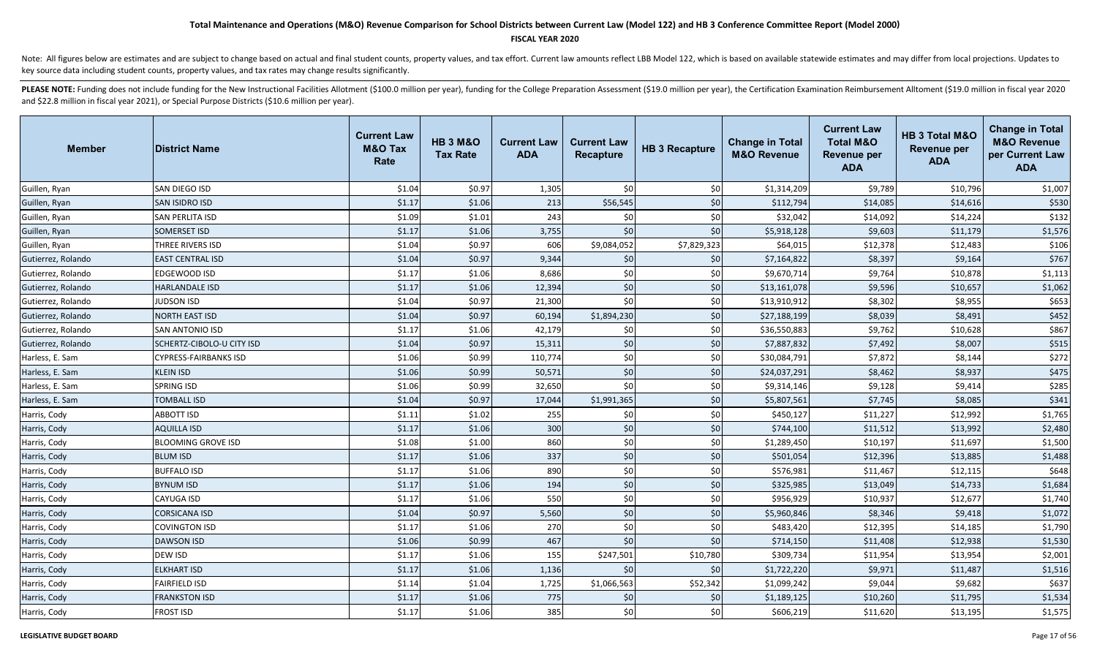### **FISCAL YEAR 2020**

Note: All figures below are estimates and are subject to change based on actual and final student counts, property values, and tax effort. Current law amounts reflect LBB Model 122, which is based on available statewide es key source data including student counts, property values, and tax rates may change results significantly.

| <b>Member</b>      | <b>District Name</b>      | <b>Current Law</b><br><b>M&amp;O Tax</b><br>Rate | <b>HB 3 M&amp;O</b><br><b>Tax Rate</b> | <b>Current Law</b><br><b>ADA</b> | <b>Current Law</b><br><b>Recapture</b> | <b>HB 3 Recapture</b> | <b>Change in Total</b><br><b>M&amp;O Revenue</b> | <b>Current Law</b><br><b>Total M&amp;O</b><br><b>Revenue per</b><br><b>ADA</b> | HB 3 Total M&O<br><b>Revenue per</b><br><b>ADA</b> | <b>Change in Total</b><br><b>M&amp;O Revenue</b><br>per Current Law<br><b>ADA</b> |
|--------------------|---------------------------|--------------------------------------------------|----------------------------------------|----------------------------------|----------------------------------------|-----------------------|--------------------------------------------------|--------------------------------------------------------------------------------|----------------------------------------------------|-----------------------------------------------------------------------------------|
| Guillen, Ryan      | SAN DIEGO ISD             | \$1.04                                           | \$0.97                                 | 1,305                            | \$0                                    | \$0                   | \$1,314,209                                      | \$9,789                                                                        | \$10,796                                           | \$1,007                                                                           |
| Guillen, Ryan      | SAN ISIDRO ISD            | \$1.17                                           | \$1.06                                 | 213                              | \$56,545                               | \$0                   | \$112,794                                        | \$14,085                                                                       | \$14,616                                           | \$530                                                                             |
| Guillen, Ryan      | SAN PERLITA ISD           | \$1.09                                           | \$1.01                                 | 243                              | \$0                                    | \$0                   | \$32,042                                         | \$14,092                                                                       | \$14,224                                           | \$132                                                                             |
| Guillen, Ryan      | SOMERSET ISD              | \$1.17                                           | \$1.06                                 | 3,755                            | \$0                                    | \$0                   | \$5,918,128                                      | \$9,603                                                                        | \$11,179                                           | \$1,576                                                                           |
| Guillen, Ryan      | THREE RIVERS ISD          | \$1.04                                           | \$0.97                                 | 606                              | \$9,084,052                            | \$7,829,323           | \$64,015                                         | \$12,378                                                                       | \$12,483                                           | \$106                                                                             |
| Gutierrez, Rolando | <b>EAST CENTRAL ISD</b>   | \$1.04                                           | \$0.97                                 | 9,344                            | \$0                                    | \$0                   | \$7,164,822                                      | \$8,397                                                                        | \$9,164                                            | \$767                                                                             |
| Gutierrez, Rolando | EDGEWOOD ISD              | \$1.17                                           | \$1.06                                 | 8,686                            | \$0                                    | \$0                   | \$9,670,714                                      | \$9,764                                                                        | \$10,878                                           | \$1,113                                                                           |
| Gutierrez, Rolando | <b>HARLANDALE ISD</b>     | \$1.17                                           | \$1.06                                 | 12,394                           | \$0                                    | \$0                   | \$13,161,078                                     | \$9,596                                                                        | \$10,657                                           | \$1,062                                                                           |
| Gutierrez, Rolando | <b>JUDSON ISD</b>         | \$1.04                                           | \$0.97                                 | 21,300                           | \$0                                    | \$0                   | \$13,910,912                                     | \$8,302                                                                        | \$8,955                                            | \$653                                                                             |
| Gutierrez, Rolando | <b>NORTH EAST ISD</b>     | \$1.04                                           | \$0.97                                 | 60,194                           | \$1,894,230                            | \$0                   | \$27,188,199                                     | \$8,039                                                                        | \$8,491                                            | \$452                                                                             |
| Gutierrez, Rolando | SAN ANTONIO ISD           | \$1.17                                           | \$1.06                                 | 42,179                           | \$0                                    | \$0                   | \$36,550,883                                     | \$9,762                                                                        | \$10,628                                           | \$867                                                                             |
| Gutierrez, Rolando | SCHERTZ-CIBOLO-U CITY ISD | \$1.04                                           | \$0.97                                 | 15,311                           | \$0                                    | \$0                   | \$7,887,832                                      | \$7,492                                                                        | \$8,007                                            | \$515                                                                             |
| Harless, E. Sam    | CYPRESS-FAIRBANKS ISD     | \$1.06                                           | \$0.99                                 | 110,774                          | \$0                                    | \$0                   | \$30,084,791                                     | \$7,872                                                                        | \$8,144                                            | \$272                                                                             |
| Harless, E. Sam    | KLEIN ISD                 | \$1.06                                           | \$0.99                                 | 50,571                           | \$0                                    | \$0                   | \$24,037,291                                     | \$8,462                                                                        | \$8,937                                            | \$475                                                                             |
| Harless, E. Sam    | SPRING ISD                | \$1.06                                           | \$0.99                                 | 32,650                           | \$0                                    | \$0                   | \$9,314,146                                      | \$9,128                                                                        | \$9,414                                            | \$285                                                                             |
| Harless, E. Sam    | <b>TOMBALL ISD</b>        | \$1.04                                           | \$0.97                                 | 17,044                           | \$1,991,365                            | \$0                   | \$5,807,561                                      | \$7,745                                                                        | \$8,085                                            | \$341                                                                             |
| Harris, Cody       | <b>ABBOTT ISD</b>         | \$1.11                                           | \$1.02                                 | 255                              | \$0                                    | \$0                   | \$450,127                                        | \$11,227                                                                       | \$12,992                                           | \$1,765                                                                           |
| Harris, Cody       | <b>AQUILLA ISD</b>        | \$1.17                                           | \$1.06                                 | 300                              | \$0                                    | \$0                   | \$744,100                                        | \$11,512                                                                       | \$13,992                                           | \$2,480                                                                           |
| Harris, Cody       | <b>BLOOMING GROVE ISD</b> | \$1.08                                           | \$1.00                                 | 860                              | \$0                                    | \$0                   | \$1,289,450                                      | \$10,197                                                                       | \$11,697                                           | \$1,500                                                                           |
| Harris, Cody       | <b>BLUM ISD</b>           | \$1.17                                           | \$1.06                                 | 337                              | \$0                                    | \$0                   | \$501,054                                        | \$12,396                                                                       | \$13,885                                           | \$1,488                                                                           |
| Harris, Cody       | <b>BUFFALO ISD</b>        | \$1.17                                           | \$1.06                                 | 890                              | \$0                                    | \$0                   | \$576,981                                        | \$11,467                                                                       | \$12,115                                           | \$648                                                                             |
| Harris, Cody       | <b>BYNUM ISD</b>          | \$1.17                                           | \$1.06                                 | 194                              | \$0                                    | \$0                   | \$325,985                                        | \$13,049                                                                       | \$14,733                                           | \$1,684                                                                           |
| Harris, Cody       | CAYUGA ISD                | \$1.17                                           | \$1.06                                 | 550                              | \$0                                    | \$0                   | \$956,929                                        | \$10,937                                                                       | \$12,677                                           | \$1,740                                                                           |
| Harris, Cody       | CORSICANA ISD             | \$1.04                                           | \$0.97                                 | 5,560                            | \$0                                    | $$0$$                 | \$5,960,846                                      | \$8,346                                                                        | \$9,418                                            | \$1,072                                                                           |
| Harris, Cody       | COVINGTON ISD             | \$1.17                                           | \$1.06                                 | 270                              | \$0                                    | \$0                   | \$483,420                                        | \$12,395                                                                       | \$14,185                                           | \$1,790                                                                           |
| Harris, Cody       | <b>DAWSON ISD</b>         | \$1.06                                           | \$0.99                                 | 467                              | \$0                                    | $$0$$                 | \$714,150                                        | \$11,408                                                                       | \$12,938                                           | \$1,530                                                                           |
| Harris, Cody       | DEW ISD                   | \$1.17                                           | \$1.06                                 | 155                              | \$247,501                              | \$10,780              | \$309,734                                        | \$11,954                                                                       | \$13,954                                           | \$2,001                                                                           |
| Harris, Cody       | <b>ELKHART ISD</b>        | \$1.17                                           | \$1.06                                 | 1,136                            | \$0                                    | \$0                   | \$1,722,220                                      | \$9,971                                                                        | \$11,487                                           | \$1,516                                                                           |
| Harris, Cody       | <b>FAIRFIELD ISD</b>      | \$1.14                                           | \$1.04                                 | 1,725                            | \$1,066,563                            | \$52,342              | \$1,099,242                                      | \$9,044                                                                        | \$9,682                                            | \$637                                                                             |
| Harris, Cody       | <b>FRANKSTON ISD</b>      | \$1.17                                           | \$1.06                                 | 775                              | \$0                                    | \$0                   | \$1,189,125                                      | \$10,260                                                                       | \$11,795                                           | \$1,534                                                                           |
| Harris, Cody       | <b>FROST ISD</b>          | \$1.17                                           | \$1.06                                 | 385                              | \$0                                    | \$0                   | \$606,219                                        | \$11,620                                                                       | \$13,195                                           | \$1,575                                                                           |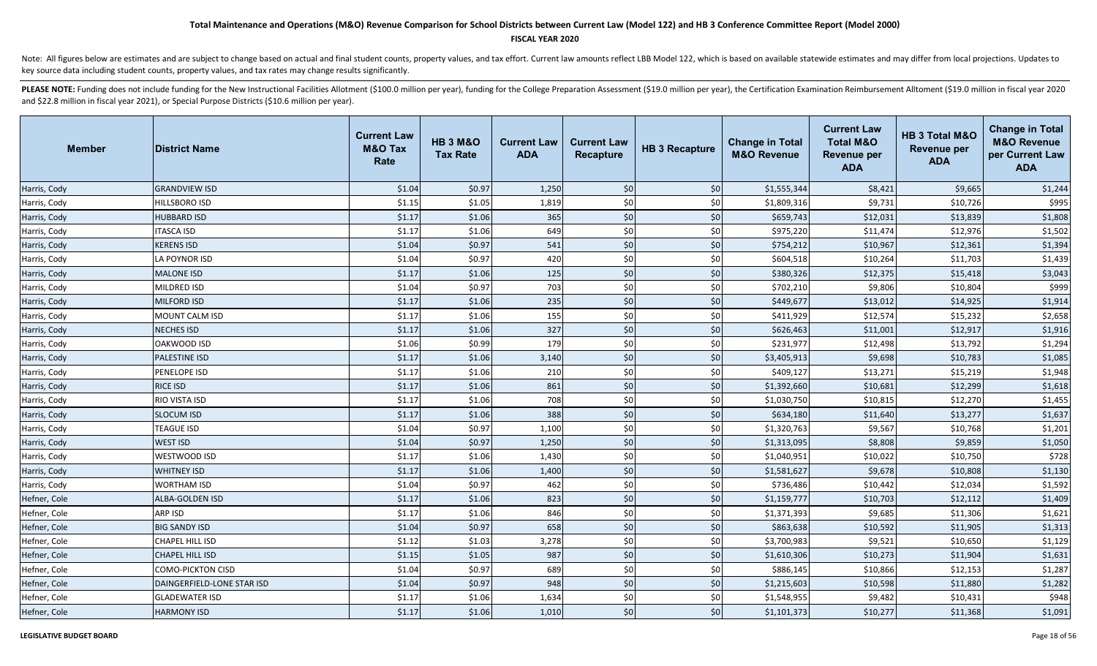### **FISCAL YEAR 2020**

Note: All figures below are estimates and are subject to change based on actual and final student counts, property values, and tax effort. Current law amounts reflect LBB Model 122, which is based on available statewide es key source data including student counts, property values, and tax rates may change results significantly.

| <b>Member</b> | <b>IDistrict Name</b>      | <b>Current Law</b><br>M&O Tax<br>Rate | <b>HB 3 M&amp;O</b><br><b>Tax Rate</b> | <b>Current Law</b><br><b>ADA</b> | <b>Current Law</b><br>Recapture | <b>HB 3 Recapture</b> | <b>Change in Total</b><br><b>M&amp;O Revenue</b> | <b>Current Law</b><br><b>Total M&amp;O</b><br><b>Revenue per</b><br><b>ADA</b> | HB 3 Total M&O<br><b>Revenue per</b><br><b>ADA</b> | <b>Change in Total</b><br><b>M&amp;O Revenue</b><br>per Current Law<br><b>ADA</b> |
|---------------|----------------------------|---------------------------------------|----------------------------------------|----------------------------------|---------------------------------|-----------------------|--------------------------------------------------|--------------------------------------------------------------------------------|----------------------------------------------------|-----------------------------------------------------------------------------------|
| Harris, Cody  | <b>GRANDVIEW ISD</b>       | \$1.04                                | \$0.97                                 | 1,250                            | \$0                             | \$0                   | \$1,555,344                                      | \$8,421                                                                        | \$9,665                                            | \$1,244                                                                           |
| Harris, Cody  | <b>HILLSBORO ISD</b>       | \$1.15                                | \$1.05                                 | 1,819                            | $$0$$                           | \$0                   | \$1,809,316                                      | \$9,731                                                                        | \$10,726                                           | \$995                                                                             |
| Harris, Cody  | <b>HUBBARD ISD</b>         | \$1.17                                | \$1.06                                 | 365                              | $$0$                            | \$0                   | \$659,743                                        | \$12,031                                                                       | \$13,839                                           | \$1,808                                                                           |
| Harris, Cody  | <b>ITASCA ISD</b>          | \$1.17                                | \$1.06                                 | 649                              | \$0                             | \$0                   | \$975,220                                        | \$11,474                                                                       | \$12,976                                           | \$1,502                                                                           |
| Harris, Cody  | <b>KERENS ISD</b>          | \$1.04                                | \$0.97                                 | 541                              | \$0                             | \$0                   | \$754,212                                        | \$10,967                                                                       | \$12,361                                           | \$1,394                                                                           |
| Harris, Cody  | LA POYNOR ISD              | \$1.04                                | \$0.97                                 | 420                              | \$0                             | \$0                   | \$604,518                                        | \$10,264                                                                       | \$11,703                                           | \$1,439                                                                           |
| Harris, Cody  | <b>MALONE ISD</b>          | \$1.17                                | \$1.06                                 | 125                              | \$0                             | \$0                   | \$380,326                                        | \$12,375                                                                       | \$15,418                                           | \$3,043                                                                           |
| Harris, Cody  | MILDRED ISD                | \$1.04                                | \$0.97                                 | 703                              | \$0                             | \$0                   | \$702,210                                        | \$9,806                                                                        | \$10,804                                           | \$999                                                                             |
| Harris, Cody  | <b>MILFORD ISD</b>         | \$1.17                                | \$1.06                                 | 235                              | \$0                             | \$0                   | \$449,677                                        | \$13,012                                                                       | \$14,925                                           | \$1,914                                                                           |
| Harris, Cody  | <b>MOUNT CALM ISD</b>      | \$1.17                                | \$1.06                                 | 155                              | \$0                             | \$0                   | \$411,929                                        | \$12,574                                                                       | \$15,232                                           | \$2,658                                                                           |
| Harris, Cody  | <b>NECHES ISD</b>          | \$1.17                                | \$1.06                                 | 327                              | \$0                             | \$0                   | \$626,463                                        | \$11,001                                                                       | \$12,917                                           | \$1,916                                                                           |
| Harris, Cody  | OAKWOOD ISD                | \$1.06                                | \$0.99                                 | 179                              | \$0                             | \$0                   | \$231,977                                        | \$12,498                                                                       | \$13,792                                           | \$1,294                                                                           |
| Harris, Cody  | <b>PALESTINE ISD</b>       | \$1.17                                | \$1.06                                 | 3,140                            | $$0$                            | \$0                   | \$3,405,913                                      | \$9,698                                                                        | \$10,783                                           | \$1,085                                                                           |
| Harris, Cody  | PENELOPE ISD               | \$1.17                                | \$1.06                                 | 210                              | \$0                             | \$0                   | \$409,127                                        | \$13,271                                                                       | \$15,219                                           | \$1,948                                                                           |
| Harris, Cody  | <b>RICE ISD</b>            | \$1.17                                | \$1.06                                 | 861                              | \$0                             | \$0                   | \$1,392,660                                      | \$10,681                                                                       | \$12,299                                           | \$1,618                                                                           |
| Harris, Cody  | RIO VISTA ISD              | \$1.17                                | \$1.06                                 | 708                              | \$0                             | \$0                   | \$1,030,750                                      | \$10,815                                                                       | \$12,270                                           | \$1,455                                                                           |
| Harris, Cody  | <b>SLOCUM ISD</b>          | \$1.17                                | \$1.06                                 | 388                              | \$0                             | \$0                   | \$634,180                                        | \$11,640                                                                       | \$13,277                                           | \$1,637                                                                           |
| Harris, Cody  | <b>TEAGUE ISD</b>          | \$1.04                                | \$0.97                                 | 1,100                            | \$0                             | \$0                   | \$1,320,763                                      | \$9,567                                                                        | \$10,768                                           | \$1,201                                                                           |
| Harris, Cody  | <b>WEST ISD</b>            | \$1.04                                | \$0.97                                 | 1,250                            | \$0                             | \$0                   | \$1,313,095                                      | \$8,808                                                                        | \$9,859                                            | \$1,050                                                                           |
| Harris, Cody  | WESTWOOD ISD               | \$1.17                                | \$1.06                                 | 1,430                            | \$0                             | \$0                   | \$1,040,951                                      | \$10,022                                                                       | \$10,750                                           | \$728                                                                             |
| Harris, Cody  | <b>WHITNEY ISD</b>         | \$1.17                                | \$1.06                                 | 1,400                            | \$0                             | \$0                   | \$1,581,627                                      | \$9,678                                                                        | \$10,808                                           | \$1,130                                                                           |
| Harris, Cody  | <b>WORTHAM ISD</b>         | \$1.04                                | \$0.97                                 | 462                              | \$0                             | \$0                   | \$736,486                                        | \$10,442                                                                       | \$12,034                                           | \$1,592                                                                           |
| Hefner, Cole  | <b>ALBA-GOLDEN ISD</b>     | \$1.17                                | \$1.06                                 | 823                              | \$0                             | \$0                   | \$1,159,777                                      | \$10,703                                                                       | \$12,112                                           | \$1,409                                                                           |
| Hefner, Cole  | ARP ISD                    | \$1.17                                | \$1.06                                 | 846                              | \$0                             | \$0                   | \$1,371,393                                      | \$9,685                                                                        | \$11,306                                           | \$1,621                                                                           |
| Hefner, Cole  | <b>BIG SANDY ISD</b>       | \$1.04                                | \$0.97                                 | 658                              | \$0                             | \$0                   | \$863,638                                        | \$10,592                                                                       | \$11,905                                           | \$1,313                                                                           |
| Hefner, Cole  | <b>CHAPEL HILL ISD</b>     | \$1.12                                | \$1.03                                 | 3,278                            | \$0                             | \$0                   | \$3,700,983                                      | \$9,521                                                                        | \$10,650                                           | \$1,129                                                                           |
| Hefner, Cole  | <b>CHAPEL HILL ISD</b>     | \$1.15                                | \$1.05                                 | 987                              | \$0                             | \$0                   | \$1,610,306                                      | \$10,273                                                                       | \$11,904                                           | \$1,631                                                                           |
| Hefner, Cole  | <b>COMO-PICKTON CISD</b>   | \$1.04                                | \$0.97                                 | 689                              | \$0                             | \$0                   | \$886,145                                        | \$10,866                                                                       | \$12,153                                           | \$1,287                                                                           |
| Hefner, Cole  | DAINGERFIELD-LONE STAR ISD | \$1.04                                | \$0.97                                 | 948                              | \$0                             | \$0                   | \$1,215,603                                      | \$10,598                                                                       | \$11,880                                           | \$1,282                                                                           |
| Hefner, Cole  | <b>GLADEWATER ISD</b>      | \$1.17                                | \$1.06                                 | 1,634                            | \$0                             | \$0                   | \$1,548,955                                      | \$9,482                                                                        | \$10,431                                           | \$948                                                                             |
| Hefner, Cole  | <b>HARMONY ISD</b>         | \$1.17                                | \$1.06                                 | 1,010                            | \$0                             | \$0                   | \$1,101,373                                      | \$10,277                                                                       | \$11,368                                           | \$1,091                                                                           |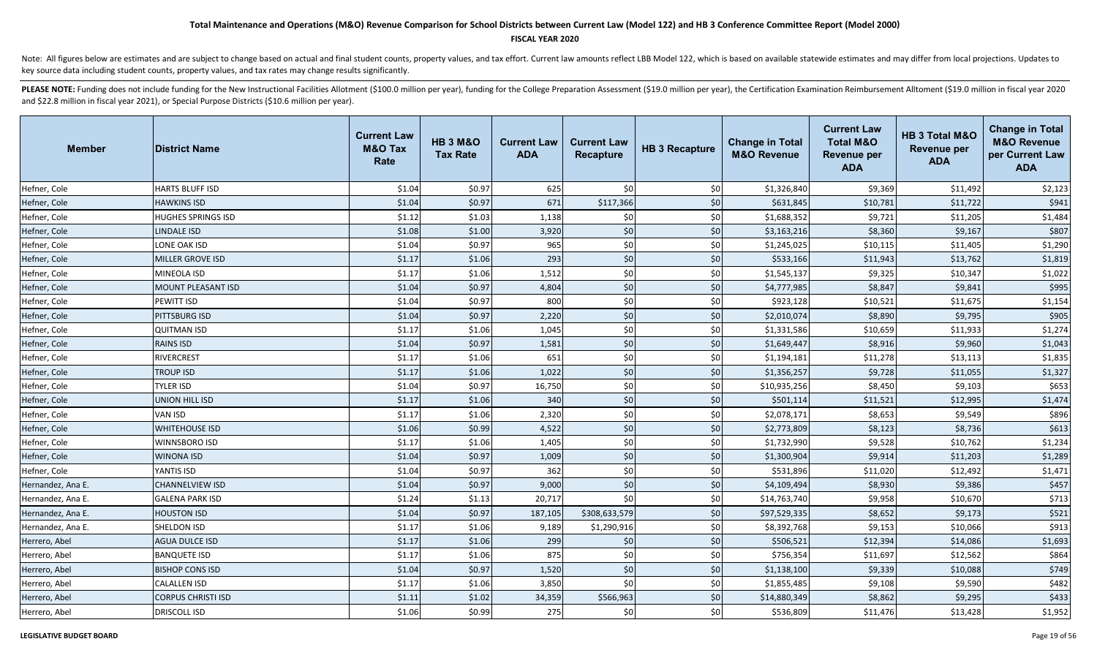### **FISCAL YEAR 2020**

Note: All figures below are estimates and are subject to change based on actual and final student counts, property values, and tax effort. Current law amounts reflect LBB Model 122, which is based on available statewide es key source data including student counts, property values, and tax rates may change results significantly.

| <b>Member</b>     | <b>District Name</b>      | <b>Current Law</b><br><b>M&amp;O Tax</b><br>Rate | <b>HB 3 M&amp;O</b><br><b>Tax Rate</b> | <b>Current Law</b><br><b>ADA</b> | <b>Current Law</b><br>Recapture | <b>HB 3 Recapture</b> | <b>Change in Total</b><br><b>M&amp;O Revenue</b> | <b>Current Law</b><br><b>Total M&amp;O</b><br><b>Revenue per</b><br><b>ADA</b> | HB 3 Total M&O<br><b>Revenue per</b><br><b>ADA</b> | <b>Change in Total</b><br><b>M&amp;O Revenue</b><br>per Current Law<br><b>ADA</b> |
|-------------------|---------------------------|--------------------------------------------------|----------------------------------------|----------------------------------|---------------------------------|-----------------------|--------------------------------------------------|--------------------------------------------------------------------------------|----------------------------------------------------|-----------------------------------------------------------------------------------|
| Hefner, Cole      | <b>HARTS BLUFF ISD</b>    | \$1.04                                           | \$0.97                                 | 625                              | \$0                             | \$0                   | \$1,326,840                                      | \$9,369                                                                        | \$11,492                                           | \$2,123                                                                           |
| Hefner, Cole      | <b>HAWKINS ISD</b>        | \$1.04                                           | \$0.97                                 | 671                              | \$117,366                       | \$0                   | \$631,845                                        | \$10,781                                                                       | \$11,722                                           | \$941                                                                             |
| Hefner, Cole      | <b>HUGHES SPRINGS ISD</b> | \$1.12                                           | \$1.03                                 | 1,138                            | \$0                             | \$0                   | \$1,688,352                                      | \$9,721                                                                        | \$11,205                                           | \$1,484                                                                           |
| Hefner, Cole      | LINDALE ISD               | \$1.08                                           | \$1.00                                 | 3,920                            | \$0                             | \$0                   | \$3,163,216                                      | \$8,360                                                                        | \$9,167                                            | \$807                                                                             |
| Hefner, Cole      | LONE OAK ISD              | \$1.04                                           | \$0.97                                 | 965                              | \$0                             | \$0                   | \$1,245,025                                      | \$10,115                                                                       | \$11,405                                           | \$1,290                                                                           |
| Hefner, Cole      | <b>MILLER GROVE ISD</b>   | \$1.17                                           | \$1.06                                 | 293                              | \$0                             | \$0                   | \$533,166                                        | \$11,943                                                                       | \$13,762                                           | \$1,819                                                                           |
| Hefner, Cole      | MINEOLA ISD               | \$1.17                                           | \$1.06                                 | 1,512                            | \$0                             | \$0                   | \$1,545,137                                      | \$9,325                                                                        | \$10,347                                           | \$1,022                                                                           |
| Hefner, Cole      | <b>MOUNT PLEASANT ISD</b> | \$1.04                                           | \$0.97                                 | 4,804                            | \$0                             | \$0                   | \$4,777,985                                      | \$8,847                                                                        | \$9,841                                            | \$995                                                                             |
| Hefner, Cole      | PEWITT ISD                | \$1.04                                           | \$0.97                                 | 800                              | \$0                             | \$0                   | \$923,128                                        | \$10,521                                                                       | \$11,675                                           | \$1,154                                                                           |
| Hefner, Cole      | PITTSBURG ISD             | \$1.04                                           | \$0.97                                 | 2,220                            | \$0                             | \$0                   | \$2,010,074                                      | \$8,890                                                                        | \$9,795                                            | \$905                                                                             |
| Hefner, Cole      | <b>QUITMAN ISD</b>        | \$1.17                                           | \$1.06                                 | 1,045                            | \$0                             | \$0                   | \$1,331,586                                      | \$10,659                                                                       | \$11,933                                           | \$1,274                                                                           |
| Hefner, Cole      | <b>RAINS ISD</b>          | \$1.04                                           | \$0.97                                 | 1,581                            | \$0                             | \$0                   | \$1,649,447                                      | \$8,916                                                                        | \$9,960                                            | \$1,043                                                                           |
| Hefner, Cole      | RIVERCREST                | \$1.17                                           | \$1.06                                 | 651                              | \$0                             | \$0                   | \$1,194,181                                      | \$11,278                                                                       | \$13,113                                           | \$1,835                                                                           |
| Hefner, Cole      | <b>TROUP ISD</b>          | \$1.17                                           | \$1.06                                 | 1,022                            | $$0$                            | $$0$                  | \$1,356,257                                      | \$9,728                                                                        | \$11,055                                           | \$1,327                                                                           |
| Hefner, Cole      | TYLER ISD                 | \$1.04                                           | \$0.97                                 | 16,750                           | \$0                             | \$0                   | \$10,935,256                                     | \$8,450                                                                        | \$9,103                                            | \$653                                                                             |
| Hefner, Cole      | UNION HILL ISD            | \$1.17                                           | \$1.06                                 | 340                              | \$0                             | \$0                   | \$501,114                                        | \$11,521                                                                       | \$12,995                                           | \$1,474                                                                           |
| Hefner, Cole      | VAN ISD                   | \$1.17                                           | \$1.06                                 | 2,320                            | \$0                             | \$0                   | \$2,078,171                                      | \$8,653                                                                        | \$9,549                                            | \$896                                                                             |
| Hefner, Cole      | <b>WHITEHOUSE ISD</b>     | \$1.06                                           | \$0.99                                 | 4,522                            | \$0                             | \$0                   | \$2,773,809                                      | \$8,123                                                                        | \$8,736                                            | \$613                                                                             |
| Hefner, Cole      | WINNSBORO ISD             | \$1.17                                           | \$1.06                                 | 1,405                            | \$0                             | \$0                   | \$1,732,990                                      | \$9,528                                                                        | \$10,762                                           | \$1,234                                                                           |
| Hefner, Cole      | <b>WINONA ISD</b>         | \$1.04                                           | \$0.97                                 | 1,009                            | \$0                             | \$0                   | \$1,300,904                                      | \$9,914                                                                        | \$11,203                                           | \$1,289                                                                           |
| Hefner, Cole      | YANTIS ISD                | \$1.04                                           | \$0.97                                 | 362                              | \$0                             | \$0                   | \$531,896                                        | \$11,020                                                                       | \$12,492                                           | \$1,471                                                                           |
| Hernandez, Ana E. | CHANNELVIEW ISD           | \$1.04                                           | \$0.97                                 | 9,000                            | \$0                             | \$0                   | \$4,109,494                                      | \$8,930                                                                        | \$9,386                                            | \$457                                                                             |
| Hernandez, Ana E. | <b>GALENA PARK ISD</b>    | \$1.24                                           | \$1.13                                 | 20,717                           | \$0                             | \$0                   | \$14,763,740                                     | \$9,958                                                                        | \$10,670                                           | \$713                                                                             |
| Hernandez, Ana E. | <b>HOUSTON ISD</b>        | \$1.04                                           | \$0.97                                 | 187,105                          | \$308,633,579                   | $$0$$                 | \$97,529,335                                     | \$8,652                                                                        | \$9,173                                            | \$521                                                                             |
| Hernandez, Ana E. | SHELDON ISD               | \$1.17                                           | \$1.06                                 | 9,189                            | \$1,290,916                     | \$0                   | \$8,392,768                                      | \$9,153                                                                        | \$10,066                                           | \$913                                                                             |
| Herrero, Abel     | <b>AGUA DULCE ISD</b>     | \$1.17                                           | \$1.06                                 | 299                              | \$0                             | \$0                   | \$506,521                                        | \$12,394                                                                       | \$14,086                                           | \$1,693                                                                           |
| Herrero, Abel     | <b>BANQUETE ISD</b>       | \$1.17                                           | \$1.06                                 | 875                              | \$0                             | \$0                   | \$756,354                                        | \$11,697                                                                       | \$12,562                                           | \$864                                                                             |
| Herrero, Abel     | <b>BISHOP CONS ISD</b>    | \$1.04                                           | \$0.97                                 | 1,520                            | \$0                             | \$0                   | \$1,138,100                                      | \$9,339                                                                        | \$10,088                                           | \$749                                                                             |
| Herrero, Abel     | <b>CALALLEN ISD</b>       | \$1.17                                           | \$1.06                                 | 3,850                            | \$0                             | \$0                   | \$1,855,485                                      | \$9,108                                                                        | \$9,590                                            | \$482                                                                             |
| Herrero, Abel     | <b>CORPUS CHRISTI ISD</b> | \$1.11                                           | \$1.02                                 | 34,359                           | \$566,963                       | \$0                   | \$14,880,349                                     | \$8,862                                                                        | \$9,295                                            | \$433                                                                             |
| Herrero, Abel     | <b>DRISCOLL ISD</b>       | \$1.06                                           | \$0.99                                 | 275                              | \$0                             | \$0                   | \$536,809                                        | \$11,476                                                                       | \$13,428                                           | \$1,952                                                                           |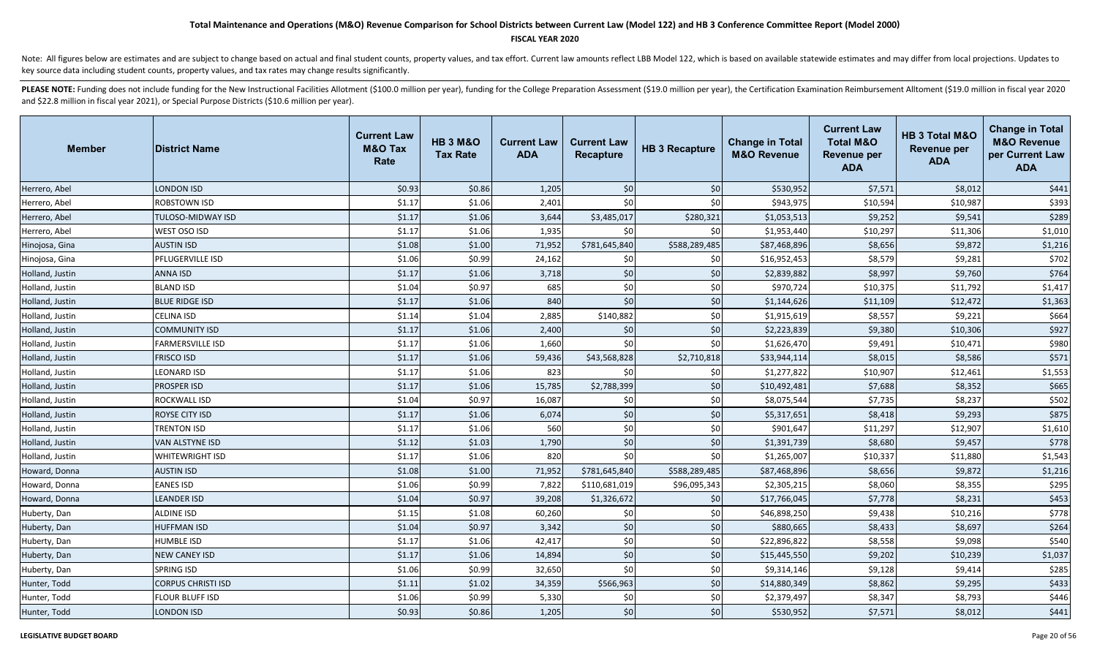#### **FISCAL YEAR 2020**

Note: All figures below are estimates and are subject to change based on actual and final student counts, property values, and tax effort. Current law amounts reflect LBB Model 122, which is based on available statewide es key source data including student counts, property values, and tax rates may change results significantly.

| <b>Member</b>   | <b>District Name</b>      | <b>Current Law</b><br><b>M&amp;O Tax</b><br>Rate | <b>HB 3 M&amp;O</b><br><b>Tax Rate</b> | <b>Current Law</b><br><b>ADA</b> | <b>Current Law</b><br>Recapture | <b>HB 3 Recapture</b> | <b>Change in Total</b><br><b>M&amp;O Revenue</b> | <b>Current Law</b><br><b>Total M&amp;O</b><br>Revenue per<br><b>ADA</b> | HB 3 Total M&O<br><b>Revenue per</b><br><b>ADA</b> | <b>Change in Total</b><br><b>M&amp;O Revenue</b><br>per Current Law<br><b>ADA</b> |
|-----------------|---------------------------|--------------------------------------------------|----------------------------------------|----------------------------------|---------------------------------|-----------------------|--------------------------------------------------|-------------------------------------------------------------------------|----------------------------------------------------|-----------------------------------------------------------------------------------|
| Herrero, Abel   | <b>LONDON ISD</b>         | \$0.93                                           | \$0.86                                 | 1,205                            | \$0                             | \$0                   | \$530,952                                        | \$7,571                                                                 | \$8,012                                            | \$441                                                                             |
| Herrero, Abel   | <b>ROBSTOWN ISD</b>       | \$1.17                                           | \$1.06                                 | 2,401                            | \$0                             | \$0                   | \$943,975                                        | \$10,594                                                                | \$10,987                                           | \$393                                                                             |
| Herrero, Abel   | <b>TULOSO-MIDWAY ISD</b>  | \$1.17                                           | \$1.06                                 | 3,644                            | \$3,485,017                     | \$280,321             | \$1,053,513                                      | \$9,252                                                                 | \$9,541                                            | \$289                                                                             |
| Herrero, Abel   | WEST OSO ISD              | \$1.17                                           | \$1.06                                 | 1,935                            | \$0                             | \$0                   | \$1,953,440                                      | \$10,297                                                                | \$11,306                                           | \$1,010                                                                           |
| Hinojosa, Gina  | <b>AUSTIN ISD</b>         | \$1.08                                           | \$1.00                                 | 71,952                           | \$781,645,840                   | \$588,289,485         | \$87,468,896                                     | \$8,656                                                                 | \$9,872                                            | \$1,216                                                                           |
| Hinojosa, Gina  | <b>PFLUGERVILLE ISD</b>   | \$1.06                                           | \$0.99                                 | 24,162                           | \$0                             | \$0                   | \$16,952,453                                     | \$8,579                                                                 | \$9,281                                            | \$702                                                                             |
| Holland, Justin | <b>ANNA ISD</b>           | \$1.17                                           | \$1.06                                 | 3,718                            | \$0                             | \$0                   | \$2,839,882                                      | \$8,997                                                                 | \$9,760                                            | \$764                                                                             |
| Holland, Justin | <b>BLAND ISD</b>          | \$1.04                                           | \$0.97                                 | 685                              | \$0                             | \$0                   | \$970,724                                        | \$10,375                                                                | \$11,792                                           | \$1,417                                                                           |
| Holland, Justin | <b>BLUE RIDGE ISD</b>     | \$1.17                                           | \$1.06                                 | 840                              | \$0                             | \$0                   | \$1,144,626                                      | \$11,109                                                                | \$12,472                                           | \$1,363                                                                           |
| Holland, Justin | <b>CELINA ISD</b>         | \$1.14                                           | \$1.04                                 | 2,885                            | \$140,882                       | \$0                   | \$1,915,619                                      | \$8,557                                                                 | \$9,221                                            | \$664                                                                             |
| Holland, Justin | <b>COMMUNITY ISD</b>      | \$1.17                                           | \$1.06                                 | 2,400                            | \$0                             | \$0                   | \$2,223,839                                      | \$9,380                                                                 | \$10,306                                           | \$927                                                                             |
| Holland, Justin | <b>FARMERSVILLE ISD</b>   | \$1.17                                           | \$1.06                                 | 1,660                            | \$0                             | \$0                   | \$1,626,470                                      | \$9,491                                                                 | \$10,471                                           | \$980                                                                             |
| Holland, Justin | <b>FRISCO ISD</b>         | \$1.17                                           | \$1.06                                 | 59,436                           | \$43,568,828                    | \$2,710,818           | \$33,944,114                                     | \$8,015                                                                 | \$8,586                                            | \$571                                                                             |
| Holland, Justin | <b>LEONARD ISD</b>        | \$1.17                                           | \$1.06                                 | 823                              | \$0                             | \$0                   | \$1,277,822                                      | \$10,907                                                                | \$12,461                                           | \$1,553                                                                           |
| Holland, Justin | <b>PROSPER ISD</b>        | \$1.17                                           | \$1.06                                 | 15,785                           | \$2,788,399                     | \$0                   | \$10,492,481                                     | \$7,688                                                                 | \$8,352                                            | \$665                                                                             |
| Holland, Justin | <b>ROCKWALL ISD</b>       | \$1.04                                           | \$0.97                                 | 16,087                           | \$0                             | \$0                   | \$8,075,544                                      | \$7,735                                                                 | \$8,237                                            | \$502                                                                             |
| Holland, Justin | ROYSE CITY ISD            | \$1.17                                           | \$1.06                                 | 6,074                            | \$0                             | \$0                   | \$5,317,651                                      | \$8,418                                                                 | \$9,293                                            | \$875                                                                             |
| Holland, Justin | <b>TRENTON ISD</b>        | \$1.17                                           | \$1.06                                 | 560                              | \$0                             | \$0                   | \$901,647                                        | \$11,297                                                                | \$12,907                                           | \$1,610                                                                           |
| Holland, Justin | <b>VAN ALSTYNE ISD</b>    | \$1.12                                           | \$1.03                                 | 1,790                            | \$0                             | \$0                   | \$1,391,739                                      | \$8,680                                                                 | \$9,457                                            | \$778                                                                             |
| Holland, Justin | <b>WHITEWRIGHT ISD</b>    | \$1.17                                           | \$1.06                                 | 820                              | \$0                             | \$0                   | \$1,265,007                                      | \$10,337                                                                | \$11,880                                           | \$1,543                                                                           |
| Howard, Donna   | <b>AUSTIN ISD</b>         | \$1.08                                           | \$1.00                                 | 71,952                           | \$781,645,840                   | \$588,289,485         | \$87,468,896                                     | \$8,656                                                                 | \$9,872                                            | \$1,216                                                                           |
| Howard, Donna   | <b>EANES ISD</b>          | \$1.06                                           | \$0.99                                 | 7,822                            | \$110,681,019                   | \$96,095,343          | \$2,305,215                                      | \$8,060                                                                 | \$8,355                                            | \$295                                                                             |
| Howard, Donna   | <b>LEANDER ISD</b>        | \$1.04                                           | \$0.97                                 | 39,208                           | \$1,326,672                     | \$0                   | \$17,766,045                                     | \$7,778                                                                 | \$8,231                                            | \$453                                                                             |
| Huberty, Dan    | ALDINE ISD                | \$1.15                                           | \$1.08                                 | 60,260                           | \$0                             | \$0                   | \$46,898,250                                     | \$9,438                                                                 | \$10,216                                           | \$778                                                                             |
| Huberty, Dan    | <b>HUFFMAN ISD</b>        | \$1.04                                           | \$0.97                                 | 3,342                            | \$0                             | \$0                   | \$880,665                                        | \$8,433                                                                 | \$8,697                                            | \$264                                                                             |
| Huberty, Dan    | <b>HUMBLE ISD</b>         | \$1.17                                           | \$1.06                                 | 42,417                           | \$0                             | \$0                   | \$22,896,822                                     | \$8,558                                                                 | \$9,098                                            | \$540                                                                             |
| Huberty, Dan    | <b>NEW CANEY ISD</b>      | \$1.17                                           | \$1.06                                 | 14,894                           | \$0                             | \$0                   | \$15,445,550                                     | \$9,202                                                                 | \$10,239                                           | \$1,037                                                                           |
| Huberty, Dan    | <b>SPRING ISD</b>         | \$1.06                                           | \$0.99                                 | 32,650                           | \$0                             | \$0                   | \$9,314,146                                      | \$9,128                                                                 | \$9,414                                            | \$285                                                                             |
| Hunter, Todd    | <b>CORPUS CHRISTI ISD</b> | \$1.11                                           | \$1.02                                 | 34,359                           | \$566,963                       | \$0                   | \$14,880,349                                     | \$8,862                                                                 | \$9,295                                            | \$433                                                                             |
| Hunter, Todd    | <b>FLOUR BLUFF ISD</b>    | \$1.06                                           | \$0.99                                 | 5,330                            | \$0                             | \$0                   | \$2,379,497                                      | \$8,347                                                                 | \$8,793                                            | \$446                                                                             |
| Hunter, Todd    | <b>LONDON ISD</b>         | \$0.93                                           | \$0.86                                 | 1,205                            | \$0                             | \$0                   | \$530,952                                        | \$7,571                                                                 | \$8,012                                            | \$441                                                                             |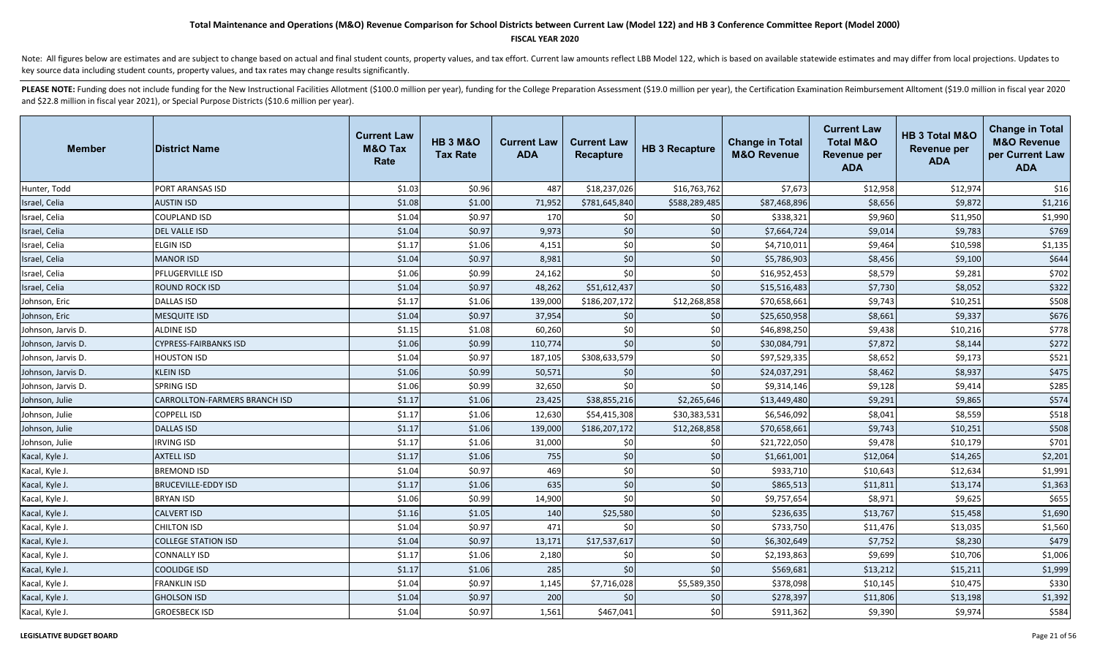#### **FISCAL YEAR 2020**

Note: All figures below are estimates and are subject to change based on actual and final student counts, property values, and tax effort. Current law amounts reflect LBB Model 122, which is based on available statewide es key source data including student counts, property values, and tax rates may change results significantly.

| <b>Member</b>      | <b>District Name</b>          | <b>Current Law</b><br><b>M&amp;O Tax</b><br>Rate | <b>HB 3 M&amp;O</b><br><b>Tax Rate</b> | <b>Current Law</b><br><b>ADA</b> | <b>Current Law</b><br><b>Recapture</b> | <b>HB 3 Recapture</b> | <b>Change in Total</b><br><b>M&amp;O Revenue</b> | <b>Current Law</b><br><b>Total M&amp;O</b><br><b>Revenue per</b><br><b>ADA</b> | HB 3 Total M&O<br><b>Revenue per</b><br><b>ADA</b> | <b>Change in Total</b><br><b>M&amp;O Revenue</b><br>per Current Law<br><b>ADA</b> |
|--------------------|-------------------------------|--------------------------------------------------|----------------------------------------|----------------------------------|----------------------------------------|-----------------------|--------------------------------------------------|--------------------------------------------------------------------------------|----------------------------------------------------|-----------------------------------------------------------------------------------|
| Hunter, Todd       | PORT ARANSAS ISD              | \$1.03                                           | \$0.96                                 | 487                              | \$18,237,026                           | \$16,763,762          | \$7,673                                          | \$12,958                                                                       | \$12,974                                           | \$16                                                                              |
| Israel, Celia      | <b>AUSTIN ISD</b>             | \$1.08                                           | \$1.00                                 | 71,952                           | \$781,645,840                          | \$588,289,485         | \$87,468,896                                     | \$8,656                                                                        | \$9,872                                            | \$1,216                                                                           |
| Israel, Celia      | COUPLAND ISD                  | \$1.04                                           | \$0.97                                 | 170                              | \$0                                    | \$0                   | \$338,321                                        | \$9,960                                                                        | \$11,950                                           | \$1,990                                                                           |
| Israel, Celia      | <b>DEL VALLE ISD</b>          | \$1.04                                           | \$0.97                                 | 9,973                            | \$0                                    | \$0                   | \$7,664,724                                      | \$9,014                                                                        | \$9,783                                            | \$769                                                                             |
| Israel, Celia      | ELGIN ISD                     | \$1.17                                           | \$1.06                                 | 4,151                            | \$0                                    | $$0$                  | \$4,710,011                                      | \$9,464                                                                        | \$10,598                                           | \$1,135                                                                           |
| Israel, Celia      | <b>MANOR ISD</b>              | \$1.04                                           | \$0.97                                 | 8,981                            | \$0                                    | \$0                   | \$5,786,903                                      | \$8,456                                                                        | \$9,100                                            | \$644                                                                             |
| Israel, Celia      | PFLUGERVILLE ISD              | \$1.06                                           | \$0.99                                 | 24,162                           | \$0                                    | \$0                   | \$16,952,453                                     | \$8,579                                                                        | \$9,281                                            | \$702                                                                             |
| Israel, Celia      | ROUND ROCK ISD                | \$1.04                                           | \$0.97                                 | 48,262                           | \$51,612,437                           | \$0                   | \$15,516,483                                     | \$7,730                                                                        | \$8,052                                            | \$322                                                                             |
| Johnson, Eric      | <b>DALLAS ISD</b>             | \$1.17                                           | \$1.06                                 | 139,000                          | \$186,207,172                          | \$12,268,858          | \$70,658,661                                     | \$9,743                                                                        | \$10,251                                           | \$508                                                                             |
| Johnson, Eric      | <b>MESQUITE ISD</b>           | \$1.04                                           | \$0.97                                 | 37,954                           | \$0                                    | \$0                   | \$25,650,958                                     | \$8,661                                                                        | \$9,337                                            | \$676                                                                             |
| Johnson, Jarvis D. | ALDINE ISD                    | \$1.15                                           | \$1.08                                 | 60,260                           | \$0                                    | \$0                   | \$46,898,250                                     | \$9,438                                                                        | \$10,216                                           | \$778                                                                             |
| Johnson, Jarvis D. | CYPRESS-FAIRBANKS ISD         | \$1.06                                           | \$0.99                                 | 110,774                          | \$0                                    | \$0                   | \$30,084,791                                     | \$7,872                                                                        | \$8,144                                            | \$272                                                                             |
| Johnson, Jarvis D. | <b>HOUSTON ISD</b>            | \$1.04                                           | \$0.97                                 | 187,105                          | \$308,633,579                          | \$0                   | \$97,529,335                                     | \$8,652                                                                        | \$9,173                                            | \$521                                                                             |
| Johnson, Jarvis D. | KLEIN ISD                     | \$1.06                                           | \$0.99                                 | 50,571                           | \$0                                    | $$0$                  | \$24,037,291                                     | \$8,462                                                                        | \$8,937                                            | \$475                                                                             |
| Johnson, Jarvis D. | SPRING ISD                    | \$1.06                                           | \$0.99                                 | 32,650                           | \$0                                    | \$0                   | \$9,314,146                                      | \$9,128                                                                        | \$9,414                                            | \$285                                                                             |
| Johnson, Julie     | CARROLLTON-FARMERS BRANCH ISD | \$1.17                                           | \$1.06                                 | 23,425                           | \$38,855,216                           | \$2,265,646           | \$13,449,480                                     | \$9,291                                                                        | \$9,865                                            | \$574                                                                             |
| Johnson, Julie     | <b>COPPELL ISD</b>            | \$1.17                                           | \$1.06                                 | 12,630                           | \$54,415,308                           | \$30,383,531          | \$6,546,092                                      | \$8,041                                                                        | \$8,559                                            | \$518                                                                             |
| Johnson, Julie     | <b>DALLAS ISD</b>             | \$1.17                                           | \$1.06                                 | 139,000                          | \$186,207,172                          | \$12,268,858          | \$70,658,661                                     | \$9,743                                                                        | \$10,251                                           | \$508                                                                             |
| Johnson, Julie     | <b>IRVING ISD</b>             | \$1.17                                           | \$1.06                                 | 31,000                           | \$0                                    | \$0                   | \$21,722,050                                     | \$9,478                                                                        | \$10,179                                           | \$701                                                                             |
| Kacal, Kyle J.     | <b>AXTELL ISD</b>             | \$1.17                                           | \$1.06                                 | 755                              | \$0                                    | \$0                   | \$1,661,001                                      | \$12,064                                                                       | \$14,265                                           | \$2,201                                                                           |
| Kacal, Kyle J.     | <b>BREMOND ISD</b>            | \$1.04                                           | \$0.97                                 | 469                              | \$0                                    | \$0                   | \$933,710                                        | \$10,643                                                                       | \$12,634                                           | \$1,991                                                                           |
| Kacal, Kyle J.     | <b>BRUCEVILLE-EDDY ISD</b>    | \$1.17                                           | \$1.06                                 | 635                              | \$0                                    | \$0                   | \$865,513                                        | \$11,811                                                                       | \$13,174                                           | \$1,363                                                                           |
| Kacal, Kyle J.     | <b>BRYAN ISD</b>              | \$1.06                                           | \$0.99                                 | 14,900                           | \$0                                    | \$0                   | \$9,757,654                                      | \$8,971                                                                        | \$9,625                                            | \$655                                                                             |
| Kacal, Kyle J.     | <b>CALVERT ISD</b>            | \$1.16                                           | \$1.05                                 | 140                              | \$25,580                               | \$0                   | \$236,635                                        | \$13,767                                                                       | \$15,458                                           | \$1,690                                                                           |
| Kacal, Kyle J.     | CHILTON ISD                   | \$1.04                                           | \$0.97                                 | 471                              | \$0                                    | \$0                   | \$733,750                                        | \$11,476                                                                       | \$13,035                                           | \$1,560                                                                           |
| Kacal, Kyle J.     | <b>COLLEGE STATION ISD</b>    | \$1.04                                           | \$0.97                                 | 13,171                           | \$17,537,617                           | \$0                   | \$6,302,649                                      | \$7,752                                                                        | \$8,230                                            | \$479                                                                             |
| Kacal, Kyle J.     | <b>CONNALLY ISD</b>           | \$1.17                                           | \$1.06                                 | 2,180                            | \$0                                    | \$0                   | \$2,193,863                                      | \$9,699                                                                        | \$10,706                                           | \$1,006                                                                           |
| Kacal, Kyle J.     | COOLIDGE ISD                  | \$1.17                                           | \$1.06                                 | 285                              | \$0                                    | \$0                   | \$569,681                                        | \$13,212                                                                       | \$15,211                                           | \$1,999                                                                           |
| Kacal, Kyle J.     | <b>FRANKLIN ISD</b>           | \$1.04                                           | \$0.97                                 | 1,145                            | \$7,716,028                            | \$5,589,350           | \$378,098                                        | \$10,145                                                                       | \$10,475                                           | \$330                                                                             |
| Kacal, Kyle J.     | <b>GHOLSON ISD</b>            | \$1.04                                           | \$0.97                                 | 200                              | \$0                                    | \$0                   | \$278,397                                        | \$11,806                                                                       | \$13,198                                           | \$1,392                                                                           |
| Kacal, Kyle J.     | <b>GROESBECK ISD</b>          | \$1.04                                           | \$0.97                                 | 1,561                            | \$467,041                              | \$0                   | \$911,362                                        | \$9,390                                                                        | \$9,974                                            | \$584                                                                             |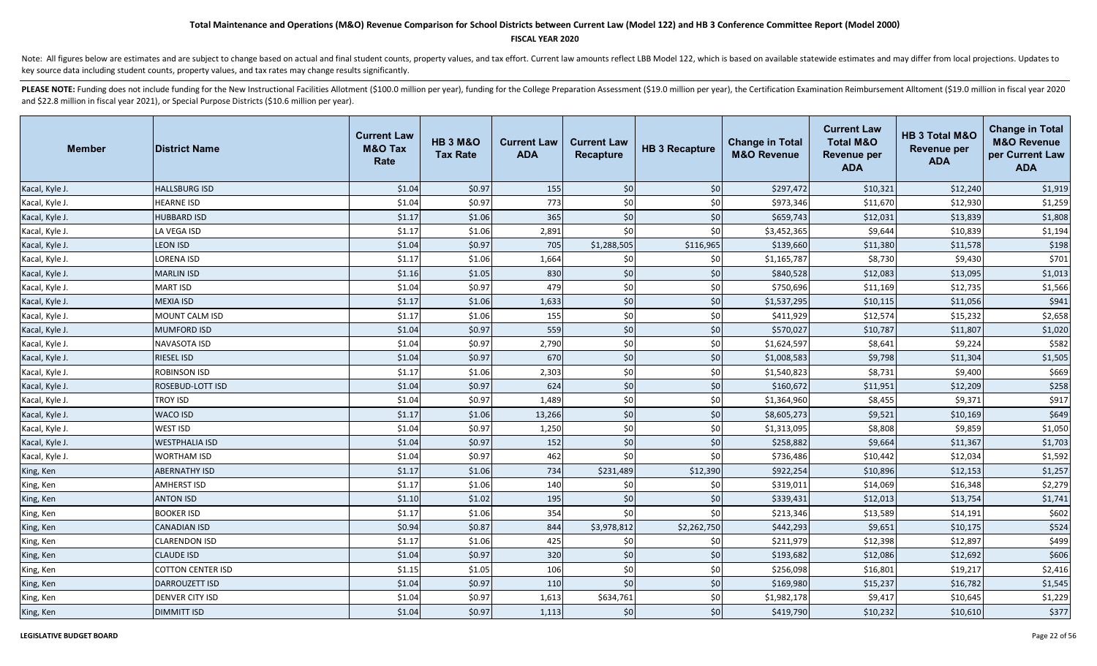### **FISCAL YEAR 2020**

Note: All figures below are estimates and are subject to change based on actual and final student counts, property values, and tax effort. Current law amounts reflect LBB Model 122, which is based on available statewide es key source data including student counts, property values, and tax rates may change results significantly.

| <b>Member</b>  | <b>District Name</b>     | <b>Current Law</b><br><b>M&amp;O Tax</b><br>Rate | <b>HB 3 M&amp;O</b><br><b>Tax Rate</b> | <b>Current Law</b><br><b>ADA</b> | <b>Current Law</b><br>Recapture | <b>HB 3 Recapture</b> | <b>Change in Total</b><br><b>M&amp;O Revenue</b> | <b>Current Law</b><br><b>Total M&amp;O</b><br><b>Revenue per</b><br><b>ADA</b> | HB 3 Total M&O<br><b>Revenue per</b><br><b>ADA</b> | <b>Change in Total</b><br><b>M&amp;O Revenue</b><br>per Current Law<br><b>ADA</b> |
|----------------|--------------------------|--------------------------------------------------|----------------------------------------|----------------------------------|---------------------------------|-----------------------|--------------------------------------------------|--------------------------------------------------------------------------------|----------------------------------------------------|-----------------------------------------------------------------------------------|
| Kacal, Kyle J. | <b>HALLSBURG ISD</b>     | \$1.04                                           | \$0.97                                 | 155                              | \$0                             | \$0                   | \$297,472                                        | \$10,321                                                                       | \$12,240                                           | \$1,919                                                                           |
| Kacal, Kyle J. | <b>HEARNE ISD</b>        | \$1.04                                           | \$0.97                                 | 773                              | \$0                             | \$0                   | \$973,346                                        | \$11,670                                                                       | \$12,930                                           | \$1,259                                                                           |
| Kacal, Kyle J. | <b>HUBBARD ISD</b>       | \$1.17                                           | \$1.06                                 | 365                              | \$0                             | \$0                   | \$659,743                                        | \$12,031                                                                       | \$13,839                                           | \$1,808                                                                           |
| Kacal, Kyle J. | LA VEGA ISD              | \$1.17                                           | \$1.06                                 | 2,891                            | \$0                             | \$0                   | \$3,452,365                                      | \$9,644                                                                        | \$10,839                                           | \$1,194                                                                           |
| Kacal, Kyle J. | <b>LEON ISD</b>          | \$1.04                                           | \$0.97                                 | 705                              | \$1,288,505                     | \$116,965             | \$139,660                                        | \$11,380                                                                       | \$11,578                                           | \$198                                                                             |
| Kacal, Kyle J. | <b>LORENA ISD</b>        | \$1.17                                           | \$1.06                                 | 1,664                            | \$0                             | \$0                   | \$1,165,787                                      | \$8,730                                                                        | \$9,430                                            | \$701                                                                             |
| Kacal, Kyle J. | <b>MARLIN ISD</b>        | \$1.16                                           | \$1.05                                 | 830                              | \$0                             | \$0                   | \$840,528                                        | \$12,083                                                                       | \$13,095                                           | \$1,013                                                                           |
| Kacal, Kyle J. | <b>MART ISD</b>          | \$1.04                                           | \$0.97                                 | 479                              | \$0                             | \$0                   | \$750,696                                        | \$11,169                                                                       | \$12,735                                           | \$1,566                                                                           |
| Kacal, Kyle J. | <b>MEXIA ISD</b>         | \$1.17                                           | \$1.06                                 | 1,633                            | \$0                             | \$0                   | \$1,537,295                                      | \$10,115                                                                       | \$11,056                                           | \$941                                                                             |
| Kacal, Kyle J. | <b>MOUNT CALM ISD</b>    | \$1.17                                           | \$1.06                                 | 155                              | \$0                             | \$0                   | \$411,929                                        | \$12,574                                                                       | \$15,232                                           | \$2,658                                                                           |
| Kacal, Kyle J. | <b>MUMFORD ISD</b>       | \$1.04                                           | \$0.97                                 | 559                              | \$0                             | \$0                   | \$570,027                                        | \$10,787                                                                       | \$11,807                                           | \$1,020                                                                           |
| Kacal, Kyle J. | <b>NAVASOTA ISD</b>      | \$1.04                                           | \$0.97                                 | 2,790                            | $$0$$                           | \$0                   | \$1,624,597                                      | \$8,641                                                                        | \$9,224                                            | \$582                                                                             |
| Kacal, Kyle J. | <b>RIESEL ISD</b>        | \$1.04                                           | \$0.97                                 | 670                              | $$0$$                           | \$0                   | \$1,008,583                                      | \$9,798                                                                        | \$11,304                                           | \$1,505                                                                           |
| Kacal, Kyle J. | <b>ROBINSON ISD</b>      | \$1.17                                           | \$1.06                                 | 2,303                            | \$0                             | \$0                   | \$1,540,823                                      | \$8,731                                                                        | \$9,400                                            | \$669                                                                             |
| Kacal, Kyle J. | <b>ROSEBUD-LOTT ISD</b>  | \$1.04                                           | \$0.97                                 | 624                              | \$0                             | \$0                   | \$160,672                                        | \$11,951                                                                       | \$12,209                                           | \$258                                                                             |
| Kacal, Kyle J. | <b>TROY ISD</b>          | \$1.04                                           | \$0.97                                 | 1,489                            | \$0                             | \$0                   | \$1,364,960                                      | \$8,455                                                                        | \$9,371                                            | \$917                                                                             |
| Kacal, Kyle J. | <b>WACO ISD</b>          | \$1.17                                           | \$1.06                                 | 13,266                           | \$0                             | \$0                   | \$8,605,273                                      | \$9,521                                                                        | \$10,169                                           | \$649                                                                             |
| Kacal, Kyle J. | <b>WEST ISD</b>          | \$1.04                                           | \$0.97                                 | 1,250                            | \$0                             | \$0                   | \$1,313,095                                      | \$8,808                                                                        | \$9,859                                            | \$1,050                                                                           |
| Kacal, Kyle J. | <b>WESTPHALIA ISD</b>    | \$1.04                                           | \$0.97                                 | 152                              | \$0                             | \$0                   | \$258,882                                        | \$9,664                                                                        | \$11,367                                           | \$1,703                                                                           |
| Kacal, Kyle J. | <b>WORTHAM ISD</b>       | \$1.04                                           | \$0.97                                 | 462                              | \$0                             | \$0                   | \$736,486                                        | \$10,442                                                                       | \$12,034                                           | \$1,592                                                                           |
| King, Ken      | <b>ABERNATHY ISD</b>     | \$1.17                                           | \$1.06                                 | 734                              | \$231,489                       | \$12,390              | \$922,254                                        | \$10,896                                                                       | \$12,153                                           | \$1,257                                                                           |
| King, Ken      | <b>AMHERST ISD</b>       | \$1.17                                           | \$1.06                                 | 140                              | \$0                             | \$0                   | \$319,011                                        | \$14,069                                                                       | \$16,348                                           | \$2,279                                                                           |
| King, Ken      | <b>ANTON ISD</b>         | \$1.10                                           | \$1.02                                 | 195                              | $$0$                            | \$0                   | \$339,431                                        | \$12,013                                                                       | \$13,754                                           | \$1,741                                                                           |
| King, Ken      | <b>BOOKER ISD</b>        | \$1.17                                           | \$1.06                                 | 354                              | $$0$$                           | \$0                   | \$213,346                                        | \$13,589                                                                       | \$14,191                                           | \$602                                                                             |
| King, Ken      | <b>CANADIAN ISD</b>      | \$0.94                                           | \$0.87                                 | 844                              | \$3,978,812                     | \$2,262,750           | \$442,293                                        | \$9,651                                                                        | \$10,175                                           | \$524                                                                             |
| King, Ken      | <b>CLARENDON ISD</b>     | \$1.17                                           | \$1.06                                 | 425                              | \$0                             | \$0                   | \$211,979                                        | \$12,398                                                                       | \$12,897                                           | \$499                                                                             |
| King, Ken      | <b>CLAUDE ISD</b>        | \$1.04                                           | \$0.97                                 | 320                              | \$0                             | \$0                   | \$193,682                                        | \$12,086                                                                       | \$12,692                                           | \$606                                                                             |
| King, Ken      | <b>COTTON CENTER ISD</b> | \$1.15                                           | \$1.05                                 | 106                              | \$0                             | \$0                   | \$256,098                                        | \$16,801                                                                       | \$19,217                                           | \$2,416                                                                           |
| King, Ken      | <b>DARROUZETT ISD</b>    | \$1.04                                           | \$0.97                                 | 110                              | \$0                             | \$0                   | \$169,980                                        | \$15,237                                                                       | \$16,782                                           | \$1,545                                                                           |
| King, Ken      | <b>DENVER CITY ISD</b>   | \$1.04                                           | \$0.97                                 | 1,613                            | \$634,761                       | \$0                   | \$1,982,178                                      | \$9,417                                                                        | \$10,645                                           | \$1,229                                                                           |
| King, Ken      | <b>DIMMITT ISD</b>       | \$1.04                                           | \$0.97                                 | 1,113                            | \$0                             | \$0                   | \$419,790                                        | \$10,232                                                                       | \$10,610                                           | \$377                                                                             |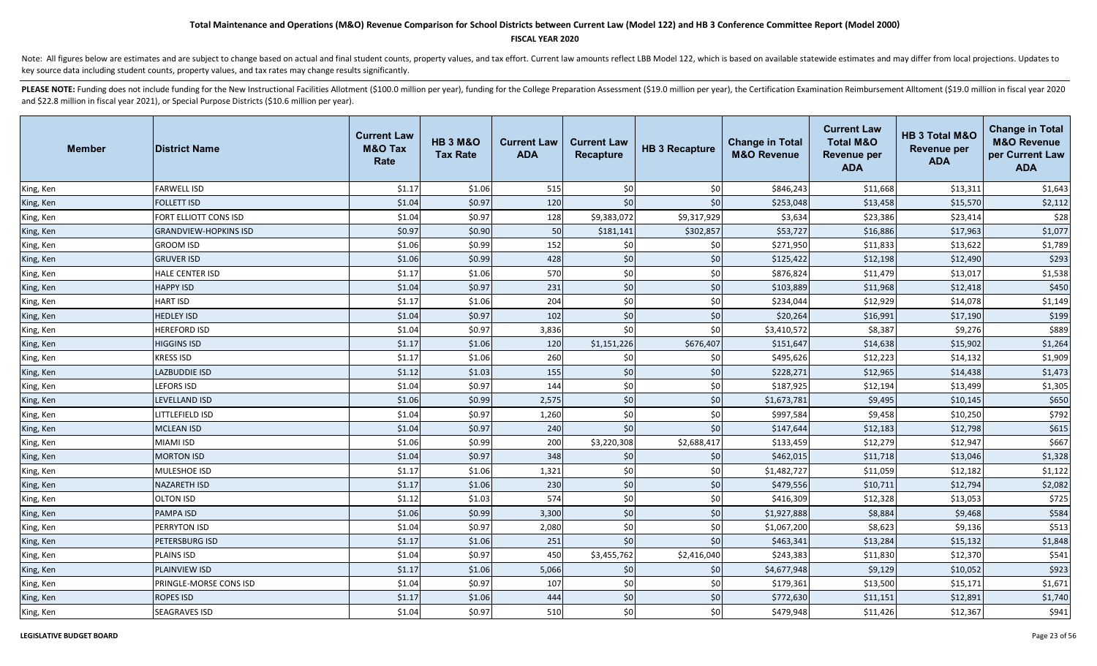### **FISCAL YEAR 2020**

Note: All figures below are estimates and are subject to change based on actual and final student counts, property values, and tax effort. Current law amounts reflect LBB Model 122, which is based on available statewide es key source data including student counts, property values, and tax rates may change results significantly.

| <b>Member</b> | <b>District Name</b>         | <b>Current Law</b><br><b>M&amp;O Tax</b><br>Rate | <b>HB 3 M&amp;O</b><br><b>Tax Rate</b> | <b>Current Law</b><br><b>ADA</b> | <b>Current Law</b><br><b>Recapture</b> | <b>HB 3 Recapture</b> | <b>Change in Total</b><br><b>M&amp;O Revenue</b> | <b>Current Law</b><br><b>Total M&amp;O</b><br><b>Revenue per</b><br><b>ADA</b> | HB 3 Total M&O<br><b>Revenue per</b><br><b>ADA</b> | <b>Change in Total</b><br><b>M&amp;O Revenue</b><br>per Current Law<br><b>ADA</b> |
|---------------|------------------------------|--------------------------------------------------|----------------------------------------|----------------------------------|----------------------------------------|-----------------------|--------------------------------------------------|--------------------------------------------------------------------------------|----------------------------------------------------|-----------------------------------------------------------------------------------|
| King, Ken     | <b>FARWELL ISD</b>           | \$1.17                                           | \$1.06                                 | 515                              | \$0                                    | \$0                   | \$846,243                                        | \$11,668                                                                       | \$13,311                                           | \$1,643                                                                           |
| King, Ken     | <b>FOLLETT ISD</b>           | \$1.04                                           | \$0.97                                 | 120                              | \$0                                    | \$0                   | \$253,048                                        | \$13,458                                                                       | \$15,570                                           | \$2,112                                                                           |
| King, Ken     | FORT ELLIOTT CONS ISD        | \$1.04                                           | \$0.97                                 | 128                              | \$9,383,072                            | \$9,317,929           | \$3,634                                          | \$23,386                                                                       | \$23,414                                           | \$28                                                                              |
| King, Ken     | <b>GRANDVIEW-HOPKINS ISD</b> | \$0.97                                           | \$0.90                                 | 50                               | \$181,141                              | \$302,857             | \$53,727                                         | \$16,886                                                                       | \$17,963                                           | \$1,077                                                                           |
| King, Ken     | <b>GROOM ISD</b>             | \$1.06                                           | \$0.99                                 | 152                              | \$0                                    | \$0                   | \$271,950                                        | \$11,833                                                                       | \$13,622                                           | \$1,789                                                                           |
| King, Ken     | <b>GRUVER ISD</b>            | \$1.06                                           | \$0.99                                 | 428                              | \$0                                    | $$0$$                 | \$125,422                                        | \$12,198                                                                       | \$12,490                                           | \$293                                                                             |
| King, Ken     | <b>HALE CENTER ISD</b>       | \$1.17                                           | \$1.06                                 | 570                              | \$0                                    | \$0                   | \$876,824                                        | \$11,479                                                                       | \$13,017                                           | \$1,538                                                                           |
| King, Ken     | <b>HAPPY ISD</b>             | \$1.04                                           | \$0.97                                 | 231                              | \$0                                    | \$0                   | \$103,889                                        | \$11,968                                                                       | \$12,418                                           | \$450                                                                             |
| King, Ken     | <b>HART ISD</b>              | \$1.17                                           | \$1.06                                 | 204                              | \$0                                    | \$0                   | \$234,044                                        | \$12,929                                                                       | \$14,078                                           | \$1,149                                                                           |
| King, Ken     | <b>HEDLEY ISD</b>            | \$1.04                                           | \$0.97                                 | 102                              | \$0                                    | \$0                   | \$20,264                                         | \$16,991                                                                       | \$17,190                                           | \$199                                                                             |
| King, Ken     | <b>HEREFORD ISD</b>          | \$1.04                                           | \$0.97                                 | 3,836                            | \$0                                    | \$0                   | \$3,410,572                                      | \$8,387                                                                        | \$9,276                                            | \$889                                                                             |
| King, Ken     | <b>HIGGINS ISD</b>           | \$1.17                                           | \$1.06                                 | 120                              | \$1,151,226                            | \$676,407             | \$151,647                                        | \$14,638                                                                       | \$15,902                                           | \$1,264                                                                           |
| King, Ken     | <b>KRESS ISD</b>             | \$1.17                                           | \$1.06                                 | 260                              | \$0                                    | \$0                   | \$495,626                                        | \$12,223                                                                       | \$14,132                                           | \$1,909                                                                           |
| King, Ken     | LAZBUDDIE ISD                | \$1.12                                           | \$1.03                                 | 155                              | \$0                                    | $$0$$                 | \$228,271                                        | \$12,965                                                                       | \$14,438                                           | \$1,473                                                                           |
| King, Ken     | <b>LEFORS ISD</b>            | \$1.04                                           | \$0.97                                 | 144                              | \$0                                    | \$0                   | \$187,925                                        | \$12,194                                                                       | \$13,499                                           | \$1,305                                                                           |
| King, Ken     | LEVELLAND ISD                | \$1.06                                           | \$0.99                                 | 2,575                            | \$0                                    | \$0                   | \$1,673,781                                      | \$9,495                                                                        | \$10,145                                           | \$650                                                                             |
| King, Ken     | LITTLEFIELD ISD              | \$1.04                                           | \$0.97                                 | 1,260                            | \$0                                    | \$0                   | \$997,584                                        | \$9,458                                                                        | \$10,250                                           | \$792                                                                             |
| King, Ken     | <b>MCLEAN ISD</b>            | \$1.04                                           | \$0.97                                 | 240                              | \$0                                    | \$0                   | \$147,644                                        | \$12,183                                                                       | \$12,798                                           | \$615                                                                             |
| King, Ken     | <b>MIAMI ISD</b>             | \$1.06                                           | \$0.99                                 | 200                              | \$3,220,308                            | \$2,688,417           | \$133,459                                        | \$12,279                                                                       | \$12,947                                           | \$667                                                                             |
| King, Ken     | <b>MORTON ISD</b>            | \$1.04                                           | \$0.97                                 | 348                              | \$0                                    | \$0                   | \$462,015                                        | \$11,718                                                                       | \$13,046                                           | \$1,328                                                                           |
| King, Ken     | MULESHOE ISD                 | \$1.17                                           | \$1.06                                 | 1,321                            | \$0                                    | \$0                   | \$1,482,727                                      | \$11,059                                                                       | \$12,182                                           | \$1,122                                                                           |
| King, Ken     | <b>NAZARETH ISD</b>          | \$1.17                                           | \$1.06                                 | 230                              | \$0                                    | \$0                   | \$479,556                                        | \$10,711                                                                       | \$12,794                                           | \$2,082                                                                           |
| King, Ken     | <b>OLTON ISD</b>             | \$1.12                                           | \$1.03                                 | 574                              | \$0                                    | \$0                   | \$416,309                                        | \$12,328                                                                       | \$13,053                                           | \$725                                                                             |
| King, Ken     | <b>PAMPA ISD</b>             | \$1.06                                           | \$0.99                                 | 3,300                            | \$0                                    | \$0                   | \$1,927,888                                      | \$8,884                                                                        | \$9,468                                            | \$584                                                                             |
| King, Ken     | PERRYTON ISD                 | \$1.04                                           | \$0.97                                 | 2,080                            | \$0                                    | \$0                   | \$1,067,200                                      | \$8,623                                                                        | \$9,136                                            | \$513                                                                             |
| King, Ken     | PETERSBURG ISD               | \$1.17                                           | \$1.06                                 | 251                              | \$0                                    | \$0                   | \$463,341                                        | \$13,284                                                                       | \$15,132                                           | \$1,848                                                                           |
| King, Ken     | <b>PLAINS ISD</b>            | \$1.04                                           | \$0.97                                 | 450                              | \$3,455,762                            | \$2,416,040           | \$243,383                                        | \$11,830                                                                       | \$12,370                                           | \$541                                                                             |
| King, Ken     | <b>PLAINVIEW ISD</b>         | \$1.17                                           | \$1.06                                 | 5,066                            | \$0                                    | \$0                   | \$4,677,948                                      | \$9,129                                                                        | \$10,052                                           | \$923                                                                             |
| King, Ken     | PRINGLE-MORSE CONS ISD       | \$1.04                                           | \$0.97                                 | 107                              | \$0                                    | \$0                   | \$179,361                                        | \$13,500                                                                       | \$15,171                                           | \$1,671                                                                           |
| King, Ken     | <b>ROPES ISD</b>             | \$1.17                                           | \$1.06                                 | 444                              | \$0                                    | \$0                   | \$772,630                                        | \$11,151                                                                       | \$12,891                                           | \$1,740                                                                           |
| King, Ken     | <b>SEAGRAVES ISD</b>         | \$1.04                                           | \$0.97                                 | 510                              | \$0                                    | \$0                   | \$479,948                                        | \$11,426                                                                       | \$12,367                                           | \$941                                                                             |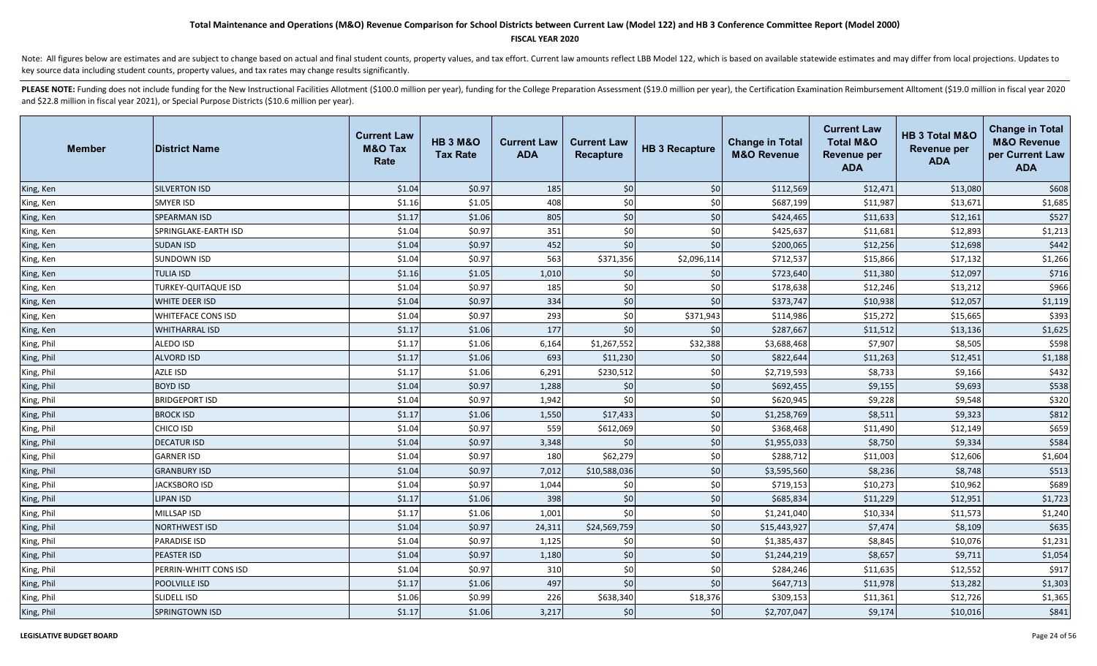### **FISCAL YEAR 2020**

Note: All figures below are estimates and are subject to change based on actual and final student counts, property values, and tax effort. Current law amounts reflect LBB Model 122, which is based on available statewide es key source data including student counts, property values, and tax rates may change results significantly.

| <b>Member</b> | <b>District Name</b>       | <b>Current Law</b><br><b>M&amp;O Tax</b><br>Rate | <b>HB 3 M&amp;O</b><br><b>Tax Rate</b> | <b>Current Law</b><br><b>ADA</b> | <b>Current Law</b><br>Recapture | <b>HB 3 Recapture</b> | <b>Change in Total</b><br><b>M&amp;O Revenue</b> | <b>Current Law</b><br><b>Total M&amp;O</b><br><b>Revenue per</b><br><b>ADA</b> | HB 3 Total M&O<br><b>Revenue per</b><br><b>ADA</b> | <b>Change in Total</b><br><b>M&amp;O Revenue</b><br>per Current Law<br><b>ADA</b> |
|---------------|----------------------------|--------------------------------------------------|----------------------------------------|----------------------------------|---------------------------------|-----------------------|--------------------------------------------------|--------------------------------------------------------------------------------|----------------------------------------------------|-----------------------------------------------------------------------------------|
| King, Ken     | <b>SILVERTON ISD</b>       | \$1.04                                           | \$0.97                                 | 185                              | \$0                             | \$0                   | \$112,569                                        | \$12,471                                                                       | \$13,080                                           | \$608                                                                             |
| King, Ken     | <b>SMYER ISD</b>           | \$1.16                                           | \$1.05                                 | 408                              | \$0                             | \$0                   | \$687,199                                        | \$11,987                                                                       | \$13,671                                           | \$1,685                                                                           |
| King, Ken     | <b>SPEARMAN ISD</b>        | \$1.17                                           | \$1.06                                 | 805                              | \$0                             | $$0$$                 | \$424,465                                        | \$11,633                                                                       | \$12,161                                           | \$527                                                                             |
| King, Ken     | SPRINGLAKE-EARTH ISD       | \$1.04                                           | \$0.97                                 | 351                              | \$0                             | \$0                   | \$425,637                                        | \$11,681                                                                       | \$12,893                                           | \$1,213                                                                           |
| King, Ken     | <b>SUDAN ISD</b>           | \$1.04                                           | \$0.97                                 | 452                              | \$0                             | \$0                   | \$200,065                                        | \$12,256                                                                       | \$12,698                                           | \$442                                                                             |
| King, Ken     | <b>SUNDOWN ISD</b>         | \$1.04                                           | \$0.97                                 | 563                              | \$371,356                       | \$2,096,114           | \$712,537                                        | \$15,866                                                                       | \$17,132                                           | \$1,266                                                                           |
| King, Ken     | <b>TULIA ISD</b>           | \$1.16                                           | \$1.05                                 | 1,010                            | \$0                             | \$0                   | \$723,640                                        | \$11,380                                                                       | \$12,097                                           | \$716                                                                             |
| King, Ken     | <b>TURKEY-QUITAQUE ISD</b> | \$1.04                                           | \$0.97                                 | 185                              | \$0                             | \$0                   | \$178,638                                        | \$12,246                                                                       | \$13,212                                           | \$966                                                                             |
| King, Ken     | <b>WHITE DEER ISD</b>      | \$1.04                                           | \$0.97                                 | 334                              | \$0                             | \$0                   | \$373,747                                        | \$10,938                                                                       | \$12,057                                           | \$1,119                                                                           |
| King, Ken     | <b>WHITEFACE CONS ISD</b>  | \$1.04                                           | \$0.97                                 | 293                              | \$0                             | \$371,943             | \$114,986                                        | \$15,272                                                                       | \$15,665                                           | \$393                                                                             |
| King, Ken     | <b>WHITHARRAL ISD</b>      | \$1.17                                           | \$1.06                                 | 177                              | \$0                             | \$0                   | \$287,667                                        | \$11,512                                                                       | \$13,136                                           | \$1,625                                                                           |
| King, Phil    | ALEDO ISD                  | \$1.17                                           | \$1.06                                 | 6,164                            | \$1,267,552                     | \$32,388              | \$3,688,468                                      | \$7,907                                                                        | \$8,505                                            | \$598                                                                             |
| King, Phil    | <b>ALVORD ISD</b>          | \$1.17                                           | \$1.06                                 | 693                              | \$11,230                        | \$0                   | \$822,644                                        | \$11,263                                                                       | \$12,451                                           | \$1,188                                                                           |
| King, Phil    | AZLE ISD                   | \$1.17                                           | \$1.06                                 | 6,291                            | \$230,512                       | \$0                   | \$2,719,593                                      | \$8,733                                                                        | \$9,166                                            | \$432                                                                             |
| King, Phil    | <b>BOYD ISD</b>            | \$1.04                                           | \$0.97                                 | 1,288                            | \$0                             | \$0                   | \$692,455                                        | \$9,155                                                                        | \$9,693                                            | \$538                                                                             |
| King, Phil    | <b>BRIDGEPORT ISD</b>      | \$1.04                                           | \$0.97                                 | 1,942                            | \$0                             | \$0                   | \$620,945                                        | \$9,228                                                                        | \$9,548                                            | \$320                                                                             |
| King, Phil    | <b>BROCK ISD</b>           | \$1.17                                           | \$1.06                                 | 1,550                            | \$17,433                        | \$0                   | \$1,258,769                                      | \$8,511                                                                        | \$9,323                                            | \$812                                                                             |
| King, Phil    | <b>CHICO ISD</b>           | \$1.04                                           | \$0.97                                 | 559                              | \$612,069                       | \$0                   | \$368,468                                        | \$11,490                                                                       | \$12,149                                           | \$659                                                                             |
| King, Phil    | <b>DECATUR ISD</b>         | \$1.04                                           | \$0.97                                 | 3,348                            | \$0                             | \$0                   | \$1,955,033                                      | \$8,750                                                                        | \$9,334                                            | \$584                                                                             |
| King, Phil    | <b>GARNER ISD</b>          | \$1.04                                           | \$0.97                                 | 180                              | \$62,279                        | \$0                   | \$288,712                                        | \$11,003                                                                       | \$12,606                                           | \$1,604                                                                           |
| King, Phil    | <b>GRANBURY ISD</b>        | \$1.04                                           | \$0.97                                 | 7,012                            | \$10,588,036                    | \$0                   | \$3,595,560                                      | \$8,236                                                                        | \$8,748                                            | \$513                                                                             |
| King, Phil    | <b>JACKSBORO ISD</b>       | \$1.04                                           | \$0.97                                 | 1,044                            | \$0                             | \$0                   | \$719,153                                        | \$10,273                                                                       | \$10,962                                           | \$689                                                                             |
| King, Phil    | <b>LIPAN ISD</b>           | \$1.17                                           | \$1.06                                 | 398                              | \$0                             | \$0                   | \$685,834                                        | \$11,229                                                                       | \$12,951                                           | \$1,723                                                                           |
| King, Phil    | MILLSAP ISD                | \$1.17                                           | \$1.06                                 | 1,001                            | \$0                             | \$0                   | \$1,241,040                                      | \$10,334                                                                       | \$11,573                                           | \$1,240                                                                           |
| King, Phil    | <b>NORTHWEST ISD</b>       | \$1.04                                           | \$0.97                                 | 24,311                           | \$24,569,759                    | \$0                   | \$15,443,927                                     | \$7,474                                                                        | \$8,109                                            | \$635                                                                             |
| King, Phil    | <b>PARADISE ISD</b>        | \$1.04                                           | \$0.97                                 | 1,125                            | \$0                             | \$0                   | \$1,385,437                                      | \$8,845                                                                        | \$10,076                                           | \$1,231                                                                           |
| King, Phil    | <b>PEASTER ISD</b>         | \$1.04                                           | \$0.97                                 | 1,180                            | \$0                             | \$0                   | \$1,244,219                                      | \$8,657                                                                        | \$9,711                                            | \$1,054                                                                           |
| King, Phil    | PERRIN-WHITT CONS ISD      | \$1.04                                           | \$0.97                                 | 310                              | \$0                             | \$0                   | \$284,246                                        | \$11,635                                                                       | \$12,552                                           | \$917                                                                             |
| King, Phil    | <b>POOLVILLE ISD</b>       | \$1.17                                           | \$1.06                                 | 497                              | \$0                             | \$0                   | \$647,713                                        | \$11,978                                                                       | \$13,282                                           | \$1,303                                                                           |
| King, Phil    | <b>SLIDELL ISD</b>         | \$1.06                                           | \$0.99                                 | 226                              | \$638,340                       | \$18,376              | \$309,153                                        | \$11,361                                                                       | \$12,726                                           | \$1,365                                                                           |
| King, Phil    | <b>SPRINGTOWN ISD</b>      | \$1.17                                           | \$1.06                                 | 3,217                            | \$0                             | \$0                   | \$2,707,047                                      | \$9,174                                                                        | \$10,016                                           | \$841                                                                             |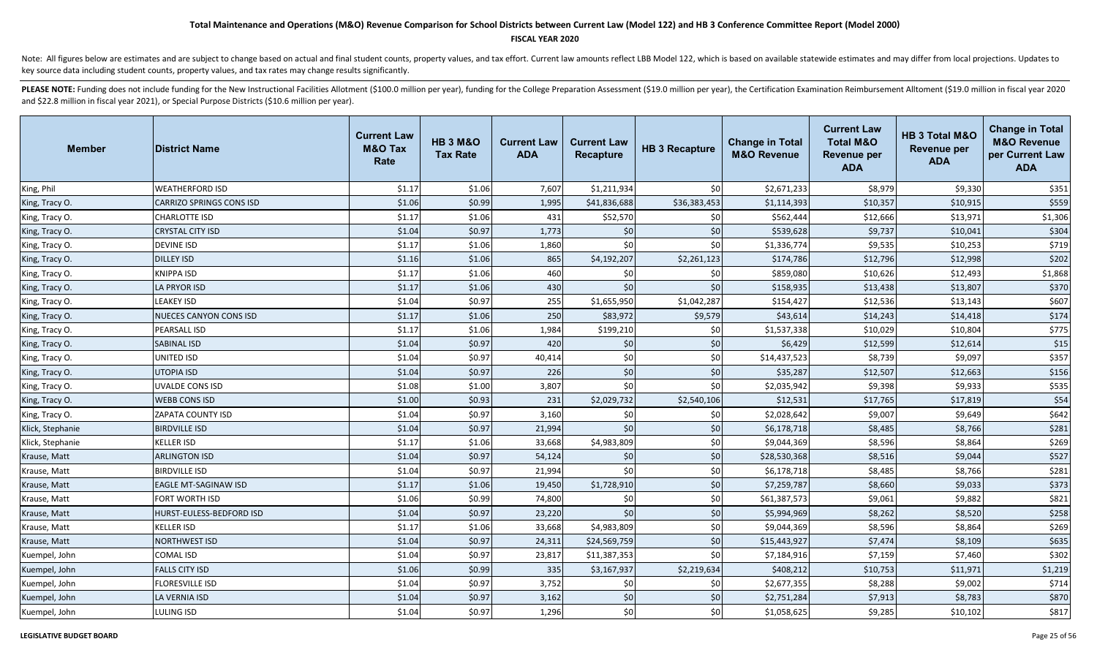#### **FISCAL YEAR 2020**

Note: All figures below are estimates and are subject to change based on actual and final student counts, property values, and tax effort. Current law amounts reflect LBB Model 122, which is based on available statewide es key source data including student counts, property values, and tax rates may change results significantly.

| Member           | <b>District Name</b>            | <b>Current Law</b><br><b>M&amp;O Tax</b><br>Rate | <b>HB 3 M&amp;O</b><br><b>Tax Rate</b> | <b>Current Law</b><br><b>ADA</b> | <b>Current Law</b><br>Recapture | <b>HB 3 Recapture</b> | <b>Change in Total</b><br><b>M&amp;O Revenue</b> | <b>Current Law</b><br><b>Total M&amp;O</b><br>Revenue per<br><b>ADA</b> | HB 3 Total M&O<br><b>Revenue per</b><br><b>ADA</b> | <b>Change in Total</b><br><b>M&amp;O Revenue</b><br>per Current Law<br><b>ADA</b> |
|------------------|---------------------------------|--------------------------------------------------|----------------------------------------|----------------------------------|---------------------------------|-----------------------|--------------------------------------------------|-------------------------------------------------------------------------|----------------------------------------------------|-----------------------------------------------------------------------------------|
| King, Phil       | <b>WEATHERFORD ISD</b>          | \$1.17                                           | \$1.06                                 | 7,607                            | \$1,211,934                     | \$0                   | \$2,671,233                                      | \$8,979                                                                 | \$9,330                                            | \$351                                                                             |
| King, Tracy O.   | <b>CARRIZO SPRINGS CONS ISD</b> | \$1.06                                           | \$0.99                                 | 1,995                            | \$41,836,688                    | \$36,383,453          | \$1,114,393                                      | \$10,357                                                                | \$10,915                                           | \$559                                                                             |
| King, Tracy O.   | <b>CHARLOTTE ISD</b>            | \$1.17                                           | \$1.06                                 | 431                              | \$52,570                        | \$0                   | \$562,444                                        | \$12,666                                                                | \$13,971                                           | \$1,306                                                                           |
| King, Tracy O.   | <b>CRYSTAL CITY ISD</b>         | \$1.04                                           | \$0.97                                 | 1,773                            | \$0                             | \$0                   | \$539,628                                        | \$9,737                                                                 | \$10,041                                           | \$304                                                                             |
| King, Tracy O.   | <b>DEVINE ISD</b>               | \$1.17                                           | \$1.06                                 | 1,860                            | \$0                             | \$0                   | \$1,336,774                                      | \$9,535                                                                 | \$10,253                                           | \$719                                                                             |
| King, Tracy O.   | <b>DILLEY ISD</b>               | \$1.16                                           | \$1.06                                 | 865                              | \$4,192,207                     | \$2,261,123           | \$174,786                                        | \$12,796                                                                | \$12,998                                           | \$202                                                                             |
| King, Tracy O.   | <b>KNIPPA ISD</b>               | \$1.17                                           | \$1.06                                 | 460                              | \$0                             | \$0                   | \$859,080                                        | \$10,626                                                                | \$12,493                                           | \$1,868                                                                           |
| King, Tracy O.   | <b>LA PRYOR ISD</b>             | \$1.17                                           | \$1.06                                 | 430                              | \$0                             | \$0                   | \$158,935                                        | \$13,438                                                                | \$13,807                                           | \$370                                                                             |
| King, Tracy O.   | <b>LEAKEY ISD</b>               | \$1.04                                           | \$0.97                                 | 255                              | \$1,655,950                     | \$1,042,287           | \$154,427                                        | \$12,536                                                                | \$13,143                                           | \$607                                                                             |
| King, Tracy O.   | <b>NUECES CANYON CONS ISD</b>   | \$1.17                                           | \$1.06                                 | 250                              | \$83,972                        | \$9,579               | \$43,614                                         | \$14,243                                                                | \$14,418                                           | \$174                                                                             |
| King, Tracy O.   | <b>PEARSALL ISD</b>             | \$1.17                                           | \$1.06                                 | 1,984                            | \$199,210                       | \$0                   | \$1,537,338                                      | \$10,029                                                                | \$10,804                                           | \$775                                                                             |
| King, Tracy O.   | <b>SABINAL ISD</b>              | \$1.04                                           | \$0.97                                 | 420                              | \$0                             | \$0                   | \$6,429                                          | \$12,599                                                                | \$12,614                                           | \$15                                                                              |
| King, Tracy O.   | UNITED ISD                      | \$1.04                                           | \$0.97                                 | 40,414                           | \$0                             | \$0                   | \$14,437,523                                     | \$8,739                                                                 | \$9,097                                            | \$357                                                                             |
| King, Tracy O.   | <b>UTOPIA ISD</b>               | \$1.04                                           | \$0.97                                 | 226                              | \$0                             | \$0                   | \$35,287                                         | \$12,507                                                                | \$12,663                                           | \$156                                                                             |
| King, Tracy O.   | <b>UVALDE CONS ISD</b>          | \$1.08                                           | \$1.00                                 | 3,807                            | \$0                             | \$0                   | \$2,035,942                                      | \$9,398                                                                 | \$9,933                                            | \$535                                                                             |
| King, Tracy O.   | <b>WEBB CONS ISD</b>            | \$1.00                                           | \$0.93                                 | 231                              | \$2,029,732                     | \$2,540,106           | \$12,531                                         | \$17,765                                                                | \$17,819                                           | \$54                                                                              |
| King, Tracy O.   | <b>ZAPATA COUNTY ISD</b>        | \$1.04                                           | \$0.97                                 | 3,160                            | \$0                             | \$0                   | \$2,028,642                                      | \$9,007                                                                 | \$9,649                                            | \$642                                                                             |
| Klick, Stephanie | <b>BIRDVILLE ISD</b>            | \$1.04                                           | \$0.97                                 | 21,994                           | \$0                             | \$0                   | \$6,178,718                                      | \$8,485                                                                 | \$8,766                                            | \$281                                                                             |
| Klick, Stephanie | <b>KELLER ISD</b>               | \$1.17                                           | \$1.06                                 | 33,668                           | \$4,983,809                     | \$0                   | \$9,044,369                                      | \$8,596                                                                 | \$8,864                                            | \$269                                                                             |
| Krause, Matt     | <b>ARLINGTON ISD</b>            | \$1.04                                           | \$0.97                                 | 54,124                           | \$0                             | \$0                   | \$28,530,368                                     | \$8,516                                                                 | \$9,044                                            | \$527                                                                             |
| Krause, Matt     | <b>BIRDVILLE ISD</b>            | \$1.04                                           | \$0.97                                 | 21,994                           | \$0                             | \$0                   | \$6,178,718                                      | \$8,485                                                                 | \$8,766                                            | \$281                                                                             |
| Krause, Matt     | <b>EAGLE MT-SAGINAW ISD</b>     | \$1.17                                           | \$1.06                                 | 19,450                           | \$1,728,910                     | \$0                   | \$7,259,787                                      | \$8,660                                                                 | \$9,033                                            | \$373                                                                             |
| Krause, Matt     | FORT WORTH ISD                  | \$1.06                                           | \$0.99                                 | 74,800                           | \$0                             | \$0                   | \$61,387,573                                     | \$9,061                                                                 | \$9,882                                            | \$821                                                                             |
| Krause, Matt     | HURST-EULESS-BEDFORD ISD        | \$1.04                                           | \$0.97                                 | 23,220                           | \$0                             | \$0                   | \$5,994,969                                      | \$8,262                                                                 | \$8,520                                            | \$258                                                                             |
| Krause, Matt     | <b>KELLER ISD</b>               | \$1.17                                           | \$1.06                                 | 33,668                           | \$4,983,809                     | \$0                   | \$9,044,369                                      | \$8,596                                                                 | \$8,864                                            | \$269                                                                             |
| Krause, Matt     | <b>NORTHWEST ISD</b>            | \$1.04                                           | \$0.97                                 | 24,311                           | \$24,569,759                    | \$0                   | \$15,443,927                                     | \$7,474                                                                 | \$8,109                                            | \$635                                                                             |
| Kuempel, John    | <b>COMAL ISD</b>                | \$1.04                                           | \$0.97                                 | 23,817                           | \$11,387,353                    | \$0                   | \$7,184,916                                      | \$7,159                                                                 | \$7,460                                            | \$302                                                                             |
| Kuempel, John    | <b>FALLS CITY ISD</b>           | \$1.06                                           | \$0.99                                 | 335                              | \$3,167,937                     | \$2,219,634           | \$408,212                                        | \$10,753                                                                | \$11,971                                           | \$1,219                                                                           |
| Kuempel, John    | <b>FLORESVILLE ISD</b>          | \$1.04                                           | \$0.97                                 | 3,752                            | \$0                             | \$0                   | \$2,677,355                                      | \$8,288                                                                 | \$9,002                                            | \$714                                                                             |
| Kuempel, John    | <b>LA VERNIA ISD</b>            | \$1.04                                           | \$0.97                                 | 3,162                            | \$0                             | \$0                   | \$2,751,284                                      | \$7,913                                                                 | \$8,783                                            | \$870                                                                             |
| Kuempel, John    | <b>LULING ISD</b>               | \$1.04                                           | \$0.97                                 | 1,296                            | \$0                             | \$0                   | \$1,058,625                                      | \$9,285                                                                 | \$10,102                                           | \$817                                                                             |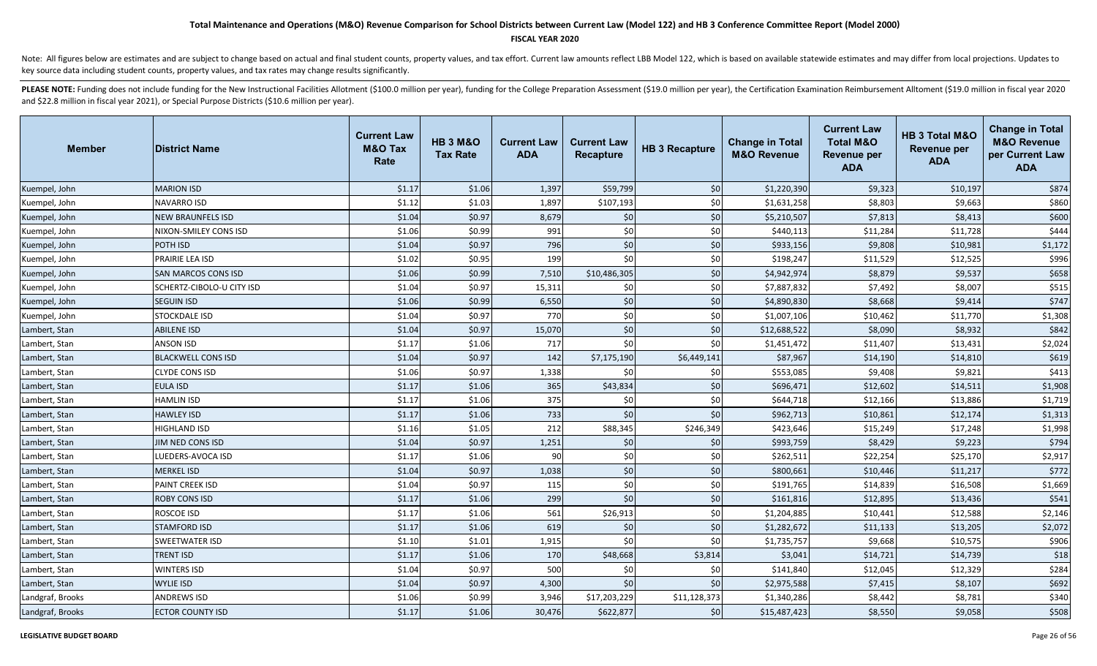### **FISCAL YEAR 2020**

Note: All figures below are estimates and are subject to change based on actual and final student counts, property values, and tax effort. Current law amounts reflect LBB Model 122, which is based on available statewide es key source data including student counts, property values, and tax rates may change results significantly.

| <b>Member</b>    | <b>District Name</b>       | <b>Current Law</b><br><b>M&amp;O Tax</b><br>Rate | <b>HB 3 M&amp;O</b><br><b>Tax Rate</b> | <b>Current Law</b><br><b>ADA</b> | <b>Current Law</b><br><b>Recapture</b> | <b>HB 3 Recapture</b> | <b>Change in Total</b><br><b>M&amp;O Revenue</b> | <b>Current Law</b><br><b>Total M&amp;O</b><br><b>Revenue per</b><br><b>ADA</b> | <b>HB 3 Total M&amp;O</b><br>Revenue per<br><b>ADA</b> | <b>Change in Total</b><br><b>M&amp;O Revenue</b><br>per Current Law<br><b>ADA</b> |
|------------------|----------------------------|--------------------------------------------------|----------------------------------------|----------------------------------|----------------------------------------|-----------------------|--------------------------------------------------|--------------------------------------------------------------------------------|--------------------------------------------------------|-----------------------------------------------------------------------------------|
| Kuempel, John    | <b>MARION ISD</b>          | \$1.17                                           | \$1.06                                 | 1,397                            | \$59,799                               | \$0                   | \$1,220,390                                      | \$9,323                                                                        | \$10,197                                               | \$874                                                                             |
| Kuempel, John    | NAVARRO ISD                | \$1.12                                           | \$1.03                                 | 1,897                            | \$107,193                              | \$0                   | \$1,631,258                                      | \$8,803                                                                        | \$9,663                                                | \$860                                                                             |
| Kuempel, John    | <b>NEW BRAUNFELS ISD</b>   | \$1.04                                           | \$0.97                                 | 8,679                            | \$0                                    | \$0                   | \$5,210,507                                      | \$7,813                                                                        | \$8,413                                                | \$600                                                                             |
| Kuempel, John    | NIXON-SMILEY CONS ISD      | \$1.06                                           | \$0.99                                 | 991                              | \$0                                    | \$0                   | \$440,113                                        | \$11,284                                                                       | \$11,728                                               | \$444                                                                             |
| Kuempel, John    | POTH ISD                   | \$1.04                                           | \$0.97                                 | 796                              | \$0                                    | $$0$                  | \$933,156                                        | \$9,808                                                                        | \$10,981                                               | \$1,172                                                                           |
| Kuempel, John    | PRAIRIE LEA ISD            | \$1.02                                           | \$0.95                                 | 199                              | \$0                                    | \$0                   | \$198,247                                        | \$11,529                                                                       | \$12,525                                               | \$996                                                                             |
| Kuempel, John    | <b>SAN MARCOS CONS ISD</b> | \$1.06                                           | \$0.99                                 | 7,510                            | \$10,486,305                           | \$0                   | \$4,942,974                                      | \$8,879                                                                        | \$9,537                                                | \$658                                                                             |
| Kuempel, John    | SCHERTZ-CIBOLO-U CITY ISD  | \$1.04                                           | \$0.97                                 | 15,311                           | \$0                                    | \$0                   | \$7,887,832                                      | \$7,492                                                                        | \$8,007                                                | \$515                                                                             |
| Kuempel, John    | <b>SEGUIN ISD</b>          | \$1.06                                           | \$0.99                                 | 6,550                            | \$0                                    | \$0                   | \$4,890,830                                      | \$8,668                                                                        | \$9,414                                                | \$747                                                                             |
| Kuempel, John    | STOCKDALE ISD              | \$1.04                                           | \$0.97                                 | 770                              | \$0                                    | \$0                   | \$1,007,106                                      | \$10,462                                                                       | \$11,770                                               | \$1,308                                                                           |
| Lambert, Stan    | <b>ABILENE ISD</b>         | \$1.04                                           | \$0.97                                 | 15,070                           | \$0                                    | \$0                   | \$12,688,522                                     | \$8,090                                                                        | \$8,932                                                | \$842                                                                             |
| Lambert, Stan    | <b>ANSON ISD</b>           | \$1.17                                           | \$1.06                                 | 717                              | \$0                                    | \$0                   | \$1,451,472                                      | \$11,407                                                                       | \$13,431                                               | \$2,024                                                                           |
| Lambert, Stan    | <b>BLACKWELL CONS ISD</b>  | \$1.04                                           | \$0.97                                 | 142                              | \$7,175,190                            | \$6,449,141           | \$87,967                                         | \$14,190                                                                       | \$14,810                                               | \$619                                                                             |
| Lambert, Stan    | CLYDE CONS ISD             | \$1.06                                           | \$0.97                                 | 1,338                            | \$0                                    | \$0                   | \$553,085                                        | \$9,408                                                                        | \$9,821                                                | \$413                                                                             |
| Lambert, Stan    | <b>EULA ISD</b>            | \$1.17                                           | \$1.06                                 | 365                              | \$43,834                               | $$0$                  | \$696,471                                        | \$12,602                                                                       | \$14,511                                               | \$1,908                                                                           |
| Lambert, Stan    | <b>HAMLIN ISD</b>          | \$1.17                                           | \$1.06                                 | 375                              | \$0                                    | $$0$$                 | \$644,718                                        | \$12,166                                                                       | \$13,886                                               | \$1,719                                                                           |
| Lambert, Stan    | <b>HAWLEY ISD</b>          | \$1.17                                           | \$1.06                                 | 733                              | \$0                                    | $$0$$                 | \$962,713                                        | \$10,861                                                                       | \$12,174                                               | \$1,313                                                                           |
| Lambert, Stan    | <b>HIGHLAND ISD</b>        | \$1.16                                           | \$1.05                                 | 212                              | \$88,345                               | \$246,349             | \$423,646                                        | \$15,249                                                                       | \$17,248                                               | \$1,998                                                                           |
| Lambert, Stan    | <b>JIM NED CONS ISD</b>    | \$1.04                                           | \$0.97                                 | 1,251                            | \$0                                    | \$0                   | \$993,759                                        | \$8,429                                                                        | \$9,223                                                | \$794                                                                             |
| Lambert, Stan    | LUEDERS-AVOCA ISD          | \$1.17                                           | \$1.06                                 | 90                               | \$0                                    | \$0                   | \$262,511                                        | \$22,254                                                                       | \$25,170                                               | \$2,917                                                                           |
| Lambert, Stan    | <b>MERKEL ISD</b>          | \$1.04                                           | \$0.97                                 | 1,038                            | \$0                                    | \$0                   | \$800,661                                        | \$10,446                                                                       | \$11,217                                               | \$772                                                                             |
| Lambert, Stan    | PAINT CREEK ISD            | \$1.04                                           | \$0.97                                 | 115                              | \$0                                    | \$0                   | \$191,765                                        | \$14,839                                                                       | \$16,508                                               | \$1,669                                                                           |
| Lambert, Stan    | <b>ROBY CONS ISD</b>       | \$1.17                                           | \$1.06                                 | 299                              | \$0                                    | \$0                   | \$161,816                                        | \$12,895                                                                       | \$13,436                                               | \$541                                                                             |
| Lambert, Stan    | ROSCOE ISD                 | \$1.17                                           | \$1.06                                 | 561                              | \$26,913                               | \$0                   | \$1,204,885                                      | \$10,441                                                                       | \$12,588                                               | \$2,146                                                                           |
| Lambert, Stan    | <b>STAMFORD ISD</b>        | \$1.17                                           | \$1.06                                 | 619                              | \$0                                    | \$0                   | \$1,282,672                                      | \$11,133                                                                       | \$13,205                                               | \$2,072                                                                           |
| Lambert, Stan    | <b>SWEETWATER ISD</b>      | \$1.10                                           | \$1.01                                 | 1,915                            | sol                                    | \$0                   | \$1,735,757                                      | \$9,668                                                                        | \$10,575                                               | \$906                                                                             |
| Lambert, Stan    | <b>TRENT ISD</b>           | \$1.17                                           | \$1.06                                 | 170                              | \$48,668                               | \$3,814               | \$3,041                                          | \$14,721                                                                       | \$14,739                                               | \$18                                                                              |
| Lambert, Stan    | <b>WINTERS ISD</b>         | \$1.04                                           | \$0.97                                 | 500                              | \$0                                    | \$0                   | \$141,840                                        | \$12,045                                                                       | \$12,329                                               | \$284                                                                             |
| Lambert, Stan    | <b>WYLIE ISD</b>           | \$1.04                                           | \$0.97                                 | 4,300                            | \$0                                    | \$0                   | \$2,975,588                                      | \$7,415                                                                        | \$8,107                                                | \$692                                                                             |
| Landgraf, Brooks | <b>ANDREWS ISD</b>         | \$1.06                                           | \$0.99                                 | 3,946                            | \$17,203,229                           | \$11,128,373          | \$1,340,286                                      | \$8,442                                                                        | \$8,781                                                | \$340                                                                             |
| Landgraf, Brooks | <b>ECTOR COUNTY ISD</b>    | \$1.17                                           | \$1.06                                 | 30,476                           | \$622,877                              | \$0                   | \$15,487,423                                     | \$8,550                                                                        | \$9,058                                                | \$508                                                                             |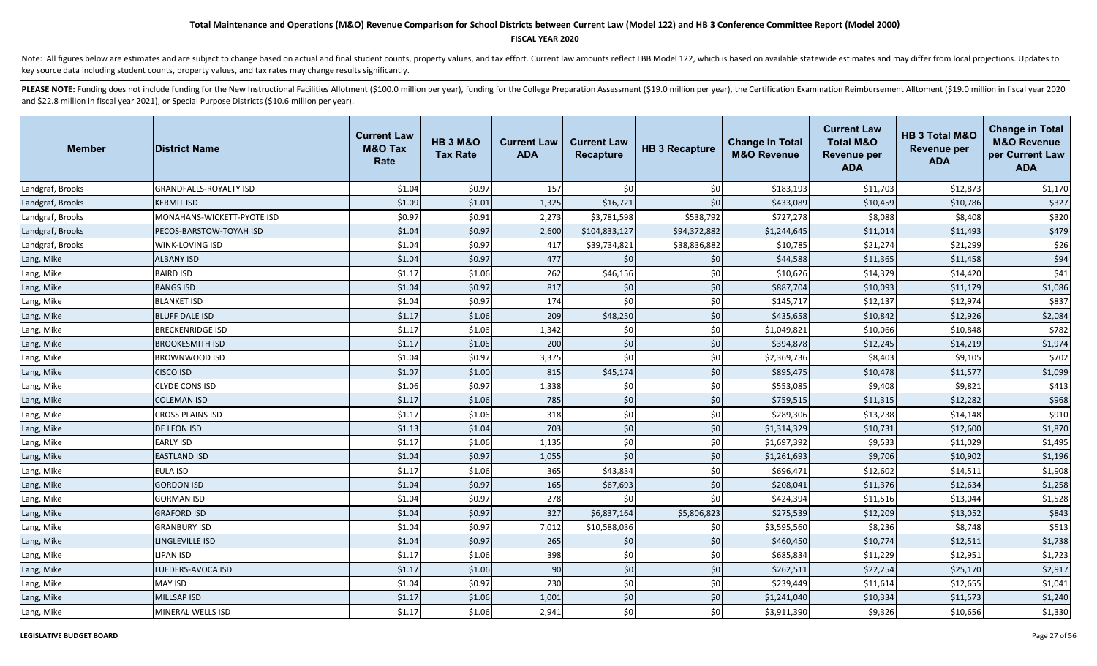### **FISCAL YEAR 2020**

Note: All figures below are estimates and are subject to change based on actual and final student counts, property values, and tax effort. Current law amounts reflect LBB Model 122, which is based on available statewide es key source data including student counts, property values, and tax rates may change results significantly.

| <b>Member</b>    | <b>District Name</b>          | <b>Current Law</b><br><b>M&amp;O Tax</b><br>Rate | <b>HB 3 M&amp;O</b><br><b>Tax Rate</b> | <b>Current Law</b><br><b>ADA</b> | <b>Current Law</b><br><b>Recapture</b> | <b>HB 3 Recapture</b> | <b>Change in Total</b><br><b>M&amp;O Revenue</b> | <b>Current Law</b><br><b>Total M&amp;O</b><br><b>Revenue per</b><br><b>ADA</b> | HB 3 Total M&O<br><b>Revenue per</b><br><b>ADA</b> | <b>Change in Total</b><br><b>M&amp;O Revenue</b><br>per Current Law<br><b>ADA</b> |
|------------------|-------------------------------|--------------------------------------------------|----------------------------------------|----------------------------------|----------------------------------------|-----------------------|--------------------------------------------------|--------------------------------------------------------------------------------|----------------------------------------------------|-----------------------------------------------------------------------------------|
| Landgraf, Brooks | <b>GRANDFALLS-ROYALTY ISD</b> | \$1.04                                           | \$0.97                                 | 157                              | \$0                                    | \$0                   | \$183,193                                        | \$11,703                                                                       | \$12,873                                           | \$1,170                                                                           |
| Landgraf, Brooks | <b>KERMIT ISD</b>             | \$1.09                                           | \$1.01                                 | 1,325                            | \$16,721                               | \$0                   | \$433,089                                        | \$10,459                                                                       | \$10,786                                           | \$327                                                                             |
| Landgraf, Brooks | MONAHANS-WICKETT-PYOTE ISD    | \$0.97                                           | \$0.91                                 | 2,273                            | \$3,781,598                            | \$538,792             | \$727,278                                        | \$8,088                                                                        | \$8,408                                            | \$320                                                                             |
| Landgraf, Brooks | PECOS-BARSTOW-TOYAH ISD       | \$1.04                                           | \$0.97                                 | 2,600                            | \$104,833,127                          | \$94,372,882          | \$1,244,645                                      | \$11,014                                                                       | \$11,493                                           | \$479                                                                             |
| Landgraf, Brooks | WINK-LOVING ISD               | \$1.04                                           | \$0.97                                 | 417                              | \$39,734,821                           | \$38,836,882          | \$10,785                                         | \$21,274                                                                       | \$21,299                                           | \$26                                                                              |
| Lang, Mike       | <b>ALBANY ISD</b>             | \$1.04                                           | \$0.97                                 | 477                              | \$0                                    | \$0                   | \$44,588                                         | \$11,365                                                                       | \$11,458                                           | \$94                                                                              |
| Lang, Mike       | <b>BAIRD ISD</b>              | \$1.17                                           | \$1.06                                 | 262                              | \$46,156                               | \$0                   | \$10,626                                         | \$14,379                                                                       | \$14,420                                           | \$41                                                                              |
| Lang, Mike       | <b>BANGS ISD</b>              | \$1.04                                           | \$0.97                                 | 817                              | \$0                                    | \$0                   | \$887,704                                        | \$10,093                                                                       | \$11,179                                           | \$1,086                                                                           |
| Lang, Mike       | <b>BLANKET ISD</b>            | \$1.04                                           | \$0.97                                 | 174                              | \$0                                    | \$0                   | \$145,717                                        | \$12,137                                                                       | \$12,974                                           | \$837                                                                             |
| Lang, Mike       | <b>BLUFF DALE ISD</b>         | \$1.17                                           | \$1.06                                 | 209                              | \$48,250                               | \$0                   | \$435,658                                        | \$10,842                                                                       | \$12,926                                           | \$2,084                                                                           |
| Lang, Mike       | <b>BRECKENRIDGE ISD</b>       | \$1.17                                           | \$1.06                                 | 1,342                            | \$0                                    | \$0                   | \$1,049,821                                      | \$10,066                                                                       | \$10,848                                           | \$782                                                                             |
| Lang, Mike       | <b>BROOKESMITH ISD</b>        | \$1.17                                           | \$1.06                                 | 200                              | \$0                                    | \$0                   | \$394,878                                        | \$12,245                                                                       | \$14,219                                           | \$1,974                                                                           |
| Lang, Mike       | BROWNWOOD ISD                 | \$1.04                                           | \$0.97                                 | 3,375                            | \$0                                    | $$0$$                 | \$2,369,736                                      | \$8,403                                                                        | \$9,105                                            | \$702                                                                             |
| Lang, Mike       | <b>CISCO ISD</b>              | \$1.07                                           | \$1.00                                 | 815                              | \$45,174                               | $$0$$                 | \$895,475                                        | \$10,478                                                                       | \$11,577                                           | \$1,099                                                                           |
| Lang, Mike       | CLYDE CONS ISD                | \$1.06                                           | \$0.97                                 | 1,338                            | \$0                                    | \$0                   | \$553,085                                        | \$9,408                                                                        | \$9,821                                            | \$413                                                                             |
| Lang, Mike       | <b>COLEMAN ISD</b>            | \$1.17                                           | \$1.06                                 | 785                              | \$0                                    | $$0$$                 | \$759,515                                        | \$11,315                                                                       | \$12,282                                           | \$968                                                                             |
| Lang, Mike       | <b>CROSS PLAINS ISD</b>       | \$1.17                                           | \$1.06                                 | 318                              | \$0                                    | \$0                   | \$289,306                                        | \$13,238                                                                       | \$14,148                                           | \$910                                                                             |
| Lang, Mike       | <b>DE LEON ISD</b>            | \$1.13                                           | \$1.04                                 | 703                              | \$0                                    | \$0                   | \$1,314,329                                      | \$10,731                                                                       | \$12,600                                           | \$1,870                                                                           |
| Lang, Mike       | <b>EARLY ISD</b>              | \$1.17                                           | \$1.06                                 | 1,135                            | \$0                                    | \$0                   | \$1,697,392                                      | \$9,533                                                                        | \$11,029                                           | \$1,495                                                                           |
| Lang, Mike       | <b>EASTLAND ISD</b>           | \$1.04                                           | \$0.97                                 | 1,055                            | \$0                                    | \$0                   | \$1,261,693                                      | \$9,706                                                                        | \$10,902                                           | \$1,196                                                                           |
| Lang, Mike       | <b>EULA ISD</b>               | \$1.17                                           | \$1.06                                 | 365                              | \$43,834                               | \$0                   | \$696,471                                        | \$12,602                                                                       | \$14,511                                           | \$1,908                                                                           |
| Lang, Mike       | <b>GORDON ISD</b>             | \$1.04                                           | \$0.97                                 | 165                              | \$67,693                               | \$0                   | \$208,041                                        | \$11,376                                                                       | \$12,634                                           | \$1,258                                                                           |
| Lang, Mike       | <b>GORMAN ISD</b>             | \$1.04                                           | \$0.97                                 | 278                              | \$0                                    | \$0                   | \$424,394                                        | \$11,516                                                                       | \$13,044                                           | \$1,528                                                                           |
| Lang, Mike       | <b>GRAFORD ISD</b>            | \$1.04                                           | \$0.97                                 | 327                              | \$6,837,164                            | \$5,806,823           | \$275,539                                        | \$12,209                                                                       | \$13,052                                           | \$843                                                                             |
| Lang, Mike       | <b>GRANBURY ISD</b>           | \$1.04                                           | \$0.97                                 | 7,012                            | \$10,588,036                           | \$0                   | \$3,595,560                                      | \$8,236                                                                        | \$8,748                                            | \$513                                                                             |
| Lang, Mike       | LINGLEVILLE ISD               | \$1.04                                           | \$0.97                                 | 265                              | \$0                                    | \$0                   | \$460,450                                        | \$10,774                                                                       | \$12,511                                           | \$1,738                                                                           |
| Lang, Mike       | LIPAN ISD                     | \$1.17                                           | \$1.06                                 | 398                              | \$0                                    | \$0                   | \$685,834                                        | \$11,229                                                                       | \$12,951                                           | \$1,723                                                                           |
| Lang, Mike       | <b>LUEDERS-AVOCA ISD</b>      | \$1.17                                           | \$1.06                                 | 90                               | \$0                                    | \$0                   | \$262,511                                        | \$22,254                                                                       | \$25,170                                           | \$2,917                                                                           |
| Lang, Mike       | <b>MAY ISD</b>                | \$1.04                                           | \$0.97                                 | 230                              | \$0                                    | \$0                   | \$239,449                                        | \$11,614                                                                       | \$12,655                                           | \$1,041                                                                           |
| Lang, Mike       | <b>MILLSAP ISD</b>            | \$1.17                                           | \$1.06                                 | 1,001                            | \$0                                    | \$0                   | \$1,241,040                                      | \$10,334                                                                       | \$11,573                                           | \$1,240                                                                           |
| Lang, Mike       | MINERAL WELLS ISD             | \$1.17                                           | \$1.06                                 | 2,941                            | \$0                                    | \$0                   | \$3,911,390                                      | \$9,326                                                                        | \$10,656                                           | \$1,330                                                                           |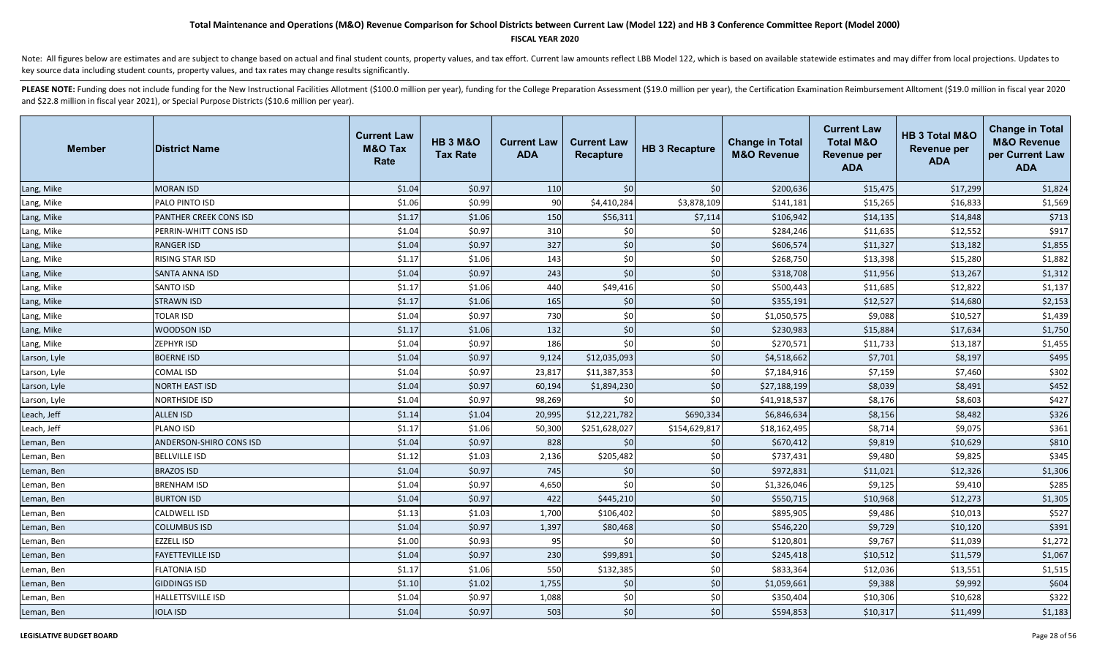### **FISCAL YEAR 2020**

Note: All figures below are estimates and are subject to change based on actual and final student counts, property values, and tax effort. Current law amounts reflect LBB Model 122, which is based on available statewide es key source data including student counts, property values, and tax rates may change results significantly.

| <b>Member</b> | <b>District Name</b>           | <b>Current Law</b><br><b>M&amp;O Tax</b><br>Rate | <b>HB 3 M&amp;O</b><br><b>Tax Rate</b> | <b>Current Law</b><br><b>ADA</b> | <b>Current Law</b><br>Recapture | <b>HB 3 Recapture</b> | <b>Change in Total</b><br><b>M&amp;O Revenue</b> | <b>Current Law</b><br><b>Total M&amp;O</b><br><b>Revenue per</b><br><b>ADA</b> | HB 3 Total M&O<br><b>Revenue per</b><br><b>ADA</b> | <b>Change in Total</b><br><b>M&amp;O Revenue</b><br>per Current Law<br><b>ADA</b> |
|---------------|--------------------------------|--------------------------------------------------|----------------------------------------|----------------------------------|---------------------------------|-----------------------|--------------------------------------------------|--------------------------------------------------------------------------------|----------------------------------------------------|-----------------------------------------------------------------------------------|
| Lang, Mike    | <b>MORAN ISD</b>               | \$1.04                                           | \$0.97                                 | 110                              | \$0                             | \$0                   | \$200,636                                        | \$15,475                                                                       | \$17,299                                           | \$1,824                                                                           |
| Lang, Mike    | PALO PINTO ISD                 | \$1.06                                           | \$0.99                                 | 90                               | \$4,410,284                     | \$3,878,109           | \$141,181                                        | \$15,265                                                                       | \$16,833                                           | \$1,569                                                                           |
| Lang, Mike    | PANTHER CREEK CONS ISD         | \$1.17                                           | \$1.06                                 | 150                              | \$56,311                        | \$7,114               | \$106,942                                        | \$14,135                                                                       | \$14,848                                           | \$713                                                                             |
| Lang, Mike    | PERRIN-WHITT CONS ISD          | \$1.04                                           | \$0.97                                 | 310                              | \$0                             | \$0                   | \$284,246                                        | \$11,635                                                                       | \$12,552                                           | \$917                                                                             |
| Lang, Mike    | <b>RANGER ISD</b>              | \$1.04                                           | \$0.97                                 | 327                              | \$0                             | \$0                   | \$606,574                                        | \$11,327                                                                       | \$13,182                                           | \$1,855                                                                           |
| Lang, Mike    | <b>RISING STAR ISD</b>         | \$1.17                                           | \$1.06                                 | 143                              | \$0                             | \$0                   | \$268,750                                        | \$13,398                                                                       | \$15,280                                           | \$1,882                                                                           |
| Lang, Mike    | <b>SANTA ANNA ISD</b>          | \$1.04                                           | \$0.97                                 | 243                              | \$0                             | \$0                   | \$318,708                                        | \$11,956                                                                       | \$13,267                                           | \$1,312                                                                           |
| Lang, Mike    | <b>SANTO ISD</b>               | \$1.17                                           | \$1.06                                 | 440                              | \$49,416                        | \$0                   | \$500,443                                        | \$11,685                                                                       | \$12,822                                           | \$1,137                                                                           |
| Lang, Mike    | <b>STRAWN ISD</b>              | \$1.17                                           | \$1.06                                 | 165                              | \$0                             | \$0                   | \$355,191                                        | \$12,527                                                                       | \$14,680                                           | \$2,153                                                                           |
| Lang, Mike    | <b>TOLAR ISD</b>               | \$1.04                                           | \$0.97                                 | 730                              | \$0                             | \$0                   | \$1,050,575                                      | \$9,088                                                                        | \$10,527                                           | \$1,439                                                                           |
| Lang, Mike    | <b>WOODSON ISD</b>             | \$1.17                                           | \$1.06                                 | 132                              | \$0                             | \$0                   | \$230,983                                        | \$15,884                                                                       | \$17,634                                           | \$1,750                                                                           |
| Lang, Mike    | <b>ZEPHYR ISD</b>              | \$1.04                                           | \$0.97                                 | 186                              | \$0                             | \$0                   | \$270,571                                        | \$11,733                                                                       | \$13,187                                           | \$1,455                                                                           |
| Larson, Lyle  | <b>BOERNE ISD</b>              | \$1.04                                           | \$0.97                                 | 9,124                            | \$12,035,093                    | \$0                   | \$4,518,662                                      | \$7,701                                                                        | \$8,197                                            | \$495                                                                             |
| Larson, Lyle  | <b>COMAL ISD</b>               | \$1.04                                           | \$0.97                                 | 23,817                           | \$11,387,353                    | \$0                   | \$7,184,916                                      | \$7,159                                                                        | \$7,460                                            | \$302                                                                             |
| Larson, Lyle  | <b>NORTH EAST ISD</b>          | \$1.04                                           | \$0.97                                 | 60,194                           | \$1,894,230                     | \$0                   | \$27,188,199                                     | \$8,039                                                                        | \$8,491                                            | \$452                                                                             |
| Larson, Lyle  | <b>NORTHSIDE ISD</b>           | \$1.04                                           | \$0.97                                 | 98,269                           | \$0                             | \$0                   | \$41,918,537                                     | \$8,176                                                                        | \$8,603                                            | \$427                                                                             |
| Leach, Jeff   | <b>ALLEN ISD</b>               | \$1.14                                           | \$1.04                                 | 20,995                           | \$12,221,782                    | \$690,334             | \$6,846,634                                      | \$8,156                                                                        | \$8,482                                            | \$326                                                                             |
| Leach, Jeff   | <b>PLANO ISD</b>               | \$1.17                                           | \$1.06                                 | 50,300                           | \$251,628,027                   | \$154,629,817         | \$18,162,495                                     | \$8,714                                                                        | \$9,075                                            | \$361                                                                             |
| Leman, Ben    | <b>ANDERSON-SHIRO CONS ISD</b> | \$1.04                                           | \$0.97                                 | 828                              | \$0                             | \$0                   | \$670,412                                        | \$9,819                                                                        | \$10,629                                           | \$810                                                                             |
| Leman, Ben    | <b>BELLVILLE ISD</b>           | \$1.12                                           | \$1.03                                 | 2,136                            | \$205,482                       | \$0                   | \$737,431                                        | \$9,480                                                                        | \$9,825                                            | \$345                                                                             |
| Leman, Ben    | <b>BRAZOS ISD</b>              | \$1.04                                           | \$0.97                                 | 745                              | \$0                             | \$0                   | \$972,831                                        | \$11,021                                                                       | \$12,326                                           | \$1,306                                                                           |
| Leman, Ben    | <b>BRENHAM ISD</b>             | \$1.04                                           | \$0.97                                 | 4,650                            | \$0                             | \$0                   | \$1,326,046                                      | \$9,125                                                                        | \$9,410                                            | \$285                                                                             |
| Leman, Ben    | <b>BURTON ISD</b>              | \$1.04                                           | \$0.97                                 | 422                              | \$445,210                       | \$0                   | \$550,715                                        | \$10,968                                                                       | \$12,273                                           | \$1,305                                                                           |
| Leman, Ben    | <b>CALDWELL ISD</b>            | \$1.13                                           | \$1.03                                 | 1,700                            | \$106,402                       | \$0                   | \$895,905                                        | \$9,486                                                                        | \$10,013                                           | \$527                                                                             |
| Leman, Ben    | <b>COLUMBUS ISD</b>            | \$1.04                                           | \$0.97                                 | 1,397                            | \$80,468                        | \$0                   | \$546,220                                        | \$9,729                                                                        | \$10,120                                           | \$391                                                                             |
| Leman, Ben    | <b>EZZELL ISD</b>              | \$1.00                                           | \$0.93                                 | 95                               | \$0                             | \$0                   | \$120,801                                        | \$9,767                                                                        | \$11,039                                           | \$1,272                                                                           |
| Leman, Ben    | <b>FAYETTEVILLE ISD</b>        | \$1.04                                           | \$0.97                                 | 230                              | \$99,891                        | \$0                   | \$245,418                                        | \$10,512                                                                       | \$11,579                                           | \$1,067                                                                           |
| Leman, Ben    | <b>FLATONIA ISD</b>            | \$1.17                                           | \$1.06                                 | 550                              | \$132,385                       | \$0                   | \$833,364                                        | \$12,036                                                                       | \$13,551                                           | \$1,515                                                                           |
| Leman, Ben    | <b>GIDDINGS ISD</b>            | \$1.10                                           | \$1.02                                 | 1,755                            | \$0                             | \$0                   | \$1,059,661                                      | \$9,388                                                                        | \$9,992                                            | \$604                                                                             |
| Leman, Ben    | <b>HALLETTSVILLE ISD</b>       | \$1.04                                           | \$0.97                                 | 1,088                            | \$0                             | \$0                   | \$350,404                                        | \$10,306                                                                       | \$10,628                                           | \$322                                                                             |
| Leman, Ben    | <b>IOLA ISD</b>                | \$1.04                                           | \$0.97                                 | 503                              | \$0                             | \$0                   | \$594,853                                        | \$10,317                                                                       | \$11,499                                           | \$1,183                                                                           |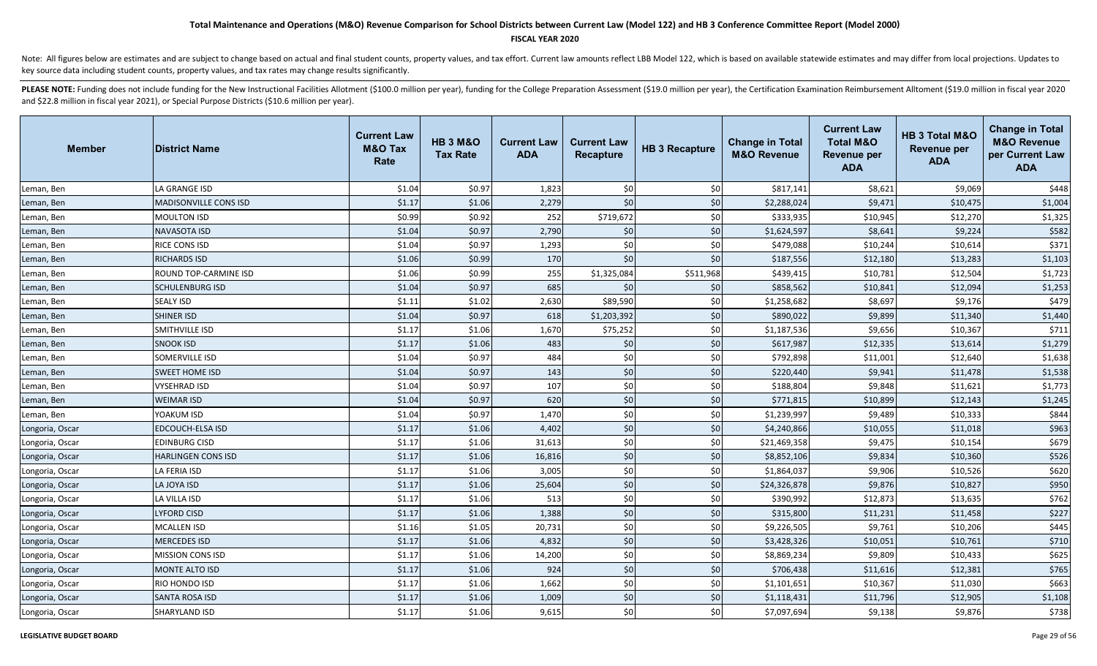### **FISCAL YEAR 2020**

Note: All figures below are estimates and are subject to change based on actual and final student counts, property values, and tax effort. Current law amounts reflect LBB Model 122, which is based on available statewide es key source data including student counts, property values, and tax rates may change results significantly.

| <b>Member</b>   | <b>District Name</b>         | <b>Current Law</b><br><b>M&amp;O Tax</b><br>Rate | <b>HB 3 M&amp;O</b><br><b>Tax Rate</b> | <b>Current Law</b><br><b>ADA</b> | <b>Current Law</b><br><b>Recapture</b> | <b>HB 3 Recapture</b> | <b>Change in Total</b><br><b>M&amp;O Revenue</b> | <b>Current Law</b><br><b>Total M&amp;O</b><br><b>Revenue per</b><br><b>ADA</b> | HB 3 Total M&O<br><b>Revenue per</b><br><b>ADA</b> | <b>Change in Total</b><br><b>M&amp;O Revenue</b><br>per Current Law<br><b>ADA</b> |
|-----------------|------------------------------|--------------------------------------------------|----------------------------------------|----------------------------------|----------------------------------------|-----------------------|--------------------------------------------------|--------------------------------------------------------------------------------|----------------------------------------------------|-----------------------------------------------------------------------------------|
| Leman, Ben      | LA GRANGE ISD                | \$1.04                                           | \$0.97                                 | 1,823                            | \$0                                    | \$0                   | \$817,141                                        | \$8,621                                                                        | \$9,069                                            | \$448                                                                             |
| Leman, Ben      | <b>MADISONVILLE CONS ISD</b> | \$1.17                                           | \$1.06                                 | 2,279                            | \$0                                    | \$0                   | \$2,288,024                                      | \$9,471                                                                        | \$10,475                                           | \$1,004                                                                           |
| Leman, Ben      | <b>MOULTON ISD</b>           | \$0.99                                           | \$0.92                                 | 252                              | \$719,672                              | \$0                   | \$333,935                                        | \$10,945                                                                       | \$12,270                                           | \$1,325                                                                           |
| Leman, Ben      | <b>NAVASOTA ISD</b>          | \$1.04                                           | \$0.97                                 | 2,790                            | \$0                                    | \$0                   | \$1,624,597                                      | \$8,641                                                                        | \$9,224                                            | \$582                                                                             |
| Leman, Ben      | RICE CONS ISD                | \$1.04                                           | \$0.97                                 | 1,293                            | \$0                                    | \$0                   | \$479,088                                        | \$10,244                                                                       | \$10,614                                           | \$371                                                                             |
| Leman, Ben      | <b>RICHARDS ISD</b>          | \$1.06                                           | \$0.99                                 | 170                              | \$0                                    | \$0                   | \$187,556                                        | \$12,180                                                                       | \$13,283                                           | \$1,103                                                                           |
| Leman, Ben      | ROUND TOP-CARMINE ISD        | \$1.06                                           | \$0.99                                 | 255                              | \$1,325,084                            | \$511,968             | \$439,415                                        | \$10,781                                                                       | \$12,504                                           | \$1,723                                                                           |
| Leman, Ben      | <b>SCHULENBURG ISD</b>       | \$1.04                                           | \$0.97                                 | 685                              | \$0                                    | \$0                   | \$858,562                                        | \$10,841                                                                       | \$12,094                                           | \$1,253                                                                           |
| Leman, Ben      | <b>SEALY ISD</b>             | \$1.11                                           | \$1.02                                 | 2,630                            | \$89,590                               | \$0                   | \$1,258,682                                      | \$8,697                                                                        | \$9,176                                            | \$479                                                                             |
| Leman, Ben      | <b>SHINER ISD</b>            | \$1.04                                           | \$0.97                                 | 618                              | \$1,203,392                            | \$0                   | \$890,022                                        | \$9,899                                                                        | \$11,340                                           | \$1,440                                                                           |
| Leman, Ben      | SMITHVILLE ISD               | \$1.17                                           | \$1.06                                 | 1,670                            | \$75,252                               | \$0                   | \$1,187,536                                      | \$9,656                                                                        | \$10,367                                           | \$711                                                                             |
| Leman, Ben      | <b>SNOOK ISD</b>             | \$1.17                                           | \$1.06                                 | 483                              | \$0                                    | \$0                   | \$617,987                                        | \$12,335                                                                       | \$13,614                                           | \$1,279                                                                           |
| Leman, Ben      | SOMERVILLE ISD               | \$1.04                                           | \$0.97                                 | 484                              | \$0                                    | \$0                   | \$792,898                                        | \$11,001                                                                       | \$12,640                                           | \$1,638                                                                           |
| Leman, Ben      | <b>SWEET HOME ISD</b>        | \$1.04                                           | \$0.97                                 | 143                              | \$0                                    | $$0$$                 | \$220,440                                        | \$9,941                                                                        | \$11,478                                           | \$1,538                                                                           |
| Leman, Ben      | <b>VYSEHRAD ISD</b>          | \$1.04                                           | \$0.97                                 | 107                              | \$0                                    | \$0                   | \$188,804                                        | \$9,848                                                                        | \$11,621                                           | \$1,773                                                                           |
| Leman, Ben      | <b>WEIMAR ISD</b>            | \$1.04                                           | \$0.97                                 | 620                              | \$0                                    | \$0                   | \$771,815                                        | \$10,899                                                                       | \$12,143                                           | \$1,245                                                                           |
| Leman, Ben      | YOAKUM ISD                   | \$1.04                                           | \$0.97                                 | 1,470                            | \$0                                    | \$0                   | \$1,239,997                                      | \$9,489                                                                        | \$10,333                                           | \$844                                                                             |
| Longoria, Oscar | <b>EDCOUCH-ELSA ISD</b>      | \$1.17                                           | \$1.06                                 | 4,402                            | \$0                                    | \$0                   | \$4,240,866                                      | \$10,055                                                                       | \$11,018                                           | \$963                                                                             |
| Longoria, Oscar | <b>EDINBURG CISD</b>         | \$1.17                                           | \$1.06                                 | 31,613                           | \$0                                    | \$0                   | \$21,469,358                                     | \$9,475                                                                        | \$10,154                                           | \$679                                                                             |
| Longoria, Oscar | <b>HARLINGEN CONS ISD</b>    | \$1.17                                           | \$1.06                                 | 16,816                           | \$0                                    | \$0                   | \$8,852,106                                      | \$9,834                                                                        | \$10,360                                           | \$526                                                                             |
| Longoria, Oscar | LA FERIA ISD                 | \$1.17                                           | \$1.06                                 | 3,005                            | \$0                                    | \$0                   | \$1,864,037                                      | \$9,906                                                                        | \$10,526                                           | \$620                                                                             |
| Longoria, Oscar | LA JOYA ISD                  | \$1.17                                           | \$1.06                                 | 25,604                           | \$0                                    | \$0                   | \$24,326,878                                     | \$9,876                                                                        | \$10,827                                           | \$950                                                                             |
| Longoria, Oscar | LA VILLA ISD                 | \$1.17                                           | \$1.06                                 | 513                              | \$0                                    | \$0                   | \$390,992                                        | \$12,873                                                                       | \$13,635                                           | \$762                                                                             |
| Longoria, Oscar | LYFORD CISD                  | \$1.17                                           | \$1.06                                 | 1,388                            | \$0                                    | $$0$$                 | \$315,800                                        | \$11,231                                                                       | \$11,458                                           | \$227                                                                             |
| Longoria, Oscar | <b>MCALLEN ISD</b>           | \$1.16                                           | \$1.05                                 | 20,731                           | \$0                                    | \$0                   | \$9,226,505                                      | \$9,761                                                                        | \$10,206                                           | \$445                                                                             |
| Longoria, Oscar | <b>MERCEDES ISD</b>          | \$1.17                                           | \$1.06                                 | 4,832                            | \$0                                    | \$0                   | \$3,428,326                                      | \$10,051                                                                       | \$10,761                                           | \$710                                                                             |
| Longoria, Oscar | <b>MISSION CONS ISD</b>      | \$1.17                                           | \$1.06                                 | 14,200                           | \$0                                    | \$0                   | \$8,869,234                                      | \$9,809                                                                        | \$10,433                                           | \$625                                                                             |
| Longoria, Oscar | <b>MONTE ALTO ISD</b>        | \$1.17                                           | \$1.06                                 | 924                              | \$0                                    | \$0                   | \$706,438                                        | \$11,616                                                                       | \$12,381                                           | \$765                                                                             |
| Longoria, Oscar | RIO HONDO ISD                | \$1.17                                           | \$1.06                                 | 1,662                            | \$0                                    | \$0                   | \$1,101,651                                      | \$10,367                                                                       | \$11,030                                           | \$663                                                                             |
| Longoria, Oscar | <b>SANTA ROSA ISD</b>        | \$1.17                                           | \$1.06                                 | 1,009                            | \$0                                    | \$0                   | \$1,118,431                                      | \$11,796                                                                       | \$12,905                                           | \$1,108                                                                           |
| Longoria, Oscar | SHARYLAND ISD                | \$1.17                                           | \$1.06                                 | 9,615                            | \$0                                    | \$0                   | \$7,097,694                                      | \$9,138                                                                        | \$9,876                                            | \$738                                                                             |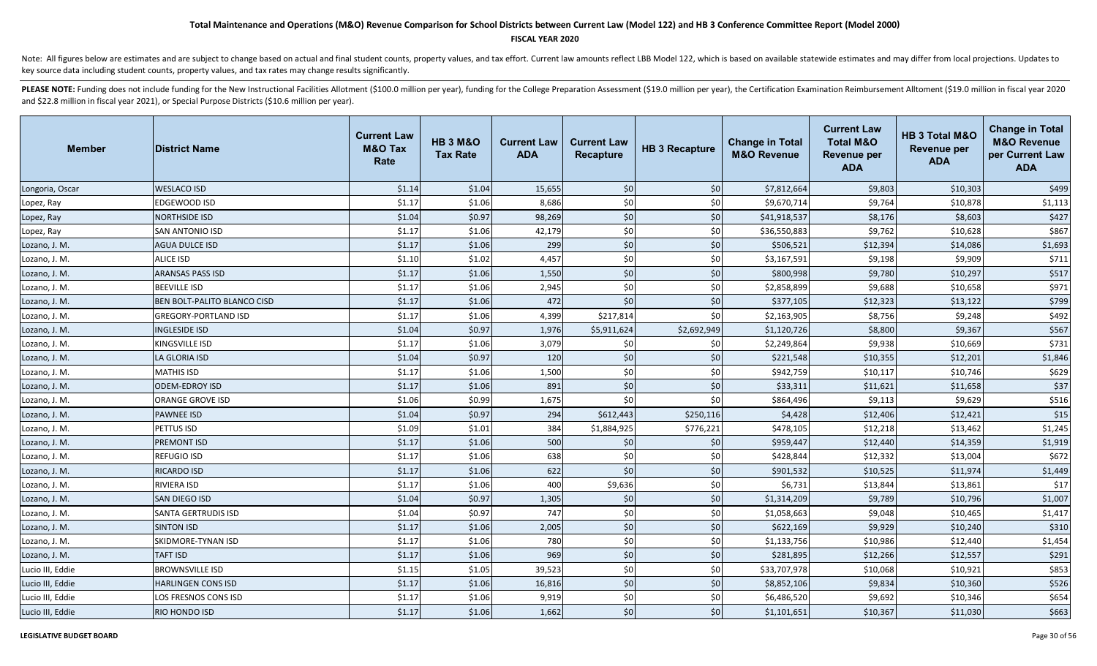### **FISCAL YEAR 2020**

Note: All figures below are estimates and are subject to change based on actual and final student counts, property values, and tax effort. Current law amounts reflect LBB Model 122, which is based on available statewide es key source data including student counts, property values, and tax rates may change results significantly.

| <b>Member</b>    | <b>District Name</b>        | <b>Current Law</b><br><b>M&amp;O Tax</b><br>Rate | <b>HB 3 M&amp;O</b><br><b>Tax Rate</b> | <b>Current Law</b><br><b>ADA</b> | <b>Current Law</b><br>Recapture | <b>HB 3 Recapture</b> | <b>Change in Total</b><br><b>M&amp;O Revenue</b> | <b>Current Law</b><br><b>Total M&amp;O</b><br><b>Revenue per</b><br><b>ADA</b> | HB 3 Total M&O<br><b>Revenue per</b><br><b>ADA</b> | <b>Change in Total</b><br><b>M&amp;O Revenue</b><br>per Current Law<br><b>ADA</b> |
|------------------|-----------------------------|--------------------------------------------------|----------------------------------------|----------------------------------|---------------------------------|-----------------------|--------------------------------------------------|--------------------------------------------------------------------------------|----------------------------------------------------|-----------------------------------------------------------------------------------|
| Longoria, Oscar  | <b>WESLACO ISD</b>          | \$1.14                                           | \$1.04                                 | 15,655                           | \$0                             | \$0                   | \$7,812,664                                      | \$9,803                                                                        | \$10,303                                           | \$499                                                                             |
| Lopez, Ray       | EDGEWOOD ISD                | \$1.17                                           | \$1.06                                 | 8,686                            | \$0                             | \$0                   | \$9,670,714                                      | \$9,764                                                                        | \$10,878                                           | \$1,113                                                                           |
| Lopez, Ray       | <b>NORTHSIDE ISD</b>        | \$1.04                                           | \$0.97                                 | 98,269                           | \$0                             | \$0                   | \$41,918,537                                     | \$8,176                                                                        | \$8,603                                            | \$427                                                                             |
| Lopez, Ray       | <b>SAN ANTONIO ISD</b>      | \$1.17                                           | \$1.06                                 | 42,179                           | \$0                             | \$0                   | \$36,550,883                                     | \$9,762                                                                        | \$10,628                                           | \$867                                                                             |
| Lozano, J. M.    | <b>AGUA DULCE ISD</b>       | \$1.17                                           | \$1.06                                 | 299                              | \$0                             | \$0                   | \$506,521                                        | \$12,394                                                                       | \$14,086                                           | \$1,693                                                                           |
| Lozano, J. M.    | <b>ALICE ISD</b>            | \$1.10                                           | \$1.02                                 | 4,457                            | \$0                             | \$0                   | \$3,167,591                                      | \$9,198                                                                        | \$9,909                                            | \$711                                                                             |
| Lozano, J. M.    | <b>ARANSAS PASS ISD</b>     | \$1.17                                           | \$1.06                                 | 1,550                            | \$0                             | \$0                   | \$800,998                                        | \$9,780                                                                        | \$10,297                                           | \$517                                                                             |
| Lozano, J. M.    | <b>BEEVILLE ISD</b>         | \$1.17                                           | \$1.06                                 | 2,945                            | \$0                             | \$0                   | \$2,858,899                                      | \$9,688                                                                        | \$10,658                                           | \$971                                                                             |
| Lozano, J. M.    | BEN BOLT-PALITO BLANCO CISD | \$1.17                                           | \$1.06                                 | 472                              | \$0                             | \$0                   | \$377,105                                        | \$12,323                                                                       | \$13,122                                           | \$799                                                                             |
| Lozano, J. M.    | <b>GREGORY-PORTLAND ISD</b> | \$1.17                                           | \$1.06                                 | 4,399                            | \$217,814                       | \$0                   | \$2,163,905                                      | \$8,756                                                                        | \$9,248                                            | \$492                                                                             |
| Lozano, J. M.    | <b>INGLESIDE ISD</b>        | \$1.04                                           | \$0.97                                 | 1,976                            | \$5,911,624                     | \$2,692,949           | \$1,120,726                                      | \$8,800                                                                        | \$9,367                                            | \$567                                                                             |
| Lozano, J. M.    | <b>KINGSVILLE ISD</b>       | \$1.17                                           | \$1.06                                 | 3,079                            | \$0                             | \$0                   | \$2,249,864                                      | \$9,938                                                                        | \$10,669                                           | \$731                                                                             |
| Lozano, J. M.    | LA GLORIA ISD               | \$1.04                                           | \$0.97                                 | 120                              | \$0                             | \$0                   | \$221,548                                        | \$10,355                                                                       | \$12,201                                           | \$1,846                                                                           |
| Lozano, J. M.    | <b>MATHIS ISD</b>           | \$1.17                                           | \$1.06                                 | 1,500                            | \$0                             | \$0                   | \$942,759                                        | \$10,117                                                                       | \$10,746                                           | \$629                                                                             |
| Lozano, J. M.    | <b>ODEM-EDROY ISD</b>       | \$1.17                                           | \$1.06                                 | 891                              | \$0                             | \$0                   | \$33,311                                         | \$11,621                                                                       | \$11,658                                           | \$37                                                                              |
| Lozano, J. M.    | <b>ORANGE GROVE ISD</b>     | \$1.06                                           | \$0.99                                 | 1,675                            | \$0                             | \$0                   | \$864,496                                        | \$9,113                                                                        | \$9,629                                            | \$516                                                                             |
| Lozano, J. M.    | <b>PAWNEE ISD</b>           | \$1.04                                           | \$0.97                                 | 294                              | \$612,443                       | \$250,116             | \$4,428                                          | \$12,406                                                                       | \$12,421                                           | \$15                                                                              |
| Lozano, J. M.    | PETTUS ISD                  | \$1.09                                           | \$1.01                                 | 384                              | \$1,884,925                     | \$776,221             | \$478,105                                        | \$12,218                                                                       | \$13,462                                           | \$1,245                                                                           |
| Lozano, J. M.    | <b>PREMONT ISD</b>          | \$1.17                                           | \$1.06                                 | 500                              | \$0                             | \$0                   | \$959,447                                        | \$12,440                                                                       | \$14,359                                           | \$1,919                                                                           |
| Lozano, J. M.    | <b>REFUGIO ISD</b>          | \$1.17                                           | \$1.06                                 | 638                              | \$0                             | \$0                   | \$428,844                                        | \$12,332                                                                       | \$13,004                                           | \$672                                                                             |
| Lozano, J. M.    | <b>RICARDO ISD</b>          | \$1.17                                           | \$1.06                                 | 622                              | \$0                             | \$0                   | \$901,532                                        | \$10,525                                                                       | \$11,974                                           | \$1,449                                                                           |
| Lozano, J. M.    | <b>RIVIERA ISD</b>          | \$1.17                                           | \$1.06                                 | 400                              | \$9,636                         | \$0                   | \$6,731                                          | \$13,844                                                                       | \$13,861                                           | \$17                                                                              |
| Lozano, J. M.    | SAN DIEGO ISD               | \$1.04                                           | \$0.97                                 | 1,305                            | \$0                             | \$0                   | \$1,314,209                                      | \$9,789                                                                        | \$10,796                                           | \$1,007                                                                           |
| Lozano, J. M.    | <b>SANTA GERTRUDIS ISD</b>  | \$1.04                                           | \$0.97                                 | 747                              | \$0                             | \$0                   | \$1,058,663                                      | \$9,048                                                                        | \$10,465                                           | \$1,417                                                                           |
| Lozano, J. M.    | <b>SINTON ISD</b>           | \$1.17                                           | \$1.06                                 | 2,005                            | \$0                             | \$0                   | \$622,169                                        | \$9,929                                                                        | \$10,240                                           | \$310                                                                             |
| Lozano, J. M.    | <b>SKIDMORE-TYNAN ISD</b>   | \$1.17                                           | \$1.06                                 | 780                              | \$0                             | \$0                   | \$1,133,756                                      | \$10,986                                                                       | \$12,440                                           | \$1,454                                                                           |
| Lozano, J. M.    | <b>TAFT ISD</b>             | \$1.17                                           | \$1.06                                 | 969                              | \$0                             | \$0                   | \$281,895                                        | \$12,266                                                                       | \$12,557                                           | \$291                                                                             |
| Lucio III, Eddie | <b>BROWNSVILLE ISD</b>      | \$1.15                                           | \$1.05                                 | 39,523                           | \$0                             | \$0                   | \$33,707,978                                     | \$10,068                                                                       | \$10,921                                           | \$853                                                                             |
| Lucio III, Eddie | <b>HARLINGEN CONS ISD</b>   | \$1.17                                           | \$1.06                                 | 16,816                           | \$0                             | \$0                   | \$8,852,106                                      | \$9,834                                                                        | \$10,360                                           | \$526                                                                             |
| Lucio III, Eddie | LOS FRESNOS CONS ISD        | \$1.17                                           | \$1.06                                 | 9,919                            | \$0                             | \$0                   | \$6,486,520                                      | \$9,692                                                                        | \$10,346                                           | \$654                                                                             |
| Lucio III, Eddie | <b>RIO HONDO ISD</b>        | \$1.17                                           | \$1.06                                 | 1,662                            | \$0                             | \$0                   | \$1,101,651                                      | \$10,367                                                                       | \$11,030                                           | \$663                                                                             |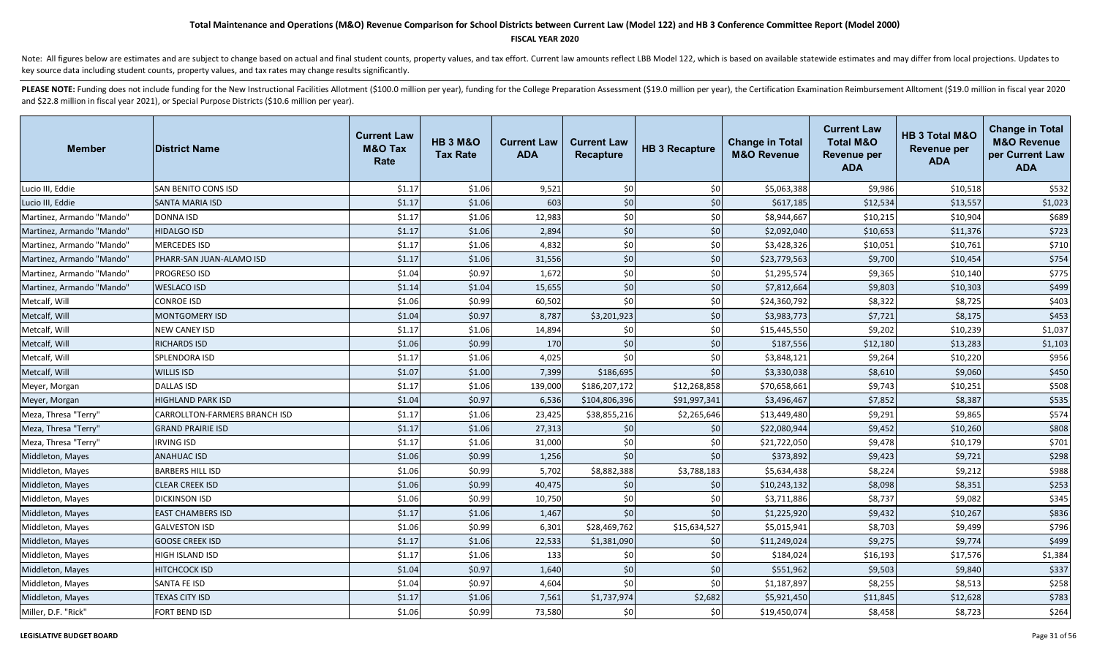### **FISCAL YEAR 2020**

Note: All figures below are estimates and are subject to change based on actual and final student counts, property values, and tax effort. Current law amounts reflect LBB Model 122, which is based on available statewide es key source data including student counts, property values, and tax rates may change results significantly.

| <b>Member</b>             | <b>District Name</b>                 | <b>Current Law</b><br><b>M&amp;O Tax</b><br>Rate | <b>HB 3 M&amp;O</b><br><b>Tax Rate</b> | <b>Current Law</b><br><b>ADA</b> | <b>Current Law</b><br><b>Recapture</b> | <b>HB 3 Recapture</b> | <b>Change in Total</b><br><b>M&amp;O Revenue</b> | <b>Current Law</b><br><b>Total M&amp;O</b><br><b>Revenue per</b><br><b>ADA</b> | HB 3 Total M&O<br><b>Revenue per</b><br><b>ADA</b> | <b>Change in Total</b><br><b>M&amp;O Revenue</b><br>per Current Law<br><b>ADA</b> |
|---------------------------|--------------------------------------|--------------------------------------------------|----------------------------------------|----------------------------------|----------------------------------------|-----------------------|--------------------------------------------------|--------------------------------------------------------------------------------|----------------------------------------------------|-----------------------------------------------------------------------------------|
| Lucio III, Eddie          | SAN BENITO CONS ISD                  | \$1.17                                           | \$1.06                                 | 9,521                            | \$0                                    | \$0                   | \$5,063,388                                      | \$9,986                                                                        | \$10,518                                           | \$532                                                                             |
| Lucio III, Eddie          | <b>SANTA MARIA ISD</b>               | \$1.17                                           | \$1.06                                 | 603                              | \$0                                    | \$0                   | \$617,185                                        | \$12,534                                                                       | \$13,557                                           | \$1,023                                                                           |
| Martinez, Armando "Mando" | <b>DONNA ISD</b>                     | \$1.17                                           | \$1.06                                 | 12,983                           | \$0                                    | \$0                   | \$8,944,667                                      | \$10,215                                                                       | \$10,904                                           | \$689                                                                             |
| Martinez, Armando "Mando" | <b>HIDALGO ISD</b>                   | \$1.17                                           | \$1.06                                 | 2,894                            | \$0                                    | \$0                   | \$2,092,040                                      | \$10,653                                                                       | \$11,376                                           | \$723                                                                             |
| Martinez, Armando "Mando" | <b>MERCEDES ISD</b>                  | \$1.17                                           | \$1.06                                 | 4,832                            | \$0                                    | \$0                   | \$3,428,326                                      | \$10,051                                                                       | \$10,761                                           | \$710                                                                             |
| Martinez, Armando "Mando" | PHARR-SAN JUAN-ALAMO ISD             | \$1.17                                           | \$1.06                                 | 31,556                           | \$0                                    | \$0                   | \$23,779,563                                     | \$9,700                                                                        | \$10,454                                           | \$754                                                                             |
| Martinez, Armando "Mando" | <b>PROGRESO ISD</b>                  | \$1.04                                           | \$0.97                                 | 1,672                            | \$0                                    | \$0                   | \$1,295,574                                      | \$9,365                                                                        | \$10,140                                           | \$775                                                                             |
| Martinez, Armando "Mando" | <b>WESLACO ISD</b>                   | \$1.14                                           | \$1.04                                 | 15,655                           | \$0                                    | \$0                   | \$7,812,664                                      | \$9,803                                                                        | \$10,303                                           | \$499                                                                             |
| Metcalf, Will             | <b>CONROE ISD</b>                    | \$1.06                                           | \$0.99                                 | 60,502                           | \$0                                    | \$0                   | \$24,360,792                                     | \$8,322                                                                        | \$8,725                                            | \$403                                                                             |
| Metcalf, Will             | <b>MONTGOMERY ISD</b>                | \$1.04                                           | \$0.97                                 | 8,787                            | \$3,201,923                            | \$0                   | \$3,983,773                                      | \$7,721                                                                        | \$8,175                                            | \$453                                                                             |
| Metcalf, Will             | <b>NEW CANEY ISD</b>                 | \$1.17                                           | \$1.06                                 | 14,894                           | \$0                                    | \$0                   | \$15,445,550                                     | \$9,202                                                                        | \$10,239                                           | \$1,037                                                                           |
| Metcalf, Will             | <b>RICHARDS ISD</b>                  | \$1.06                                           | \$0.99                                 | 170                              | \$0                                    | \$0                   | \$187,556                                        | \$12,180                                                                       | \$13,283                                           | \$1,103                                                                           |
| Metcalf, Will             | SPLENDORA ISD                        | \$1.17                                           | \$1.06                                 | 4,025                            | \$0                                    | \$0                   | \$3,848,121                                      | \$9,264                                                                        | \$10,220                                           | \$956                                                                             |
| Metcalf, Will             | <b>WILLIS ISD</b>                    | \$1.07                                           | \$1.00                                 | 7,399                            | \$186,695                              | \$0                   | \$3,330,038                                      | \$8,610                                                                        | \$9,060                                            | \$450                                                                             |
| Meyer, Morgan             | <b>DALLAS ISD</b>                    | \$1.17                                           | \$1.06                                 | 139,000                          | \$186,207,172                          | \$12,268,858          | \$70,658,661                                     | \$9,743                                                                        | \$10,251                                           | \$508                                                                             |
| Meyer, Morgan             | <b>HIGHLAND PARK ISD</b>             | \$1.04                                           | \$0.97                                 | 6,536                            | \$104,806,396                          | \$91,997,341          | \$3,496,467                                      | \$7,852                                                                        | \$8,387                                            | \$535                                                                             |
| Meza, Thresa "Terry"      | <b>CARROLLTON-FARMERS BRANCH ISD</b> | \$1.17                                           | \$1.06                                 | 23,425                           | \$38,855,216                           | \$2,265,646           | \$13,449,480                                     | \$9,291                                                                        | \$9,865                                            | \$574                                                                             |
| Meza, Thresa "Terry"      | <b>GRAND PRAIRIE ISD</b>             | \$1.17                                           | \$1.06                                 | 27,313                           | \$0                                    | \$0                   | \$22,080,944                                     | \$9,452                                                                        | \$10,260                                           | \$808                                                                             |
| Meza, Thresa "Terry"      | <b>IRVING ISD</b>                    | \$1.17                                           | \$1.06                                 | 31,000                           | \$0                                    | \$0                   | \$21,722,050                                     | \$9,478                                                                        | \$10,179                                           | \$701                                                                             |
| Middleton, Mayes          | <b>ANAHUAC ISD</b>                   | \$1.06                                           | \$0.99                                 | 1,256                            | \$0                                    | \$0                   | \$373,892                                        | \$9,423                                                                        | \$9,721                                            | \$298                                                                             |
| Middleton, Mayes          | <b>BARBERS HILL ISD</b>              | \$1.06                                           | \$0.99                                 | 5,702                            | \$8,882,388                            | \$3,788,183           | \$5,634,438                                      | \$8,224                                                                        | \$9,212                                            | \$988                                                                             |
| Middleton, Mayes          | <b>CLEAR CREEK ISD</b>               | \$1.06                                           | \$0.99                                 | 40,475                           | \$0                                    | \$0                   | \$10,243,132                                     | \$8,098                                                                        | \$8,351                                            | \$253                                                                             |
| Middleton, Mayes          | <b>DICKINSON ISD</b>                 | \$1.06                                           | \$0.99                                 | 10,750                           | \$0                                    | \$0                   | \$3,711,886                                      | \$8,737                                                                        | \$9,082                                            | \$345                                                                             |
| Middleton, Mayes          | <b>EAST CHAMBERS ISD</b>             | \$1.17                                           | \$1.06                                 | 1,467                            | \$0                                    | \$0                   | \$1,225,920                                      | \$9,432                                                                        | \$10,267                                           | \$836                                                                             |
| Middleton, Mayes          | <b>GALVESTON ISD</b>                 | \$1.06                                           | \$0.99                                 | 6,301                            | \$28,469,762                           | \$15,634,527          | \$5,015,941                                      | \$8,703                                                                        | \$9,499                                            | \$796                                                                             |
| Middleton, Mayes          | <b>GOOSE CREEK ISD</b>               | \$1.17                                           | \$1.06                                 | 22,533                           | \$1,381,090                            | \$0                   | \$11,249,024                                     | \$9,275                                                                        | \$9,774                                            | \$499                                                                             |
| Middleton, Mayes          | HIGH ISLAND ISD                      | \$1.17                                           | \$1.06                                 | 133                              | \$0                                    | \$0                   | \$184,024                                        | \$16,193                                                                       | \$17,576                                           | \$1,384                                                                           |
| Middleton, Mayes          | <b>HITCHCOCK ISD</b>                 | \$1.04                                           | \$0.97                                 | 1,640                            | \$0                                    | \$0                   | \$551,962                                        | \$9,503                                                                        | \$9,840                                            | \$337                                                                             |
| Middleton, Mayes          | SANTA FE ISD                         | \$1.04                                           | \$0.97                                 | 4,604                            | \$0                                    | \$0                   | \$1,187,897                                      | \$8,255                                                                        | \$8,513                                            | \$258                                                                             |
| Middleton, Mayes          | <b>TEXAS CITY ISD</b>                | \$1.17                                           | \$1.06                                 | 7,561                            | \$1,737,974                            | \$2,682               | \$5,921,450                                      | \$11,845                                                                       | \$12,628                                           | \$783                                                                             |
| Miller, D.F. "Rick"       | <b>FORT BEND ISD</b>                 | \$1.06                                           | \$0.99                                 | 73,580                           | \$0                                    | \$0                   | \$19,450,074                                     | \$8,458                                                                        | \$8,723                                            | \$264                                                                             |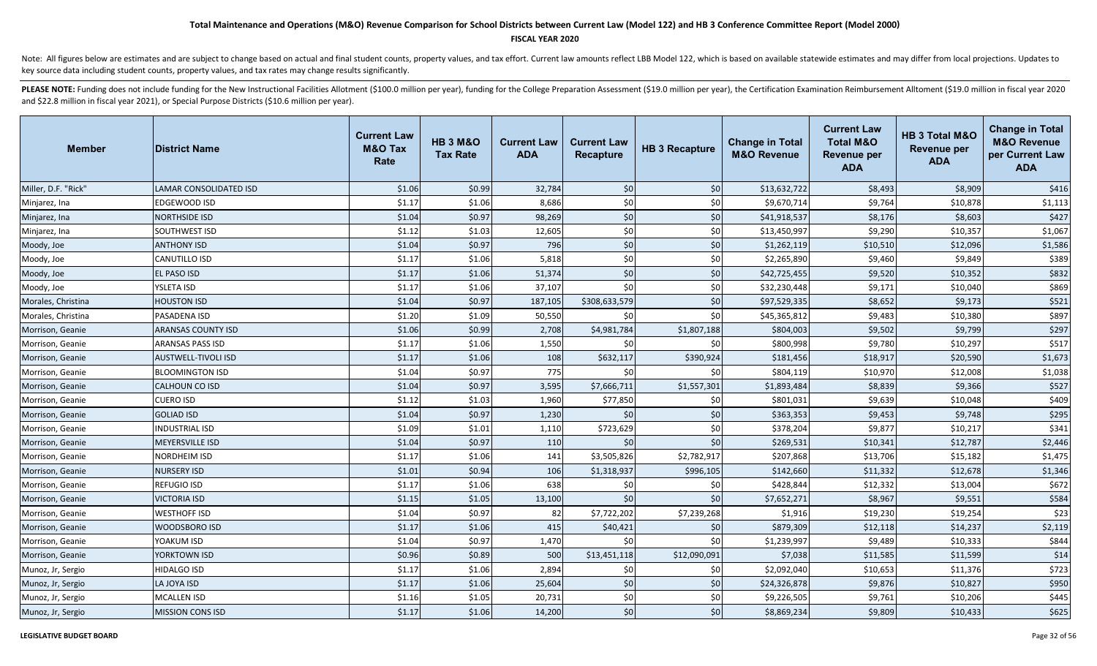#### **FISCAL YEAR 2020**

Note: All figures below are estimates and are subject to change based on actual and final student counts, property values, and tax effort. Current law amounts reflect LBB Model 122, which is based on available statewide es key source data including student counts, property values, and tax rates may change results significantly.

| <b>Member</b>       | <b>District Name</b>          | <b>Current Law</b><br><b>M&amp;O Tax</b><br>Rate | <b>HB 3 M&amp;O</b><br><b>Tax Rate</b> | <b>Current Law</b><br><b>ADA</b> | <b>Current Law</b><br><b>Recapture</b> | <b>HB 3 Recapture</b> | <b>Change in Total</b><br><b>M&amp;O Revenue</b> | <b>Current Law</b><br><b>Total M&amp;O</b><br><b>Revenue per</b><br><b>ADA</b> | <b>HB 3 Total M&amp;O</b><br><b>Revenue per</b><br><b>ADA</b> | <b>Change in Total</b><br><b>M&amp;O Revenue</b><br>per Current Law<br><b>ADA</b> |
|---------------------|-------------------------------|--------------------------------------------------|----------------------------------------|----------------------------------|----------------------------------------|-----------------------|--------------------------------------------------|--------------------------------------------------------------------------------|---------------------------------------------------------------|-----------------------------------------------------------------------------------|
| Miller, D.F. "Rick" | <b>LAMAR CONSOLIDATED ISD</b> | \$1.06                                           | \$0.99                                 | 32,784                           | \$0                                    | \$0                   | \$13,632,722                                     | \$8,493                                                                        | \$8,909                                                       | \$416                                                                             |
| Minjarez, Ina       | EDGEWOOD ISD                  | \$1.17                                           | \$1.06                                 | 8,686                            | \$0                                    | \$0                   | \$9,670,714                                      | \$9,764                                                                        | \$10,878                                                      | \$1,113                                                                           |
| Minjarez, Ina       | <b>NORTHSIDE ISD</b>          | \$1.04                                           | \$0.97                                 | 98,269                           | \$0                                    | \$0                   | \$41,918,537                                     | \$8,176                                                                        | \$8,603                                                       | \$427                                                                             |
| Minjarez, Ina       | SOUTHWEST ISD                 | \$1.12                                           | \$1.03                                 | 12,605                           | \$0                                    | \$0                   | \$13,450,997                                     | \$9,290                                                                        | \$10,357                                                      | \$1,067                                                                           |
| Moody, Joe          | <b>ANTHONY ISD</b>            | \$1.04                                           | \$0.97                                 | 796                              | \$0                                    | \$0                   | \$1,262,119                                      | \$10,510                                                                       | \$12,096                                                      | \$1,586                                                                           |
| Moody, Joe          | CANUTILLO ISD                 | \$1.17                                           | \$1.06                                 | 5,818                            | \$0                                    | \$0                   | \$2,265,890                                      | \$9,460                                                                        | \$9,849                                                       | \$389                                                                             |
| Moody, Joe          | EL PASO ISD                   | \$1.17                                           | \$1.06                                 | 51,374                           | \$0                                    | \$0                   | \$42,725,455                                     | \$9,520                                                                        | \$10,352                                                      | \$832                                                                             |
| Moody, Joe          | YSLETA ISD                    | \$1.17                                           | \$1.06                                 | 37,107                           | \$0                                    | \$0                   | \$32,230,448                                     | \$9,171                                                                        | \$10,040                                                      | \$869                                                                             |
| Morales, Christina  | <b>HOUSTON ISD</b>            | \$1.04                                           | \$0.97                                 | 187,105                          | \$308,633,579                          | \$0                   | \$97,529,335                                     | \$8,652                                                                        | \$9,173                                                       | \$521                                                                             |
| Morales, Christina  | <b>PASADENA ISD</b>           | \$1.20                                           | \$1.09                                 | 50,550                           | \$0                                    | \$0                   | \$45,365,812                                     | \$9,483                                                                        | \$10,380                                                      | \$897                                                                             |
| Morrison, Geanie    | <b>ARANSAS COUNTY ISD</b>     | \$1.06                                           | \$0.99                                 | 2,708                            | \$4,981,784                            | \$1,807,188           | \$804,003                                        | \$9,502                                                                        | \$9,799                                                       | \$297                                                                             |
| Morrison, Geanie    | ARANSAS PASS ISD              | \$1.17                                           | \$1.06                                 | 1,550                            | \$0                                    | \$0                   | \$800,998                                        | \$9,780                                                                        | \$10,297                                                      | \$517                                                                             |
| Morrison, Geanie    | AUSTWELL-TIVOLI ISD           | \$1.17                                           | \$1.06                                 | 108                              | \$632,117                              | \$390,924             | \$181,456                                        | \$18,917                                                                       | \$20,590                                                      | \$1,673                                                                           |
| Morrison, Geanie    | <b>BLOOMINGTON ISD</b>        | \$1.04                                           | \$0.97                                 | 775                              | \$0                                    | \$0                   | \$804,119                                        | \$10,970                                                                       | \$12,008                                                      | \$1,038                                                                           |
| Morrison, Geanie    | CALHOUN CO ISD                | \$1.04                                           | \$0.97                                 | 3,595                            | \$7,666,711                            | \$1,557,301           | \$1,893,484                                      | \$8,839                                                                        | \$9,366                                                       | \$527                                                                             |
| Morrison, Geanie    | <b>CUERO ISD</b>              | \$1.12                                           | \$1.03                                 | 1,960                            | \$77,850                               | \$0                   | \$801,031                                        | \$9,639                                                                        | \$10,048                                                      | \$409                                                                             |
| Morrison, Geanie    | <b>GOLIAD ISD</b>             | \$1.04                                           | \$0.97                                 | 1,230                            | \$0                                    | \$0                   | \$363,353                                        | \$9,453                                                                        | \$9,748                                                       | \$295                                                                             |
| Morrison, Geanie    | <b>INDUSTRIAL ISD</b>         | \$1.09                                           | \$1.01                                 | 1,110                            | \$723,629                              | \$0                   | \$378,204                                        | \$9,877                                                                        | \$10,217                                                      | \$341                                                                             |
| Morrison, Geanie    | <b>MEYERSVILLE ISD</b>        | \$1.04                                           | \$0.97                                 | 110                              | \$0                                    | \$0                   | \$269,531                                        | \$10,341                                                                       | \$12,787                                                      | \$2,446                                                                           |
| Morrison, Geanie    | NORDHEIM ISD                  | \$1.17                                           | \$1.06                                 | 141                              | \$3,505,826                            | \$2,782,917           | \$207,868                                        | \$13,706                                                                       | \$15,182                                                      | \$1,475                                                                           |
| Morrison, Geanie    | <b>NURSERY ISD</b>            | \$1.01                                           | \$0.94                                 | 106                              | \$1,318,937                            | \$996,105             | \$142,660                                        | \$11,332                                                                       | \$12,678                                                      | \$1,346                                                                           |
| Morrison, Geanie    | <b>REFUGIO ISD</b>            | \$1.17                                           | \$1.06                                 | 638                              | \$0                                    | \$0                   | \$428,844                                        | \$12,332                                                                       | \$13,004                                                      | \$672                                                                             |
| Morrison, Geanie    | <b>VICTORIA ISD</b>           | \$1.15                                           | \$1.05                                 | 13,100                           | \$0                                    | \$0                   | \$7,652,271                                      | \$8,967                                                                        | \$9,551                                                       | \$584                                                                             |
| Morrison, Geanie    | <b>WESTHOFF ISD</b>           | \$1.04                                           | \$0.97                                 | 82                               | \$7,722,202                            | \$7,239,268           | \$1,916                                          | \$19,230                                                                       | \$19,254                                                      | \$23                                                                              |
| Morrison, Geanie    | <b>WOODSBORO ISD</b>          | \$1.17                                           | \$1.06                                 | 415                              | \$40,421                               | \$0                   | \$879,309                                        | \$12,118                                                                       | \$14,237                                                      | \$2,119                                                                           |
| Morrison, Geanie    | YOAKUM ISD                    | \$1.04                                           | \$0.97                                 | 1,470                            | \$0                                    | \$0                   | \$1,239,997                                      | \$9,489                                                                        | \$10,333                                                      | \$844                                                                             |
| Morrison, Geanie    | YORKTOWN ISD                  | \$0.96                                           | \$0.89                                 | 500                              | \$13,451,118                           | \$12,090,091          | \$7,038                                          | \$11,585                                                                       | \$11,599                                                      | \$14                                                                              |
| Munoz, Jr, Sergio   | <b>HIDALGO ISD</b>            | \$1.17                                           | \$1.06                                 | 2,894                            | \$0                                    | \$0                   | \$2,092,040                                      | \$10,653                                                                       | \$11,376                                                      | \$723                                                                             |
| Munoz, Jr, Sergio   | LA JOYA ISD                   | \$1.17                                           | \$1.06                                 | 25,604                           | \$0                                    | \$0                   | \$24,326,878                                     | \$9,876                                                                        | \$10,827                                                      | \$950                                                                             |
| Munoz, Jr, Sergio   | <b>MCALLEN ISD</b>            | \$1.16                                           | \$1.05                                 | 20,731                           | \$0                                    | \$0                   | \$9,226,505                                      | \$9,761                                                                        | \$10,206                                                      | \$445                                                                             |
| Munoz, Jr, Sergio   | <b>MISSION CONS ISD</b>       | \$1.17                                           | \$1.06                                 | 14,200                           | \$0                                    | \$0                   | \$8,869,234                                      | \$9,809                                                                        | \$10,433                                                      | \$625                                                                             |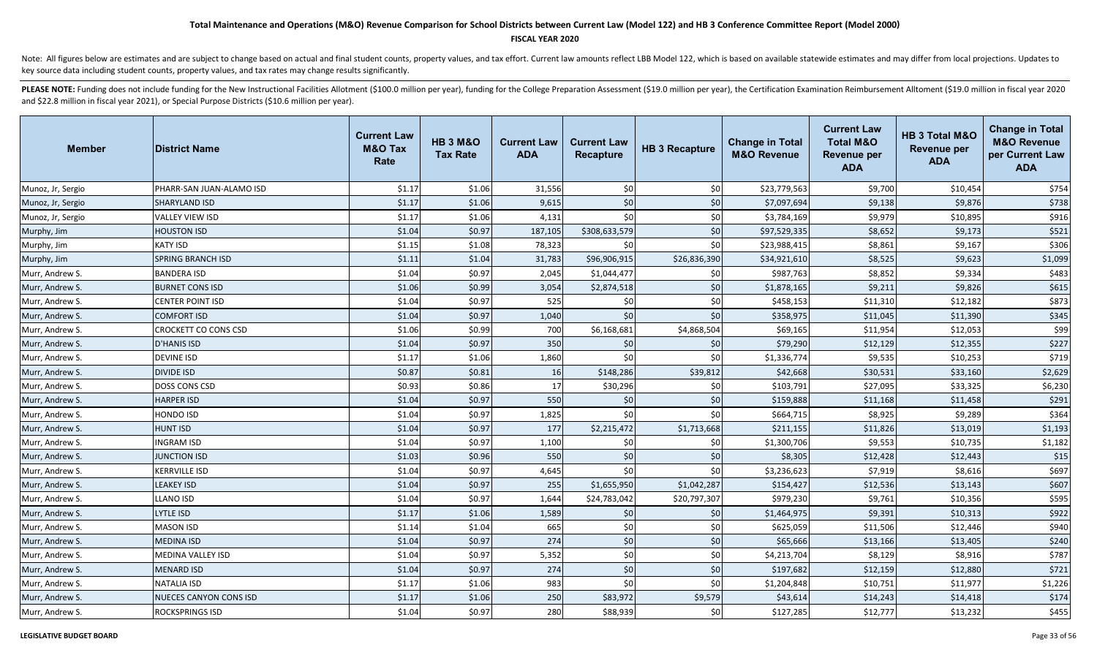### **FISCAL YEAR 2020**

Note: All figures below are estimates and are subject to change based on actual and final student counts, property values, and tax effort. Current law amounts reflect LBB Model 122, which is based on available statewide es key source data including student counts, property values, and tax rates may change results significantly.

| <b>Member</b>     | <b>District Name</b>          | <b>Current Law</b><br><b>M&amp;O Tax</b><br>Rate | <b>HB 3 M&amp;O</b><br><b>Tax Rate</b> | <b>Current Law</b><br><b>ADA</b> | <b>Current Law</b><br><b>Recapture</b> | <b>HB 3 Recapture</b> | <b>Change in Total</b><br><b>M&amp;O Revenue</b> | <b>Current Law</b><br><b>Total M&amp;O</b><br><b>Revenue per</b><br><b>ADA</b> | HB 3 Total M&O<br><b>Revenue per</b><br><b>ADA</b> | <b>Change in Total</b><br><b>M&amp;O Revenue</b><br>per Current Law<br><b>ADA</b> |
|-------------------|-------------------------------|--------------------------------------------------|----------------------------------------|----------------------------------|----------------------------------------|-----------------------|--------------------------------------------------|--------------------------------------------------------------------------------|----------------------------------------------------|-----------------------------------------------------------------------------------|
| Munoz, Jr, Sergio | PHARR-SAN JUAN-ALAMO ISD      | \$1.17                                           | \$1.06                                 | 31,556                           | \$0                                    | \$0                   | \$23,779,563                                     | \$9,700                                                                        | \$10,454                                           | \$754                                                                             |
| Munoz, Jr, Sergio | <b>SHARYLAND ISD</b>          | \$1.17                                           | \$1.06                                 | 9,615                            | \$0                                    | \$0                   | \$7,097,694                                      | \$9,138                                                                        | \$9,876                                            | \$738                                                                             |
| Munoz, Jr, Sergio | VALLEY VIEW ISD               | \$1.17                                           | \$1.06                                 | 4,131                            | \$0                                    | \$0                   | \$3,784,169                                      | \$9,979                                                                        | \$10,895                                           | \$916                                                                             |
| Murphy, Jim       | <b>HOUSTON ISD</b>            | \$1.04                                           | \$0.97                                 | 187,105                          | \$308,633,579                          | \$0                   | \$97,529,335                                     | \$8,652                                                                        | \$9,173                                            | \$521                                                                             |
| Murphy, Jim       | <b>KATY ISD</b>               | \$1.15                                           | \$1.08                                 | 78,323                           | \$0                                    | \$0                   | \$23,988,415                                     | \$8,861                                                                        | \$9,167                                            | \$306                                                                             |
| Murphy, Jim       | <b>SPRING BRANCH ISD</b>      | \$1.11                                           | \$1.04                                 | 31,783                           | \$96,906,915                           | \$26,836,390          | \$34,921,610                                     | \$8,525                                                                        | \$9,623                                            | \$1,099                                                                           |
| Murr, Andrew S.   | <b>BANDERA ISD</b>            | \$1.04                                           | \$0.97                                 | 2,045                            | \$1,044,477                            | \$0                   | \$987,763                                        | \$8,852                                                                        | \$9,334                                            | \$483                                                                             |
| Murr, Andrew S.   | <b>BURNET CONS ISD</b>        | \$1.06                                           | \$0.99                                 | 3,054                            | \$2,874,518                            | \$0                   | \$1,878,165                                      | \$9,211                                                                        | \$9,826                                            | \$615                                                                             |
| Murr, Andrew S.   | CENTER POINT ISD              | \$1.04                                           | \$0.97                                 | 525                              | \$0                                    | \$0                   | \$458,153                                        | \$11,310                                                                       | \$12,182                                           | \$873                                                                             |
| Murr, Andrew S.   | <b>COMFORT ISD</b>            | \$1.04                                           | \$0.97                                 | 1,040                            | \$0                                    | \$0                   | \$358,975                                        | \$11,045                                                                       | \$11,390                                           | \$345                                                                             |
| Murr, Andrew S.   | CROCKETT CO CONS CSD          | \$1.06                                           | \$0.99                                 | 700                              | \$6,168,681                            | \$4,868,504           | \$69,165                                         | \$11,954                                                                       | \$12,053                                           | \$99                                                                              |
| Murr, Andrew S.   | <b>D'HANIS ISD</b>            | \$1.04                                           | \$0.97                                 | 350                              | \$0                                    | \$0                   | \$79,290                                         | \$12,129                                                                       | \$12,355                                           | \$227                                                                             |
| Murr, Andrew S.   | <b>DEVINE ISD</b>             | \$1.17                                           | \$1.06                                 | 1,860                            | \$0                                    | \$0                   | \$1,336,774                                      | \$9,535                                                                        | \$10,253                                           | \$719                                                                             |
| Murr, Andrew S.   | <b>DIVIDE ISD</b>             | \$0.87                                           | \$0.81                                 | 16                               | \$148,286                              | \$39,812              | \$42,668                                         | \$30,531                                                                       | \$33,160                                           | \$2,629                                                                           |
| Murr, Andrew S.   | DOSS CONS CSD                 | \$0.93                                           | \$0.86                                 | 17                               | \$30,296                               | \$0                   | \$103,791                                        | \$27,095                                                                       | \$33,325                                           | \$6,230                                                                           |
| Murr, Andrew S.   | <b>HARPER ISD</b>             | \$1.04                                           | \$0.97                                 | 550                              | \$0                                    | \$0                   | \$159,888                                        | \$11,168                                                                       | \$11,458                                           | \$291                                                                             |
| Murr, Andrew S.   | <b>HONDO ISD</b>              | \$1.04                                           | \$0.97                                 | 1,825                            | \$0                                    | \$0                   | \$664,715                                        | \$8,925                                                                        | \$9,289                                            | \$364                                                                             |
| Murr, Andrew S.   | <b>HUNT ISD</b>               | \$1.04                                           | \$0.97                                 | 177                              | \$2,215,472                            | \$1,713,668           | \$211,155                                        | \$11,826                                                                       | \$13,019                                           | \$1,193                                                                           |
| Murr, Andrew S.   | <b>INGRAM ISD</b>             | \$1.04                                           | \$0.97                                 | 1,100                            | \$0                                    | \$0                   | \$1,300,706                                      | \$9,553                                                                        | \$10,735                                           | \$1,182                                                                           |
| Murr, Andrew S.   | <b>JUNCTION ISD</b>           | \$1.03                                           | \$0.96                                 | 550                              | \$0                                    | \$0                   | \$8,305                                          | \$12,428                                                                       | \$12,443                                           | \$15                                                                              |
| Murr, Andrew S.   | <b>KERRVILLE ISD</b>          | \$1.04                                           | \$0.97                                 | 4,645                            | \$0                                    | \$0                   | \$3,236,623                                      | \$7,919                                                                        | \$8,616                                            | \$697                                                                             |
| Murr, Andrew S.   | <b>LEAKEY ISD</b>             | \$1.04                                           | \$0.97                                 | 255                              | \$1,655,950                            | \$1,042,287           | \$154,427                                        | \$12,536                                                                       | \$13,143                                           | \$607                                                                             |
| Murr, Andrew S.   | <b>LLANO ISD</b>              | \$1.04                                           | \$0.97                                 | 1,644                            | \$24,783,042                           | \$20,797,307          | \$979,230                                        | \$9,761                                                                        | \$10,356                                           | \$595                                                                             |
| Murr, Andrew S.   | LYTLE ISD                     | \$1.17                                           | \$1.06                                 | 1,589                            | \$0                                    | \$0                   | \$1,464,975                                      | \$9,391                                                                        | \$10,313                                           | \$922                                                                             |
| Murr, Andrew S.   | <b>MASON ISD</b>              | \$1.14                                           | \$1.04                                 | 665                              | \$0                                    | \$0                   | \$625,059                                        | \$11,506                                                                       | \$12,446                                           | \$940                                                                             |
| Murr, Andrew S.   | <b>MEDINA ISD</b>             | \$1.04                                           | \$0.97                                 | 274                              | \$0                                    | \$0                   | \$65,666                                         | \$13,166                                                                       | \$13,405                                           | \$240                                                                             |
| Murr, Andrew S.   | <b>MEDINA VALLEY ISD</b>      | \$1.04                                           | \$0.97                                 | 5,352                            | \$0                                    | \$0                   | \$4,213,704                                      | \$8,129                                                                        | \$8,916                                            | \$787                                                                             |
| Murr, Andrew S.   | <b>MENARD ISD</b>             | \$1.04                                           | \$0.97                                 | 274                              | \$0                                    | \$0                   | \$197,682                                        | \$12,159                                                                       | \$12,880                                           | \$721                                                                             |
| Murr, Andrew S.   | <b>NATALIA ISD</b>            | \$1.17                                           | \$1.06                                 | 983                              | \$0                                    | \$0                   | \$1,204,848                                      | \$10,751                                                                       | \$11,977                                           | \$1,226                                                                           |
| Murr, Andrew S.   | <b>NUECES CANYON CONS ISD</b> | \$1.17                                           | \$1.06                                 | 250                              | \$83,972                               | \$9,579               | \$43,614                                         | \$14,243                                                                       | \$14,418                                           | \$174                                                                             |
| Murr, Andrew S.   | <b>ROCKSPRINGS ISD</b>        | \$1.04                                           | \$0.97                                 | 280                              | \$88,939                               | \$0                   | \$127,285                                        | \$12,777                                                                       | \$13,232                                           | \$455                                                                             |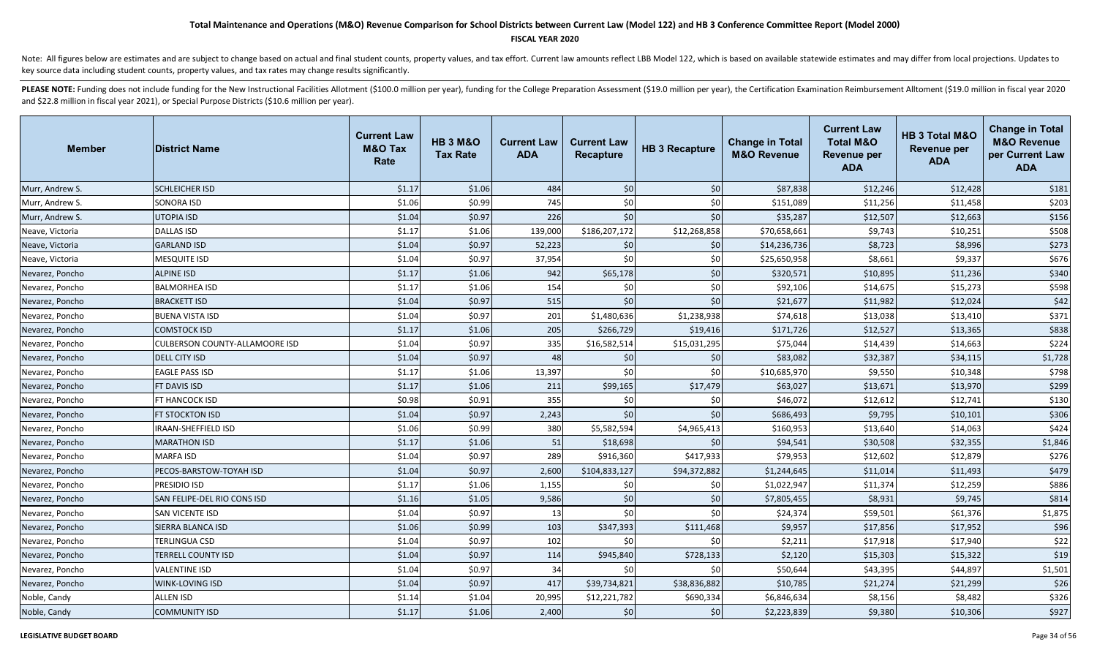### **FISCAL YEAR 2020**

Note: All figures below are estimates and are subject to change based on actual and final student counts, property values, and tax effort. Current law amounts reflect LBB Model 122, which is based on available statewide es key source data including student counts, property values, and tax rates may change results significantly.

| <b>Member</b>   | <b>District Name</b>           | <b>Current Law</b><br><b>M&amp;O Tax</b><br>Rate | <b>HB 3 M&amp;O</b><br><b>Tax Rate</b> | <b>Current Law</b><br><b>ADA</b> | <b>Current Law</b><br><b>Recapture</b> | <b>HB 3 Recapture</b> | <b>Change in Total</b><br><b>M&amp;O Revenue</b> | <b>Current Law</b><br><b>Total M&amp;O</b><br><b>Revenue per</b><br><b>ADA</b> | HB 3 Total M&O<br><b>Revenue per</b><br><b>ADA</b> | <b>Change in Total</b><br><b>M&amp;O Revenue</b><br>per Current Law<br><b>ADA</b> |
|-----------------|--------------------------------|--------------------------------------------------|----------------------------------------|----------------------------------|----------------------------------------|-----------------------|--------------------------------------------------|--------------------------------------------------------------------------------|----------------------------------------------------|-----------------------------------------------------------------------------------|
| Murr, Andrew S. | <b>SCHLEICHER ISD</b>          | \$1.17                                           | \$1.06                                 | 484                              | \$0                                    | \$0                   | \$87,838                                         | \$12,246                                                                       | \$12,428                                           | \$181                                                                             |
| Murr, Andrew S. | <b>SONORA ISD</b>              | \$1.06                                           | \$0.99                                 | 745                              | \$0                                    | \$0                   | \$151,089                                        | \$11,256                                                                       | \$11,458                                           | \$203                                                                             |
| Murr, Andrew S. | <b>UTOPIA ISD</b>              | \$1.04                                           | \$0.97                                 | 226                              | \$0                                    | \$0                   | \$35,287                                         | \$12,507                                                                       | \$12,663                                           | \$156                                                                             |
| Neave, Victoria | <b>DALLAS ISD</b>              | \$1.17                                           | \$1.06                                 | 139,000                          | \$186,207,172                          | \$12,268,858          | \$70,658,661                                     | \$9,743                                                                        | \$10,251                                           | \$508                                                                             |
| Neave, Victoria | <b>GARLAND ISD</b>             | \$1.04                                           | \$0.97                                 | 52,223                           | \$0                                    | \$0                   | \$14,236,736                                     | \$8,723                                                                        | \$8,996                                            | \$273                                                                             |
| Neave, Victoria | MESQUITE ISD                   | \$1.04                                           | \$0.97                                 | 37,954                           | \$0                                    | \$0                   | \$25,650,958                                     | \$8,661                                                                        | \$9,337                                            | \$676                                                                             |
| Nevarez, Poncho | ALPINE ISD                     | \$1.17                                           | \$1.06                                 | 942                              | \$65,178                               | \$0                   | \$320,571                                        | \$10,895                                                                       | \$11,236                                           | \$340                                                                             |
| Nevarez, Poncho | <b>BALMORHEA ISD</b>           | \$1.17                                           | \$1.06                                 | 154                              | \$0                                    | \$0                   | \$92,106                                         | \$14,675                                                                       | \$15,273                                           | \$598                                                                             |
| Nevarez, Poncho | <b>BRACKETT ISD</b>            | \$1.04                                           | \$0.97                                 | 515                              | \$0                                    | \$0                   | \$21,677                                         | \$11,982                                                                       | \$12,024                                           | \$42                                                                              |
| Nevarez, Poncho | <b>BUENA VISTA ISD</b>         | \$1.04                                           | \$0.97                                 | 201                              | \$1,480,636                            | \$1,238,938           | \$74,618                                         | \$13,038                                                                       | \$13,410                                           | \$371                                                                             |
| Nevarez, Poncho | <b>COMSTOCK ISD</b>            | \$1.17                                           | \$1.06                                 | 205                              | \$266,729                              | \$19,416              | \$171,726                                        | \$12,527                                                                       | \$13,365                                           | \$838                                                                             |
| Nevarez, Poncho | CULBERSON COUNTY-ALLAMOORE ISD | \$1.04                                           | \$0.97                                 | 335                              | \$16,582,514                           | \$15,031,295          | \$75,044                                         | \$14,439                                                                       | \$14,663                                           | \$224                                                                             |
| Nevarez, Poncho | <b>DELL CITY ISD</b>           | \$1.04                                           | \$0.97                                 | 48                               | \$0                                    | \$0                   | \$83,082                                         | \$32,387                                                                       | \$34,115                                           | \$1,728                                                                           |
| Nevarez, Poncho | EAGLE PASS ISD                 | \$1.17                                           | \$1.06                                 | 13,397                           | \$0                                    | \$0                   | \$10,685,970                                     | \$9,550                                                                        | \$10,348                                           | \$798                                                                             |
| Nevarez, Poncho | <b>FT DAVIS ISD</b>            | \$1.17                                           | \$1.06                                 | 211                              | \$99,165                               | \$17,479              | \$63,027                                         | \$13,671                                                                       | \$13,970                                           | \$299                                                                             |
| Nevarez, Poncho | FT HANCOCK ISD                 | \$0.98                                           | \$0.91                                 | 355                              | \$0                                    | \$0                   | \$46,072                                         | \$12,612                                                                       | \$12,741                                           | \$130                                                                             |
| Nevarez, Poncho | FT STOCKTON ISD                | \$1.04                                           | \$0.97                                 | 2,243                            | \$0                                    | \$0                   | \$686,493                                        | \$9,795                                                                        | \$10,101                                           | \$306                                                                             |
| Nevarez, Poncho | <b>IRAAN-SHEFFIELD ISD</b>     | \$1.06                                           | \$0.99                                 | 380                              | \$5,582,594                            | \$4,965,413           | \$160,953                                        | \$13,640                                                                       | \$14,063                                           | \$424                                                                             |
| Nevarez, Poncho | <b>MARATHON ISD</b>            | \$1.17                                           | \$1.06                                 | 51                               | \$18,698                               | \$0                   | \$94,541                                         | \$30,508                                                                       | \$32,355                                           | \$1,846                                                                           |
| Nevarez, Poncho | <b>MARFA ISD</b>               | \$1.04                                           | \$0.97                                 | 289                              | \$916,360                              | \$417,933             | \$79,953                                         | \$12,602                                                                       | \$12,879                                           | \$276                                                                             |
| Nevarez, Poncho | PECOS-BARSTOW-TOYAH ISD        | \$1.04                                           | \$0.97                                 | 2,600                            | \$104,833,127                          | \$94,372,882          | \$1,244,645                                      | \$11,014                                                                       | \$11,493                                           | \$479                                                                             |
| Nevarez, Poncho | PRESIDIO ISD                   | \$1.17                                           | \$1.06                                 | 1,155                            | \$0                                    | \$0                   | \$1,022,947                                      | \$11,374                                                                       | \$12,259                                           | \$886                                                                             |
| Nevarez, Poncho | SAN FELIPE-DEL RIO CONS ISD    | \$1.16                                           | \$1.05                                 | 9,586                            | \$0                                    | \$0                   | \$7,805,455                                      | \$8,931                                                                        | \$9,745                                            | \$814                                                                             |
| Nevarez, Poncho | SAN VICENTE ISD                | \$1.04                                           | \$0.97                                 | 13                               | \$0                                    | \$0                   | \$24,374                                         | \$59,501                                                                       | \$61,376                                           | \$1,875                                                                           |
| Nevarez, Poncho | SIERRA BLANCA ISD              | \$1.06                                           | \$0.99                                 | 103                              | \$347,393                              | \$111,468             | \$9,957                                          | \$17,856                                                                       | \$17,952                                           | \$96                                                                              |
| Nevarez, Poncho | TERLINGUA CSD                  | \$1.04                                           | \$0.97                                 | 102                              | \$0                                    | \$0                   | \$2,211                                          | \$17,918                                                                       | \$17,940                                           | \$22                                                                              |
| Nevarez, Poncho | <b>TERRELL COUNTY ISD</b>      | \$1.04                                           | \$0.97                                 | 114                              | \$945,840                              | \$728,133             | \$2,120                                          | \$15,303                                                                       | \$15,322                                           | \$19                                                                              |
| Nevarez, Poncho | <b>VALENTINE ISD</b>           | \$1.04                                           | \$0.97                                 | 34                               | \$0                                    | \$0                   | \$50,644                                         | \$43,395                                                                       | \$44,897                                           | \$1,501                                                                           |
| Nevarez, Poncho | <b>WINK-LOVING ISD</b>         | \$1.04                                           | \$0.97                                 | 417                              | \$39,734,821                           | \$38,836,882          | \$10,785                                         | \$21,274                                                                       | \$21,299                                           | \$26                                                                              |
| Noble, Candy    | ALLEN ISD                      | \$1.14                                           | \$1.04                                 | 20,995                           | \$12,221,782                           | \$690,334             | \$6,846,634                                      | \$8,156                                                                        | \$8,482                                            | \$326                                                                             |
| Noble, Candy    | <b>COMMUNITY ISD</b>           | \$1.17                                           | \$1.06                                 | 2,400                            | \$0                                    | \$0                   | \$2,223,839                                      | \$9,380                                                                        | \$10,306                                           | \$927                                                                             |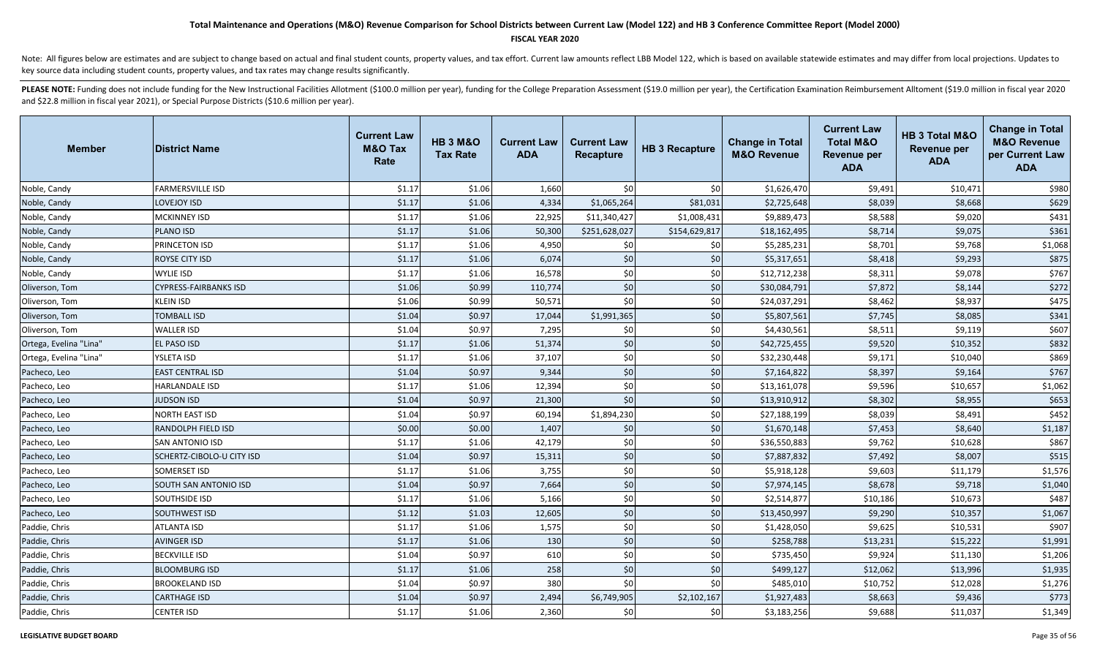### **FISCAL YEAR 2020**

Note: All figures below are estimates and are subject to change based on actual and final student counts, property values, and tax effort. Current law amounts reflect LBB Model 122, which is based on available statewide es key source data including student counts, property values, and tax rates may change results significantly.

| <b>Member</b>          | <b>District Name</b>         | <b>Current Law</b><br><b>M&amp;O Tax</b><br>Rate | <b>HB 3 M&amp;O</b><br><b>Tax Rate</b> | <b>Current Law</b><br><b>ADA</b> | <b>Current Law</b><br><b>Recapture</b> | <b>HB 3 Recapture</b> | <b>Change in Total</b><br><b>M&amp;O Revenue</b> | <b>Current Law</b><br><b>Total M&amp;O</b><br><b>Revenue per</b><br><b>ADA</b> | HB 3 Total M&O<br><b>Revenue per</b><br><b>ADA</b> | <b>Change in Total</b><br><b>M&amp;O Revenue</b><br>per Current Law<br><b>ADA</b> |
|------------------------|------------------------------|--------------------------------------------------|----------------------------------------|----------------------------------|----------------------------------------|-----------------------|--------------------------------------------------|--------------------------------------------------------------------------------|----------------------------------------------------|-----------------------------------------------------------------------------------|
| Noble, Candy           | FARMERSVILLE ISD             | \$1.17                                           | \$1.06                                 | 1,660                            | 50 <sup>1</sup>                        | \$0                   | \$1,626,470                                      | \$9,491                                                                        | \$10,471                                           | \$980                                                                             |
| Noble, Candy           | <b>LOVEJOY ISD</b>           | \$1.17                                           | \$1.06                                 | 4,334                            | \$1,065,264                            | \$81,031              | \$2,725,648                                      | \$8,039                                                                        | \$8,668                                            | \$629                                                                             |
| Noble, Candy           | <b>MCKINNEY ISD</b>          | \$1.17                                           | \$1.06                                 | 22,925                           | \$11,340,427                           | \$1,008,431           | \$9,889,473                                      | \$8,588                                                                        | \$9,020                                            | \$431                                                                             |
| Noble, Candy           | <b>PLANO ISD</b>             | \$1.17                                           | \$1.06                                 | 50,300                           | \$251,628,027                          | \$154,629,817         | \$18,162,495                                     | \$8,714                                                                        | \$9,075                                            | \$361                                                                             |
| Noble, Candy           | PRINCETON ISD                | \$1.17                                           | \$1.06                                 | 4,950                            | \$0                                    | \$0                   | \$5,285,231                                      | \$8,701                                                                        | \$9,768                                            | \$1,068                                                                           |
| Noble, Candy           | ROYSE CITY ISD               | \$1.17                                           | \$1.06                                 | 6,074                            | \$0                                    | \$0                   | \$5,317,651                                      | \$8,418                                                                        | \$9,293                                            | \$875                                                                             |
| Noble, Candy           | <b>WYLIE ISD</b>             | \$1.17                                           | \$1.06                                 | 16,578                           | \$0                                    | \$0                   | \$12,712,238                                     | \$8,311                                                                        | \$9,078                                            | \$767                                                                             |
| Oliverson, Tom         | <b>CYPRESS-FAIRBANKS ISD</b> | \$1.06                                           | \$0.99                                 | 110,774                          | \$0                                    | \$0                   | \$30,084,791                                     | \$7,872                                                                        | \$8,144                                            | \$272                                                                             |
| Oliverson, Tom         | <b>KLEIN ISD</b>             | \$1.06                                           | \$0.99                                 | 50,571                           | \$0                                    | \$0                   | \$24,037,291                                     | \$8,462                                                                        | \$8,937                                            | \$475                                                                             |
| Oliverson, Tom         | <b>TOMBALL ISD</b>           | \$1.04                                           | \$0.97                                 | 17,044                           | \$1,991,365                            | \$0                   | \$5,807,561                                      | \$7,745                                                                        | \$8,085                                            | \$341                                                                             |
| Oliverson, Tom         | <b>WALLER ISD</b>            | \$1.04                                           | \$0.97                                 | 7,295                            | \$0                                    | \$0                   | \$4,430,561                                      | \$8,511                                                                        | \$9,119                                            | \$607                                                                             |
| Ortega, Evelina "Lina" | EL PASO ISD                  | \$1.17                                           | \$1.06                                 | 51,374                           | \$0                                    | \$0                   | \$42,725,455                                     | \$9,520                                                                        | \$10,352                                           | \$832                                                                             |
| Ortega, Evelina "Lina" | YSLETA ISD                   | \$1.17                                           | \$1.06                                 | 37,107                           | \$0                                    | \$0                   | \$32,230,448                                     | \$9,171                                                                        | \$10,040                                           | \$869                                                                             |
| Pacheco, Leo           | <b>EAST CENTRAL ISD</b>      | \$1.04                                           | \$0.97                                 | 9,344                            | \$0                                    | $$0$$                 | \$7,164,822                                      | \$8,397                                                                        | \$9,164                                            | \$767                                                                             |
| Pacheco, Leo           | <b>HARLANDALE ISD</b>        | \$1.17                                           | \$1.06                                 | 12,394                           | \$0                                    | \$0                   | \$13,161,078                                     | \$9,596                                                                        | \$10,657                                           | \$1,062                                                                           |
| Pacheco, Leo           | <b>JUDSON ISD</b>            | \$1.04                                           | \$0.97                                 | 21,300                           | \$0                                    | \$0                   | \$13,910,912                                     | \$8,302                                                                        | \$8,955                                            | \$653                                                                             |
| Pacheco, Leo           | <b>NORTH EAST ISD</b>        | \$1.04                                           | \$0.97                                 | 60,194                           | \$1,894,230                            | \$0                   | \$27,188,199                                     | \$8,039                                                                        | \$8,491                                            | \$452                                                                             |
| Pacheco, Leo           | <b>RANDOLPH FIELD ISD</b>    | \$0.00                                           | \$0.00                                 | 1,407                            | \$0                                    | \$0                   | \$1,670,148                                      | \$7,453                                                                        | \$8,640                                            | \$1,187                                                                           |
| Pacheco, Leo           | <b>SAN ANTONIO ISD</b>       | \$1.17                                           | \$1.06                                 | 42,179                           | \$0                                    | \$0                   | \$36,550,883                                     | \$9,762                                                                        | \$10,628                                           | \$867                                                                             |
| Pacheco, Leo           | SCHERTZ-CIBOLO-U CITY ISD    | \$1.04                                           | \$0.97                                 | 15,311                           | \$0                                    | \$0                   | \$7,887,832                                      | \$7,492                                                                        | \$8,007                                            | \$515                                                                             |
| Pacheco, Leo           | <b>SOMERSET ISD</b>          | \$1.17                                           | \$1.06                                 | 3,755                            | \$0                                    | \$0                   | \$5,918,128                                      | \$9,603                                                                        | \$11,179                                           | \$1,576                                                                           |
| Pacheco, Leo           | SOUTH SAN ANTONIO ISD        | \$1.04                                           | \$0.97                                 | 7,664                            | \$0                                    | \$0                   | \$7,974,145                                      | \$8,678                                                                        | \$9,718                                            | \$1,040                                                                           |
| Pacheco, Leo           | SOUTHSIDE ISD                | \$1.17                                           | \$1.06                                 | 5,166                            | \$0                                    | \$0                   | \$2,514,877                                      | \$10,186                                                                       | \$10,673                                           | \$487                                                                             |
| Pacheco, Leo           | SOUTHWEST ISD                | \$1.12                                           | \$1.03                                 | 12,605                           | \$0                                    | \$0                   | \$13,450,997                                     | \$9,290                                                                        | \$10,357                                           | \$1,067                                                                           |
| Paddie, Chris          | ATLANTA ISD                  | \$1.17                                           | \$1.06                                 | 1,575                            | \$0                                    | \$0                   | \$1,428,050                                      | \$9,625                                                                        | \$10,531                                           | \$907                                                                             |
| Paddie, Chris          | <b>AVINGER ISD</b>           | \$1.17                                           | \$1.06                                 | 130                              | \$0                                    | $$0$                  | \$258,788                                        | \$13,231                                                                       | \$15,222                                           | \$1,991                                                                           |
| Paddie, Chris          | <b>BECKVILLE ISD</b>         | \$1.04                                           | \$0.97                                 | 610                              | \$0                                    | \$0                   | \$735,450                                        | \$9,924                                                                        | \$11,130                                           | \$1,206                                                                           |
| Paddie, Chris          | <b>BLOOMBURG ISD</b>         | \$1.17                                           | \$1.06                                 | 258                              | \$0                                    | \$0                   | \$499,127                                        | \$12,062                                                                       | \$13,996                                           | \$1,935                                                                           |
| Paddie, Chris          | <b>BROOKELAND ISD</b>        | \$1.04                                           | \$0.97                                 | 380                              | \$0                                    | \$0                   | \$485,010                                        | \$10,752                                                                       | \$12,028                                           | \$1,276                                                                           |
| Paddie, Chris          | <b>CARTHAGE ISD</b>          | \$1.04                                           | \$0.97                                 | 2,494                            | \$6,749,905                            | \$2,102,167           | \$1,927,483                                      | \$8,663                                                                        | \$9,436                                            | \$773                                                                             |
| Paddie, Chris          | <b>CENTER ISD</b>            | \$1.17                                           | \$1.06                                 | 2,360                            | 50 <sup>1</sup>                        | \$0                   | \$3,183,256                                      | \$9,688                                                                        | \$11,037                                           | \$1,349                                                                           |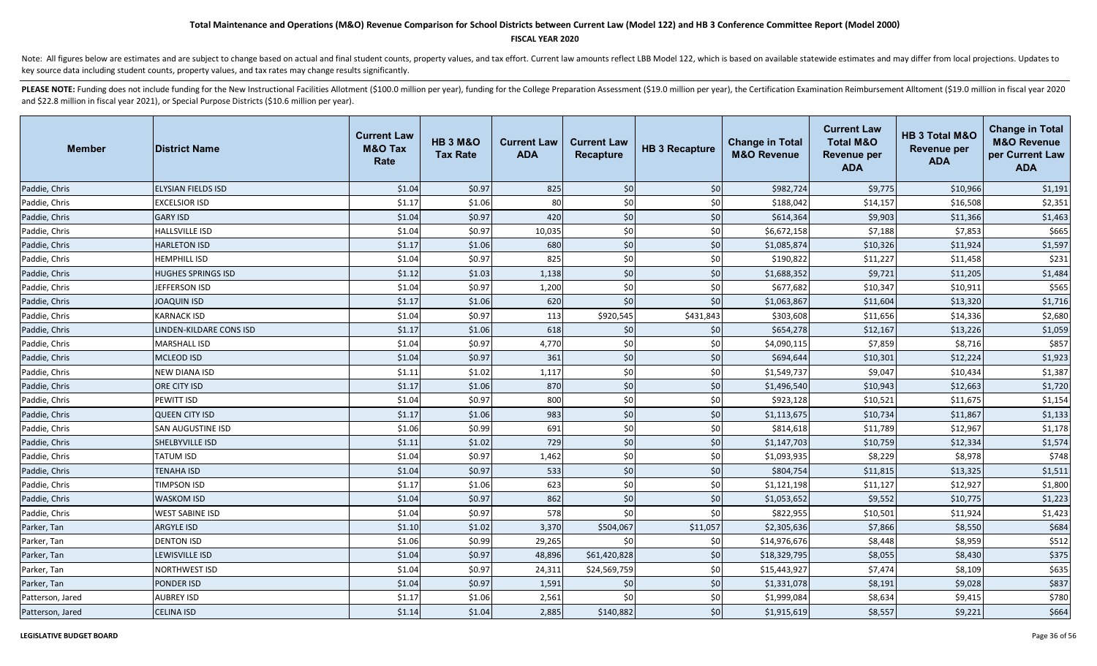### **FISCAL YEAR 2020**

Note: All figures below are estimates and are subject to change based on actual and final student counts, property values, and tax effort. Current law amounts reflect LBB Model 122, which is based on available statewide es key source data including student counts, property values, and tax rates may change results significantly.

| <b>Member</b>    | <b>District Name</b>      | <b>Current Law</b><br><b>M&amp;O Tax</b><br>Rate | <b>HB 3 M&amp;O</b><br><b>Tax Rate</b> | <b>Current Law</b><br><b>ADA</b> | <b>Current Law</b><br>Recapture | <b>HB 3 Recapture</b> | <b>Change in Total</b><br><b>M&amp;O Revenue</b> | <b>Current Law</b><br><b>Total M&amp;O</b><br>Revenue per<br><b>ADA</b> | HB 3 Total M&O<br><b>Revenue per</b><br><b>ADA</b> | <b>Change in Total</b><br><b>M&amp;O Revenue</b><br>per Current Law<br><b>ADA</b> |
|------------------|---------------------------|--------------------------------------------------|----------------------------------------|----------------------------------|---------------------------------|-----------------------|--------------------------------------------------|-------------------------------------------------------------------------|----------------------------------------------------|-----------------------------------------------------------------------------------|
| Paddie, Chris    | <b>ELYSIAN FIELDS ISD</b> | \$1.04                                           | \$0.97                                 | 825                              | \$0                             | \$0                   | \$982,724                                        | \$9,775                                                                 | \$10,966                                           | \$1,191                                                                           |
| Paddie, Chris    | <b>EXCELSIOR ISD</b>      | \$1.17                                           | \$1.06                                 | 80                               | \$0                             | \$0                   | \$188,042                                        | \$14,157                                                                | \$16,508                                           | \$2,351                                                                           |
| Paddie, Chris    | <b>GARY ISD</b>           | \$1.04                                           | \$0.97                                 | 420                              | \$0                             | $$0$$                 | \$614,364                                        | \$9,903                                                                 | \$11,366                                           | \$1,463                                                                           |
| Paddie, Chris    | <b>HALLSVILLE ISD</b>     | \$1.04                                           | \$0.97                                 | 10,035                           | \$0                             | \$0                   | \$6,672,158                                      | \$7,188                                                                 | \$7,853                                            | \$665                                                                             |
| Paddie, Chris    | <b>HARLETON ISD</b>       | \$1.17                                           | \$1.06                                 | 680                              | \$0                             | \$0                   | \$1,085,874                                      | \$10,326                                                                | \$11,924                                           | \$1,597                                                                           |
| Paddie, Chris    | <b>HEMPHILL ISD</b>       | \$1.04                                           | \$0.97                                 | 825                              | \$0                             | \$0                   | \$190,822                                        | \$11,227                                                                | \$11,458                                           | \$231                                                                             |
| Paddie, Chris    | <b>HUGHES SPRINGS ISD</b> | \$1.12                                           | \$1.03                                 | 1,138                            | \$0                             | \$0                   | \$1,688,352                                      | \$9,721                                                                 | \$11,205                                           | \$1,484                                                                           |
| Paddie, Chris    | JEFFERSON ISD             | \$1.04                                           | \$0.97                                 | 1,200                            | \$0                             | \$0                   | \$677,682                                        | \$10,347                                                                | \$10,911                                           | \$565                                                                             |
| Paddie, Chris    | <b>JOAQUIN ISD</b>        | \$1.17                                           | \$1.06                                 | 620                              | \$0                             | \$0                   | \$1,063,867                                      | \$11,604                                                                | \$13,320                                           | \$1,716                                                                           |
| Paddie, Chris    | <b>KARNACK ISD</b>        | \$1.04                                           | \$0.97                                 | 113                              | \$920,545                       | \$431,843             | \$303,608                                        | \$11,656                                                                | \$14,336                                           | \$2,680                                                                           |
| Paddie, Chris    | LINDEN-KILDARE CONS ISD   | \$1.17                                           | \$1.06                                 | 618                              | \$0                             | \$0                   | \$654,278                                        | \$12,167                                                                | \$13,226                                           | \$1,059                                                                           |
| Paddie, Chris    | <b>MARSHALL ISD</b>       | \$1.04                                           | \$0.97                                 | 4,770                            | \$0                             | \$0                   | \$4,090,115                                      | \$7,859                                                                 | \$8,716                                            | \$857                                                                             |
| Paddie, Chris    | <b>MCLEOD ISD</b>         | \$1.04                                           | \$0.97                                 | 361                              | \$0                             | \$0                   | \$694,644                                        | \$10,301                                                                | \$12,224                                           | \$1,923                                                                           |
| Paddie, Chris    | <b>NEW DIANA ISD</b>      | \$1.11                                           | \$1.02                                 | 1,117                            | \$0                             | \$0                   | \$1,549,737                                      | \$9,047                                                                 | \$10,434                                           | \$1,387                                                                           |
| Paddie, Chris    | <b>ORE CITY ISD</b>       | \$1.17                                           | \$1.06                                 | 870                              | \$0                             | \$0                   | \$1,496,540                                      | \$10,943                                                                | \$12,663                                           | \$1,720                                                                           |
| Paddie, Chris    | PEWITT ISD                | \$1.04                                           | \$0.97                                 | 800                              | \$0                             | \$0                   | \$923,128                                        | \$10,521                                                                | \$11,675                                           | \$1,154                                                                           |
| Paddie, Chris    | <b>QUEEN CITY ISD</b>     | \$1.17                                           | \$1.06                                 | 983                              | \$0                             | \$0                   | \$1,113,675                                      | \$10,734                                                                | \$11,867                                           | \$1,133                                                                           |
| Paddie, Chris    | <b>SAN AUGUSTINE ISD</b>  | \$1.06                                           | \$0.99                                 | 691                              | \$0                             | \$0                   | \$814,618                                        | \$11,789                                                                | \$12,967                                           | \$1,178                                                                           |
| Paddie, Chris    | SHELBYVILLE ISD           | \$1.11                                           | \$1.02                                 | 729                              | \$0                             | \$0                   | \$1,147,703                                      | \$10,759                                                                | \$12,334                                           | \$1,574                                                                           |
| Paddie, Chris    | <b>TATUM ISD</b>          | \$1.04                                           | \$0.97                                 | 1,462                            | \$0                             | \$0                   | \$1,093,935                                      | \$8,229                                                                 | \$8,978                                            | \$748                                                                             |
| Paddie, Chris    | <b>TENAHA ISD</b>         | \$1.04                                           | \$0.97                                 | 533                              | \$0                             | \$0                   | \$804,754                                        | \$11,815                                                                | \$13,325                                           | \$1,511                                                                           |
| Paddie, Chris    | <b>TIMPSON ISD</b>        | \$1.17                                           | \$1.06                                 | 623                              | \$0                             | \$0                   | \$1,121,198                                      | \$11,127                                                                | \$12,927                                           | \$1,800                                                                           |
| Paddie, Chris    | <b>WASKOM ISD</b>         | \$1.04                                           | \$0.97                                 | 862                              | \$0                             | \$0                   | \$1,053,652                                      | \$9,552                                                                 | \$10,775                                           | \$1,223                                                                           |
| Paddie, Chris    | <b>WEST SABINE ISD</b>    | \$1.04                                           | \$0.97                                 | 578                              | \$0                             | \$0                   | \$822,955                                        | \$10,501                                                                | \$11,924                                           | \$1,423                                                                           |
| Parker, Tan      | <b>ARGYLE ISD</b>         | \$1.10                                           | \$1.02                                 | 3,370                            | \$504,067                       | \$11,057              | \$2,305,636                                      | \$7,866                                                                 | \$8,550                                            | \$684                                                                             |
| Parker, Tan      | <b>DENTON ISD</b>         | \$1.06                                           | \$0.99                                 | 29,265                           | \$0                             | \$0                   | \$14,976,676                                     | \$8,448                                                                 | \$8,959                                            | \$512                                                                             |
| Parker, Tan      | <b>LEWISVILLE ISD</b>     | \$1.04                                           | \$0.97                                 | 48,896                           | \$61,420,828                    | \$0                   | \$18,329,795                                     | \$8,055                                                                 | \$8,430                                            | \$375                                                                             |
| Parker, Tan      | <b>NORTHWEST ISD</b>      | \$1.04                                           | \$0.97                                 | 24,311                           | \$24,569,759                    | \$0                   | \$15,443,927                                     | \$7,474                                                                 | \$8,109                                            | \$635                                                                             |
| Parker, Tan      | <b>PONDER ISD</b>         | \$1.04                                           | \$0.97                                 | 1,591                            | \$0                             | \$0                   | \$1,331,078                                      | \$8,191                                                                 | \$9,028                                            | \$837                                                                             |
| Patterson, Jared | <b>AUBREY ISD</b>         | \$1.17                                           | \$1.06                                 | 2,561                            | \$0                             | \$0                   | \$1,999,084                                      | \$8,634                                                                 | \$9,415                                            | \$780                                                                             |
| Patterson, Jared | <b>CELINA ISD</b>         | \$1.14                                           | \$1.04                                 | 2,885                            | \$140,882                       | \$0                   | \$1,915,619                                      | \$8,557                                                                 | \$9,221                                            | \$664                                                                             |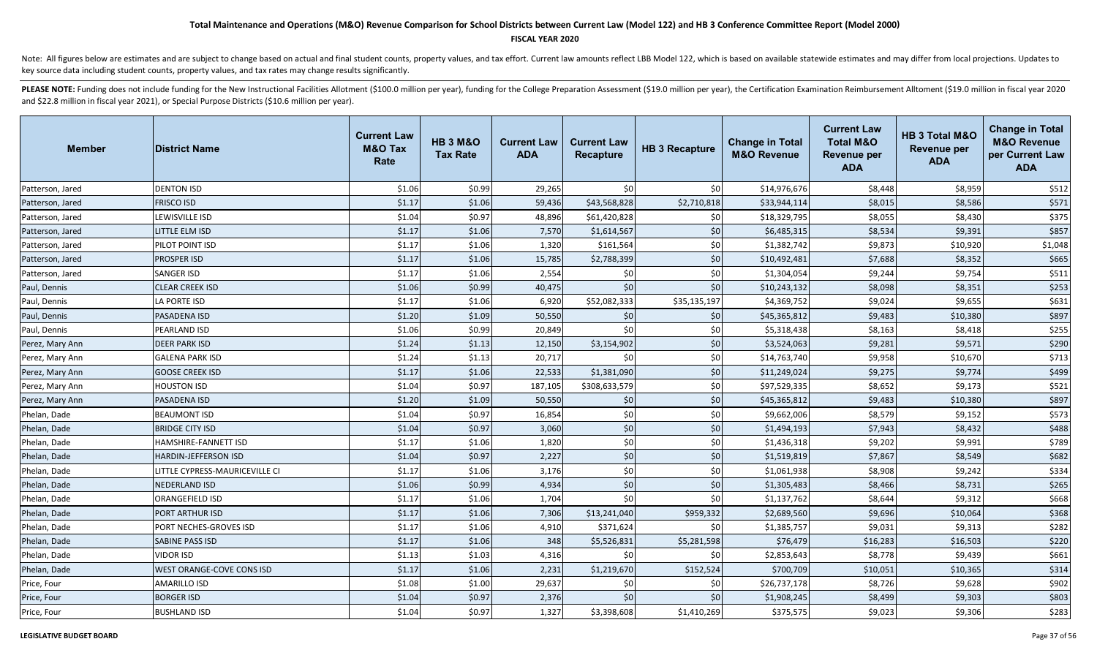#### **FISCAL YEAR 2020**

Note: All figures below are estimates and are subject to change based on actual and final student counts, property values, and tax effort. Current law amounts reflect LBB Model 122, which is based on available statewide es key source data including student counts, property values, and tax rates may change results significantly.

| <b>Member</b>    | <b>District Name</b>             | <b>Current Law</b><br><b>M&amp;O Tax</b><br>Rate | <b>HB 3 M&amp;O</b><br><b>Tax Rate</b> | <b>Current Law</b><br><b>ADA</b> | <b>Current Law</b><br><b>Recapture</b> | <b>HB 3 Recapture</b> | <b>Change in Total</b><br><b>M&amp;O Revenue</b> | <b>Current Law</b><br><b>Total M&amp;O</b><br><b>Revenue per</b><br><b>ADA</b> | HB 3 Total M&O<br><b>Revenue per</b><br><b>ADA</b> | <b>Change in Total</b><br><b>M&amp;O Revenue</b><br>per Current Law<br><b>ADA</b> |
|------------------|----------------------------------|--------------------------------------------------|----------------------------------------|----------------------------------|----------------------------------------|-----------------------|--------------------------------------------------|--------------------------------------------------------------------------------|----------------------------------------------------|-----------------------------------------------------------------------------------|
| Patterson, Jared | <b>DENTON ISD</b>                | \$1.06                                           | \$0.99                                 | 29,265                           | \$0                                    | \$0                   | \$14,976,676                                     | \$8,448                                                                        | \$8,959                                            | \$512                                                                             |
| Patterson, Jared | <b>FRISCO ISD</b>                | \$1.17                                           | \$1.06                                 | 59,436                           | \$43,568,828                           | \$2,710,818           | \$33,944,114                                     | \$8,015                                                                        | \$8,586                                            | \$571                                                                             |
| Patterson, Jared | LEWISVILLE ISD                   | \$1.04                                           | \$0.97                                 | 48,896                           | \$61,420,828                           | \$0                   | \$18,329,795                                     | \$8,055                                                                        | \$8,430                                            | \$375                                                                             |
| Patterson, Jared | LITTLE ELM ISD                   | \$1.17                                           | \$1.06                                 | 7,570                            | \$1,614,567                            | \$0                   | \$6,485,315                                      | \$8,534                                                                        | \$9,391                                            | \$857                                                                             |
| Patterson, Jared | PILOT POINT ISD                  | \$1.17                                           | \$1.06                                 | 1,320                            | \$161,564                              | \$0                   | \$1,382,742                                      | \$9,873                                                                        | \$10,920                                           | \$1,048                                                                           |
| Patterson, Jared | PROSPER ISD                      | \$1.17                                           | \$1.06                                 | 15,785                           | \$2,788,399                            | \$0                   | \$10,492,481                                     | \$7,688                                                                        | \$8,352                                            | \$665                                                                             |
| Patterson, Jared | SANGER ISD                       | \$1.17                                           | \$1.06                                 | 2,554                            | \$0                                    | \$0                   | \$1,304,054                                      | \$9,244                                                                        | \$9,754                                            | \$511                                                                             |
| Paul, Dennis     | <b>CLEAR CREEK ISD</b>           | \$1.06                                           | \$0.99                                 | 40,475                           | \$0                                    | \$0                   | \$10,243,132                                     | \$8,098                                                                        | \$8,351                                            | \$253                                                                             |
| Paul, Dennis     | LA PORTE ISD                     | \$1.17                                           | \$1.06                                 | 6,920                            | \$52,082,333                           | \$35,135,197          | \$4,369,752                                      | \$9,024                                                                        | \$9,655                                            | \$631                                                                             |
| Paul, Dennis     | PASADENA ISD                     | \$1.20                                           | \$1.09                                 | 50,550                           | \$0                                    | \$0                   | \$45,365,812                                     | \$9,483                                                                        | \$10,380                                           | \$897                                                                             |
| Paul, Dennis     | PEARLAND ISD                     | \$1.06                                           | \$0.99                                 | 20,849                           | \$0                                    | \$0                   | \$5,318,438                                      | \$8,163                                                                        | \$8,418                                            | \$255                                                                             |
| Perez, Mary Ann  | <b>DEER PARK ISD</b>             | \$1.24                                           | \$1.13                                 | 12,150                           | \$3,154,902                            | \$0                   | \$3,524,063                                      | \$9,281                                                                        | \$9,571                                            | \$290                                                                             |
| Perez, Mary Ann  | <b>GALENA PARK ISD</b>           | \$1.24                                           | \$1.13                                 | 20,717                           | \$0                                    | \$0                   | \$14,763,740                                     | \$9,958                                                                        | \$10,670                                           | \$713                                                                             |
| Perez, Mary Ann  | <b>GOOSE CREEK ISD</b>           | \$1.17                                           | \$1.06                                 | 22,533                           | \$1,381,090                            | \$0                   | \$11,249,024                                     | \$9,275                                                                        | \$9,774                                            | \$499                                                                             |
| Perez, Mary Ann  | <b>HOUSTON ISD</b>               | \$1.04                                           | \$0.97                                 | 187,105                          | \$308,633,579                          | \$0                   | \$97,529,335                                     | \$8,652                                                                        | \$9,173                                            | \$521                                                                             |
| Perez, Mary Ann  | PASADENA ISD                     | \$1.20                                           | \$1.09                                 | 50,550                           | \$0                                    | \$0                   | \$45,365,812                                     | \$9,483                                                                        | \$10,380                                           | \$897                                                                             |
| Phelan, Dade     | <b>BEAUMONT ISD</b>              | \$1.04                                           | \$0.97                                 | 16,854                           | \$0                                    | \$0                   | \$9,662,006                                      | \$8,579                                                                        | \$9,152                                            | \$573                                                                             |
| Phelan, Dade     | <b>BRIDGE CITY ISD</b>           | \$1.04                                           | \$0.97                                 | 3,060                            | \$0                                    | \$0                   | \$1,494,193                                      | \$7,943                                                                        | \$8,432                                            | \$488                                                                             |
| Phelan, Dade     | HAMSHIRE-FANNETT ISD             | \$1.17                                           | \$1.06                                 | 1,820                            | \$0                                    | \$0                   | \$1,436,318                                      | \$9,202                                                                        | \$9,991                                            | \$789                                                                             |
| Phelan, Dade     | <b>HARDIN-JEFFERSON ISD</b>      | \$1.04                                           | \$0.97                                 | 2,227                            | \$0                                    | \$0                   | \$1,519,819                                      | \$7,867                                                                        | \$8,549                                            | \$682                                                                             |
| Phelan, Dade     | LITTLE CYPRESS-MAURICEVILLE CI   | \$1.17                                           | \$1.06                                 | 3,176                            | \$0                                    | \$0                   | \$1,061,938                                      | \$8,908                                                                        | \$9,242                                            | \$334                                                                             |
| Phelan, Dade     | <b>NEDERLAND ISD</b>             | \$1.06                                           | \$0.99                                 | 4,934                            | \$0                                    | \$0                   | \$1,305,483                                      | \$8,466                                                                        | \$8,731                                            | \$265                                                                             |
| Phelan, Dade     | ORANGEFIELD ISD                  | \$1.17                                           | \$1.06                                 | 1,704                            | \$0                                    | \$0                   | \$1,137,762                                      | \$8,644                                                                        | \$9,312                                            | \$668                                                                             |
| Phelan, Dade     | <b>PORT ARTHUR ISD</b>           | \$1.17                                           | \$1.06                                 | 7,306                            | \$13,241,040                           | \$959,332             | \$2,689,560                                      | \$9,696                                                                        | \$10,064                                           | \$368                                                                             |
| Phelan, Dade     | PORT NECHES-GROVES ISD           | \$1.17                                           | \$1.06                                 | 4,910                            | \$371,624                              | \$0                   | \$1,385,757                                      | \$9,031                                                                        | \$9,313                                            | \$282                                                                             |
| Phelan, Dade     | <b>SABINE PASS ISD</b>           | \$1.17                                           | \$1.06                                 | 348                              | \$5,526,831                            | \$5,281,598           | \$76,479                                         | \$16,283                                                                       | \$16,503                                           | \$220                                                                             |
| Phelan, Dade     | <b>VIDOR ISD</b>                 | \$1.13                                           | \$1.03                                 | 4,316                            | \$0                                    | \$0                   | \$2,853,643                                      | \$8,778                                                                        | \$9,439                                            | \$661                                                                             |
| Phelan, Dade     | <b>WEST ORANGE-COVE CONS ISD</b> | \$1.17                                           | \$1.06                                 | 2,231                            | \$1,219,670                            | \$152,524             | \$700,709                                        | \$10,051                                                                       | \$10,365                                           | \$314                                                                             |
| Price, Four      | <b>AMARILLO ISD</b>              | \$1.08                                           | \$1.00                                 | 29,637                           | \$0                                    | \$0                   | \$26,737,178                                     | \$8,726                                                                        | \$9,628                                            | \$902                                                                             |
| Price, Four      | <b>BORGER ISD</b>                | \$1.04                                           | \$0.97                                 | 2,376                            | \$0                                    | \$0                   | \$1,908,245                                      | \$8,499                                                                        | \$9,303                                            | \$803                                                                             |
| Price, Four      | <b>BUSHLAND ISD</b>              | \$1.04                                           | \$0.97                                 | 1,327                            | \$3,398,608                            | \$1,410,269           | \$375,575                                        | \$9,023                                                                        | \$9,306                                            | \$283                                                                             |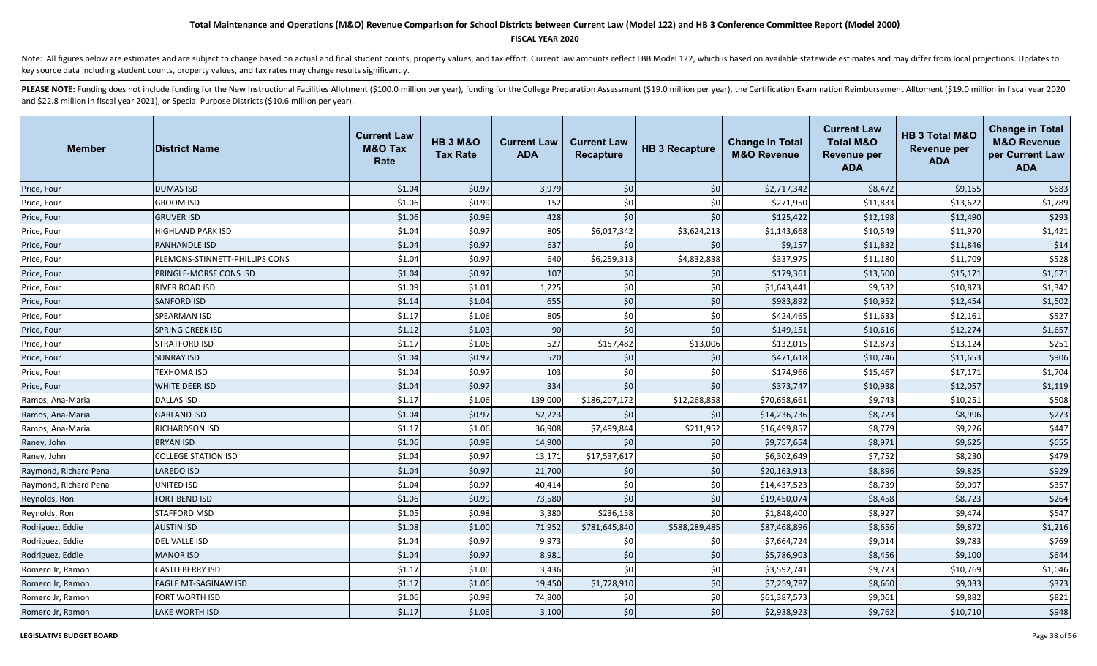### **FISCAL YEAR 2020**

Note: All figures below are estimates and are subject to change based on actual and final student counts, property values, and tax effort. Current law amounts reflect LBB Model 122, which is based on available statewide es key source data including student counts, property values, and tax rates may change results significantly.

| <b>Member</b>         | <b>District Name</b>           | <b>Current Law</b><br><b>M&amp;O Tax</b><br>Rate | <b>HB 3 M&amp;O</b><br><b>Tax Rate</b> | <b>Current Law</b><br><b>ADA</b> | <b>Current Law</b><br><b>Recapture</b> | <b>HB 3 Recapture</b> | <b>Change in Total</b><br><b>M&amp;O Revenue</b> | <b>Current Law</b><br><b>Total M&amp;O</b><br><b>Revenue per</b><br><b>ADA</b> | HB 3 Total M&O<br><b>Revenue per</b><br><b>ADA</b> | <b>Change in Total</b><br><b>M&amp;O Revenue</b><br>per Current Law<br><b>ADA</b> |
|-----------------------|--------------------------------|--------------------------------------------------|----------------------------------------|----------------------------------|----------------------------------------|-----------------------|--------------------------------------------------|--------------------------------------------------------------------------------|----------------------------------------------------|-----------------------------------------------------------------------------------|
| Price, Four           | <b>DUMAS ISD</b>               | \$1.04                                           | \$0.97                                 | 3,979                            | \$0                                    | \$0                   | \$2,717,342                                      | \$8,472                                                                        | \$9,155                                            | \$683                                                                             |
| Price, Four           | <b>GROOM ISD</b>               | \$1.06                                           | \$0.99                                 | 152                              | \$0                                    | \$0                   | \$271,950                                        | \$11,833                                                                       | \$13,622                                           | \$1,789                                                                           |
| Price, Four           | <b>GRUVER ISD</b>              | \$1.06                                           | \$0.99                                 | 428                              | \$0                                    | \$0                   | \$125,422                                        | \$12,198                                                                       | \$12,490                                           | \$293                                                                             |
| Price, Four           | <b>HIGHLAND PARK ISD</b>       | \$1.04                                           | \$0.97                                 | 805                              | \$6,017,342                            | \$3,624,213           | \$1,143,668                                      | \$10,549                                                                       | \$11,970                                           | \$1,421                                                                           |
| Price, Four           | <b>PANHANDLE ISD</b>           | \$1.04                                           | \$0.97                                 | 637                              | \$0                                    | \$0                   | \$9,157                                          | \$11,832                                                                       | \$11,846                                           | \$14                                                                              |
| Price, Four           | PLEMONS-STINNETT-PHILLIPS CONS | \$1.04                                           | \$0.97                                 | 640                              | \$6,259,313                            | \$4,832,838           | \$337,975                                        | \$11,180                                                                       | \$11,709                                           | \$528                                                                             |
| Price, Four           | PRINGLE-MORSE CONS ISD         | \$1.04                                           | \$0.97                                 | 107                              | \$0                                    | \$0                   | \$179,361                                        | \$13,500                                                                       | \$15,171                                           | \$1,671                                                                           |
| Price, Four           | RIVER ROAD ISD                 | \$1.09                                           | \$1.01                                 | 1,225                            | \$0                                    | \$0                   | \$1,643,441                                      | \$9,532                                                                        | \$10,873                                           | \$1,342                                                                           |
| Price, Four           | <b>SANFORD ISD</b>             | \$1.14                                           | \$1.04                                 | 655                              | \$0                                    | \$0                   | \$983,892                                        | \$10,952                                                                       | \$12,454                                           | \$1,502                                                                           |
| Price, Four           | SPEARMAN ISD                   | \$1.17                                           | \$1.06                                 | 805                              | \$0                                    | \$0                   | \$424,465                                        | \$11,633                                                                       | \$12,161                                           | \$527                                                                             |
| Price, Four           | <b>SPRING CREEK ISD</b>        | \$1.12                                           | \$1.03                                 | 90                               | \$0                                    | \$0                   | \$149,151                                        | \$10,616                                                                       | \$12,274                                           | \$1,657                                                                           |
| Price, Four           | STRATFORD ISD                  | \$1.17                                           | \$1.06                                 | 527                              | \$157,482                              | \$13,006              | \$132,015                                        | \$12,873                                                                       | \$13,124                                           | \$251                                                                             |
| Price, Four           | <b>SUNRAY ISD</b>              | \$1.04                                           | \$0.97                                 | 520                              | \$0                                    | \$0                   | \$471,618                                        | \$10,746                                                                       | \$11,653                                           | \$906                                                                             |
| Price, Four           | TEXHOMA ISD                    | \$1.04                                           | \$0.97                                 | 103                              | \$0                                    | \$0                   | \$174,966                                        | \$15,467                                                                       | \$17,171                                           | \$1,704                                                                           |
| Price, Four           | <b>WHITE DEER ISD</b>          | \$1.04                                           | \$0.97                                 | 334                              | \$0                                    | \$0                   | \$373,747                                        | \$10,938                                                                       | \$12,057                                           | \$1,119                                                                           |
| Ramos, Ana-Maria      | <b>DALLAS ISD</b>              | \$1.17                                           | \$1.06                                 | 139,000                          | \$186,207,172                          | \$12,268,858          | \$70,658,661                                     | \$9,743                                                                        | \$10,251                                           | \$508                                                                             |
| Ramos, Ana-Maria      | <b>GARLAND ISD</b>             | \$1.04                                           | \$0.97                                 | 52,223                           | \$0                                    | \$0                   | \$14,236,736                                     | \$8,723                                                                        | \$8,996                                            | \$273                                                                             |
| Ramos, Ana-Maria      | RICHARDSON ISD                 | \$1.17                                           | \$1.06                                 | 36,908                           | \$7,499,844                            | \$211,952             | \$16,499,857                                     | \$8,779                                                                        | \$9,226                                            | \$447                                                                             |
| Raney, John           | <b>BRYAN ISD</b>               | \$1.06                                           | \$0.99                                 | 14,900                           | \$0                                    | \$0                   | \$9,757,654                                      | \$8,971                                                                        | \$9,625                                            | \$655                                                                             |
| Raney, John           | <b>COLLEGE STATION ISD</b>     | \$1.04                                           | \$0.97                                 | 13,171                           | \$17,537,617                           | \$0                   | \$6,302,649                                      | \$7,752                                                                        | \$8,230                                            | \$479                                                                             |
| Raymond, Richard Pena | <b>LAREDO ISD</b>              | \$1.04                                           | \$0.97                                 | 21,700                           | \$0                                    | \$0                   | \$20,163,913                                     | \$8,896                                                                        | \$9,825                                            | \$929                                                                             |
| Raymond, Richard Pena | UNITED ISD                     | \$1.04                                           | \$0.97                                 | 40,414                           | \$0                                    | \$0                   | \$14,437,523                                     | \$8,739                                                                        | \$9,097                                            | \$357                                                                             |
| Reynolds, Ron         | <b>FORT BEND ISD</b>           | \$1.06                                           | \$0.99                                 | 73,580                           | \$0                                    | \$0                   | \$19,450,074                                     | \$8,458                                                                        | \$8,723                                            | \$264                                                                             |
| Reynolds, Ron         | STAFFORD MSD                   | \$1.05                                           | \$0.98                                 | 3,380                            | \$236,158                              | \$0                   | \$1,848,400                                      | \$8,927                                                                        | \$9,474                                            | \$547                                                                             |
| Rodriguez, Eddie      | <b>AUSTIN ISD</b>              | \$1.08                                           | \$1.00                                 | 71,952                           | \$781,645,840                          | \$588,289,485         | \$87,468,896                                     | \$8,656                                                                        | \$9,872                                            | \$1,216                                                                           |
| Rodriguez, Eddie      | DEL VALLE ISD                  | \$1.04                                           | \$0.97                                 | 9,973                            | \$0                                    | \$0                   | \$7,664,724                                      | \$9,014                                                                        | \$9,783                                            | \$769                                                                             |
| Rodriguez, Eddie      | <b>MANOR ISD</b>               | \$1.04                                           | \$0.97                                 | 8,981                            | \$0                                    | \$0                   | \$5,786,903                                      | \$8,456                                                                        | \$9,100                                            | \$644                                                                             |
| Romero Jr, Ramon      | <b>CASTLEBERRY ISD</b>         | \$1.17                                           | \$1.06                                 | 3,436                            | \$0                                    | \$0                   | \$3,592,741                                      | \$9,723                                                                        | \$10,769                                           | \$1,046                                                                           |
| Romero Jr, Ramon      | <b>EAGLE MT-SAGINAW ISD</b>    | \$1.17                                           | \$1.06                                 | 19,450                           | \$1,728,910                            | \$0                   | \$7,259,787                                      | \$8,660                                                                        | \$9,033                                            | \$373                                                                             |
| Romero Jr, Ramon      | FORT WORTH ISD                 | \$1.06                                           | \$0.99                                 | 74,800                           | \$0                                    | \$0                   | \$61,387,573                                     | \$9,061                                                                        | \$9,882                                            | \$821                                                                             |
| Romero Jr, Ramon      | <b>LAKE WORTH ISD</b>          | \$1.17                                           | \$1.06                                 | 3,100                            | \$0                                    | \$0                   | \$2,938,923                                      | \$9,762                                                                        | \$10,710                                           | \$948                                                                             |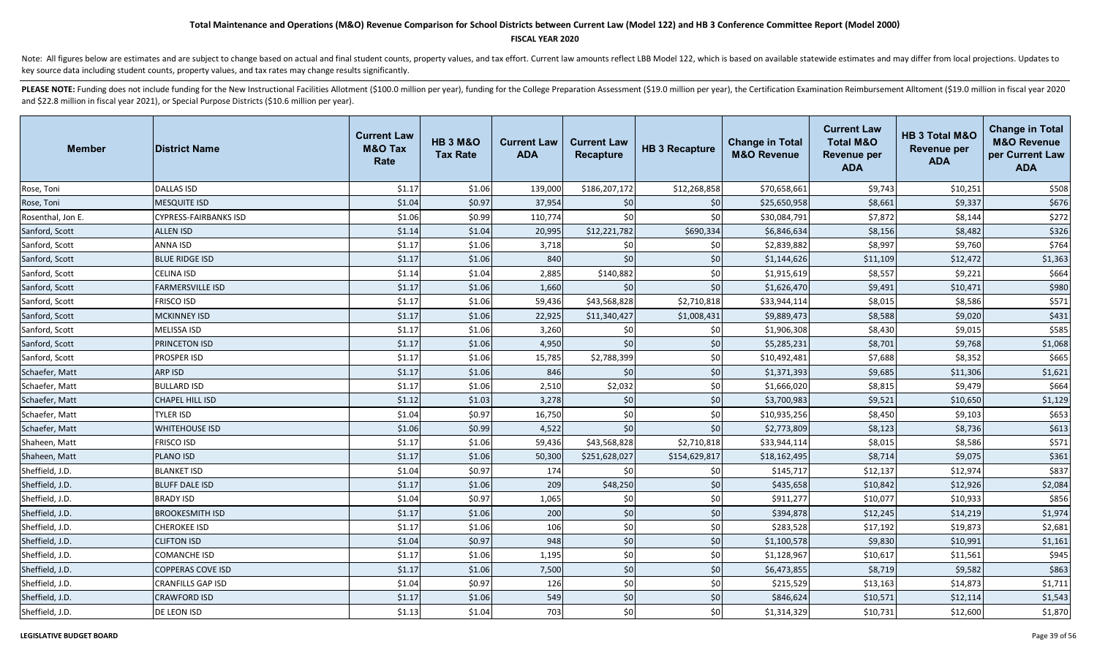#### **FISCAL YEAR 2020**

Note: All figures below are estimates and are subject to change based on actual and final student counts, property values, and tax effort. Current law amounts reflect LBB Model 122, which is based on available statewide es key source data including student counts, property values, and tax rates may change results significantly.

| <b>Member</b>     | <b>District Name</b>     | <b>Current Law</b><br><b>M&amp;O Tax</b><br>Rate | <b>HB 3 M&amp;O</b><br><b>Tax Rate</b> | <b>Current Law</b><br><b>ADA</b> | <b>Current Law</b><br><b>Recapture</b> | <b>HB 3 Recapture</b> | <b>Change in Total</b><br><b>M&amp;O Revenue</b> | <b>Current Law</b><br><b>Total M&amp;O</b><br><b>Revenue per</b><br><b>ADA</b> | <b>HB 3 Total M&amp;O</b><br><b>Revenue per</b><br><b>ADA</b> | <b>Change in Total</b><br><b>M&amp;O Revenue</b><br>per Current Law<br><b>ADA</b> |
|-------------------|--------------------------|--------------------------------------------------|----------------------------------------|----------------------------------|----------------------------------------|-----------------------|--------------------------------------------------|--------------------------------------------------------------------------------|---------------------------------------------------------------|-----------------------------------------------------------------------------------|
| Rose, Toni        | <b>DALLAS ISD</b>        | \$1.17                                           | \$1.06                                 | 139,000                          | \$186,207,172                          | \$12,268,858          | \$70,658,661                                     | \$9,743                                                                        | \$10,251                                                      | \$508                                                                             |
| Rose, Toni        | <b>MESQUITE ISD</b>      | \$1.04                                           | \$0.97                                 | 37,954                           | \$0                                    | \$0                   | \$25,650,958                                     | \$8,661                                                                        | \$9,337                                                       | \$676                                                                             |
| Rosenthal, Jon E. | CYPRESS-FAIRBANKS ISD    | \$1.06                                           | \$0.99                                 | 110,774                          | \$0                                    | \$0                   | \$30,084,791                                     | \$7,872                                                                        | \$8,144                                                       | \$272                                                                             |
| Sanford, Scott    | <b>ALLEN ISD</b>         | \$1.14                                           | \$1.04                                 | 20,995                           | \$12,221,782                           | \$690,334             | \$6,846,634                                      | \$8,156                                                                        | \$8,482                                                       | \$326                                                                             |
| Sanford, Scott    | ANNA ISD                 | \$1.17                                           | \$1.06                                 | 3,718                            | \$0                                    | \$0                   | \$2,839,882                                      | \$8,997                                                                        | \$9,760                                                       | \$764                                                                             |
| Sanford, Scott    | <b>BLUE RIDGE ISD</b>    | \$1.17                                           | \$1.06                                 | 840                              | \$0                                    | \$0                   | \$1,144,626                                      | \$11,109                                                                       | \$12,472                                                      | \$1,363                                                                           |
| Sanford, Scott    | CELINA ISD               | \$1.14                                           | \$1.04                                 | 2,885                            | \$140,882                              | \$0                   | \$1,915,619                                      | \$8,557                                                                        | \$9,221                                                       | \$664                                                                             |
| Sanford, Scott    | <b>FARMERSVILLE ISD</b>  | \$1.17                                           | \$1.06                                 | 1,660                            | \$0                                    | \$0                   | \$1,626,470                                      | \$9,491                                                                        | \$10,471                                                      | \$980                                                                             |
| Sanford, Scott    | <b>FRISCO ISD</b>        | \$1.17                                           | \$1.06                                 | 59,436                           | \$43,568,828                           | \$2,710,818           | \$33,944,114                                     | \$8,015                                                                        | \$8,586                                                       | \$571                                                                             |
| Sanford, Scott    | <b>MCKINNEY ISD</b>      | \$1.17                                           | \$1.06                                 | 22,925                           | \$11,340,427                           | \$1,008,431           | \$9,889,473                                      | \$8,588                                                                        | \$9,020                                                       | \$431                                                                             |
| Sanford, Scott    | MELISSA ISD              | \$1.17                                           | \$1.06                                 | 3,260                            | \$0                                    | \$0                   | \$1,906,308                                      | \$8,430                                                                        | \$9,015                                                       | \$585                                                                             |
| Sanford, Scott    | PRINCETON ISD            | \$1.17                                           | \$1.06                                 | 4,950                            | \$0                                    | \$0                   | \$5,285,231                                      | \$8,701                                                                        | \$9,768                                                       | \$1,068                                                                           |
| Sanford, Scott    | PROSPER ISD              | \$1.17                                           | \$1.06                                 | 15,785                           | \$2,788,399                            | \$0                   | \$10,492,481                                     | \$7,688                                                                        | \$8,352                                                       | \$665                                                                             |
| Schaefer, Matt    | ARP ISD                  | \$1.17                                           | \$1.06                                 | 846                              | \$0                                    | $$0$                  | \$1,371,393                                      | \$9,685                                                                        | \$11,306                                                      | \$1,621                                                                           |
| Schaefer, Matt    | <b>BULLARD ISD</b>       | \$1.17                                           | \$1.06                                 | 2,510                            | \$2,032                                | \$0                   | \$1,666,020                                      | \$8,815                                                                        | \$9,479                                                       | \$664                                                                             |
| Schaefer, Matt    | CHAPEL HILL ISD          | \$1.12                                           | \$1.03                                 | 3,278                            | \$0                                    | \$0                   | \$3,700,983                                      | \$9,521                                                                        | \$10,650                                                      | \$1,129                                                                           |
| Schaefer, Matt    | TYLER ISD                | \$1.04                                           | \$0.97                                 | 16,750                           | \$0                                    | \$0                   | \$10,935,256                                     | \$8,450                                                                        | \$9,103                                                       | \$653                                                                             |
| Schaefer, Matt    | <b>WHITEHOUSE ISD</b>    | \$1.06                                           | \$0.99                                 | 4,522                            | \$0                                    | \$0                   | \$2,773,809                                      | \$8,123                                                                        | \$8,736                                                       | \$613                                                                             |
| Shaheen, Matt     | <b>FRISCO ISD</b>        | \$1.17                                           | \$1.06                                 | 59,436                           | \$43,568,828                           | \$2,710,818           | \$33,944,114                                     | \$8,015                                                                        | \$8,586                                                       | \$571                                                                             |
| Shaheen, Matt     | <b>PLANO ISD</b>         | \$1.17                                           | \$1.06                                 | 50,300                           | \$251,628,027                          | \$154,629,817         | \$18,162,495                                     | \$8,714                                                                        | \$9,075                                                       | \$361                                                                             |
| Sheffield, J.D.   | <b>BLANKET ISD</b>       | \$1.04                                           | \$0.97                                 | 174                              | \$0                                    | \$0                   | \$145,717                                        | \$12,137                                                                       | \$12,974                                                      | \$837                                                                             |
| Sheffield, J.D.   | <b>BLUFF DALE ISD</b>    | \$1.17                                           | \$1.06                                 | 209                              | \$48,250                               | \$0                   | \$435,658                                        | \$10,842                                                                       | \$12,926                                                      | \$2,084                                                                           |
| Sheffield, J.D.   | <b>BRADY ISD</b>         | \$1.04                                           | \$0.97                                 | 1,065                            | \$0                                    | \$0                   | \$911,277                                        | \$10,077                                                                       | \$10,933                                                      | \$856                                                                             |
| Sheffield, J.D.   | <b>BROOKESMITH ISD</b>   | \$1.17                                           | \$1.06                                 | 200                              | \$0                                    | \$0                   | \$394,878                                        | \$12,245                                                                       | \$14,219                                                      | \$1,974                                                                           |
| Sheffield, J.D.   | <b>CHEROKEE ISD</b>      | \$1.17                                           | \$1.06                                 | 106                              | \$0                                    | \$0                   | \$283,528                                        | \$17,192                                                                       | \$19,873                                                      | \$2,681                                                                           |
| Sheffield, J.D.   | <b>CLIFTON ISD</b>       | \$1.04                                           | \$0.97                                 | 948                              | \$0                                    | \$0                   | \$1,100,578                                      | \$9,830                                                                        | \$10,991                                                      | \$1,161                                                                           |
| Sheffield, J.D.   | <b>COMANCHE ISD</b>      | \$1.17                                           | \$1.06                                 | 1,195                            | \$0                                    | \$0                   | \$1,128,967                                      | \$10,617                                                                       | \$11,561                                                      | \$945                                                                             |
| Sheffield, J.D.   | <b>COPPERAS COVE ISD</b> | \$1.17                                           | \$1.06                                 | 7,500                            | \$0                                    | \$0                   | \$6,473,855                                      | \$8,719                                                                        | \$9,582                                                       | \$863                                                                             |
| Sheffield, J.D.   | <b>CRANFILLS GAP ISD</b> | \$1.04                                           | \$0.97                                 | 126                              | \$0                                    | \$0                   | \$215,529                                        | \$13,163                                                                       | \$14,873                                                      | \$1,711                                                                           |
| Sheffield, J.D.   | <b>CRAWFORD ISD</b>      | \$1.17                                           | \$1.06                                 | 549                              | \$0                                    | \$0                   | \$846,624                                        | \$10,571                                                                       | \$12,114                                                      | \$1,543                                                                           |
| Sheffield, J.D.   | DE LEON ISD              | \$1.13                                           | \$1.04                                 | 703                              | \$0                                    | \$0                   | \$1,314,329                                      | \$10,731                                                                       | \$12,600                                                      | \$1,870                                                                           |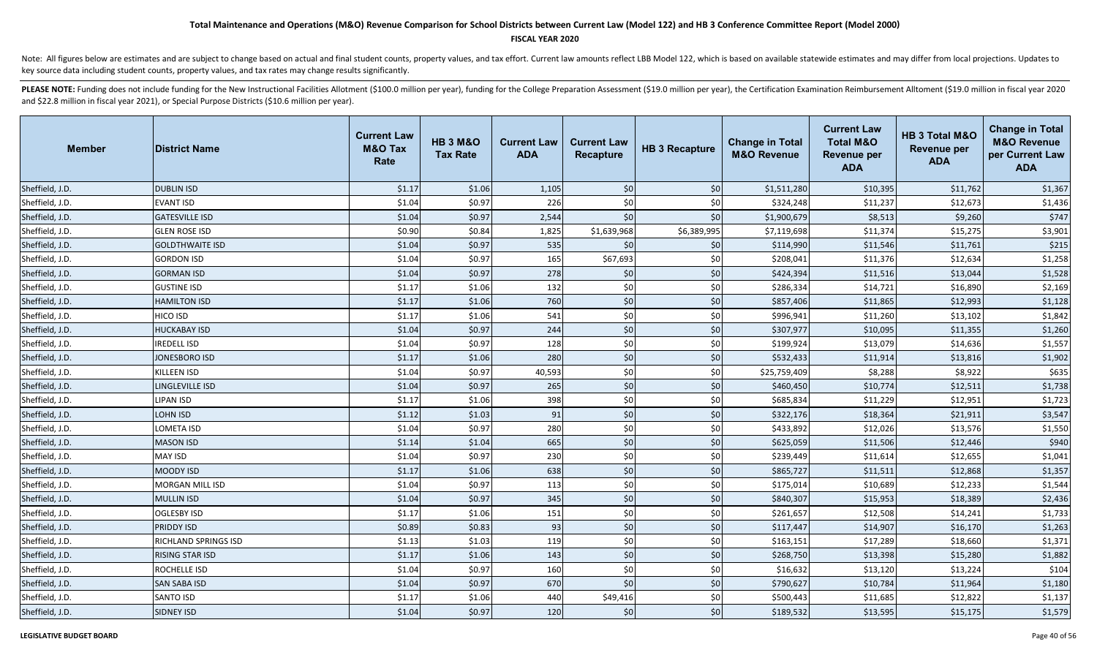### **FISCAL YEAR 2020**

Note: All figures below are estimates and are subject to change based on actual and final student counts, property values, and tax effort. Current law amounts reflect LBB Model 122, which is based on available statewide es key source data including student counts, property values, and tax rates may change results significantly.

| <b>Member</b>   | <b>District Name</b>        | <b>Current Law</b><br><b>M&amp;O Tax</b><br>Rate | <b>HB 3 M&amp;O</b><br><b>Tax Rate</b> | <b>Current Law</b><br><b>ADA</b> | <b>Current Law</b><br>Recapture | <b>HB 3 Recapture</b> | <b>Change in Total</b><br><b>M&amp;O Revenue</b> | <b>Current Law</b><br><b>Total M&amp;O</b><br>Revenue per<br><b>ADA</b> | HB 3 Total M&O<br><b>Revenue per</b><br><b>ADA</b> | <b>Change in Total</b><br><b>M&amp;O Revenue</b><br>per Current Law<br><b>ADA</b> |
|-----------------|-----------------------------|--------------------------------------------------|----------------------------------------|----------------------------------|---------------------------------|-----------------------|--------------------------------------------------|-------------------------------------------------------------------------|----------------------------------------------------|-----------------------------------------------------------------------------------|
| Sheffield, J.D. | <b>DUBLIN ISD</b>           | \$1.17                                           | \$1.06                                 | 1,105                            | \$0                             | \$0                   | \$1,511,280                                      | \$10,395                                                                | \$11,762                                           | \$1,367                                                                           |
| Sheffield, J.D. | <b>EVANT ISD</b>            | \$1.04                                           | \$0.97                                 | 226                              | \$0                             | \$0                   | \$324,248                                        | \$11,237                                                                | \$12,673                                           | \$1,436                                                                           |
| Sheffield, J.D. | <b>GATESVILLE ISD</b>       | \$1.04                                           | \$0.97                                 | 2,544                            | \$0                             | \$0                   | \$1,900,679                                      | \$8,513                                                                 | \$9,260                                            | \$747                                                                             |
| Sheffield, J.D. | <b>GLEN ROSE ISD</b>        | \$0.90                                           | \$0.84                                 | 1,825                            | \$1,639,968                     | \$6,389,995           | \$7,119,698                                      | \$11,374                                                                | \$15,275                                           | \$3,901                                                                           |
| Sheffield, J.D. | <b>GOLDTHWAITE ISD</b>      | \$1.04                                           | \$0.97                                 | 535                              | \$0                             | \$0                   | \$114,990                                        | \$11,546                                                                | \$11,761                                           | \$215                                                                             |
| Sheffield, J.D. | <b>GORDON ISD</b>           | \$1.04                                           | \$0.97                                 | 165                              | \$67,693                        | \$0                   | \$208,041                                        | \$11,376                                                                | \$12,634                                           | \$1,258                                                                           |
| Sheffield, J.D. | <b>GORMAN ISD</b>           | \$1.04                                           | \$0.97                                 | 278                              | \$0                             | \$0                   | \$424,394                                        | \$11,516                                                                | \$13,044                                           | \$1,528                                                                           |
| Sheffield, J.D. | <b>GUSTINE ISD</b>          | \$1.17                                           | \$1.06                                 | 132                              | \$0                             | \$0                   | \$286,334                                        | \$14,721                                                                | \$16,890                                           | \$2,169                                                                           |
| Sheffield, J.D. | <b>HAMILTON ISD</b>         | \$1.17                                           | \$1.06                                 | 760                              | \$0                             | \$0                   | \$857,406                                        | \$11,865                                                                | \$12,993                                           | \$1,128                                                                           |
| Sheffield, J.D. | HICO ISD                    | \$1.17                                           | \$1.06                                 | 541                              | \$0                             | \$0                   | \$996,941                                        | \$11,260                                                                | \$13,102                                           | \$1,842                                                                           |
| Sheffield, J.D. | <b>HUCKABAY ISD</b>         | \$1.04                                           | \$0.97                                 | 244                              | \$0                             | \$0                   | \$307,977                                        | \$10,095                                                                | \$11,355                                           | \$1,260                                                                           |
| Sheffield, J.D. | <b>IREDELL ISD</b>          | \$1.04                                           | \$0.97                                 | 128                              | \$0                             | \$0                   | \$199,924                                        | \$13,079                                                                | \$14,636                                           | \$1,557                                                                           |
| Sheffield, J.D. | <b>JONESBORO ISD</b>        | \$1.17                                           | \$1.06                                 | 280                              | \$0                             | \$0                   | \$532,433                                        | \$11,914                                                                | \$13,816                                           | \$1,902                                                                           |
| Sheffield, J.D. | <b>KILLEEN ISD</b>          | \$1.04                                           | \$0.97                                 | 40,593                           | \$0                             | \$0                   | \$25,759,409                                     | \$8,288                                                                 | \$8,922                                            | \$635                                                                             |
| Sheffield, J.D. | <b>LINGLEVILLE ISD</b>      | \$1.04                                           | \$0.97                                 | 265                              | \$0                             | \$0                   | \$460,450                                        | \$10,774                                                                | \$12,511                                           | \$1,738                                                                           |
| Sheffield, J.D. | <b>LIPAN ISD</b>            | \$1.17                                           | \$1.06                                 | 398                              | \$0                             | \$0                   | \$685,834                                        | \$11,229                                                                | \$12,951                                           | \$1,723                                                                           |
| Sheffield, J.D. | <b>LOHN ISD</b>             | \$1.12                                           | \$1.03                                 | 91                               | \$0                             | \$0                   | \$322,176                                        | \$18,364                                                                | \$21,911                                           | \$3,547                                                                           |
| Sheffield, J.D. | LOMETA ISD                  | \$1.04                                           | \$0.97                                 | 280                              | \$0                             | \$0                   | \$433,892                                        | \$12,026                                                                | \$13,576                                           | \$1,550                                                                           |
| Sheffield, J.D. | <b>MASON ISD</b>            | \$1.14                                           | \$1.04                                 | 665                              | \$0                             | \$0                   | \$625,059                                        | \$11,506                                                                | \$12,446                                           | \$940                                                                             |
| Sheffield, J.D. | <b>MAY ISD</b>              | \$1.04                                           | \$0.97                                 | 230                              | \$0                             | \$0                   | \$239,449                                        | \$11,614                                                                | \$12,655                                           | \$1,041                                                                           |
| Sheffield, J.D. | <b>MOODY ISD</b>            | \$1.17                                           | \$1.06                                 | 638                              | \$0                             | \$0                   | \$865,727                                        | \$11,511                                                                | \$12,868                                           | \$1,357                                                                           |
| Sheffield, J.D. | MORGAN MILL ISD             | \$1.04                                           | \$0.97                                 | 113                              | \$0                             | \$0                   | \$175,014                                        | \$10,689                                                                | \$12,233                                           | \$1,544                                                                           |
| Sheffield, J.D. | <b>MULLIN ISD</b>           | \$1.04                                           | \$0.97                                 | 345                              | \$0                             | $$0$$                 | \$840,307                                        | \$15,953                                                                | \$18,389                                           | \$2,436                                                                           |
| Sheffield, J.D. | <b>OGLESBY ISD</b>          | \$1.17                                           | \$1.06                                 | 151                              | \$0                             | \$0                   | \$261,657                                        | \$12,508                                                                | \$14,241                                           | \$1,733                                                                           |
| Sheffield, J.D. | <b>PRIDDY ISD</b>           | \$0.89                                           | \$0.83                                 | 93                               | \$0                             | $$0$$                 | \$117,447                                        | \$14,907                                                                | \$16,170                                           | \$1,263                                                                           |
| Sheffield, J.D. | <b>RICHLAND SPRINGS ISD</b> | \$1.13                                           | \$1.03                                 | 119                              | \$0                             | \$0                   | \$163,151                                        | \$17,289                                                                | \$18,660                                           | \$1,371                                                                           |
| Sheffield, J.D. | <b>RISING STAR ISD</b>      | \$1.17                                           | \$1.06                                 | 143                              | \$0                             | $$0$$                 | \$268,750                                        | \$13,398                                                                | \$15,280                                           | \$1,882                                                                           |
| Sheffield, J.D. | ROCHELLE ISD                | \$1.04                                           | \$0.97                                 | 160                              | \$0                             | \$0                   | \$16,632                                         | \$13,120                                                                | \$13,224                                           | \$104                                                                             |
| Sheffield, J.D. | <b>SAN SABA ISD</b>         | \$1.04                                           | \$0.97                                 | 670                              | \$0                             | \$0                   | \$790,627                                        | \$10,784                                                                | \$11,964                                           | \$1,180                                                                           |
| Sheffield, J.D. | <b>SANTO ISD</b>            | \$1.17                                           | \$1.06                                 | 440                              | \$49,416                        | \$0                   | \$500,443                                        | \$11,685                                                                | \$12,822                                           | \$1,137                                                                           |
| Sheffield, J.D. | <b>SIDNEY ISD</b>           | \$1.04                                           | \$0.97                                 | 120                              | \$0                             | \$0                   | \$189,532                                        | \$13,595                                                                | \$15,175                                           | \$1,579                                                                           |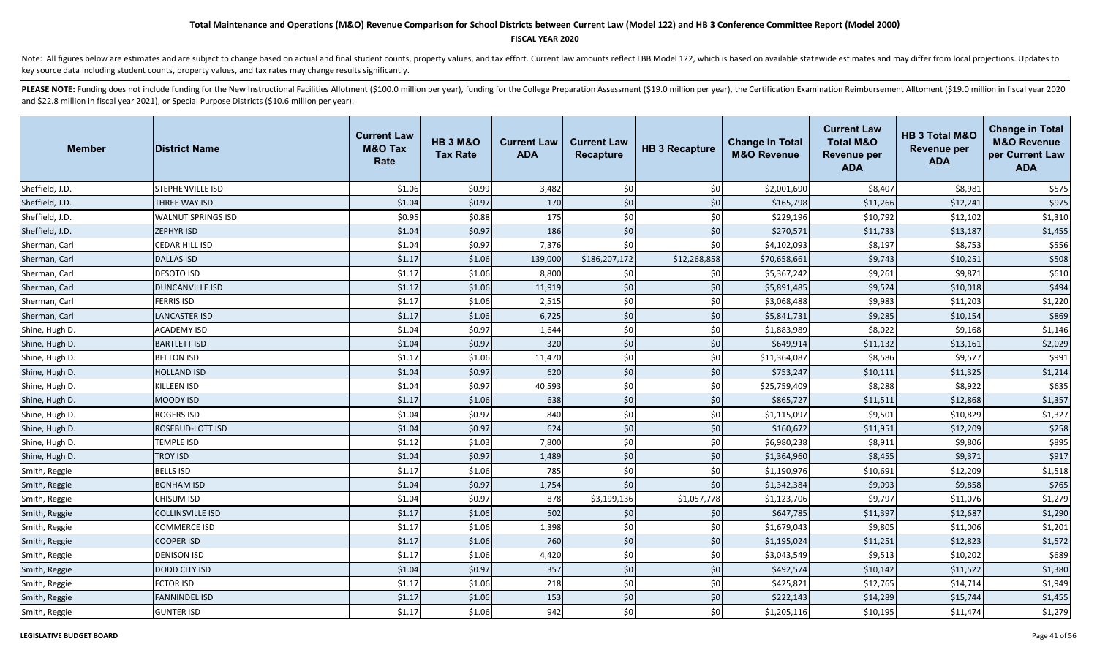### **FISCAL YEAR 2020**

Note: All figures below are estimates and are subject to change based on actual and final student counts, property values, and tax effort. Current law amounts reflect LBB Model 122, which is based on available statewide es key source data including student counts, property values, and tax rates may change results significantly.

| <b>Member</b>   | <b>District Name</b>    | <b>Current Law</b><br><b>M&amp;O Tax</b><br>Rate | <b>HB 3 M&amp;O</b><br><b>Tax Rate</b> | <b>Current Law</b><br><b>ADA</b> | <b>Current Law</b><br><b>Recapture</b> | <b>HB 3 Recapture</b> | <b>Change in Total</b><br><b>M&amp;O Revenue</b> | <b>Current Law</b><br><b>Total M&amp;O</b><br><b>Revenue per</b><br><b>ADA</b> | HB 3 Total M&O<br><b>Revenue per</b><br><b>ADA</b> | <b>Change in Total</b><br><b>M&amp;O Revenue</b><br>per Current Law<br><b>ADA</b> |
|-----------------|-------------------------|--------------------------------------------------|----------------------------------------|----------------------------------|----------------------------------------|-----------------------|--------------------------------------------------|--------------------------------------------------------------------------------|----------------------------------------------------|-----------------------------------------------------------------------------------|
| Sheffield, J.D. | STEPHENVILLE ISD        | \$1.06                                           | \$0.99                                 | 3,482                            | \$0                                    | \$0                   | \$2,001,690                                      | \$8,407                                                                        | \$8,981                                            | \$575                                                                             |
| Sheffield, J.D. | THREE WAY ISD           | \$1.04                                           | \$0.97                                 | 170                              | \$0                                    | \$0                   | \$165,798                                        | \$11,266                                                                       | \$12,241                                           | \$975                                                                             |
| Sheffield, J.D. | WALNUT SPRINGS ISD      | \$0.95                                           | \$0.88                                 | 175                              | \$0                                    | \$0                   | \$229,196                                        | \$10,792                                                                       | \$12,102                                           | \$1,310                                                                           |
| Sheffield, J.D. | ZEPHYR ISD              | \$1.04                                           | \$0.97                                 | 186                              | \$0                                    | $$0$$                 | \$270,571                                        | \$11,733                                                                       | \$13,187                                           | \$1,455                                                                           |
| Sherman, Carl   | CEDAR HILL ISD          | \$1.04                                           | \$0.97                                 | 7,376                            | \$0                                    | \$0                   | \$4,102,093                                      | \$8,197                                                                        | \$8,753                                            | \$556                                                                             |
| Sherman, Carl   | <b>DALLAS ISD</b>       | \$1.17                                           | \$1.06                                 | 139,000                          | \$186,207,172                          | \$12,268,858          | \$70,658,661                                     | \$9,743                                                                        | \$10,251                                           | \$508                                                                             |
| Sherman, Carl   | <b>DESOTO ISD</b>       | \$1.17                                           | \$1.06                                 | 8,800                            | \$0                                    | \$0                   | \$5,367,242                                      | \$9,261                                                                        | \$9,871                                            | \$610                                                                             |
| Sherman, Carl   | <b>DUNCANVILLE ISD</b>  | \$1.17                                           | \$1.06                                 | 11,919                           | \$0                                    | \$0                   | \$5,891,485                                      | \$9,524                                                                        | \$10,018                                           | \$494                                                                             |
| Sherman, Carl   | <b>FERRIS ISD</b>       | \$1.17                                           | \$1.06                                 | 2,515                            | \$0                                    | \$0                   | \$3,068,488                                      | \$9,983                                                                        | \$11,203                                           | \$1,220                                                                           |
| Sherman, Carl   | <b>LANCASTER ISD</b>    | \$1.17                                           | \$1.06                                 | 6,725                            | \$0                                    | \$0                   | \$5,841,731                                      | \$9,285                                                                        | \$10,154                                           | \$869                                                                             |
| Shine, Hugh D.  | <b>ACADEMY ISD</b>      | \$1.04                                           | \$0.97                                 | 1,644                            | \$0                                    | \$0                   | \$1,883,989                                      | \$8,022                                                                        | \$9,168                                            | \$1,146                                                                           |
| Shine, Hugh D.  | <b>BARTLETT ISD</b>     | \$1.04                                           | \$0.97                                 | 320                              | \$0                                    | \$0                   | \$649,914                                        | \$11,132                                                                       | \$13,161                                           | \$2,029                                                                           |
| Shine, Hugh D.  | <b>BELTON ISD</b>       | \$1.17                                           | \$1.06                                 | 11,470                           | \$0                                    | \$0                   | \$11,364,087                                     | \$8,586                                                                        | \$9,577                                            | \$991                                                                             |
| Shine, Hugh D.  | <b>HOLLAND ISD</b>      | \$1.04                                           | \$0.97                                 | 620                              | \$0                                    | \$0                   | \$753,247                                        | \$10,111                                                                       | \$11,325                                           | \$1,214                                                                           |
| Shine, Hugh D.  | KILLEEN ISD             | \$1.04                                           | \$0.97                                 | 40,593                           | \$0                                    | \$0                   | \$25,759,409                                     | \$8,288                                                                        | \$8,922                                            | \$635                                                                             |
| Shine, Hugh D.  | MOODY ISD               | \$1.17                                           | \$1.06                                 | 638                              | \$0                                    | \$0                   | \$865,727                                        | \$11,511                                                                       | \$12,868                                           | \$1,357                                                                           |
| Shine, Hugh D.  | ROGERS ISD              | \$1.04                                           | \$0.97                                 | 840                              | \$0                                    | \$0                   | \$1,115,097                                      | \$9,501                                                                        | \$10,829                                           | \$1,327                                                                           |
| Shine, Hugh D.  | ROSEBUD-LOTT ISD        | \$1.04                                           | \$0.97                                 | 624                              | \$0                                    | \$0                   | \$160,672                                        | \$11,951                                                                       | \$12,209                                           | \$258                                                                             |
| Shine, Hugh D.  | <b>TEMPLE ISD</b>       | \$1.12                                           | \$1.03                                 | 7,800                            | \$0                                    | \$0                   | \$6,980,238                                      | \$8,911                                                                        | \$9,806                                            | \$895                                                                             |
| Shine, Hugh D.  | <b>TROY ISD</b>         | \$1.04                                           | \$0.97                                 | 1,489                            | \$0                                    | \$0                   | \$1,364,960                                      | \$8,455                                                                        | \$9,371                                            | \$917                                                                             |
| Smith, Reggie   | <b>BELLS ISD</b>        | \$1.17                                           | \$1.06                                 | 785                              | \$0                                    | \$0                   | \$1,190,976                                      | \$10,691                                                                       | \$12,209                                           | \$1,518                                                                           |
| Smith, Reggie   | <b>BONHAM ISD</b>       | \$1.04                                           | \$0.97                                 | 1,754                            | \$0                                    | \$0                   | \$1,342,384                                      | \$9,093                                                                        | \$9,858                                            | \$765                                                                             |
| Smith, Reggie   | CHISUM ISD              | \$1.04                                           | \$0.97                                 | 878                              | \$3,199,136                            | \$1,057,778           | \$1,123,706                                      | \$9,797                                                                        | \$11,076                                           | \$1,279                                                                           |
| Smith, Reggie   | <b>COLLINSVILLE ISD</b> | \$1.17                                           | \$1.06                                 | 502                              | \$0                                    | \$0                   | \$647,785                                        | \$11,397                                                                       | \$12,687                                           | \$1,290                                                                           |
| Smith, Reggie   | <b>COMMERCE ISD</b>     | \$1.17                                           | \$1.06                                 | 1,398                            | \$0                                    | \$0                   | \$1,679,043                                      | \$9,805                                                                        | \$11,006                                           | \$1,201                                                                           |
| Smith, Reggie   | <b>COOPER ISD</b>       | \$1.17                                           | \$1.06                                 | 760                              | \$0                                    | $$0$                  | \$1,195,024                                      | \$11,251                                                                       | \$12,823                                           | \$1,572                                                                           |
| Smith, Reggie   | <b>DENISON ISD</b>      | \$1.17                                           | \$1.06                                 | 4,420                            | \$0                                    | \$0                   | \$3,043,549                                      | \$9,513                                                                        | \$10,202                                           | \$689                                                                             |
| Smith, Reggie   | <b>DODD CITY ISD</b>    | \$1.04                                           | \$0.97                                 | 357                              | \$0                                    | \$0                   | \$492,574                                        | \$10,142                                                                       | \$11,522                                           | \$1,380                                                                           |
| Smith, Reggie   | <b>ECTOR ISD</b>        | \$1.17                                           | \$1.06                                 | 218                              | \$0                                    | \$0                   | \$425,821                                        | \$12,765                                                                       | \$14,714                                           | \$1,949                                                                           |
| Smith, Reggie   | <b>FANNINDEL ISD</b>    | \$1.17                                           | \$1.06                                 | 153                              | \$0                                    | \$0                   | \$222,143                                        | \$14,289                                                                       | \$15,744                                           | \$1,455                                                                           |
| Smith, Reggie   | <b>GUNTER ISD</b>       | \$1.17                                           | \$1.06                                 | 942                              | \$0                                    | \$0                   | \$1,205,116                                      | \$10,195                                                                       | \$11,474                                           | \$1,279                                                                           |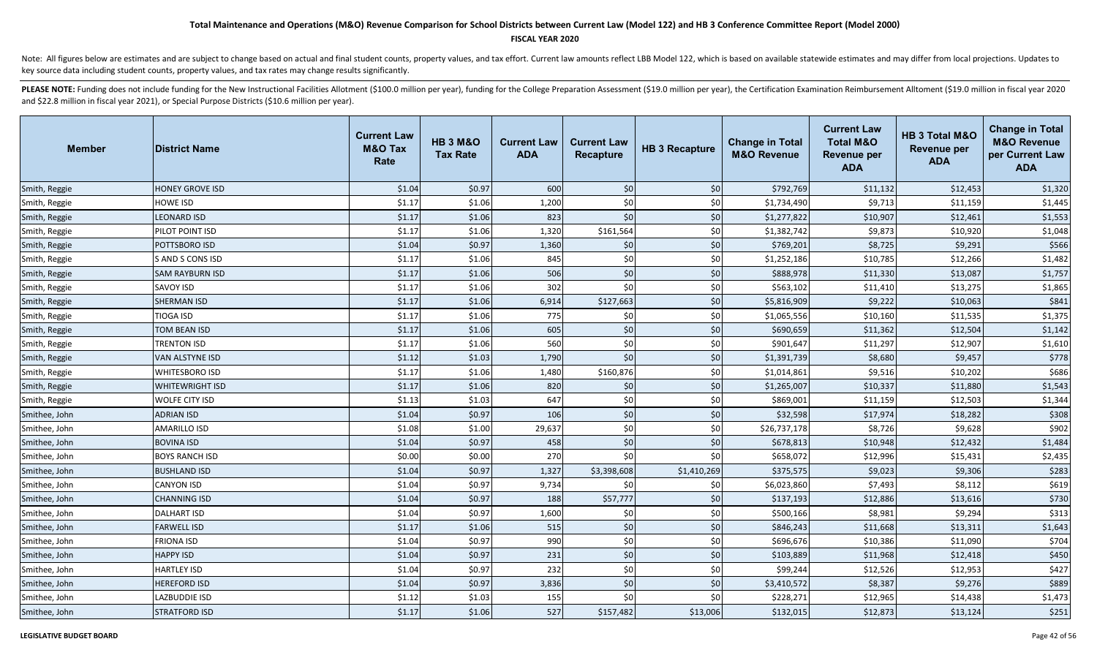### **FISCAL YEAR 2020**

Note: All figures below are estimates and are subject to change based on actual and final student counts, property values, and tax effort. Current law amounts reflect LBB Model 122, which is based on available statewide es key source data including student counts, property values, and tax rates may change results significantly.

| <b>Member</b> | <b>District Name</b>   | <b>Current Law</b><br><b>M&amp;O Tax</b><br>Rate | <b>HB 3 M&amp;O</b><br><b>Tax Rate</b> | <b>Current Law</b><br><b>ADA</b> | <b>Current Law</b><br><b>Recapture</b> | <b>HB 3 Recapture</b> | <b>Change in Total</b><br><b>M&amp;O Revenue</b> | <b>Current Law</b><br><b>Total M&amp;O</b><br>Revenue per<br><b>ADA</b> | <b>HB 3 Total M&amp;O</b><br><b>Revenue per</b><br><b>ADA</b> | <b>Change in Total</b><br><b>M&amp;O Revenue</b><br>per Current Law<br><b>ADA</b> |
|---------------|------------------------|--------------------------------------------------|----------------------------------------|----------------------------------|----------------------------------------|-----------------------|--------------------------------------------------|-------------------------------------------------------------------------|---------------------------------------------------------------|-----------------------------------------------------------------------------------|
| Smith, Reggie | <b>HONEY GROVE ISD</b> | \$1.04                                           | \$0.97                                 | 600                              | \$0                                    | \$0                   | \$792,769                                        | \$11,132                                                                | \$12,453                                                      | \$1,320                                                                           |
| Smith, Reggie | <b>HOWE ISD</b>        | \$1.17                                           | \$1.06                                 | 1,200                            | \$0                                    | \$0                   | \$1,734,490                                      | \$9,713                                                                 | \$11,159                                                      | \$1,445                                                                           |
| Smith, Reggie | <b>LEONARD ISD</b>     | \$1.17                                           | \$1.06                                 | 823                              | \$0                                    | \$0                   | \$1,277,822                                      | \$10,907                                                                | \$12,461                                                      | \$1,553                                                                           |
| Smith, Reggie | PILOT POINT ISD        | \$1.17                                           | \$1.06                                 | 1,320                            | \$161,564                              | \$0                   | \$1,382,742                                      | \$9,873                                                                 | \$10,920                                                      | \$1,048                                                                           |
| Smith, Reggie | POTTSBORO ISD          | \$1.04                                           | \$0.97                                 | 1,360                            | \$0                                    | \$0                   | \$769,201                                        | \$8,725                                                                 | \$9,291                                                       | \$566                                                                             |
| Smith, Reggie | S AND S CONS ISD       | \$1.17                                           | \$1.06                                 | 845                              | \$0                                    | \$0                   | \$1,252,186                                      | \$10,785                                                                | \$12,266                                                      | \$1,482                                                                           |
| Smith, Reggie | <b>SAM RAYBURN ISD</b> | \$1.17                                           | \$1.06                                 | 506                              | \$0                                    | \$0                   | \$888,978                                        | \$11,330                                                                | \$13,087                                                      | \$1,757                                                                           |
| Smith, Reggie | SAVOY ISD              | \$1.17                                           | \$1.06                                 | 302                              | \$0                                    | \$0                   | \$563,102                                        | \$11,410                                                                | \$13,275                                                      | \$1,865                                                                           |
| Smith, Reggie | <b>SHERMAN ISD</b>     | \$1.17                                           | \$1.06                                 | 6,914                            | \$127,663                              | \$0                   | \$5,816,909                                      | \$9,222                                                                 | \$10,063                                                      | \$841                                                                             |
| Smith, Reggie | TIOGA ISD              | \$1.17                                           | \$1.06                                 | 775                              | \$0                                    | \$0                   | \$1,065,556                                      | \$10,160                                                                | \$11,535                                                      | \$1,375                                                                           |
| Smith, Reggie | TOM BEAN ISD           | \$1.17                                           | \$1.06                                 | 605                              | \$0                                    | \$0                   | \$690,659                                        | \$11,362                                                                | \$12,504                                                      | \$1,142                                                                           |
| Smith, Reggie | <b>TRENTON ISD</b>     | \$1.17                                           | \$1.06                                 | 560                              | \$0                                    | \$0                   | \$901,647                                        | \$11,297                                                                | \$12,907                                                      | \$1,610                                                                           |
| Smith, Reggie | <b>VAN ALSTYNE ISD</b> | \$1.12                                           | \$1.03                                 | 1,790                            | \$0                                    | \$0                   | \$1,391,739                                      | \$8,680                                                                 | \$9,457                                                       | \$778                                                                             |
| Smith, Reggie | WHITESBORO ISD         | \$1.17                                           | \$1.06                                 | 1,480                            | \$160,876                              | \$0                   | \$1,014,861                                      | \$9,516                                                                 | \$10,202                                                      | \$686                                                                             |
| Smith, Reggie | <b>WHITEWRIGHT ISD</b> | \$1.17                                           | \$1.06                                 | 820                              | \$0                                    | \$0                   | \$1,265,007                                      | \$10,337                                                                | \$11,880                                                      | \$1,543                                                                           |
| Smith, Reggie | WOLFE CITY ISD         | \$1.13                                           | \$1.03                                 | 647                              | \$0                                    | \$0                   | \$869,001                                        | \$11,159                                                                | \$12,503                                                      | \$1,344                                                                           |
| Smithee, John | <b>ADRIAN ISD</b>      | \$1.04                                           | \$0.97                                 | 106                              | \$0                                    | $$0$                  | \$32,598                                         | \$17,974                                                                | \$18,282                                                      | \$308                                                                             |
| Smithee, John | AMARILLO ISD           | \$1.08                                           | \$1.00                                 | 29,637                           | \$0                                    | \$0                   | \$26,737,178                                     | \$8,726                                                                 | \$9,628                                                       | \$902                                                                             |
| Smithee, John | <b>BOVINA ISD</b>      | \$1.04                                           | \$0.97                                 | 458                              | \$0                                    | \$0                   | \$678,813                                        | \$10,948                                                                | \$12,432                                                      | \$1,484                                                                           |
| Smithee, John | <b>BOYS RANCH ISD</b>  | \$0.00                                           | \$0.00                                 | 270                              | \$0                                    | \$0                   | \$658,072                                        | \$12,996                                                                | \$15,431                                                      | \$2,435                                                                           |
| Smithee, John | <b>BUSHLAND ISD</b>    | \$1.04                                           | \$0.97                                 | 1,327                            | \$3,398,608                            | \$1,410,269           | \$375,575                                        | \$9,023                                                                 | \$9,306                                                       | \$283                                                                             |
| Smithee, John | <b>CANYON ISD</b>      | \$1.04                                           | \$0.97                                 | 9,734                            | \$0                                    | \$0                   | \$6,023,860                                      | \$7,493                                                                 | \$8,112                                                       | \$619                                                                             |
| Smithee, John | <b>CHANNING ISD</b>    | \$1.04                                           | \$0.97                                 | 188                              | \$57,777                               | \$0                   | \$137,193                                        | \$12,886                                                                | \$13,616                                                      | \$730                                                                             |
| Smithee, John | <b>DALHART ISD</b>     | \$1.04                                           | \$0.97                                 | 1,600                            | \$0                                    | \$0                   | \$500,166                                        | \$8,981                                                                 | \$9,294                                                       | \$313                                                                             |
| Smithee, John | <b>FARWELL ISD</b>     | \$1.17                                           | \$1.06                                 | 515                              | \$0                                    | \$0                   | \$846,243                                        | \$11,668                                                                | \$13,311                                                      | \$1,643                                                                           |
| Smithee, John | <b>FRIONA ISD</b>      | \$1.04                                           | \$0.97                                 | 990                              | \$0                                    | \$0                   | \$696,676                                        | \$10,386                                                                | \$11,090                                                      | \$704                                                                             |
| Smithee, John | <b>HAPPY ISD</b>       | \$1.04                                           | \$0.97                                 | 231                              | \$0                                    | \$0                   | \$103,889                                        | \$11,968                                                                | \$12,418                                                      | \$450                                                                             |
| Smithee, John | <b>HARTLEY ISD</b>     | \$1.04                                           | \$0.97                                 | 232                              | \$0                                    | \$0                   | \$99,244                                         | \$12,526                                                                | \$12,953                                                      | \$427                                                                             |
| Smithee, John | <b>HEREFORD ISD</b>    | \$1.04                                           | \$0.97                                 | 3,836                            | \$0                                    | \$0                   | \$3,410,572                                      | \$8,387                                                                 | \$9,276                                                       | \$889                                                                             |
| Smithee, John | LAZBUDDIE ISD          | \$1.12                                           | \$1.03                                 | 155                              | \$0                                    | \$0                   | \$228,271                                        | \$12,965                                                                | \$14,438                                                      | \$1,473                                                                           |
| Smithee, John | <b>STRATFORD ISD</b>   | \$1.17                                           | \$1.06                                 | 527                              | \$157,482                              | \$13,006              | \$132,015                                        | \$12,873                                                                | \$13,124                                                      | \$251                                                                             |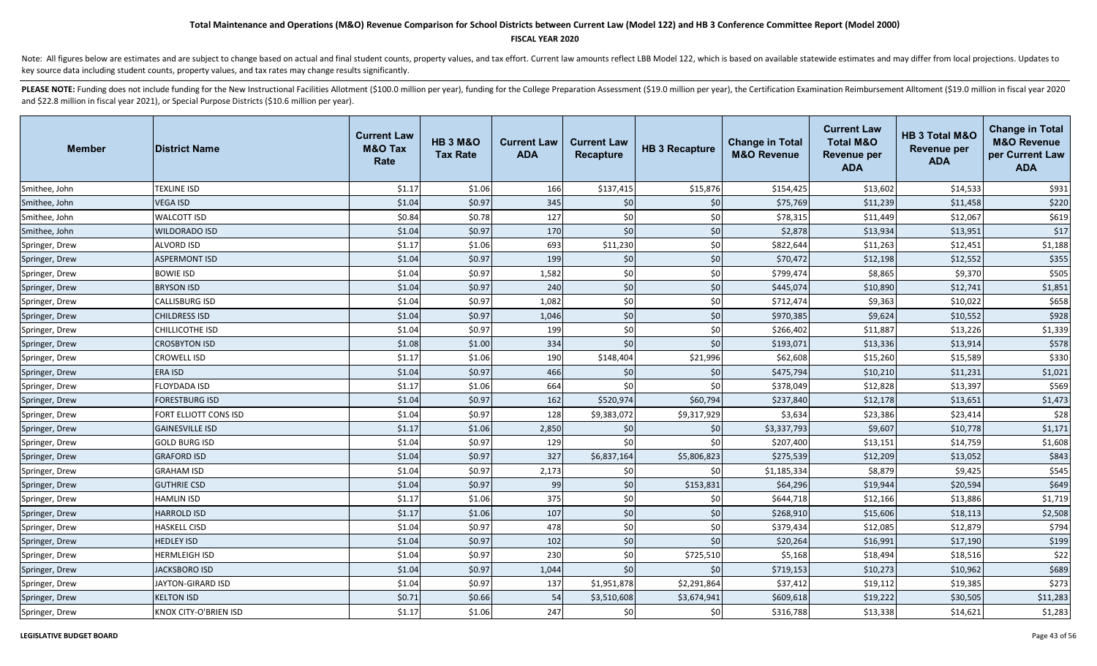### **FISCAL YEAR 2020**

Note: All figures below are estimates and are subject to change based on actual and final student counts, property values, and tax effort. Current law amounts reflect LBB Model 122, which is based on available statewide es key source data including student counts, property values, and tax rates may change results significantly.

| <b>Member</b>  | <b>District Name</b>   | <b>Current Law</b><br><b>M&amp;O Tax</b><br>Rate | <b>HB 3 M&amp;O</b><br><b>Tax Rate</b> | <b>Current Law</b><br><b>ADA</b> | <b>Current Law</b><br><b>Recapture</b> | <b>HB 3 Recapture</b> | <b>Change in Total</b><br><b>M&amp;O Revenue</b> | <b>Current Law</b><br><b>Total M&amp;O</b><br><b>Revenue per</b><br><b>ADA</b> | HB 3 Total M&O<br><b>Revenue per</b><br><b>ADA</b> | <b>Change in Total</b><br><b>M&amp;O Revenue</b><br>per Current Law<br><b>ADA</b> |
|----------------|------------------------|--------------------------------------------------|----------------------------------------|----------------------------------|----------------------------------------|-----------------------|--------------------------------------------------|--------------------------------------------------------------------------------|----------------------------------------------------|-----------------------------------------------------------------------------------|
| Smithee, John  | TEXLINE ISD            | \$1.17                                           | \$1.06                                 | 166                              | \$137,415                              | \$15,876              | \$154,425                                        | \$13,602                                                                       | \$14,533                                           | \$931                                                                             |
| Smithee, John  | <b>VEGA ISD</b>        | \$1.04                                           | \$0.97                                 | 345                              | $$0$                                   | \$0                   | \$75,769                                         | \$11,239                                                                       | \$11,458                                           | \$220                                                                             |
| Smithee, John  | <b>WALCOTT ISD</b>     | \$0.84                                           | \$0.78                                 | 127                              | \$0                                    | \$0                   | \$78,315                                         | \$11,449                                                                       | \$12,067                                           | \$619                                                                             |
| Smithee, John  | <b>WILDORADO ISD</b>   | \$1.04                                           | \$0.97                                 | 170                              | \$0                                    | \$0                   | \$2,878                                          | \$13,934                                                                       | \$13,951                                           | \$17                                                                              |
| Springer, Drew | <b>ALVORD ISD</b>      | \$1.17                                           | \$1.06                                 | 693                              | \$11,230                               | \$0                   | \$822,644                                        | \$11,263                                                                       | \$12,451                                           | \$1,188                                                                           |
| Springer, Drew | <b>ASPERMONT ISD</b>   | \$1.04                                           | \$0.97                                 | 199                              | \$0                                    | \$0                   | \$70,472                                         | \$12,198                                                                       | \$12,552                                           | \$355                                                                             |
| Springer, Drew | <b>BOWIE ISD</b>       | \$1.04                                           | \$0.97                                 | 1,582                            | \$0                                    | \$0                   | \$799,474                                        | \$8,865                                                                        | \$9,370                                            | \$505                                                                             |
| Springer, Drew | <b>BRYSON ISD</b>      | \$1.04                                           | \$0.97                                 | 240                              | \$0                                    | \$0                   | \$445,074                                        | \$10,890                                                                       | \$12,741                                           | \$1,851                                                                           |
| Springer, Drew | <b>CALLISBURG ISD</b>  | \$1.04                                           | \$0.97                                 | 1,082                            | \$0                                    | \$0                   | \$712,474                                        | \$9,363                                                                        | \$10,022                                           | \$658                                                                             |
| Springer, Drew | <b>CHILDRESS ISD</b>   | \$1.04                                           | \$0.97                                 | 1,046                            | \$0                                    | \$0                   | \$970,385                                        | \$9,624                                                                        | \$10,552                                           | \$928                                                                             |
| Springer, Drew | CHILLICOTHE ISD        | \$1.04                                           | \$0.97                                 | 199                              | \$0                                    | \$0                   | \$266,402                                        | \$11,887                                                                       | \$13,226                                           | \$1,339                                                                           |
| Springer, Drew | <b>CROSBYTON ISD</b>   | \$1.08                                           | \$1.00                                 | 334                              | \$0                                    | \$0                   | \$193,071                                        | \$13,336                                                                       | \$13,914                                           | \$578                                                                             |
| Springer, Drew | CROWELL ISD            | \$1.17                                           | \$1.06                                 | 190                              | \$148,404                              | \$21,996              | \$62,608                                         | \$15,260                                                                       | \$15,589                                           | \$330                                                                             |
| Springer, Drew | ERA ISD                | \$1.04                                           | \$0.97                                 | 466                              | \$0                                    | \$0                   | \$475,794                                        | \$10,210                                                                       | \$11,231                                           | \$1,021                                                                           |
| Springer, Drew | FLOYDADA ISD           | \$1.17                                           | \$1.06                                 | 664                              | \$0                                    | \$0                   | \$378,049                                        | \$12,828                                                                       | \$13,397                                           | \$569                                                                             |
| Springer, Drew | <b>FORESTBURG ISD</b>  | \$1.04                                           | \$0.97                                 | 162                              | \$520,974                              | \$60,794              | \$237,840                                        | \$12,178                                                                       | \$13,651                                           | \$1,473                                                                           |
| Springer, Drew | FORT ELLIOTT CONS ISD  | \$1.04                                           | \$0.97                                 | 128                              | \$9,383,072                            | \$9,317,929           | \$3,634                                          | \$23,386                                                                       | \$23,414                                           | \$28                                                                              |
| Springer, Drew | <b>GAINESVILLE ISD</b> | \$1.17                                           | \$1.06                                 | 2,850                            | \$0                                    | \$0                   | \$3,337,793                                      | \$9,607                                                                        | \$10,778                                           | \$1,171                                                                           |
| Springer, Drew | <b>GOLD BURG ISD</b>   | \$1.04                                           | \$0.97                                 | 129                              | \$0                                    | \$0                   | \$207,400                                        | \$13,151                                                                       | \$14,759                                           | \$1,608                                                                           |
| Springer, Drew | <b>GRAFORD ISD</b>     | \$1.04                                           | \$0.97                                 | 327                              | \$6,837,164                            | \$5,806,823           | \$275,539                                        | \$12,209                                                                       | \$13,052                                           | \$843                                                                             |
| Springer, Drew | <b>GRAHAM ISD</b>      | \$1.04                                           | \$0.97                                 | 2,173                            | \$0                                    | \$0                   | \$1,185,334                                      | \$8,879                                                                        | \$9,425                                            | \$545                                                                             |
| Springer, Drew | <b>GUTHRIE CSD</b>     | \$1.04                                           | \$0.97                                 | 99                               | \$0                                    | \$153,831             | \$64,296                                         | \$19,944                                                                       | \$20,594                                           | \$649                                                                             |
| Springer, Drew | HAMLIN ISD             | \$1.17                                           | \$1.06                                 | 375                              | \$0                                    | \$0                   | \$644,718                                        | \$12,166                                                                       | \$13,886                                           | \$1,719                                                                           |
| Springer, Drew | <b>HARROLD ISD</b>     | \$1.17                                           | \$1.06                                 | 107                              | \$0                                    | \$0                   | \$268,910                                        | \$15,606                                                                       | \$18,113                                           | \$2,508                                                                           |
| Springer, Drew | <b>HASKELL CISD</b>    | \$1.04                                           | \$0.97                                 | 478                              | \$0                                    | \$0                   | \$379,434                                        | \$12,085                                                                       | \$12,879                                           | \$794                                                                             |
| Springer, Drew | <b>HEDLEY ISD</b>      | \$1.04                                           | \$0.97                                 | 102                              | \$0                                    | \$0                   | \$20,264                                         | \$16,991                                                                       | \$17,190                                           | \$199                                                                             |
| Springer, Drew | HERMLEIGH ISD          | \$1.04                                           | \$0.97                                 | 230                              | \$0                                    | \$725,510             | \$5,168                                          | \$18,494                                                                       | \$18,516                                           | \$22                                                                              |
| Springer, Drew | <b>JACKSBORO ISD</b>   | \$1.04                                           | \$0.97                                 | 1,044                            | \$0                                    | \$0                   | \$719,153                                        | \$10,273                                                                       | \$10,962                                           | \$689                                                                             |
| Springer, Drew | JAYTON-GIRARD ISD      | \$1.04                                           | \$0.97                                 | 137                              | \$1,951,878                            | \$2,291,864           | \$37,412                                         | \$19,112                                                                       | \$19,385                                           | \$273                                                                             |
| Springer, Drew | <b>KELTON ISD</b>      | \$0.71                                           | \$0.66                                 | 54                               | \$3,510,608                            | \$3,674,941           | \$609,618                                        | \$19,222                                                                       | \$30,505                                           | \$11,283                                                                          |
| Springer, Drew | KNOX CITY-O'BRIEN ISD  | \$1.17                                           | \$1.06                                 | 247                              | \$0                                    | \$0                   | \$316,788                                        | \$13,338                                                                       | \$14,621                                           | \$1,283                                                                           |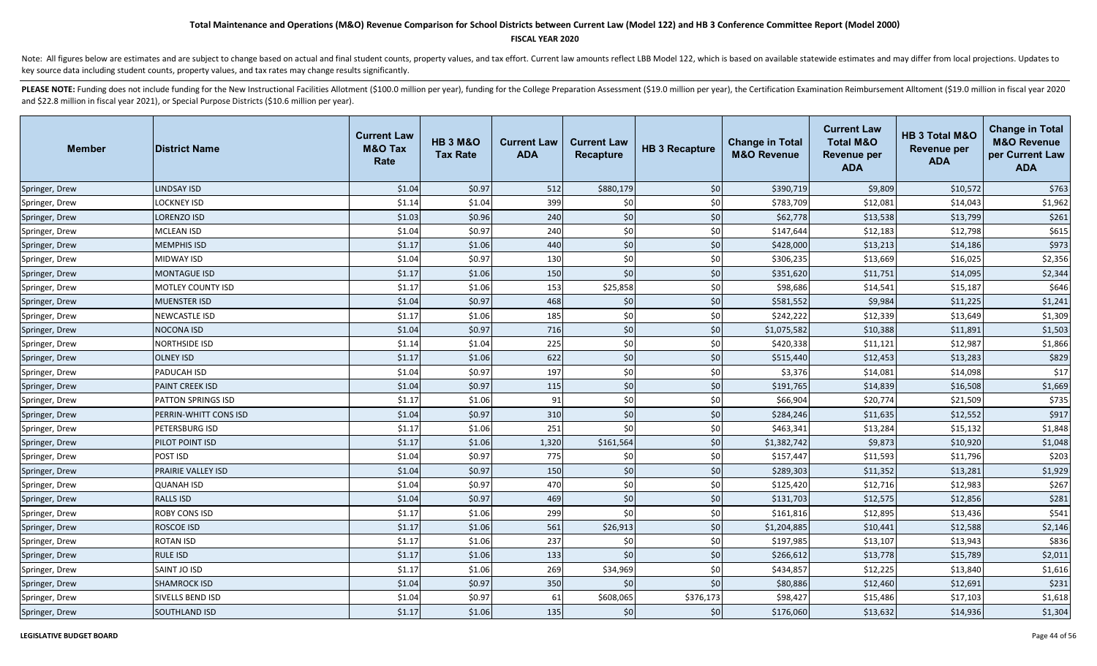### **FISCAL YEAR 2020**

Note: All figures below are estimates and are subject to change based on actual and final student counts, property values, and tax effort. Current law amounts reflect LBB Model 122, which is based on available statewide es key source data including student counts, property values, and tax rates may change results significantly.

| <b>Member</b>  | <b>District Name</b>     | <b>Current Law</b><br><b>M&amp;O Tax</b><br>Rate | <b>HB 3 M&amp;O</b><br><b>Tax Rate</b> | <b>Current Law</b><br><b>ADA</b> | <b>Current Law</b><br><b>Recapture</b> | <b>HB 3 Recapture</b> | <b>Change in Total</b><br><b>M&amp;O Revenue</b> | <b>Current Law</b><br><b>Total M&amp;O</b><br>Revenue per<br><b>ADA</b> | <b>HB 3 Total M&amp;O</b><br>Revenue per<br><b>ADA</b> | <b>Change in Total</b><br><b>M&amp;O Revenue</b><br>per Current Law<br><b>ADA</b> |
|----------------|--------------------------|--------------------------------------------------|----------------------------------------|----------------------------------|----------------------------------------|-----------------------|--------------------------------------------------|-------------------------------------------------------------------------|--------------------------------------------------------|-----------------------------------------------------------------------------------|
| Springer, Drew | <b>LINDSAY ISD</b>       | \$1.04                                           | \$0.97                                 | 512                              | \$880,179                              | \$0                   | \$390,719                                        | \$9,809                                                                 | \$10,572                                               | \$763                                                                             |
| Springer, Drew | LOCKNEY ISD              | \$1.14                                           | \$1.04                                 | 399                              | \$0                                    | \$0                   | \$783,709                                        | \$12,081                                                                | \$14,043                                               | \$1,962                                                                           |
| Springer, Drew | LORENZO ISD              | \$1.03                                           | \$0.96                                 | 240                              | \$0                                    | \$0                   | \$62,778                                         | \$13,538                                                                | \$13,799                                               | \$261                                                                             |
| Springer, Drew | MCLEAN ISD               | \$1.04                                           | \$0.97                                 | 240                              | \$0                                    | \$0                   | \$147,644                                        | \$12,183                                                                | \$12,798                                               | \$615                                                                             |
| Springer, Drew | <b>MEMPHIS ISD</b>       | \$1.17                                           | \$1.06                                 | 440                              | $$0$$                                  | \$0                   | \$428,000                                        | \$13,213                                                                | \$14,186                                               | \$973                                                                             |
| Springer, Drew | MIDWAY ISD               | \$1.04                                           | \$0.97                                 | 130                              | \$0                                    | \$0                   | \$306,235                                        | \$13,669                                                                | \$16,025                                               | \$2,356                                                                           |
| Springer, Drew | <b>MONTAGUE ISD</b>      | \$1.17                                           | \$1.06                                 | 150                              | \$0                                    | \$0                   | \$351,620                                        | \$11,751                                                                | \$14,095                                               | \$2,344                                                                           |
| Springer, Drew | <b>MOTLEY COUNTY ISD</b> | \$1.17                                           | \$1.06                                 | 153                              | \$25,858                               | \$0                   | \$98,686                                         | \$14,541                                                                | \$15,187                                               | \$646                                                                             |
| Springer, Drew | <b>MUENSTER ISD</b>      | \$1.04                                           | \$0.97                                 | 468                              | \$0                                    | \$0                   | \$581,552                                        | \$9,984                                                                 | \$11,225                                               | \$1,241                                                                           |
| Springer, Drew | NEWCASTLE ISD            | \$1.17                                           | \$1.06                                 | 185                              | \$0                                    | \$0                   | \$242,222                                        | \$12,339                                                                | \$13,649                                               | \$1,309                                                                           |
| Springer, Drew | <b>NOCONA ISD</b>        | \$1.04                                           | \$0.97                                 | 716                              | \$0                                    | \$0                   | \$1,075,582                                      | \$10,388                                                                | \$11,891                                               | \$1,503                                                                           |
| Springer, Drew | NORTHSIDE ISD            | \$1.14                                           | \$1.04                                 | 225                              | \$0                                    | \$0                   | \$420,338                                        | \$11,121                                                                | \$12,987                                               | \$1,866                                                                           |
| Springer, Drew | <b>OLNEY ISD</b>         | \$1.17                                           | \$1.06                                 | 622                              | \$0                                    | \$0                   | \$515,440                                        | \$12,453                                                                | \$13,283                                               | \$829                                                                             |
| Springer, Drew | PADUCAH ISD              | \$1.04                                           | \$0.97                                 | 197                              | \$0                                    | \$0                   | \$3,376                                          | \$14,081                                                                | \$14,098                                               | \$17                                                                              |
| Springer, Drew | <b>PAINT CREEK ISD</b>   | \$1.04                                           | \$0.97                                 | 115                              | \$0                                    | \$0                   | \$191,765                                        | \$14,839                                                                | \$16,508                                               | \$1,669                                                                           |
| Springer, Drew | PATTON SPRINGS ISD       | \$1.17                                           | \$1.06                                 | 91                               | \$0                                    | \$0                   | \$66,904                                         | \$20,774                                                                | \$21,509                                               | \$735                                                                             |
| Springer, Drew | PERRIN-WHITT CONS ISD    | \$1.04                                           | \$0.97                                 | 310                              | \$0                                    | \$0                   | \$284,246                                        | \$11,635                                                                | \$12,552                                               | \$917                                                                             |
| Springer, Drew | PETERSBURG ISD           | \$1.17                                           | \$1.06                                 | 251                              | \$0                                    | \$0                   | \$463,341                                        | \$13,284                                                                | \$15,132                                               | \$1,848                                                                           |
| Springer, Drew | PILOT POINT ISD          | \$1.17                                           | \$1.06                                 | 1,320                            | \$161,564                              | \$0                   | \$1,382,742                                      | \$9,873                                                                 | \$10,920                                               | \$1,048                                                                           |
| Springer, Drew | POST ISD                 | \$1.04                                           | \$0.97                                 | 775                              | \$0                                    | \$0                   | \$157,447                                        | \$11,593                                                                | \$11,796                                               | \$203                                                                             |
| Springer, Drew | PRAIRIE VALLEY ISD       | \$1.04                                           | \$0.97                                 | 150                              | \$0                                    | \$0                   | \$289,303                                        | \$11,352                                                                | \$13,281                                               | \$1,929                                                                           |
| Springer, Drew | QUANAH ISD               | \$1.04                                           | \$0.97                                 | 470                              | \$0                                    | \$0                   | \$125,420                                        | \$12,716                                                                | \$12,983                                               | \$267                                                                             |
| Springer, Drew | <b>RALLS ISD</b>         | \$1.04                                           | \$0.97                                 | 469                              | \$0                                    | \$0                   | \$131,703                                        | \$12,575                                                                | \$12,856                                               | \$281                                                                             |
| Springer, Drew | ROBY CONS ISD            | \$1.17                                           | \$1.06                                 | 299                              | \$0                                    | \$0                   | \$161,816                                        | \$12,895                                                                | \$13,436                                               | \$541                                                                             |
| Springer, Drew | ROSCOE ISD               | \$1.17                                           | \$1.06                                 | 561                              | \$26,913                               | \$0                   | \$1,204,885                                      | \$10,441                                                                | \$12,588                                               | \$2,146                                                                           |
| Springer, Drew | ROTAN ISD                | \$1.17                                           | \$1.06                                 | 237                              | \$0                                    | \$0                   | \$197,985                                        | \$13,107                                                                | \$13,943                                               | \$836                                                                             |
| Springer, Drew | <b>RULE ISD</b>          | \$1.17                                           | \$1.06                                 | 133                              | \$0                                    | \$0                   | \$266,612                                        | \$13,778                                                                | \$15,789                                               | \$2,011                                                                           |
| Springer, Drew | SAINT JO ISD             | \$1.17                                           | \$1.06                                 | 269                              | \$34,969                               | \$0                   | \$434,857                                        | \$12,225                                                                | \$13,840                                               | \$1,616                                                                           |
| Springer, Drew | <b>SHAMROCK ISD</b>      | \$1.04                                           | \$0.97                                 | 350                              | \$0                                    | \$0                   | \$80,886                                         | \$12,460                                                                | \$12,691                                               | \$231                                                                             |
| Springer, Drew | SIVELLS BEND ISD         | \$1.04                                           | \$0.97                                 | 61                               | \$608,065                              | \$376,173             | \$98,427                                         | \$15,486                                                                | \$17,103                                               | \$1,618                                                                           |
| Springer, Drew | <b>SOUTHLAND ISD</b>     | \$1.17                                           | \$1.06                                 | 135                              | \$0                                    | \$0                   | \$176,060                                        | \$13,632                                                                | \$14,936                                               | \$1,304                                                                           |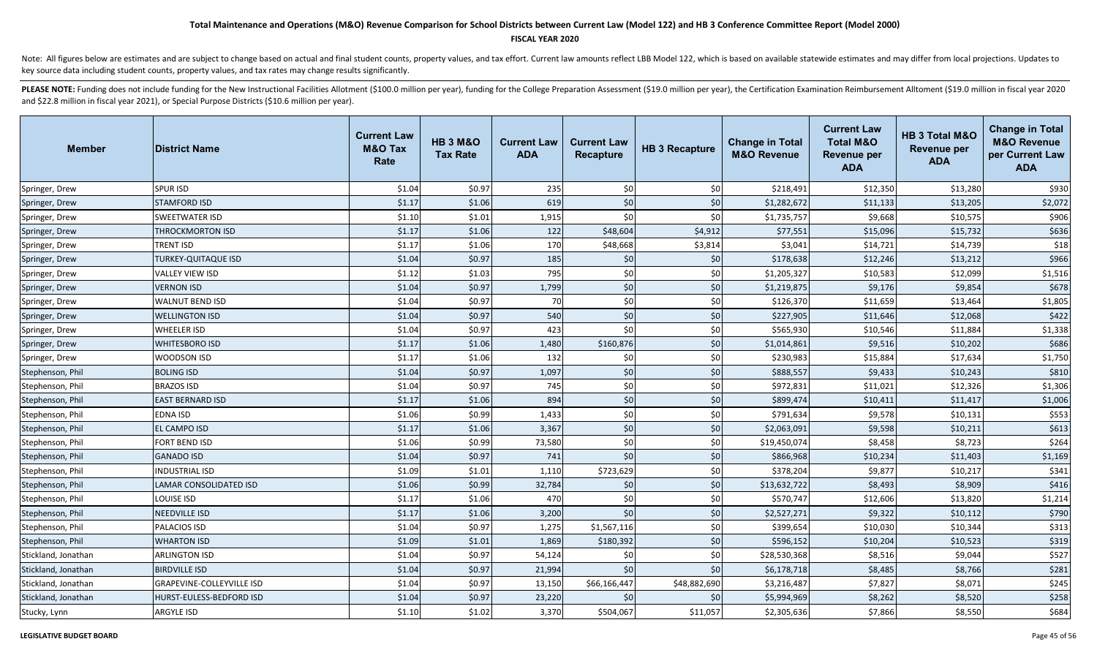### **FISCAL YEAR 2020**

Note: All figures below are estimates and are subject to change based on actual and final student counts, property values, and tax effort. Current law amounts reflect LBB Model 122, which is based on available statewide es key source data including student counts, property values, and tax rates may change results significantly.

| <b>Member</b>       | <b>District Name</b>             | <b>Current Law</b><br><b>M&amp;O Tax</b><br>Rate | <b>HB 3 M&amp;O</b><br><b>Tax Rate</b> | <b>Current Law</b><br><b>ADA</b> | <b>Current Law</b><br><b>Recapture</b> | <b>HB 3 Recapture</b> | <b>Change in Total</b><br><b>M&amp;O Revenue</b> | <b>Current Law</b><br><b>Total M&amp;O</b><br><b>Revenue per</b><br><b>ADA</b> | HB 3 Total M&O<br><b>Revenue per</b><br><b>ADA</b> | <b>Change in Total</b><br><b>M&amp;O Revenue</b><br>per Current Law<br><b>ADA</b> |
|---------------------|----------------------------------|--------------------------------------------------|----------------------------------------|----------------------------------|----------------------------------------|-----------------------|--------------------------------------------------|--------------------------------------------------------------------------------|----------------------------------------------------|-----------------------------------------------------------------------------------|
| Springer, Drew      | <b>SPUR ISD</b>                  | \$1.04                                           | \$0.97                                 | 235                              | \$0                                    | \$0                   | \$218,491                                        | \$12,350                                                                       | \$13,280                                           | \$930                                                                             |
| Springer, Drew      | <b>STAMFORD ISD</b>              | \$1.17                                           | \$1.06                                 | 619                              | \$0                                    | \$0                   | \$1,282,672                                      | \$11,133                                                                       | \$13,205                                           | \$2,072                                                                           |
| Springer, Drew      | <b>SWEETWATER ISD</b>            | \$1.10                                           | \$1.01                                 | 1,915                            | \$0                                    | \$0                   | \$1,735,757                                      | \$9,668                                                                        | \$10,575                                           | \$906                                                                             |
| Springer, Drew      | THROCKMORTON ISD                 | \$1.17                                           | \$1.06                                 | 122                              | \$48,604                               | \$4,912               | \$77,551                                         | \$15,096                                                                       | \$15,732                                           | \$636                                                                             |
| Springer, Drew      | TRENT ISD                        | \$1.17                                           | \$1.06                                 | 170                              | \$48,668                               | \$3,814               | \$3,041                                          | \$14,721                                                                       | \$14,739                                           | \$18                                                                              |
| Springer, Drew      | TURKEY-QUITAQUE ISD              | \$1.04                                           | \$0.97                                 | 185                              | \$0                                    | \$0                   | \$178,638                                        | \$12,246                                                                       | \$13,212                                           | \$966                                                                             |
| Springer, Drew      | <b>VALLEY VIEW ISD</b>           | \$1.12                                           | \$1.03                                 | 795                              | \$0                                    | \$0                   | \$1,205,327                                      | \$10,583                                                                       | \$12,099                                           | \$1,516                                                                           |
| Springer, Drew      | <b>VERNON ISD</b>                | \$1.04                                           | \$0.97                                 | 1,799                            | \$0                                    | \$0                   | \$1,219,875                                      | \$9,176                                                                        | \$9,854                                            | \$678                                                                             |
| Springer, Drew      | <b>WALNUT BEND ISD</b>           | \$1.04                                           | \$0.97                                 | 70                               | \$0                                    | \$0                   | \$126,370                                        | \$11,659                                                                       | \$13,464                                           | \$1,805                                                                           |
| Springer, Drew      | <b>WELLINGTON ISD</b>            | \$1.04                                           | \$0.97                                 | 540                              | \$0                                    | \$0                   | \$227,905                                        | \$11,646                                                                       | \$12,068                                           | \$422                                                                             |
| Springer, Drew      | <b>WHEELER ISD</b>               | \$1.04                                           | \$0.97                                 | 423                              | \$0                                    | \$0                   | \$565,930                                        | \$10,546                                                                       | \$11,884                                           | \$1,338                                                                           |
| Springer, Drew      | <b>WHITESBORO ISD</b>            | \$1.17                                           | \$1.06                                 | 1,480                            | \$160,876                              | \$0                   | \$1,014,861                                      | \$9,516                                                                        | \$10,202                                           | \$686                                                                             |
| Springer, Drew      | WOODSON ISD                      | \$1.17                                           | \$1.06                                 | 132                              | \$0                                    | \$0                   | \$230,983                                        | \$15,884                                                                       | \$17,634                                           | \$1,750                                                                           |
| Stephenson, Phil    | <b>BOLING ISD</b>                | \$1.04                                           | \$0.97                                 | 1,097                            | \$0                                    | \$0                   | \$888,557                                        | \$9,433                                                                        | \$10,243                                           | \$810                                                                             |
| Stephenson, Phil    | <b>BRAZOS ISD</b>                | \$1.04                                           | \$0.97                                 | 745                              | \$0                                    | \$0                   | \$972,831                                        | \$11,021                                                                       | \$12,326                                           | \$1,306                                                                           |
| Stephenson, Phil    | <b>EAST BERNARD ISD</b>          | \$1.17                                           | \$1.06                                 | 894                              | \$0                                    | \$0                   | \$899,474                                        | \$10,411                                                                       | \$11,417                                           | \$1,006                                                                           |
| Stephenson, Phil    | <b>EDNA ISD</b>                  | \$1.06                                           | \$0.99                                 | 1,433                            | \$0                                    | \$0                   | \$791,634                                        | \$9,578                                                                        | \$10,131                                           | \$553                                                                             |
| Stephenson, Phil    | <b>EL CAMPO ISD</b>              | \$1.17                                           | \$1.06                                 | 3,367                            | \$0                                    | \$0                   | \$2,063,091                                      | \$9,598                                                                        | \$10,211                                           | \$613                                                                             |
| Stephenson, Phil    | FORT BEND ISD                    | \$1.06                                           | \$0.99                                 | 73,580                           | \$0                                    | \$0                   | \$19,450,074                                     | \$8,458                                                                        | \$8,723                                            | \$264                                                                             |
| Stephenson, Phil    | <b>GANADO ISD</b>                | \$1.04                                           | \$0.97                                 | 741                              | \$0                                    | \$0                   | \$866,968                                        | \$10,234                                                                       | \$11,403                                           | \$1,169                                                                           |
| Stephenson, Phil    | INDUSTRIAL ISD                   | \$1.09                                           | \$1.01                                 | 1,110                            | \$723,629                              | \$0                   | \$378,204                                        | \$9,877                                                                        | \$10,217                                           | \$341                                                                             |
| Stephenson, Phil    | LAMAR CONSOLIDATED ISD           | \$1.06                                           | \$0.99                                 | 32,784                           | \$0                                    | \$0                   | \$13,632,722                                     | \$8,493                                                                        | \$8,909                                            | \$416                                                                             |
| Stephenson, Phil    | LOUISE ISD                       | \$1.17                                           | \$1.06                                 | 470                              | \$0                                    | \$0                   | \$570,747                                        | \$12,606                                                                       | \$13,820                                           | \$1,214                                                                           |
| Stephenson, Phil    | <b>NEEDVILLE ISD</b>             | \$1.17                                           | \$1.06                                 | 3,200                            | \$0                                    | \$0                   | \$2,527,271                                      | \$9,322                                                                        | \$10,112                                           | \$790                                                                             |
| Stephenson, Phil    | PALACIOS ISD                     | \$1.04                                           | \$0.97                                 | 1,275                            | \$1,567,116                            | \$0                   | \$399,654                                        | \$10,030                                                                       | \$10,344                                           | \$313                                                                             |
| Stephenson, Phil    | <b>WHARTON ISD</b>               | \$1.09                                           | \$1.01                                 | 1,869                            | \$180,392                              | \$0                   | \$596,152                                        | \$10,204                                                                       | \$10,523                                           | \$319                                                                             |
| Stickland, Jonathan | <b>ARLINGTON ISD</b>             | \$1.04                                           | \$0.97                                 | 54,124                           | \$0                                    | \$0                   | \$28,530,368                                     | \$8,516                                                                        | \$9,044                                            | \$527                                                                             |
| Stickland, Jonathan | <b>BIRDVILLE ISD</b>             | \$1.04                                           | \$0.97                                 | 21,994                           | \$0                                    | \$0                   | \$6,178,718                                      | \$8,485                                                                        | \$8,766                                            | \$281                                                                             |
| Stickland, Jonathan | <b>GRAPEVINE-COLLEYVILLE ISD</b> | \$1.04                                           | \$0.97                                 | 13,150                           | \$66,166,447                           | \$48,882,690          | \$3,216,487                                      | \$7,827                                                                        | \$8,071                                            | \$245                                                                             |
| Stickland, Jonathan | HURST-EULESS-BEDFORD ISD         | \$1.04                                           | \$0.97                                 | 23,220                           | \$0                                    | \$0                   | \$5,994,969                                      | \$8,262                                                                        | \$8,520                                            | \$258                                                                             |
| Stucky, Lynn        | <b>ARGYLE ISD</b>                | \$1.10                                           | \$1.02                                 | 3,370                            | \$504,067                              | \$11,057              | \$2,305,636                                      | \$7,866                                                                        | \$8,550                                            | \$684                                                                             |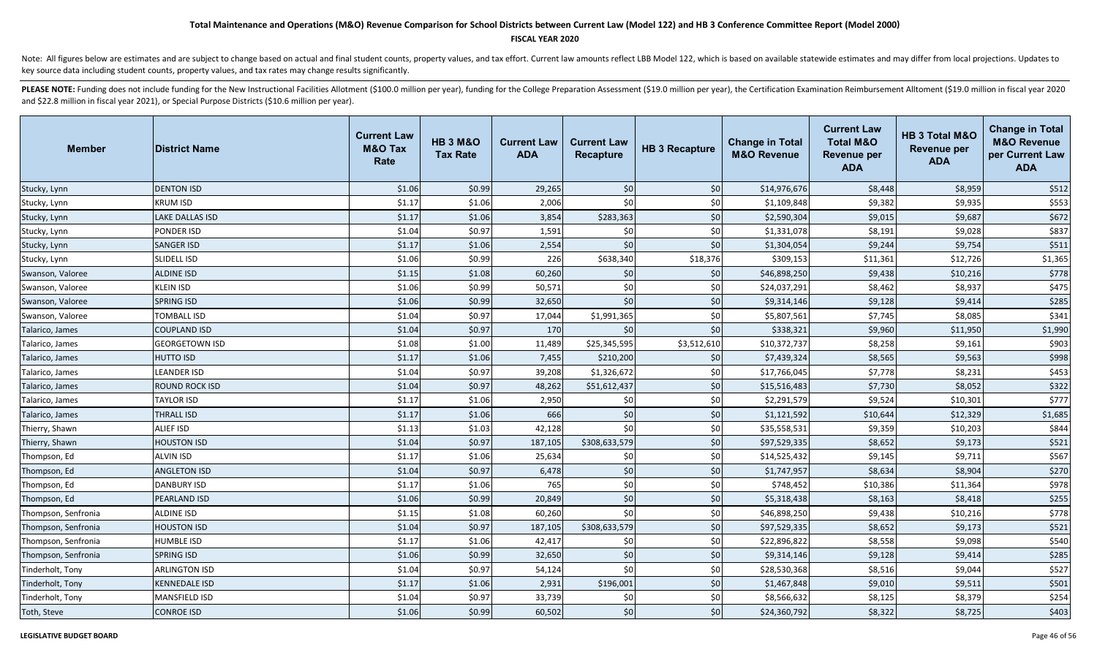#### **FISCAL YEAR 2020**

Note: All figures below are estimates and are subject to change based on actual and final student counts, property values, and tax effort. Current law amounts reflect LBB Model 122, which is based on available statewide es key source data including student counts, property values, and tax rates may change results significantly.

| <b>Member</b>       | <b>District Name</b>  | <b>Current Law</b><br><b>M&amp;O Tax</b><br>Rate | <b>HB 3 M&amp;O</b><br><b>Tax Rate</b> | <b>Current Law</b><br><b>ADA</b> | <b>Current Law</b><br><b>Recapture</b> | <b>HB 3 Recapture</b> | <b>Change in Total</b><br><b>M&amp;O Revenue</b> | <b>Current Law</b><br><b>Total M&amp;O</b><br><b>Revenue per</b><br><b>ADA</b> | HB 3 Total M&O<br><b>Revenue per</b><br><b>ADA</b> | <b>Change in Total</b><br><b>M&amp;O Revenue</b><br>per Current Law<br><b>ADA</b> |
|---------------------|-----------------------|--------------------------------------------------|----------------------------------------|----------------------------------|----------------------------------------|-----------------------|--------------------------------------------------|--------------------------------------------------------------------------------|----------------------------------------------------|-----------------------------------------------------------------------------------|
| Stucky, Lynn        | <b>DENTON ISD</b>     | \$1.06                                           | \$0.99                                 | 29,265                           | \$0                                    | \$0                   | \$14,976,676                                     | \$8,448                                                                        | \$8,959                                            | \$512                                                                             |
| Stucky, Lynn        | KRUM ISD              | \$1.17                                           | \$1.06                                 | 2,006                            | \$0                                    | \$0                   | \$1,109,848                                      | \$9,382                                                                        | \$9,935                                            | \$553                                                                             |
| Stucky, Lynn        | LAKE DALLAS ISD       | \$1.17                                           | \$1.06                                 | 3,854                            | \$283,363                              | \$0                   | \$2,590,304                                      | \$9,015                                                                        | \$9,687                                            | \$672                                                                             |
| Stucky, Lynn        | PONDER ISD            | \$1.04                                           | \$0.97                                 | 1,591                            | \$0                                    | \$0                   | \$1,331,078                                      | \$8,191                                                                        | \$9,028                                            | \$837                                                                             |
| Stucky, Lynn        | <b>SANGER ISD</b>     | \$1.17                                           | \$1.06                                 | 2,554                            | \$0                                    | \$0                   | \$1,304,054                                      | \$9,244                                                                        | \$9,754                                            | \$511                                                                             |
| Stucky, Lynn        | SLIDELL ISD           | \$1.06                                           | \$0.99                                 | 226                              | \$638,340                              | \$18,376              | \$309,153                                        | \$11,361                                                                       | \$12,726                                           | \$1,365                                                                           |
| Swanson, Valoree    | <b>ALDINE ISD</b>     | \$1.15                                           | \$1.08                                 | 60,260                           | \$0                                    | \$0                   | \$46,898,250                                     | \$9,438                                                                        | \$10,216                                           | \$778                                                                             |
| Swanson, Valoree    | <b>KLEIN ISD</b>      | \$1.06                                           | \$0.99                                 | 50,571                           | \$0                                    | \$0                   | \$24,037,291                                     | \$8,462                                                                        | \$8,937                                            | \$475                                                                             |
| Swanson, Valoree    | <b>SPRING ISD</b>     | \$1.06                                           | \$0.99                                 | 32,650                           | \$0                                    | \$0                   | \$9,314,146                                      | \$9,128                                                                        | \$9,414                                            | \$285                                                                             |
| Swanson, Valoree    | TOMBALL ISD           | \$1.04                                           | \$0.97                                 | 17,044                           | \$1,991,365                            | \$0                   | \$5,807,561                                      | \$7,745                                                                        | \$8,085                                            | \$341                                                                             |
| Talarico, James     | <b>COUPLAND ISD</b>   | \$1.04                                           | \$0.97                                 | 170                              | \$0                                    | \$0                   | \$338,321                                        | \$9,960                                                                        | \$11,950                                           | \$1,990                                                                           |
| Talarico, James     | <b>GEORGETOWN ISD</b> | \$1.08                                           | \$1.00                                 | 11,489                           | \$25,345,595                           | \$3,512,610           | \$10,372,737                                     | \$8,258                                                                        | \$9,161                                            | \$903                                                                             |
| Talarico, James     | <b>HUTTO ISD</b>      | \$1.17                                           | \$1.06                                 | 7,455                            | \$210,200                              | \$0                   | \$7,439,324                                      | \$8,565                                                                        | \$9,563                                            | \$998                                                                             |
| Talarico, James     | LEANDER ISD           | \$1.04                                           | \$0.97                                 | 39,208                           | \$1,326,672                            | \$0                   | \$17,766,045                                     | \$7,778                                                                        | \$8,231                                            | \$453                                                                             |
| Talarico, James     | ROUND ROCK ISD        | \$1.04                                           | \$0.97                                 | 48,262                           | \$51,612,437                           | \$0                   | \$15,516,483                                     | \$7,730                                                                        | \$8,052                                            | \$322                                                                             |
| Talarico, James     | <b>TAYLOR ISD</b>     | \$1.17                                           | \$1.06                                 | 2,950                            | \$0                                    | \$0                   | \$2,291,579                                      | \$9,524                                                                        | \$10,301                                           | \$777                                                                             |
| Talarico, James     | <b>THRALL ISD</b>     | \$1.17                                           | \$1.06                                 | 666                              | \$0                                    | \$0                   | \$1,121,592                                      | \$10,644                                                                       | \$12,329                                           | \$1,685                                                                           |
| Thierry, Shawn      | <b>ALIEF ISD</b>      | \$1.13                                           | \$1.03                                 | 42,128                           | \$0                                    | \$0                   | \$35,558,531                                     | \$9,359                                                                        | \$10,203                                           | \$844                                                                             |
| Thierry, Shawn      | <b>HOUSTON ISD</b>    | \$1.04                                           | \$0.97                                 | 187,105                          | \$308,633,579                          | \$0                   | \$97,529,335                                     | \$8,652                                                                        | \$9,173                                            | \$521                                                                             |
| Thompson, Ed        | <b>ALVIN ISD</b>      | \$1.17                                           | \$1.06                                 | 25,634                           | \$0                                    | \$0                   | \$14,525,432                                     | \$9,145                                                                        | \$9,711                                            | \$567                                                                             |
| Thompson, Ed        | <b>ANGLETON ISD</b>   | \$1.04                                           | \$0.97                                 | 6,478                            | \$0                                    | \$0                   | \$1,747,957                                      | \$8,634                                                                        | \$8,904                                            | \$270                                                                             |
| Thompson, Ed        | <b>DANBURY ISD</b>    | \$1.17                                           | \$1.06                                 | 765                              | \$0                                    | \$0                   | \$748,452                                        | \$10,386                                                                       | \$11,364                                           | \$978                                                                             |
| Thompson, Ed        | <b>PEARLAND ISD</b>   | \$1.06                                           | \$0.99                                 | 20,849                           | \$0                                    | \$0                   | \$5,318,438                                      | \$8,163                                                                        | \$8,418                                            | \$255                                                                             |
| Thompson, Senfronia | ALDINE ISD            | \$1.15                                           | \$1.08                                 | 60,260                           | \$0                                    | \$0                   | \$46,898,250                                     | \$9,438                                                                        | \$10,216                                           | \$778                                                                             |
| Thompson, Senfronia | <b>HOUSTON ISD</b>    | \$1.04                                           | \$0.97                                 | 187,105                          | \$308,633,579                          | \$0                   | \$97,529,335                                     | \$8,652                                                                        | \$9,173                                            | \$521                                                                             |
| Thompson, Senfronia | <b>HUMBLE ISD</b>     | \$1.17                                           | \$1.06                                 | 42,417                           | \$0                                    | \$0                   | \$22,896,822                                     | \$8,558                                                                        | \$9,098                                            | \$540                                                                             |
| Thompson, Senfronia | <b>SPRING ISD</b>     | \$1.06                                           | \$0.99                                 | 32,650                           | \$0                                    | \$0                   | \$9,314,146                                      | \$9,128                                                                        | \$9,414                                            | \$285                                                                             |
| Tinderholt, Tony    | <b>ARLINGTON ISD</b>  | \$1.04                                           | \$0.97                                 | 54,124                           | \$0                                    | \$0                   | \$28,530,368                                     | \$8,516                                                                        | \$9,044                                            | \$527                                                                             |
| Tinderholt, Tony    | KENNEDALE ISD         | \$1.17                                           | \$1.06                                 | 2,931                            | \$196,001                              | \$0                   | \$1,467,848                                      | \$9,010                                                                        | \$9,511                                            | \$501                                                                             |
| Tinderholt, Tony    | <b>MANSFIELD ISD</b>  | \$1.04                                           | \$0.97                                 | 33,739                           | \$0                                    | \$0                   | \$8,566,632                                      | \$8,125                                                                        | \$8,379                                            | \$254                                                                             |
| Toth, Steve         | <b>CONROE ISD</b>     | \$1.06                                           | \$0.99                                 | 60,502                           | \$0                                    | \$0                   | \$24,360,792                                     | \$8,322                                                                        | \$8,725                                            | \$403                                                                             |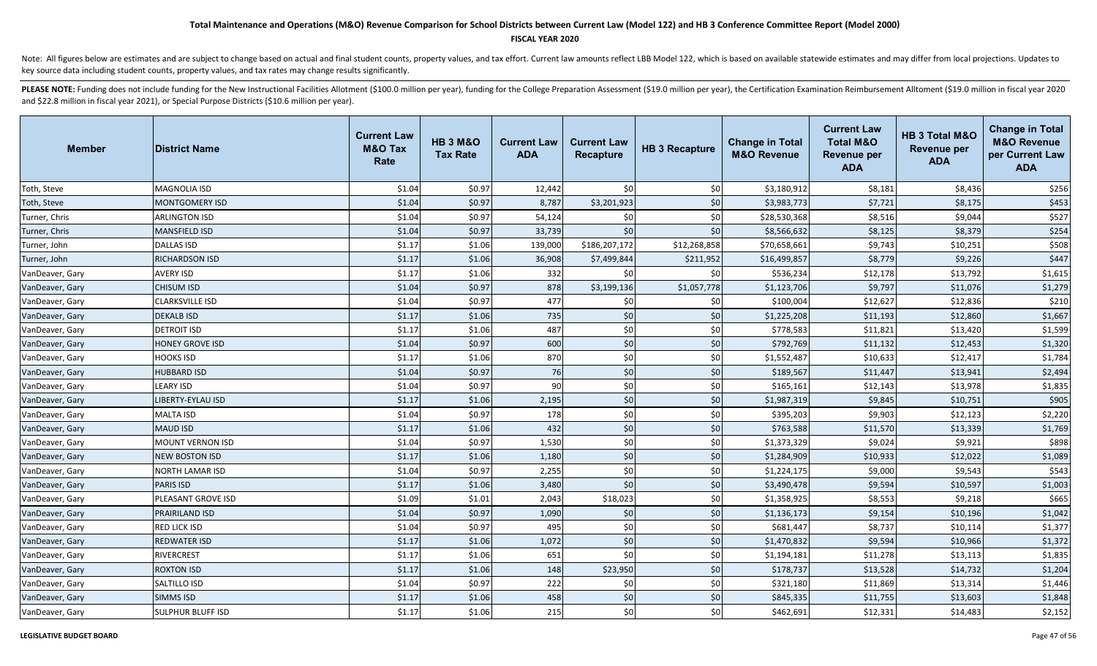#### **FISCAL YEAR 2020**

Note: All figures below are estimates and are subject to change based on actual and final student counts, property values, and tax effort. Current law amounts reflect LBB Model 122, which is based on available statewide es key source data including student counts, property values, and tax rates may change results significantly.

| <b>Member</b>   | <b>District Name</b>     | <b>Current Law</b><br><b>M&amp;O Tax</b><br>Rate | <b>HB 3 M&amp;O</b><br><b>Tax Rate</b> | <b>Current Law</b><br><b>ADA</b> | <b>Current Law</b><br><b>Recapture</b> | <b>HB 3 Recapture</b> | <b>Change in Total</b><br><b>M&amp;O Revenue</b> | <b>Current Law</b><br><b>Total M&amp;O</b><br><b>Revenue per</b><br><b>ADA</b> | HB 3 Total M&O<br><b>Revenue per</b><br><b>ADA</b> | <b>Change in Total</b><br><b>M&amp;O Revenue</b><br>per Current Law<br><b>ADA</b> |
|-----------------|--------------------------|--------------------------------------------------|----------------------------------------|----------------------------------|----------------------------------------|-----------------------|--------------------------------------------------|--------------------------------------------------------------------------------|----------------------------------------------------|-----------------------------------------------------------------------------------|
| Toth, Steve     | <b>MAGNOLIA ISD</b>      | \$1.04                                           | \$0.97                                 | 12,442                           | \$0                                    | \$0                   | \$3,180,912                                      | \$8,181                                                                        | \$8,436                                            | \$256                                                                             |
| Toth, Steve     | <b>MONTGOMERY ISD</b>    | \$1.04                                           | \$0.97                                 | 8,787                            | \$3,201,923                            | \$0                   | \$3,983,773                                      | \$7,721                                                                        | \$8,175                                            | \$453                                                                             |
| Turner, Chris   | <b>ARLINGTON ISD</b>     | \$1.04                                           | \$0.97                                 | 54,124                           | \$0                                    | \$0                   | \$28,530,368                                     | \$8,516                                                                        | \$9,044                                            | \$527                                                                             |
| Turner, Chris   | MANSFIELD ISD            | \$1.04                                           | \$0.97                                 | 33,739                           | \$0                                    | \$0                   | \$8,566,632                                      | \$8,125                                                                        | \$8,379                                            | \$254                                                                             |
| Turner, John    | <b>DALLAS ISD</b>        | \$1.17                                           | \$1.06                                 | 139,000                          | \$186,207,172                          | \$12,268,858          | \$70,658,661                                     | \$9,743                                                                        | \$10,251                                           | \$508                                                                             |
| Turner, John    | RICHARDSON ISD           | \$1.17                                           | \$1.06                                 | 36,908                           | \$7,499,844                            | \$211,952             | \$16,499,857                                     | \$8,779                                                                        | \$9,226                                            | \$447                                                                             |
| VanDeaver, Gary | <b>AVERY ISD</b>         | \$1.17                                           | \$1.06                                 | 332                              | \$0                                    | \$0                   | \$536,234                                        | \$12,178                                                                       | \$13,792                                           | \$1,615                                                                           |
| VanDeaver, Gary | <b>CHISUM ISD</b>        | \$1.04                                           | \$0.97                                 | 878                              | \$3,199,136                            | \$1,057,778           | \$1,123,706                                      | \$9,797                                                                        | \$11,076                                           | \$1,279                                                                           |
| VanDeaver, Gary | <b>CLARKSVILLE ISD</b>   | \$1.04                                           | \$0.97                                 | 477                              | \$0                                    | \$0                   | \$100,004                                        | \$12,627                                                                       | \$12,836                                           | \$210                                                                             |
| VanDeaver, Gary | <b>DEKALB ISD</b>        | \$1.17                                           | \$1.06                                 | 735                              | \$0                                    | \$0                   | \$1,225,208                                      | \$11,193                                                                       | \$12,860                                           | \$1,667                                                                           |
| VanDeaver, Gary | <b>DETROIT ISD</b>       | \$1.17                                           | \$1.06                                 | 487                              | \$0                                    | \$0                   | \$778,583                                        | \$11,821                                                                       | \$13,420                                           | \$1,599                                                                           |
| VanDeaver, Gary | HONEY GROVE ISD          | \$1.04                                           | \$0.97                                 | 600                              | \$0                                    | \$0                   | \$792,769                                        | \$11,132                                                                       | \$12,453                                           | \$1,320                                                                           |
| VanDeaver, Gary | <b>HOOKS ISD</b>         | \$1.17                                           | \$1.06                                 | 870                              | \$0                                    | \$0                   | \$1,552,487                                      | \$10,633                                                                       | \$12,417                                           | \$1,784                                                                           |
| VanDeaver, Gary | <b>HUBBARD ISD</b>       | \$1.04                                           | \$0.97                                 | 76                               | \$0                                    | \$0                   | \$189,567                                        | \$11,447                                                                       | \$13,941                                           | \$2,494                                                                           |
| VanDeaver, Gary | LEARY ISD                | \$1.04                                           | \$0.97                                 | 90                               | \$0                                    | \$0                   | \$165,161                                        | \$12,143                                                                       | \$13,978                                           | \$1,835                                                                           |
| VanDeaver, Gary | LIBERTY-EYLAU ISD        | \$1.17                                           | \$1.06                                 | 2,195                            | \$0                                    | \$0                   | \$1,987,319                                      | \$9,845                                                                        | \$10,751                                           | \$905                                                                             |
| VanDeaver, Gary | <b>MALTA ISD</b>         | \$1.04                                           | \$0.97                                 | 178                              | \$0                                    | \$0                   | \$395,203                                        | \$9,903                                                                        | \$12,123                                           | \$2,220                                                                           |
| VanDeaver, Gary | <b>MAUD ISD</b>          | \$1.17                                           | \$1.06                                 | 432                              | \$0                                    | \$0                   | \$763,588                                        | \$11,570                                                                       | \$13,339                                           | \$1,769                                                                           |
| VanDeaver, Gary | <b>MOUNT VERNON ISD</b>  | \$1.04                                           | \$0.97                                 | 1,530                            | \$0                                    | \$0                   | \$1,373,329                                      | \$9,024                                                                        | \$9,921                                            | \$898                                                                             |
| VanDeaver, Gary | NEW BOSTON ISD           | \$1.17                                           | \$1.06                                 | 1,180                            | \$0                                    | \$0                   | \$1,284,909                                      | \$10,933                                                                       | \$12,022                                           | \$1,089                                                                           |
| VanDeaver, Gary | <b>NORTH LAMAR ISD</b>   | \$1.04                                           | \$0.97                                 | 2,255                            | \$0                                    | \$0                   | \$1,224,175                                      | \$9,000                                                                        | \$9,543                                            | \$543                                                                             |
| VanDeaver, Gary | <b>PARIS ISD</b>         | \$1.17                                           | \$1.06                                 | 3,480                            | \$0                                    | \$0                   | \$3,490,478                                      | \$9,594                                                                        | \$10,597                                           | \$1,003                                                                           |
| VanDeaver, Gary | PLEASANT GROVE ISD       | \$1.09                                           | \$1.01                                 | 2,043                            | \$18,023                               | \$0                   | \$1,358,925                                      | \$8,553                                                                        | \$9,218                                            | \$665                                                                             |
| VanDeaver, Gary | PRAIRILAND ISD           | \$1.04                                           | \$0.97                                 | 1,090                            | \$0                                    | \$0                   | \$1,136,173                                      | \$9,154                                                                        | \$10,196                                           | \$1,042                                                                           |
| VanDeaver, Gary | RED LICK ISD             | \$1.04                                           | \$0.97                                 | 495                              | \$0                                    | \$0                   | \$681,447                                        | \$8,737                                                                        | \$10,114                                           | \$1,377                                                                           |
| VanDeaver, Gary | <b>REDWATER ISD</b>      | \$1.17                                           | \$1.06                                 | 1,072                            | \$0                                    | \$0                   | \$1,470,832                                      | \$9,594                                                                        | \$10,966                                           | \$1,372                                                                           |
| VanDeaver, Gary | <b>RIVERCREST</b>        | \$1.17                                           | \$1.06                                 | 651                              | \$0                                    | \$0                   | \$1,194,181                                      | \$11,278                                                                       | \$13,113                                           | \$1,835                                                                           |
| VanDeaver, Gary | <b>ROXTON ISD</b>        | \$1.17                                           | \$1.06                                 | 148                              | \$23,950                               | \$0                   | \$178,737                                        | \$13,528                                                                       | \$14,732                                           | \$1,204                                                                           |
| VanDeaver, Gary | SALTILLO ISD             | \$1.04                                           | \$0.97                                 | 222                              | \$0                                    | \$0                   | \$321,180                                        | \$11,869                                                                       | \$13,314                                           | \$1,446                                                                           |
| VanDeaver, Gary | <b>SIMMS ISD</b>         | \$1.17                                           | \$1.06                                 | 458                              | \$0                                    | \$0                   | \$845,335                                        | \$11,755                                                                       | \$13,603                                           | \$1,848                                                                           |
| VanDeaver, Gary | <b>SULPHUR BLUFF ISD</b> | \$1.17                                           | \$1.06                                 | 215                              | \$0                                    | \$0                   | \$462,691                                        | \$12,331                                                                       | \$14,483                                           | \$2,152                                                                           |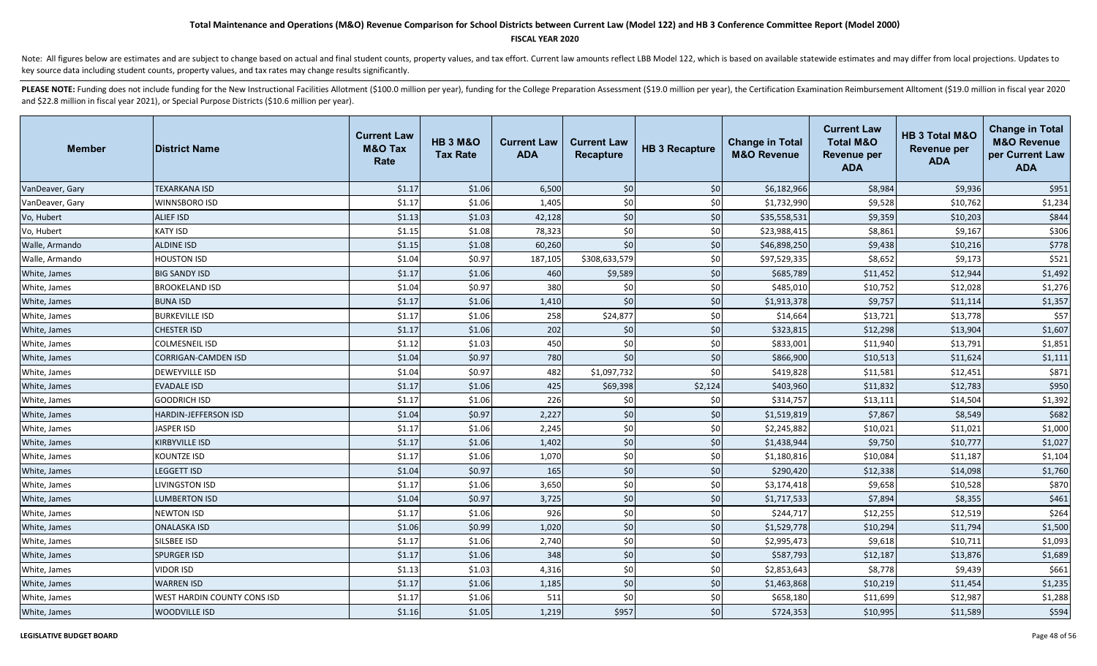#### **FISCAL YEAR 2020**

Note: All figures below are estimates and are subject to change based on actual and final student counts, property values, and tax effort. Current law amounts reflect LBB Model 122, which is based on available statewide es key source data including student counts, property values, and tax rates may change results significantly.

| <b>Member</b>   | <b>District Name</b>        | <b>Current Law</b><br><b>M&amp;O Tax</b><br>Rate | <b>HB 3 M&amp;O</b><br><b>Tax Rate</b> | <b>Current Law</b><br><b>ADA</b> | <b>Current Law</b><br>Recapture | <b>HB 3 Recapture</b> | <b>Change in Total</b><br><b>M&amp;O Revenue</b> | <b>Current Law</b><br><b>Total M&amp;O</b><br><b>Revenue per</b><br><b>ADA</b> | HB 3 Total M&O<br><b>Revenue per</b><br><b>ADA</b> | <b>Change in Total</b><br><b>M&amp;O Revenue</b><br>per Current Law<br><b>ADA</b> |
|-----------------|-----------------------------|--------------------------------------------------|----------------------------------------|----------------------------------|---------------------------------|-----------------------|--------------------------------------------------|--------------------------------------------------------------------------------|----------------------------------------------------|-----------------------------------------------------------------------------------|
| VanDeaver, Gary | <b>TEXARKANA ISD</b>        | \$1.17                                           | \$1.06                                 | 6,500                            | \$0                             | \$0                   | \$6,182,966                                      | \$8,984                                                                        | \$9,936                                            | \$951                                                                             |
| VanDeaver, Gary | WINNSBORO ISD               | \$1.17                                           | \$1.06                                 | 1,405                            | \$0                             | \$0                   | \$1,732,990                                      | \$9,528                                                                        | \$10,762                                           | \$1,234                                                                           |
| Vo, Hubert      | <b>ALIEF ISD</b>            | \$1.13                                           | \$1.03                                 | 42,128                           | \$0                             | \$0                   | \$35,558,531                                     | \$9,359                                                                        | \$10,203                                           | \$844                                                                             |
| Vo, Hubert      | <b>KATY ISD</b>             | \$1.15                                           | \$1.08                                 | 78,323                           | \$0                             | \$0                   | \$23,988,415                                     | \$8,861                                                                        | \$9,167                                            | \$306                                                                             |
| Walle, Armando  | <b>ALDINE ISD</b>           | \$1.15                                           | \$1.08                                 | 60,260                           | \$0                             | \$0                   | \$46,898,250                                     | \$9,438                                                                        | \$10,216                                           | \$778                                                                             |
| Walle, Armando  | <b>HOUSTON ISD</b>          | \$1.04                                           | \$0.97                                 | 187,105                          | \$308,633,579                   | \$0                   | \$97,529,335                                     | \$8,652                                                                        | \$9,173                                            | \$521                                                                             |
| White, James    | <b>BIG SANDY ISD</b>        | \$1.17                                           | \$1.06                                 | 460                              | \$9,589                         | \$0                   | \$685,789                                        | \$11,452                                                                       | \$12,944                                           | \$1,492                                                                           |
| White, James    | <b>BROOKELAND ISD</b>       | \$1.04                                           | \$0.97                                 | 380                              | \$0                             | \$0                   | \$485,010                                        | \$10,752                                                                       | \$12,028                                           | \$1,276                                                                           |
| White, James    | <b>BUNA ISD</b>             | \$1.17                                           | \$1.06                                 | 1,410                            | \$0                             | \$0                   | \$1,913,378                                      | \$9,757                                                                        | \$11,114                                           | \$1,357                                                                           |
| White, James    | <b>BURKEVILLE ISD</b>       | \$1.17                                           | \$1.06                                 | 258                              | \$24,877                        | \$0                   | \$14,664                                         | \$13,721                                                                       | \$13,778                                           | \$57                                                                              |
| White, James    | <b>CHESTER ISD</b>          | \$1.17                                           | \$1.06                                 | 202                              | \$0                             | \$0                   | \$323,815                                        | \$12,298                                                                       | \$13,904                                           | \$1,607                                                                           |
| White, James    | <b>COLMESNEIL ISD</b>       | \$1.12                                           | \$1.03                                 | 450                              | \$0                             | \$0                   | \$833,001                                        | \$11,940                                                                       | \$13,791                                           | \$1,851                                                                           |
| White, James    | <b>CORRIGAN-CAMDEN ISD</b>  | \$1.04                                           | \$0.97                                 | 780                              | \$0                             | $$0$$                 | \$866,900                                        | \$10,513                                                                       | \$11,624                                           | \$1,111                                                                           |
| White, James    | <b>DEWEYVILLE ISD</b>       | \$1.04                                           | \$0.97                                 | 482                              | \$1,097,732                     | \$0                   | \$419,828                                        | \$11,581                                                                       | \$12,451                                           | \$871                                                                             |
| White, James    | <b>EVADALE ISD</b>          | \$1.17                                           | \$1.06                                 | 425                              | \$69,398                        | \$2,124               | \$403,960                                        | \$11,832                                                                       | \$12,783                                           | \$950                                                                             |
| White, James    | <b>GOODRICH ISD</b>         | \$1.17                                           | \$1.06                                 | 226                              | \$0                             | \$0                   | \$314,757                                        | \$13,111                                                                       | \$14,504                                           | \$1,392                                                                           |
| White, James    | <b>HARDIN-JEFFERSON ISD</b> | \$1.04                                           | \$0.97                                 | 2,227                            | \$0                             | \$0                   | \$1,519,819                                      | \$7,867                                                                        | \$8,549                                            | \$682                                                                             |
| White, James    | <b>JASPER ISD</b>           | \$1.17                                           | \$1.06                                 | 2,245                            | \$0                             | \$0                   | \$2,245,882                                      | \$10,021                                                                       | \$11,021                                           | \$1,000                                                                           |
| White, James    | <b>KIRBYVILLE ISD</b>       | \$1.17                                           | \$1.06                                 | 1,402                            | \$0                             | \$0                   | \$1,438,944                                      | \$9,750                                                                        | \$10,777                                           | \$1,027                                                                           |
| White, James    | <b>KOUNTZE ISD</b>          | \$1.17                                           | \$1.06                                 | 1,070                            | \$0                             | \$0                   | \$1,180,816                                      | \$10,084                                                                       | \$11,187                                           | \$1,104                                                                           |
| White, James    | <b>LEGGETT ISD</b>          | \$1.04                                           | \$0.97                                 | 165                              | \$0                             | \$0                   | \$290,420                                        | \$12,338                                                                       | \$14,098                                           | \$1,760                                                                           |
| White, James    | <b>LIVINGSTON ISD</b>       | \$1.17                                           | \$1.06                                 | 3,650                            | \$0                             | \$0                   | \$3,174,418                                      | \$9,658                                                                        | \$10,528                                           | \$870                                                                             |
| White, James    | <b>LUMBERTON ISD</b>        | \$1.04                                           | \$0.97                                 | 3,725                            | \$0                             | \$0                   | \$1,717,533                                      | \$7,894                                                                        | \$8,355                                            | \$461                                                                             |
| White, James    | <b>NEWTON ISD</b>           | \$1.17                                           | \$1.06                                 | 926                              | \$0                             | \$0                   | \$244,717                                        | \$12,255                                                                       | \$12,519                                           | \$264                                                                             |
| White, James    | <b>ONALASKA ISD</b>         | \$1.06                                           | \$0.99                                 | 1,020                            | \$0                             | \$0                   | \$1,529,778                                      | \$10,294                                                                       | \$11,794                                           | \$1,500                                                                           |
| White, James    | SILSBEE ISD                 | \$1.17                                           | \$1.06                                 | 2,740                            | \$0                             | \$0                   | \$2,995,473                                      | \$9,618                                                                        | \$10,711                                           | \$1,093                                                                           |
| White, James    | <b>SPURGER ISD</b>          | \$1.17                                           | \$1.06                                 | 348                              | \$0                             | \$0                   | \$587,793                                        | \$12,187                                                                       | \$13,876                                           | \$1,689                                                                           |
| White, James    | <b>VIDOR ISD</b>            | \$1.13                                           | \$1.03                                 | 4,316                            | \$0                             | \$0                   | \$2,853,643                                      | \$8,778                                                                        | \$9,439                                            | \$661                                                                             |
| White, James    | <b>WARREN ISD</b>           | \$1.17                                           | \$1.06                                 | 1,185                            | \$0                             | \$0                   | \$1,463,868                                      | \$10,219                                                                       | \$11,454                                           | \$1,235                                                                           |
| White, James    | WEST HARDIN COUNTY CONS ISD | \$1.17                                           | \$1.06                                 | 511                              | \$0                             | \$0                   | \$658,180                                        | \$11,699                                                                       | \$12,987                                           | \$1,288                                                                           |
| White, James    | <b>WOODVILLE ISD</b>        | \$1.16                                           | \$1.05                                 | 1,219                            | \$957                           | \$0                   | \$724,353                                        | \$10,995                                                                       | \$11,589                                           | \$594                                                                             |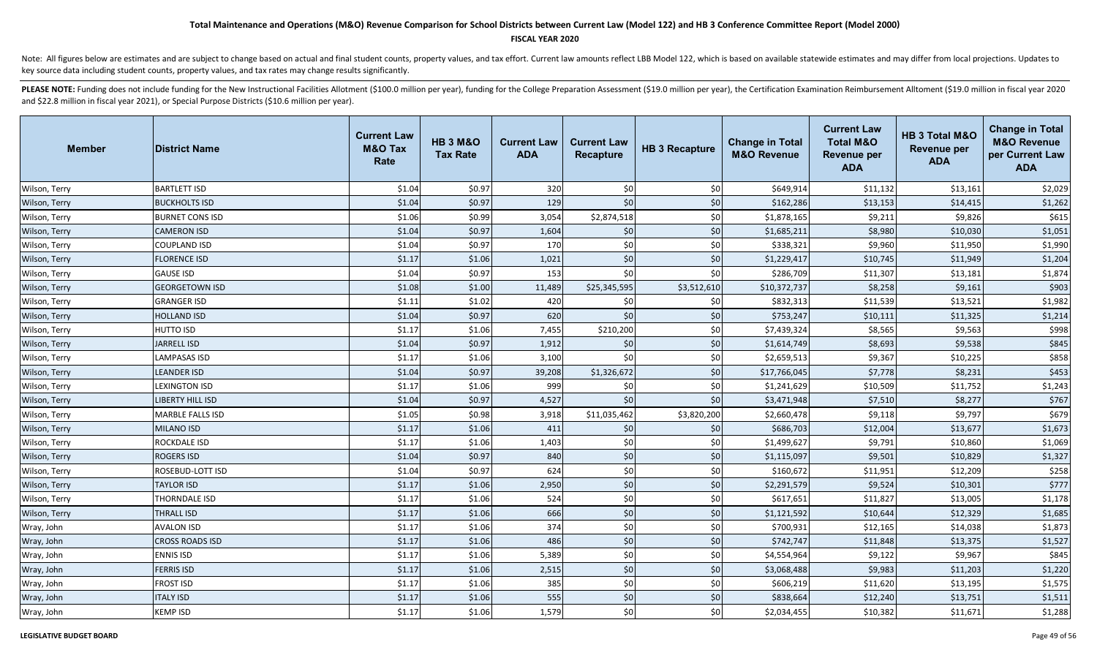### **FISCAL YEAR 2020**

Note: All figures below are estimates and are subject to change based on actual and final student counts, property values, and tax effort. Current law amounts reflect LBB Model 122, which is based on available statewide es key source data including student counts, property values, and tax rates may change results significantly.

| <b>Member</b> | <b>District Name</b>    | <b>Current Law</b><br><b>M&amp;O Tax</b><br>Rate | <b>HB 3 M&amp;O</b><br><b>Tax Rate</b> | <b>Current Law</b><br><b>ADA</b> | <b>Current Law</b><br>Recapture | <b>HB 3 Recapture</b> | <b>Change in Total</b><br><b>M&amp;O Revenue</b> | <b>Current Law</b><br><b>Total M&amp;O</b><br>Revenue per<br><b>ADA</b> | HB 3 Total M&O<br><b>Revenue per</b><br><b>ADA</b> | <b>Change in Total</b><br><b>M&amp;O Revenue</b><br>per Current Law<br><b>ADA</b> |
|---------------|-------------------------|--------------------------------------------------|----------------------------------------|----------------------------------|---------------------------------|-----------------------|--------------------------------------------------|-------------------------------------------------------------------------|----------------------------------------------------|-----------------------------------------------------------------------------------|
| Wilson, Terry | <b>BARTLETT ISD</b>     | \$1.04                                           | \$0.97                                 | 320                              | \$0                             | \$0                   | \$649,914                                        | \$11,132                                                                | \$13,161                                           | \$2,029                                                                           |
| Wilson, Terry | <b>BUCKHOLTS ISD</b>    | \$1.04                                           | \$0.97                                 | 129                              | \$0                             | \$0                   | \$162,286                                        | \$13,153                                                                | \$14,415                                           | \$1,262                                                                           |
| Wilson, Terry | <b>BURNET CONS ISD</b>  | \$1.06                                           | \$0.99                                 | 3,054                            | \$2,874,518                     | \$0                   | \$1,878,165                                      | \$9,211                                                                 | \$9,826                                            | \$615                                                                             |
| Wilson, Terry | <b>CAMERON ISD</b>      | \$1.04                                           | \$0.97                                 | 1,604                            | \$0                             | \$0                   | \$1,685,211                                      | \$8,980                                                                 | \$10,030                                           | \$1,051                                                                           |
| Wilson, Terry | <b>COUPLAND ISD</b>     | \$1.04                                           | \$0.97                                 | 170                              | \$0                             | \$0                   | \$338,321                                        | \$9,960                                                                 | \$11,950                                           | \$1,990                                                                           |
| Wilson, Terry | <b>FLORENCE ISD</b>     | \$1.17                                           | \$1.06                                 | 1,021                            | \$0                             | \$0                   | \$1,229,417                                      | \$10,745                                                                | \$11,949                                           | \$1,204                                                                           |
| Wilson, Terry | <b>GAUSE ISD</b>        | \$1.04                                           | \$0.97                                 | 153                              | \$0                             | \$0                   | \$286,709                                        | \$11,307                                                                | \$13,181                                           | \$1,874                                                                           |
| Wilson, Terry | <b>GEORGETOWN ISD</b>   | \$1.08                                           | \$1.00                                 | 11,489                           | \$25,345,595                    | \$3,512,610           | \$10,372,737                                     | \$8,258                                                                 | \$9,161                                            | \$903                                                                             |
| Wilson, Terry | <b>GRANGER ISD</b>      | \$1.11                                           | \$1.02                                 | 420                              | \$0                             | \$0                   | \$832,313                                        | \$11,539                                                                | \$13,521                                           | \$1,982                                                                           |
| Wilson, Terry | <b>HOLLAND ISD</b>      | \$1.04                                           | \$0.97                                 | 620                              | \$0                             | \$0                   | \$753,247                                        | \$10,111                                                                | \$11,325                                           | \$1,214                                                                           |
| Wilson, Terry | <b>HUTTO ISD</b>        | \$1.17                                           | \$1.06                                 | 7,455                            | \$210,200                       | \$0                   | \$7,439,324                                      | \$8,565                                                                 | \$9,563                                            | \$998                                                                             |
| Wilson, Terry | <b>JARRELL ISD</b>      | \$1.04                                           | \$0.97                                 | 1,912                            | \$0                             | \$0                   | \$1,614,749                                      | \$8,693                                                                 | \$9,538                                            | \$845                                                                             |
| Wilson, Terry | <b>LAMPASAS ISD</b>     | \$1.17                                           | \$1.06                                 | 3,100                            | \$0                             | \$0                   | \$2,659,513                                      | \$9,367                                                                 | \$10,225                                           | \$858                                                                             |
| Wilson, Terry | <b>LEANDER ISD</b>      | \$1.04                                           | \$0.97                                 | 39,208                           | \$1,326,672                     | \$0                   | \$17,766,045                                     | \$7,778                                                                 | \$8,231                                            | \$453                                                                             |
| Wilson, Terry | <b>LEXINGTON ISD</b>    | \$1.17                                           | \$1.06                                 | 999                              | \$0                             | \$0                   | \$1,241,629                                      | \$10,509                                                                | \$11,752                                           | \$1,243                                                                           |
| Wilson, Terry | <b>LIBERTY HILL ISD</b> | \$1.04                                           | \$0.97                                 | 4,527                            | \$0                             | \$0                   | \$3,471,948                                      | \$7,510                                                                 | \$8,277                                            | \$767                                                                             |
| Wilson, Terry | <b>MARBLE FALLS ISD</b> | \$1.05                                           | \$0.98                                 | 3,918                            | \$11,035,462                    | \$3,820,200           | \$2,660,478                                      | \$9,118                                                                 | \$9,797                                            | \$679                                                                             |
| Wilson, Terry | <b>MILANO ISD</b>       | \$1.17                                           | \$1.06                                 | 411                              | \$0                             | \$0                   | \$686,703                                        | \$12,004                                                                | \$13,677                                           | \$1,673                                                                           |
| Wilson, Terry | <b>ROCKDALE ISD</b>     | \$1.17                                           | \$1.06                                 | 1,403                            | \$0                             | \$0                   | \$1,499,627                                      | \$9,791                                                                 | \$10,860                                           | \$1,069                                                                           |
| Wilson, Terry | <b>ROGERS ISD</b>       | \$1.04                                           | \$0.97                                 | 840                              | \$0                             | \$0                   | \$1,115,097                                      | \$9,501                                                                 | \$10,829                                           | \$1,327                                                                           |
| Wilson, Terry | ROSEBUD-LOTT ISD        | \$1.04                                           | \$0.97                                 | 624                              | \$0                             | \$0                   | \$160,672                                        | \$11,951                                                                | \$12,209                                           | \$258                                                                             |
| Wilson, Terry | <b>TAYLOR ISD</b>       | \$1.17                                           | \$1.06                                 | 2,950                            | \$0                             | \$0                   | \$2,291,579                                      | \$9,524                                                                 | \$10,301                                           | \$777                                                                             |
| Wilson, Terry | THORNDALE ISD           | \$1.17                                           | \$1.06                                 | 524                              | \$0                             | \$0                   | \$617,651                                        | \$11,827                                                                | \$13,005                                           | \$1,178                                                                           |
| Wilson, Terry | <b>THRALL ISD</b>       | \$1.17                                           | \$1.06                                 | 666                              | \$0                             | \$0                   | \$1,121,592                                      | \$10,644                                                                | \$12,329                                           | \$1,685                                                                           |
| Wray, John    | <b>AVALON ISD</b>       | \$1.17                                           | \$1.06                                 | 374                              | \$0                             | \$0                   | \$700,931                                        | \$12,165                                                                | \$14,038                                           | \$1,873                                                                           |
| Wray, John    | <b>CROSS ROADS ISD</b>  | \$1.17                                           | \$1.06                                 | 486                              | \$0                             | \$0                   | \$742,747                                        | \$11,848                                                                | \$13,375                                           | \$1,527                                                                           |
| Wray, John    | <b>ENNIS ISD</b>        | \$1.17                                           | \$1.06                                 | 5,389                            | \$0                             | \$0                   | \$4,554,964                                      | \$9,122                                                                 | \$9,967                                            | \$845                                                                             |
| Wray, John    | <b>FERRIS ISD</b>       | \$1.17                                           | \$1.06                                 | 2,515                            | \$0                             | \$0                   | \$3,068,488                                      | \$9,983                                                                 | \$11,203                                           | \$1,220                                                                           |
| Wray, John    | <b>FROST ISD</b>        | \$1.17                                           | \$1.06                                 | 385                              | \$0                             | \$0                   | \$606,219                                        | \$11,620                                                                | \$13,195                                           | \$1,575                                                                           |
| Wray, John    | <b>ITALY ISD</b>        | \$1.17                                           | \$1.06                                 | 555                              | \$0                             | \$0                   | \$838,664                                        | \$12,240                                                                | \$13,751                                           | \$1,511                                                                           |
| Wray, John    | <b>KEMP ISD</b>         | \$1.17                                           | \$1.06                                 | 1,579                            | \$0                             | \$0                   | \$2,034,455                                      | \$10,382                                                                | \$11,671                                           | \$1,288                                                                           |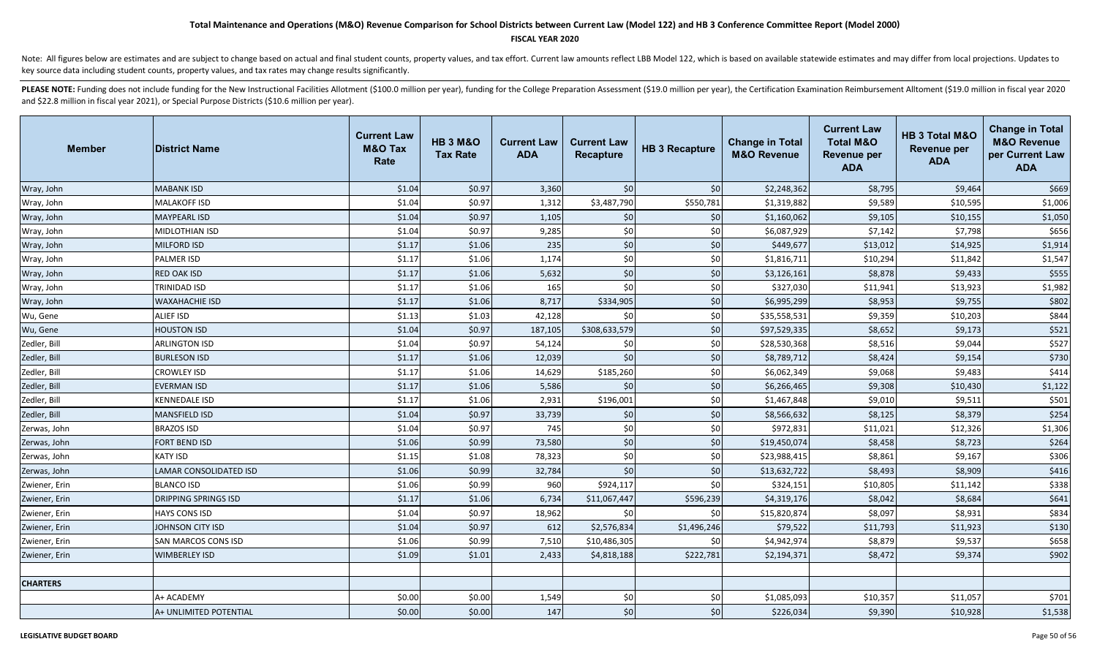#### **FISCAL YEAR 2020**

Note: All figures below are estimates and are subject to change based on actual and final student counts, property values, and tax effort. Current law amounts reflect LBB Model 122, which is based on available statewide es key source data including student counts, property values, and tax rates may change results significantly.

| <b>Member</b>   | <b>District Name</b>        | <b>Current Law</b><br><b>M&amp;O Tax</b><br>Rate | <b>HB 3 M&amp;O</b><br><b>Tax Rate</b> | <b>Current Law</b><br><b>ADA</b> | <b>Current Law</b><br>Recapture | <b>HB 3 Recapture</b> | <b>Change in Total</b><br><b>M&amp;O Revenue</b> | <b>Current Law</b><br><b>Total M&amp;O</b><br><b>Revenue per</b><br><b>ADA</b> | HB 3 Total M&O<br><b>Revenue per</b><br><b>ADA</b> | <b>Change in Total</b><br><b>M&amp;O Revenue</b><br>per Current Law<br><b>ADA</b> |
|-----------------|-----------------------------|--------------------------------------------------|----------------------------------------|----------------------------------|---------------------------------|-----------------------|--------------------------------------------------|--------------------------------------------------------------------------------|----------------------------------------------------|-----------------------------------------------------------------------------------|
| Wray, John      | <b>MABANK ISD</b>           | \$1.04                                           | \$0.97                                 | 3,360                            | \$0                             | \$0                   | \$2,248,362                                      | \$8,795                                                                        | \$9,464                                            | \$669                                                                             |
| Wray, John      | <b>MALAKOFF ISD</b>         | \$1.04                                           | \$0.97                                 | 1,312                            | \$3,487,790                     | \$550,781             | \$1,319,882                                      | \$9,589                                                                        | \$10,595                                           | \$1,006                                                                           |
| Wray, John      | <b>MAYPEARL ISD</b>         | \$1.04                                           | \$0.97                                 | 1,105                            | \$0                             | \$0                   | \$1,160,062                                      | \$9,105                                                                        | \$10,155                                           | \$1,050                                                                           |
| Wray, John      | <b>MIDLOTHIAN ISD</b>       | \$1.04                                           | \$0.97                                 | 9,285                            | \$0                             | \$0                   | \$6,087,929                                      | \$7,142                                                                        | \$7,798                                            | \$656                                                                             |
| Wray, John      | <b>MILFORD ISD</b>          | \$1.17                                           | \$1.06                                 | 235                              | \$0                             | \$0                   | \$449,677                                        | \$13,012                                                                       | \$14,925                                           | \$1,914                                                                           |
| Wray, John      | <b>PALMER ISD</b>           | \$1.17                                           | \$1.06                                 | 1,174                            | \$0                             | \$0                   | \$1,816,711                                      | \$10,294                                                                       | \$11,842                                           | \$1,547                                                                           |
| Wray, John      | <b>RED OAK ISD</b>          | \$1.17                                           | \$1.06                                 | 5,632                            | \$0                             | \$0                   | \$3,126,161                                      | \$8,878                                                                        | \$9,433                                            | \$555                                                                             |
| Wray, John      | <b>TRINIDAD ISD</b>         | \$1.17                                           | \$1.06                                 | 165                              | \$0                             | \$0                   | \$327,030                                        | \$11,941                                                                       | \$13,923                                           | \$1,982                                                                           |
| Wray, John      | <b>WAXAHACHIE ISD</b>       | \$1.17                                           | \$1.06                                 | 8,717                            | \$334,905                       | \$0                   | \$6,995,299                                      | \$8,953                                                                        | \$9,755                                            | \$802                                                                             |
| Wu, Gene        | <b>ALIEF ISD</b>            | \$1.13                                           | \$1.03                                 | 42,128                           | \$0                             | \$0                   | \$35,558,531                                     | \$9,359                                                                        | \$10,203                                           | \$844                                                                             |
| Wu, Gene        | <b>HOUSTON ISD</b>          | \$1.04                                           | \$0.97                                 | 187,105                          | \$308,633,579                   | \$0                   | \$97,529,335                                     | \$8,652                                                                        | \$9,173                                            | \$521                                                                             |
| Zedler, Bill    | <b>ARLINGTON ISD</b>        | \$1.04                                           | \$0.97                                 | 54,124                           | \$0                             | \$0                   | \$28,530,368                                     | \$8,516                                                                        | \$9,044                                            | \$527                                                                             |
| Zedler, Bill    | <b>BURLESON ISD</b>         | \$1.17                                           | \$1.06                                 | 12,039                           | \$0                             | \$0                   | \$8,789,712                                      | \$8,424                                                                        | \$9,154                                            | \$730                                                                             |
| Zedler, Bill    | <b>CROWLEY ISD</b>          | \$1.17                                           | \$1.06                                 | 14,629                           | \$185,260                       | \$0                   | \$6,062,349                                      | \$9,068                                                                        | \$9,483                                            | \$414                                                                             |
| Zedler, Bill    | <b>EVERMAN ISD</b>          | \$1.17                                           | \$1.06                                 | 5,586                            | \$0                             | \$0                   | \$6,266,465                                      | \$9,308                                                                        | \$10,430                                           | \$1,122                                                                           |
| Zedler, Bill    | <b>KENNEDALE ISD</b>        | \$1.17                                           | \$1.06                                 | 2,931                            | \$196,001                       | \$0                   | \$1,467,848                                      | \$9,010                                                                        | \$9,511                                            | \$501                                                                             |
| Zedler, Bill    | <b>MANSFIELD ISD</b>        | \$1.04                                           | \$0.97                                 | 33,739                           | \$0                             | \$0                   | \$8,566,632                                      | \$8,125                                                                        | \$8,379                                            | \$254                                                                             |
| Zerwas, John    | <b>BRAZOS ISD</b>           | \$1.04                                           | \$0.97                                 | 745                              | \$0                             | \$0                   | \$972,831                                        | \$11,021                                                                       | \$12,326                                           | \$1,306                                                                           |
| Zerwas, John    | <b>FORT BEND ISD</b>        | \$1.06                                           | \$0.99                                 | 73,580                           | \$0                             | \$0                   | \$19,450,074                                     | \$8,458                                                                        | \$8,723                                            | \$264                                                                             |
| Zerwas, John    | <b>KATY ISD</b>             | \$1.15                                           | \$1.08                                 | 78,323                           | \$0                             | \$0                   | \$23,988,415                                     | \$8,861                                                                        | \$9,167                                            | \$306                                                                             |
| Zerwas, John    | LAMAR CONSOLIDATED ISD      | \$1.06                                           | \$0.99                                 | 32,784                           | \$0                             | \$0                   | \$13,632,722                                     | \$8,493                                                                        | \$8,909                                            | \$416                                                                             |
| Zwiener, Erin   | <b>BLANCO ISD</b>           | \$1.06                                           | \$0.99                                 | 960                              | \$924,117                       | \$0                   | \$324,151                                        | \$10,805                                                                       | \$11,142                                           | \$338                                                                             |
| Zwiener, Erin   | <b>DRIPPING SPRINGS ISD</b> | \$1.17                                           | \$1.06                                 | 6,734                            | \$11,067,447                    | \$596,239             | \$4,319,176                                      | \$8,042                                                                        | \$8,684                                            | \$641                                                                             |
| Zwiener, Erin   | <b>HAYS CONS ISD</b>        | \$1.04                                           | \$0.97                                 | 18,962                           | \$0                             | \$0                   | \$15,820,874                                     | \$8,097                                                                        | \$8,931                                            | \$834                                                                             |
| Zwiener, Erin   | JOHNSON CITY ISD            | \$1.04                                           | \$0.97                                 | 612                              | \$2,576,834                     | \$1,496,246           | \$79,522                                         | \$11,793                                                                       | \$11,923                                           | \$130                                                                             |
| Zwiener, Erin   | <b>SAN MARCOS CONS ISD</b>  | \$1.06                                           | \$0.99                                 | 7,510                            | \$10,486,305                    | \$0                   | \$4,942,974                                      | \$8,879                                                                        | \$9,537                                            | \$658                                                                             |
| Zwiener, Erin   | <b>WIMBERLEY ISD</b>        | \$1.09                                           | \$1.01                                 | 2,433                            | \$4,818,188                     | \$222,781             | \$2,194,371                                      | \$8,472                                                                        | \$9,374                                            | \$902                                                                             |
|                 |                             |                                                  |                                        |                                  |                                 |                       |                                                  |                                                                                |                                                    |                                                                                   |
| <b>CHARTERS</b> |                             |                                                  |                                        |                                  |                                 |                       |                                                  |                                                                                |                                                    |                                                                                   |
|                 | A+ ACADEMY                  | \$0.00                                           | \$0.00                                 | 1,549                            | \$0                             | \$0                   | \$1,085,093                                      | \$10,357                                                                       | \$11,057                                           | \$701                                                                             |
|                 | A+ UNLIMITED POTENTIAL      | \$0.00                                           | \$0.00                                 | 147                              | \$0                             | \$0                   | \$226,034                                        | \$9,390                                                                        | \$10,928                                           | \$1,538                                                                           |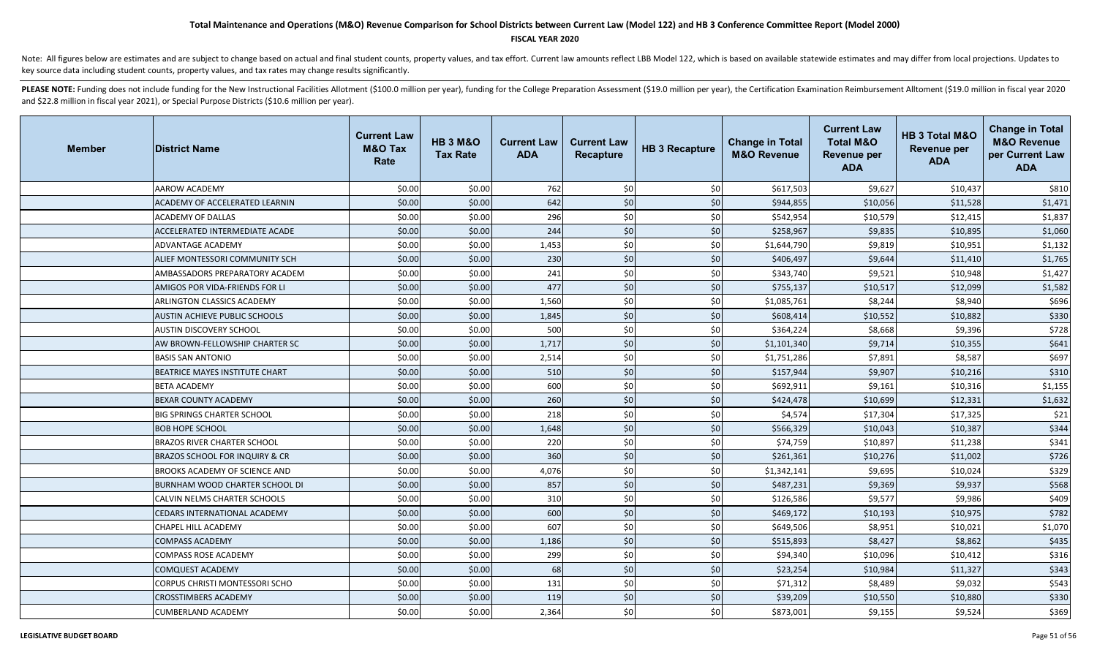### **FISCAL YEAR 2020**

Note: All figures below are estimates and are subject to change based on actual and final student counts, property values, and tax effort. Current law amounts reflect LBB Model 122, which is based on available statewide es key source data including student counts, property values, and tax rates may change results significantly.

| <b>Member</b> | <b>District Name</b>                      | <b>Current Law</b><br><b>M&amp;O Tax</b><br>Rate | <b>HB 3 M&amp;O</b><br><b>Tax Rate</b> | <b>Current Law</b><br><b>ADA</b> | <b>Current Law</b><br><b>Recapture</b> | <b>HB 3 Recapture</b> | <b>Change in Total</b><br><b>M&amp;O Revenue</b> | <b>Current Law</b><br><b>Total M&amp;O</b><br><b>Revenue per</b><br><b>ADA</b> | HB 3 Total M&O<br><b>Revenue per</b><br><b>ADA</b> | <b>Change in Total</b><br><b>M&amp;O Revenue</b><br>per Current Law<br><b>ADA</b> |
|---------------|-------------------------------------------|--------------------------------------------------|----------------------------------------|----------------------------------|----------------------------------------|-----------------------|--------------------------------------------------|--------------------------------------------------------------------------------|----------------------------------------------------|-----------------------------------------------------------------------------------|
|               | AAROW ACADEMY                             | \$0.00                                           | \$0.00                                 | 762                              | \$0                                    | \$0                   | \$617,503                                        | \$9,627                                                                        | \$10,437                                           | \$810                                                                             |
|               | ACADEMY OF ACCELERATED LEARNIN            | \$0.00                                           | \$0.00                                 | 642                              | \$0                                    | \$0                   | \$944,855                                        | \$10,056                                                                       | \$11,528                                           | \$1,471                                                                           |
|               | <b>ACADEMY OF DALLAS</b>                  | \$0.00                                           | \$0.00                                 | 296                              | \$0                                    | \$0                   | \$542,954                                        | \$10,579                                                                       | \$12,415                                           | \$1,837                                                                           |
|               | ACCELERATED INTERMEDIATE ACADE            | \$0.00                                           | \$0.00                                 | 244                              | \$0                                    | \$0                   | \$258,967                                        | \$9,835                                                                        | \$10,895                                           | \$1,060                                                                           |
|               | ADVANTAGE ACADEMY                         | \$0.00                                           | \$0.00                                 | 1,453                            | \$0                                    | \$0                   | \$1,644,790                                      | \$9,819                                                                        | \$10,951                                           | \$1,132                                                                           |
|               | ALIEF MONTESSORI COMMUNITY SCH            | \$0.00                                           | \$0.00                                 | 230                              | \$0                                    | \$0                   | \$406,497                                        | \$9,644                                                                        | \$11,410                                           | \$1,765                                                                           |
|               | AMBASSADORS PREPARATORY ACADEM            | \$0.00                                           | \$0.00                                 | 241                              | \$0                                    | \$0                   | \$343,740                                        | \$9,521                                                                        | \$10,948                                           | \$1,427                                                                           |
|               | AMIGOS POR VIDA-FRIENDS FOR LI            | \$0.00                                           | \$0.00                                 | 477                              | \$0                                    | \$0                   | \$755,137                                        | \$10,517                                                                       | \$12,099                                           | \$1,582                                                                           |
|               | ARLINGTON CLASSICS ACADEMY                | \$0.00                                           | \$0.00                                 | 1,560                            | \$0                                    | \$0                   | \$1,085,761                                      | \$8,244                                                                        | \$8,940                                            | \$696                                                                             |
|               | AUSTIN ACHIEVE PUBLIC SCHOOLS             | \$0.00                                           | \$0.00                                 | 1,845                            | \$0                                    | \$0                   | \$608,414                                        | \$10,552                                                                       | \$10,882                                           | \$330                                                                             |
|               | AUSTIN DISCOVERY SCHOOL                   | \$0.00                                           | \$0.00                                 | 500                              | \$0                                    | \$0                   | \$364,224                                        | \$8,668                                                                        | \$9,396                                            | \$728                                                                             |
|               | AW BROWN-FELLOWSHIP CHARTER SC            | \$0.00                                           | \$0.00                                 | 1,717                            | \$0                                    | \$0                   | \$1,101,340                                      | \$9,714                                                                        | \$10,355                                           | \$641                                                                             |
|               | <b>BASIS SAN ANTONIO</b>                  | \$0.00                                           | \$0.00                                 | 2,514                            | \$0                                    | \$0                   | \$1,751,286                                      | \$7,891                                                                        | \$8,587                                            | \$697                                                                             |
|               | BEATRICE MAYES INSTITUTE CHART            | \$0.00                                           | \$0.00                                 | 510                              | \$0                                    | \$0                   | \$157,944                                        | \$9,907                                                                        | \$10,216                                           | \$310                                                                             |
|               | <b>BETA ACADEMY</b>                       | \$0.00                                           | \$0.00                                 | 600                              | \$0                                    | \$0                   | \$692,911                                        | \$9,161                                                                        | \$10,316                                           | \$1,155                                                                           |
|               | BEXAR COUNTY ACADEMY                      | \$0.00                                           | \$0.00                                 | 260                              | \$0                                    | \$0                   | \$424,478                                        | \$10,699                                                                       | \$12,331                                           | \$1,632                                                                           |
|               | <b>BIG SPRINGS CHARTER SCHOOL</b>         | \$0.00                                           | \$0.00                                 | 218                              | \$0                                    | \$0                   | \$4,574                                          | \$17,304                                                                       | \$17,325                                           | \$21                                                                              |
|               | <b>BOB HOPE SCHOOL</b>                    | \$0.00                                           | \$0.00                                 | 1,648                            | \$0                                    | \$0                   | \$566,329                                        | \$10,043                                                                       | \$10,387                                           | \$344                                                                             |
|               | <b>BRAZOS RIVER CHARTER SCHOOL</b>        | \$0.00                                           | \$0.00                                 | 220                              | \$0                                    | \$0                   | \$74,759                                         | \$10,897                                                                       | \$11,238                                           | \$341                                                                             |
|               | <b>BRAZOS SCHOOL FOR INQUIRY &amp; CR</b> | \$0.00                                           | \$0.00                                 | 360                              | \$0                                    | \$0                   | \$261,361                                        | \$10,276                                                                       | \$11,002                                           | \$726                                                                             |
|               | BROOKS ACADEMY OF SCIENCE AND             | \$0.00                                           | \$0.00                                 | 4,076                            | \$0                                    | \$0                   | \$1,342,141                                      | \$9,695                                                                        | \$10,024                                           | \$329                                                                             |
|               | BURNHAM WOOD CHARTER SCHOOL DI            | \$0.00                                           | \$0.00                                 | 857                              | \$0                                    | \$0                   | \$487,231                                        | \$9,369                                                                        | \$9,937                                            | \$568                                                                             |
|               | CALVIN NELMS CHARTER SCHOOLS              | \$0.00                                           | \$0.00                                 | 310                              | \$0                                    | \$0                   | \$126,586                                        | \$9,577                                                                        | \$9,986                                            | \$409                                                                             |
|               | <b>CEDARS INTERNATIONAL ACADEMY</b>       | \$0.00                                           | \$0.00                                 | 600                              | \$0                                    | \$0                   | \$469,172                                        | \$10,193                                                                       | \$10,975                                           | \$782                                                                             |
|               | CHAPEL HILL ACADEMY                       | \$0.00                                           | \$0.00                                 | 607                              | \$0                                    | \$0                   | \$649,506                                        | \$8,951                                                                        | \$10,021                                           | \$1,070                                                                           |
|               | <b>COMPASS ACADEMY</b>                    | \$0.00                                           | \$0.00                                 | 1,186                            | \$0                                    | \$0                   | \$515,893                                        | \$8,427                                                                        | \$8,862                                            | \$435                                                                             |
|               | <b>COMPASS ROSE ACADEMY</b>               | \$0.00                                           | \$0.00                                 | 299                              | \$0                                    | \$0                   | \$94,340                                         | \$10,096                                                                       | \$10,412                                           | \$316                                                                             |
|               | <b>COMQUEST ACADEMY</b>                   | \$0.00                                           | \$0.00                                 | 68                               | \$0                                    | \$0                   | \$23,254                                         | \$10,984                                                                       | \$11,327                                           | \$343                                                                             |
|               | CORPUS CHRISTI MONTESSORI SCHO            | \$0.00                                           | \$0.00                                 | 131                              | \$0                                    | \$0                   | \$71,312                                         | \$8,489                                                                        | \$9,032                                            | \$543                                                                             |
|               | <b>CROSSTIMBERS ACADEMY</b>               | \$0.00                                           | \$0.00                                 | 119                              | \$0                                    | \$0                   | \$39,209                                         | \$10,550                                                                       | \$10,880                                           | \$330                                                                             |
|               | <b>CUMBERLAND ACADEMY</b>                 | \$0.00                                           | \$0.00                                 | 2,364                            | \$0                                    | \$0                   | \$873,001                                        | \$9,155                                                                        | \$9,524                                            | \$369                                                                             |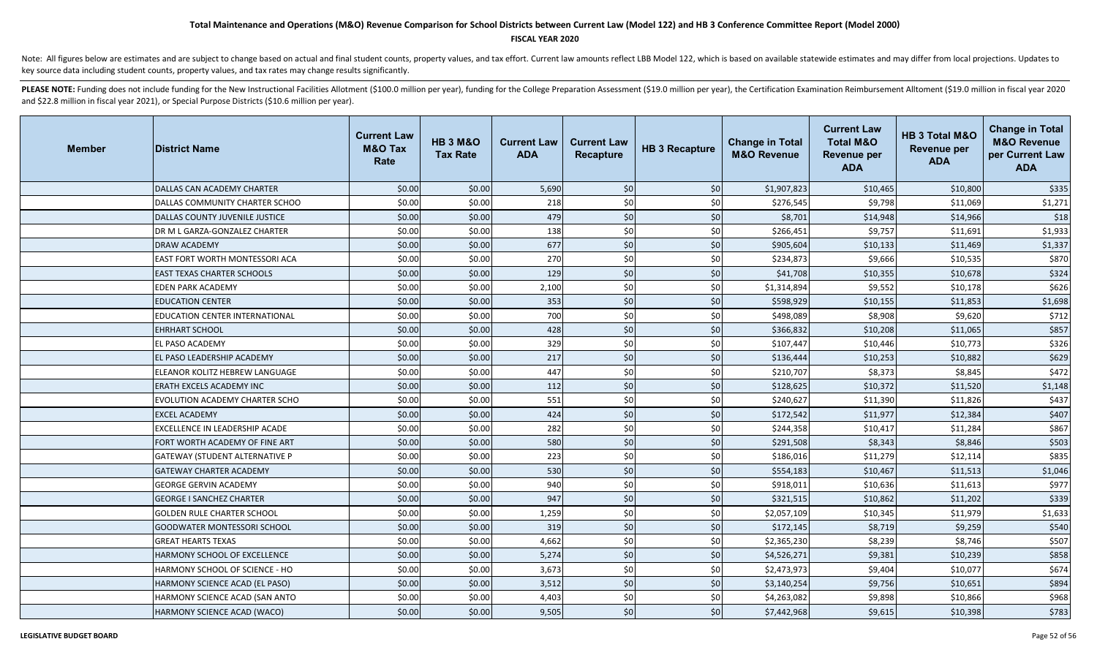#### **FISCAL YEAR 2020**

Note: All figures below are estimates and are subject to change based on actual and final student counts, property values, and tax effort. Current law amounts reflect LBB Model 122, which is based on available statewide es key source data including student counts, property values, and tax rates may change results significantly.

| <b>Member</b> | <b>District Name</b>                  | <b>Current Law</b><br><b>M&amp;O Tax</b><br>Rate | <b>HB 3 M&amp;O</b><br><b>Tax Rate</b> | <b>Current Law</b><br><b>ADA</b> | <b>Current Law</b><br>Recapture | <b>HB 3 Recapture</b> | <b>Change in Total</b><br><b>M&amp;O Revenue</b> | <b>Current Law</b><br><b>Total M&amp;O</b><br><b>Revenue per</b><br><b>ADA</b> | HB 3 Total M&O<br><b>Revenue per</b><br><b>ADA</b> | <b>Change in Total</b><br><b>M&amp;O Revenue</b><br>per Current Law<br><b>ADA</b> |
|---------------|---------------------------------------|--------------------------------------------------|----------------------------------------|----------------------------------|---------------------------------|-----------------------|--------------------------------------------------|--------------------------------------------------------------------------------|----------------------------------------------------|-----------------------------------------------------------------------------------|
|               | DALLAS CAN ACADEMY CHARTER            | \$0.00                                           | \$0.00                                 | 5,690                            | \$0                             | \$0                   | \$1,907,823                                      | \$10,465                                                                       | \$10,800                                           | \$335                                                                             |
|               | DALLAS COMMUNITY CHARTER SCHOO        | \$0.00                                           | \$0.00                                 | 218                              | \$0                             | \$0                   | \$276,545                                        | \$9,798                                                                        | \$11,069                                           | \$1,271                                                                           |
|               | DALLAS COUNTY JUVENILE JUSTICE        | \$0.00                                           | \$0.00                                 | 479                              | \$0                             | \$0                   | \$8,701                                          | \$14,948                                                                       | \$14,966                                           | \$18                                                                              |
|               | DR M L GARZA-GONZALEZ CHARTER         | \$0.00                                           | \$0.00                                 | 138                              | \$0                             | \$0                   | \$266,451                                        | \$9,757                                                                        | \$11,691                                           | \$1,933                                                                           |
|               | <b>DRAW ACADEMY</b>                   | \$0.00                                           | \$0.00                                 | 677                              | \$0                             | \$0                   | \$905,604                                        | \$10,133                                                                       | \$11,469                                           | \$1,337                                                                           |
|               | EAST FORT WORTH MONTESSORI ACA        | \$0.00                                           | \$0.00                                 | 270                              | \$0                             | \$0                   | \$234,873                                        | \$9,666                                                                        | \$10,535                                           | \$870                                                                             |
|               | <b>EAST TEXAS CHARTER SCHOOLS</b>     | \$0.00                                           | \$0.00                                 | 129                              | \$0                             | \$0                   | \$41,708                                         | \$10,355                                                                       | \$10,678                                           | \$324                                                                             |
|               | <b>EDEN PARK ACADEMY</b>              | \$0.00                                           | \$0.00                                 | 2,100                            | \$0                             | \$0                   | \$1,314,894                                      | \$9,552                                                                        | \$10,178                                           | \$626                                                                             |
|               | <b>EDUCATION CENTER</b>               | \$0.00                                           | \$0.00                                 | 353                              | \$0                             | \$0                   | \$598,929                                        | \$10,155                                                                       | \$11,853                                           | \$1,698                                                                           |
|               | <b>EDUCATION CENTER INTERNATIONAL</b> | \$0.00                                           | \$0.00                                 | 700                              | \$0                             | \$0                   | \$498,089                                        | \$8,908                                                                        | \$9,620                                            | \$712                                                                             |
|               | <b>EHRHART SCHOOL</b>                 | \$0.00                                           | \$0.00                                 | 428                              | \$0                             | \$0                   | \$366,832                                        | \$10,208                                                                       | \$11,065                                           | \$857                                                                             |
|               | <b>EL PASO ACADEMY</b>                | \$0.00                                           | \$0.00                                 | 329                              | \$0                             | \$0                   | \$107,447                                        | \$10,446                                                                       | \$10,773                                           | \$326                                                                             |
|               | <b>EL PASO LEADERSHIP ACADEMY</b>     | \$0.00                                           | \$0.00                                 | 217                              | \$0                             | \$0                   | \$136,444                                        | \$10,253                                                                       | \$10,882                                           | \$629                                                                             |
|               | ELEANOR KOLITZ HEBREW LANGUAGE        | \$0.00                                           | \$0.00                                 | 447                              | \$0                             | \$0                   | \$210,707                                        | \$8,373                                                                        | \$8,845                                            | \$472                                                                             |
|               | ERATH EXCELS ACADEMY INC              | \$0.00                                           | \$0.00                                 | 112                              | \$0                             | \$0                   | \$128,625                                        | \$10,372                                                                       | \$11,520                                           | \$1,148                                                                           |
|               | EVOLUTION ACADEMY CHARTER SCHO        | \$0.00                                           | \$0.00                                 | 551                              | \$0                             | \$0                   | \$240,627                                        | \$11,390                                                                       | \$11,826                                           | \$437                                                                             |
|               | <b>EXCEL ACADEMY</b>                  | \$0.00                                           | \$0.00                                 | 424                              | \$0                             | \$0                   | \$172,542                                        | \$11,977                                                                       | \$12,384                                           | \$407                                                                             |
|               | EXCELLENCE IN LEADERSHIP ACADE        | \$0.00                                           | \$0.00                                 | 282                              | \$0                             | \$0                   | \$244,358                                        | \$10,417                                                                       | \$11,284                                           | \$867                                                                             |
|               | FORT WORTH ACADEMY OF FINE ART        | \$0.00                                           | \$0.00                                 | 580                              | \$0                             | \$0                   | \$291,508                                        | \$8,343                                                                        | \$8,846                                            | \$503                                                                             |
|               | <b>GATEWAY (STUDENT ALTERNATIVE P</b> | \$0.00                                           | \$0.00                                 | 223                              | \$0                             | \$0                   | \$186,016                                        | \$11,279                                                                       | \$12,114                                           | \$835                                                                             |
|               | <b>GATEWAY CHARTER ACADEMY</b>        | \$0.00                                           | \$0.00                                 | 530                              | \$0                             | \$0                   | \$554,183                                        | \$10,467                                                                       | \$11,513                                           | \$1,046                                                                           |
|               | <b>GEORGE GERVIN ACADEMY</b>          | \$0.00                                           | \$0.00                                 | 940                              | \$0                             | \$0                   | \$918,011                                        | \$10,636                                                                       | \$11,613                                           | \$977                                                                             |
|               | <b>GEORGE I SANCHEZ CHARTER</b>       | \$0.00                                           | \$0.00                                 | 947                              | \$0                             | \$0                   | \$321,515                                        | \$10,862                                                                       | \$11,202                                           | \$339                                                                             |
|               | <b>GOLDEN RULE CHARTER SCHOOL</b>     | \$0.00                                           | \$0.00                                 | 1,259                            | \$0                             | \$0                   | \$2,057,109                                      | \$10,345                                                                       | \$11,979                                           | \$1,633                                                                           |
|               | <b>GOODWATER MONTESSORI SCHOOL</b>    | \$0.00                                           | \$0.00                                 | 319                              | \$0                             | \$0                   | \$172,145                                        | \$8,719                                                                        | \$9,259                                            | \$540                                                                             |
|               | <b>GREAT HEARTS TEXAS</b>             | \$0.00                                           | \$0.00                                 | 4,662                            | \$0                             | \$0                   | \$2,365,230                                      | \$8,239                                                                        | \$8,746                                            | \$507                                                                             |
|               | HARMONY SCHOOL OF EXCELLENCE          | \$0.00                                           | \$0.00                                 | 5,274                            | \$0                             | \$0                   | \$4,526,271                                      | \$9,381                                                                        | \$10,239                                           | \$858                                                                             |
|               | HARMONY SCHOOL OF SCIENCE - HO        | \$0.00                                           | \$0.00                                 | 3,673                            | \$0                             | \$0                   | \$2,473,973                                      | \$9,404                                                                        | \$10,077                                           | \$674                                                                             |
|               | HARMONY SCIENCE ACAD (EL PASO)        | \$0.00                                           | \$0.00                                 | 3,512                            | \$0                             | \$0                   | \$3,140,254                                      | \$9,756                                                                        | \$10,651                                           | \$894                                                                             |
|               | HARMONY SCIENCE ACAD (SAN ANTO        | \$0.00                                           | \$0.00                                 | 4,403                            | \$0                             | \$0                   | \$4,263,082                                      | \$9,898                                                                        | \$10,866                                           | \$968                                                                             |
|               | HARMONY SCIENCE ACAD (WACO)           | \$0.00                                           | \$0.00                                 | 9,505                            | \$0                             | \$0                   | \$7,442,968                                      | \$9,615                                                                        | \$10,398                                           | \$783                                                                             |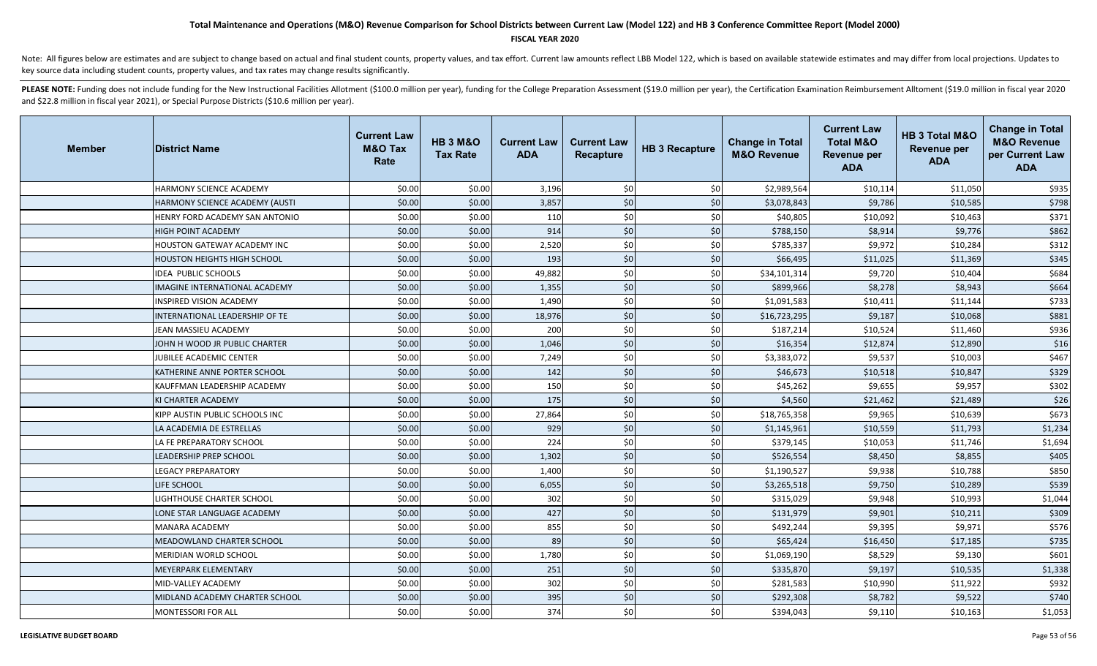#### **FISCAL YEAR 2020**

Note: All figures below are estimates and are subject to change based on actual and final student counts, property values, and tax effort. Current law amounts reflect LBB Model 122, which is based on available statewide es key source data including student counts, property values, and tax rates may change results significantly.

| <b>Member</b> | <b>District Name</b>               | <b>Current Law</b><br><b>M&amp;O Tax</b><br>Rate | <b>HB 3 M&amp;O</b><br><b>Tax Rate</b> | <b>Current Law</b><br><b>ADA</b> | <b>Current Law</b><br><b>Recapture</b> | <b>HB 3 Recapture</b> | <b>Change in Total</b><br><b>M&amp;O Revenue</b> | <b>Current Law</b><br><b>Total M&amp;O</b><br><b>Revenue per</b><br><b>ADA</b> | HB 3 Total M&O<br><b>Revenue per</b><br><b>ADA</b> | <b>Change in Total</b><br><b>M&amp;O Revenue</b><br>per Current Law<br><b>ADA</b> |
|---------------|------------------------------------|--------------------------------------------------|----------------------------------------|----------------------------------|----------------------------------------|-----------------------|--------------------------------------------------|--------------------------------------------------------------------------------|----------------------------------------------------|-----------------------------------------------------------------------------------|
|               | HARMONY SCIENCE ACADEMY            | \$0.00                                           | \$0.00                                 | 3,196                            | \$0                                    | \$0                   | \$2,989,564                                      | \$10,114                                                                       | \$11,050                                           | \$935                                                                             |
|               | HARMONY SCIENCE ACADEMY (AUSTI     | \$0.00                                           | \$0.00                                 | 3,857                            | \$0                                    | \$0                   | \$3,078,843                                      | \$9,786                                                                        | \$10,585                                           | \$798                                                                             |
|               | HENRY FORD ACADEMY SAN ANTONIO     | \$0.00                                           | \$0.00                                 | 110                              | \$0                                    | \$0                   | \$40,805                                         | \$10,092                                                                       | \$10,463                                           | \$371                                                                             |
|               | HIGH POINT ACADEMY                 | \$0.00                                           | \$0.00                                 | 914                              | \$0                                    | \$0                   | \$788,150                                        | \$8,914                                                                        | \$9,776                                            | \$862                                                                             |
|               | HOUSTON GATEWAY ACADEMY INC        | \$0.00                                           | \$0.00                                 | 2,520                            | \$0                                    | \$0                   | \$785,337                                        | \$9,972                                                                        | \$10,284                                           | \$312                                                                             |
|               | <b>HOUSTON HEIGHTS HIGH SCHOOL</b> | \$0.00                                           | \$0.00                                 | 193                              | \$0                                    | \$0                   | \$66,495                                         | \$11,025                                                                       | \$11,369                                           | \$345                                                                             |
|               | <b>IDEA PUBLIC SCHOOLS</b>         | \$0.00                                           | \$0.00                                 | 49,882                           | \$0                                    | \$0                   | \$34,101,314                                     | \$9,720                                                                        | \$10,404                                           | \$684                                                                             |
|               | IMAGINE INTERNATIONAL ACADEMY      | \$0.00                                           | \$0.00                                 | 1,355                            | \$0                                    | \$0                   | \$899,966                                        | \$8,278                                                                        | \$8,943                                            | \$664                                                                             |
|               | INSPIRED VISION ACADEMY            | \$0.00                                           | \$0.00                                 | 1,490                            | \$0                                    | \$0                   | \$1,091,583                                      | \$10,411                                                                       | \$11,144                                           | \$733                                                                             |
|               | INTERNATIONAL LEADERSHIP OF TE     | \$0.00                                           | \$0.00                                 | 18,976                           | \$0                                    | \$0                   | \$16,723,295                                     | \$9,187                                                                        | \$10,068                                           | \$881                                                                             |
|               | JEAN MASSIEU ACADEMY               | \$0.00                                           | \$0.00                                 | 200                              | \$0                                    | \$0                   | \$187,214                                        | \$10,524                                                                       | \$11,460                                           | \$936                                                                             |
|               | JOHN H WOOD JR PUBLIC CHARTER      | \$0.00                                           | \$0.00                                 | 1,046                            | \$0                                    | \$0                   | \$16,354                                         | \$12,874                                                                       | \$12,890                                           | \$16                                                                              |
|               | JUBILEE ACADEMIC CENTER            | \$0.00                                           | \$0.00                                 | 7,249                            | \$0                                    | \$0                   | \$3,383,072                                      | \$9,537                                                                        | \$10,003                                           | \$467                                                                             |
|               | KATHERINE ANNE PORTER SCHOOL       | \$0.00                                           | \$0.00                                 | 142                              | \$0                                    | \$0                   | \$46,673                                         | \$10,518                                                                       | \$10,847                                           | \$329                                                                             |
|               | KAUFFMAN LEADERSHIP ACADEMY        | \$0.00                                           | \$0.00                                 | 150                              | \$0                                    | \$0                   | \$45,262                                         | \$9,655                                                                        | \$9,957                                            | \$302                                                                             |
|               | KI CHARTER ACADEMY                 | \$0.00                                           | \$0.00                                 | 175                              | \$0                                    | \$0                   | \$4,560                                          | \$21,462                                                                       | \$21,489                                           | \$26                                                                              |
|               | KIPP AUSTIN PUBLIC SCHOOLS INC     | \$0.00                                           | \$0.00                                 | 27,864                           | \$0                                    | \$0                   | \$18,765,358                                     | \$9,965                                                                        | \$10,639                                           | \$673                                                                             |
|               | LA ACADEMIA DE ESTRELLAS           | \$0.00                                           | \$0.00                                 | 929                              | \$0                                    | \$0                   | \$1,145,961                                      | \$10,559                                                                       | \$11,793                                           | \$1,234                                                                           |
|               | LA FE PREPARATORY SCHOOL           | \$0.00                                           | \$0.00                                 | 224                              | \$0                                    | \$0                   | \$379,145                                        | \$10,053                                                                       | \$11,746                                           | \$1,694                                                                           |
|               | <b>LEADERSHIP PREP SCHOOL</b>      | \$0.00                                           | \$0.00                                 | 1,302                            | \$0                                    | \$0                   | \$526,554                                        | \$8,450                                                                        | \$8,855                                            | \$405                                                                             |
|               | <b>LEGACY PREPARATORY</b>          | \$0.00                                           | \$0.00                                 | 1,400                            | \$0                                    | \$0                   | \$1,190,527                                      | \$9,938                                                                        | \$10,788                                           | \$850                                                                             |
|               | <b>LIFE SCHOOL</b>                 | \$0.00                                           | \$0.00                                 | 6,055                            | \$0                                    | \$0                   | \$3,265,518                                      | \$9,750                                                                        | \$10,289                                           | \$539                                                                             |
|               | <b>LIGHTHOUSE CHARTER SCHOOL</b>   | \$0.00                                           | \$0.00                                 | 302                              | \$0                                    | \$0                   | \$315,029                                        | \$9,948                                                                        | \$10,993                                           | \$1,044                                                                           |
|               | LONE STAR LANGUAGE ACADEMY         | \$0.00                                           | \$0.00                                 | 427                              | \$0                                    | \$0                   | \$131,979                                        | \$9,901                                                                        | \$10,211                                           | \$309                                                                             |
|               | <b>MANARA ACADEMY</b>              | \$0.00                                           | \$0.00                                 | 855                              | \$0                                    | \$0                   | \$492,244                                        | \$9,395                                                                        | \$9,971                                            | \$576                                                                             |
|               | <b>MEADOWLAND CHARTER SCHOOL</b>   | \$0.00                                           | \$0.00                                 | 89                               | \$0                                    | \$0                   | \$65,424                                         | \$16,450                                                                       | \$17,185                                           | \$735                                                                             |
|               | MERIDIAN WORLD SCHOOL              | \$0.00                                           | \$0.00                                 | 1,780                            | \$0                                    | \$0                   | \$1,069,190                                      | \$8,529                                                                        | \$9,130                                            | \$601                                                                             |
|               | <b>MEYERPARK ELEMENTARY</b>        | \$0.00                                           | \$0.00                                 | 251                              | \$0                                    | \$0                   | \$335,870                                        | \$9,197                                                                        | \$10,535                                           | \$1,338                                                                           |
|               | MID-VALLEY ACADEMY                 | \$0.00                                           | \$0.00                                 | 302                              | \$0                                    | \$0                   | \$281,583                                        | \$10,990                                                                       | \$11,922                                           | \$932                                                                             |
|               | MIDLAND ACADEMY CHARTER SCHOOL     | \$0.00                                           | \$0.00                                 | 395                              | \$0                                    | \$0                   | \$292,308                                        | \$8,782                                                                        | \$9,522                                            | \$740                                                                             |
|               | <b>MONTESSORI FOR ALL</b>          | \$0.00                                           | \$0.00                                 | 374                              | \$0                                    | \$0                   | \$394,043                                        | \$9,110                                                                        | \$10,163                                           | \$1,053                                                                           |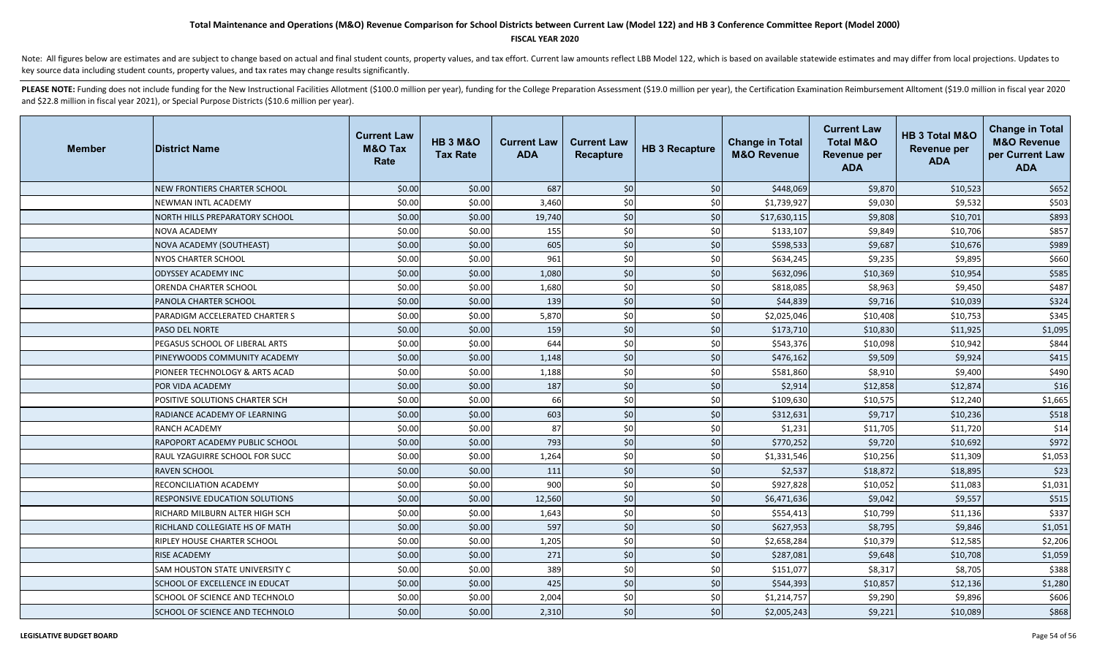#### **FISCAL YEAR 2020**

Note: All figures below are estimates and are subject to change based on actual and final student counts, property values, and tax effort. Current law amounts reflect LBB Model 122, which is based on available statewide es key source data including student counts, property values, and tax rates may change results significantly.

| <b>Member</b> | <b>District Name</b>                  | <b>Current Law</b><br><b>M&amp;O Tax</b><br>Rate | <b>HB 3 M&amp;O</b><br><b>Tax Rate</b> | <b>Current Law</b><br><b>ADA</b> | <b>Current Law</b><br><b>Recapture</b> | <b>HB 3 Recapture</b> | <b>Change in Total</b><br><b>M&amp;O Revenue</b> | <b>Current Law</b><br><b>Total M&amp;O</b><br><b>Revenue per</b><br><b>ADA</b> | <b>HB 3 Total M&amp;O</b><br><b>Revenue per</b><br><b>ADA</b> | <b>Change in Total</b><br><b>M&amp;O Revenue</b><br>per Current Law<br><b>ADA</b> |
|---------------|---------------------------------------|--------------------------------------------------|----------------------------------------|----------------------------------|----------------------------------------|-----------------------|--------------------------------------------------|--------------------------------------------------------------------------------|---------------------------------------------------------------|-----------------------------------------------------------------------------------|
|               | <b>NEW FRONTIERS CHARTER SCHOOL</b>   | \$0.00                                           | \$0.00                                 | 687                              | \$0                                    | \$0                   | \$448,069                                        | \$9,870                                                                        | \$10,523                                                      | \$652                                                                             |
|               | NEWMAN INTL ACADEMY                   | \$0.00                                           | \$0.00                                 | 3,460                            | \$0                                    | \$0                   | \$1,739,927                                      | \$9,030                                                                        | \$9,532                                                       | \$503                                                                             |
|               | NORTH HILLS PREPARATORY SCHOOL        | \$0.00                                           | \$0.00                                 | 19,740                           | \$0                                    | \$0                   | \$17,630,115                                     | \$9,808                                                                        | \$10,701                                                      | \$893                                                                             |
|               | <b>NOVA ACADEMY</b>                   | \$0.00                                           | \$0.00                                 | 155                              | \$0                                    | \$0                   | \$133,107                                        | \$9,849                                                                        | \$10,706                                                      | \$857                                                                             |
|               | NOVA ACADEMY (SOUTHEAST)              | \$0.00                                           | \$0.00                                 | 605                              | \$0                                    | \$0                   | \$598,533                                        | \$9,687                                                                        | \$10,676                                                      | \$989                                                                             |
|               | <b>NYOS CHARTER SCHOOL</b>            | \$0.00                                           | \$0.00                                 | 961                              | \$0                                    | \$0                   | \$634,245                                        | \$9,235                                                                        | \$9,895                                                       | \$660                                                                             |
|               | <b>ODYSSEY ACADEMY INC</b>            | \$0.00                                           | \$0.00                                 | 1,080                            | \$0                                    | \$0                   | \$632,096                                        | \$10,369                                                                       | \$10,954                                                      | \$585                                                                             |
|               | <b>ORENDA CHARTER SCHOOL</b>          | \$0.00                                           | \$0.00                                 | 1,680                            | \$0                                    | \$0                   | \$818,085                                        | \$8,963                                                                        | \$9,450                                                       | \$487                                                                             |
|               | PANOLA CHARTER SCHOOL                 | \$0.00                                           | \$0.00                                 | 139                              | \$0                                    | \$0                   | \$44,839                                         | \$9,716                                                                        | \$10,039                                                      | \$324                                                                             |
|               | PARADIGM ACCELERATED CHARTER S        | \$0.00                                           | \$0.00                                 | 5,870                            | \$0                                    | \$0                   | \$2,025,046                                      | \$10,408                                                                       | \$10,753                                                      | \$345                                                                             |
|               | PASO DEL NORTE                        | \$0.00                                           | \$0.00                                 | 159                              | \$0                                    | \$0                   | \$173,710                                        | \$10,830                                                                       | \$11,925                                                      | \$1,095                                                                           |
|               | PEGASUS SCHOOL OF LIBERAL ARTS        | \$0.00                                           | \$0.00                                 | 644                              | \$0                                    | \$0                   | \$543,376                                        | \$10,098                                                                       | \$10,942                                                      | \$844                                                                             |
|               | PINEYWOODS COMMUNITY ACADEMY          | \$0.00                                           | \$0.00                                 | 1,148                            | \$0                                    | \$0                   | \$476,162                                        | \$9,509                                                                        | \$9,924                                                       | \$415                                                                             |
|               | PIONEER TECHNOLOGY & ARTS ACAD        | \$0.00                                           | \$0.00                                 | 1,188                            | \$0                                    | \$0                   | \$581,860                                        | \$8,910                                                                        | \$9,400                                                       | \$490                                                                             |
|               | POR VIDA ACADEMY                      | \$0.00                                           | \$0.00                                 | 187                              | \$0                                    | \$0                   | \$2,914                                          | \$12,858                                                                       | \$12,874                                                      | \$16                                                                              |
|               | POSITIVE SOLUTIONS CHARTER SCH        | \$0.00                                           | \$0.00                                 | 66                               | \$0                                    | \$0                   | \$109,630                                        | \$10,575                                                                       | \$12,240                                                      | \$1,665                                                                           |
|               | RADIANCE ACADEMY OF LEARNING          | \$0.00                                           | \$0.00                                 | 603                              | \$0                                    | \$0                   | \$312,631                                        | \$9,717                                                                        | \$10,236                                                      | \$518                                                                             |
|               | <b>RANCH ACADEMY</b>                  | \$0.00                                           | \$0.00                                 | 87                               | \$0                                    | \$0                   | \$1,231                                          | \$11,705                                                                       | \$11,720                                                      | \$14                                                                              |
|               | RAPOPORT ACADEMY PUBLIC SCHOOL        | \$0.00                                           | \$0.00                                 | 793                              | \$0                                    | \$0                   | \$770,252                                        | \$9,720                                                                        | \$10,692                                                      | \$972                                                                             |
|               | RAUL YZAGUIRRE SCHOOL FOR SUCC        | \$0.00                                           | \$0.00                                 | 1,264                            | \$0                                    | \$0                   | \$1,331,546                                      | \$10,256                                                                       | \$11,309                                                      | \$1,053                                                                           |
|               | <b>RAVEN SCHOOL</b>                   | \$0.00                                           | \$0.00                                 | 111                              | \$0                                    | \$0                   | \$2,537                                          | \$18,872                                                                       | \$18,895                                                      | \$23                                                                              |
|               | RECONCILIATION ACADEMY                | \$0.00                                           | \$0.00                                 | 900                              | \$0                                    | \$0                   | \$927,828                                        | \$10,052                                                                       | \$11,083                                                      | \$1,031                                                                           |
|               | <b>RESPONSIVE EDUCATION SOLUTIONS</b> | \$0.00                                           | \$0.00                                 | 12,560                           | \$0                                    | \$0                   | \$6,471,636                                      | \$9,042                                                                        | \$9,557                                                       | \$515                                                                             |
|               | RICHARD MILBURN ALTER HIGH SCH        | \$0.00                                           | \$0.00                                 | 1,643                            | \$0                                    | \$0                   | \$554,413                                        | \$10,799                                                                       | \$11,136                                                      | \$337                                                                             |
|               | RICHLAND COLLEGIATE HS OF MATH        | \$0.00                                           | \$0.00                                 | 597                              | \$0                                    | \$0                   | \$627,953                                        | \$8,795                                                                        | \$9,846                                                       | \$1,051                                                                           |
|               | <b>RIPLEY HOUSE CHARTER SCHOOL</b>    | \$0.00                                           | \$0.00                                 | 1,205                            | \$0                                    | \$0                   | \$2,658,284                                      | \$10,379                                                                       | \$12,585                                                      | \$2,206                                                                           |
|               | <b>RISE ACADEMY</b>                   | \$0.00                                           | \$0.00                                 | 271                              | \$0                                    | \$0                   | \$287,081                                        | \$9,648                                                                        | \$10,708                                                      | \$1,059                                                                           |
|               | SAM HOUSTON STATE UNIVERSITY C        | \$0.00                                           | \$0.00                                 | 389                              | \$0                                    | \$0                   | \$151,077                                        | \$8,317                                                                        | \$8,705                                                       | \$388                                                                             |
|               | <b>SCHOOL OF EXCELLENCE IN EDUCAT</b> | \$0.00                                           | \$0.00                                 | 425                              | \$0                                    | \$0                   | \$544,393                                        | \$10,857                                                                       | \$12,136                                                      | \$1,280                                                                           |
|               | SCHOOL OF SCIENCE AND TECHNOLO        | \$0.00                                           | \$0.00                                 | 2,004                            | \$0                                    | \$0                   | \$1,214,757                                      | \$9,290                                                                        | \$9,896                                                       | \$606                                                                             |
|               | SCHOOL OF SCIENCE AND TECHNOLO        | \$0.00                                           | \$0.00                                 | 2,310                            | \$0                                    | \$0                   | \$2,005,243                                      | \$9,221                                                                        | \$10,089                                                      | \$868                                                                             |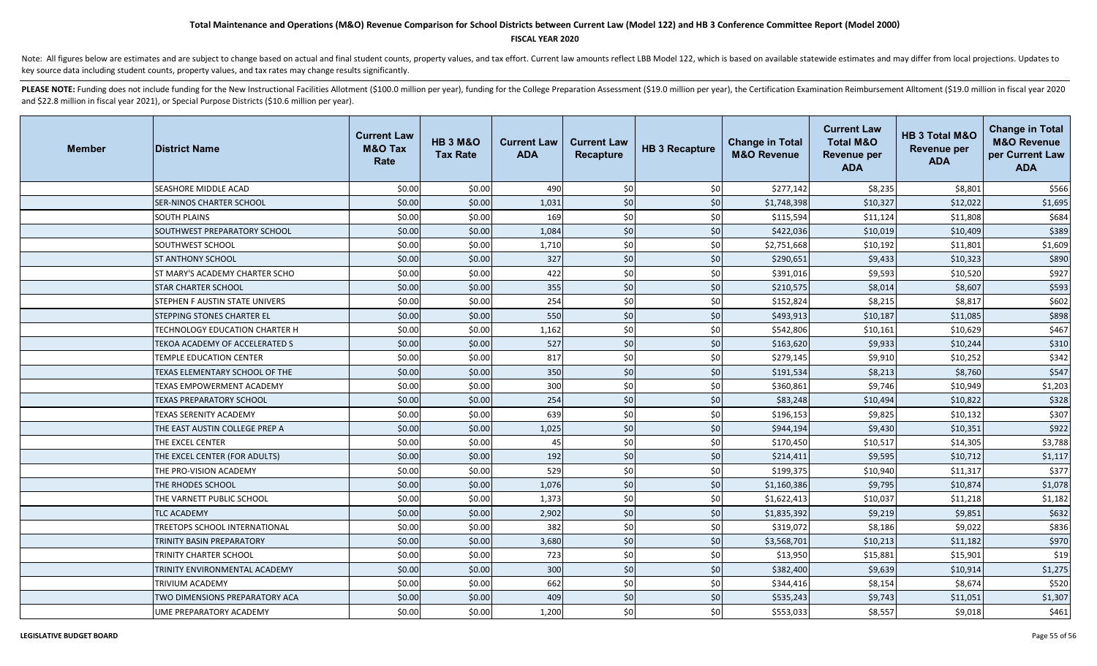### **FISCAL YEAR 2020**

Note: All figures below are estimates and are subject to change based on actual and final student counts, property values, and tax effort. Current law amounts reflect LBB Model 122, which is based on available statewide es key source data including student counts, property values, and tax rates may change results significantly.

| <b>Member</b> | <b>District Name</b>            | <b>Current Law</b><br><b>M&amp;O Tax</b><br>Rate | <b>HB 3 M&amp;O</b><br><b>Tax Rate</b> | <b>Current Law</b><br><b>ADA</b> | <b>Current Law</b><br><b>Recapture</b> | <b>HB 3 Recapture</b> | <b>Change in Total</b><br><b>M&amp;O Revenue</b> | <b>Current Law</b><br><b>Total M&amp;O</b><br><b>Revenue per</b><br><b>ADA</b> | HB 3 Total M&O<br><b>Revenue per</b><br><b>ADA</b> | <b>Change in Total</b><br><b>M&amp;O Revenue</b><br>per Current Law<br><b>ADA</b> |
|---------------|---------------------------------|--------------------------------------------------|----------------------------------------|----------------------------------|----------------------------------------|-----------------------|--------------------------------------------------|--------------------------------------------------------------------------------|----------------------------------------------------|-----------------------------------------------------------------------------------|
|               | SEASHORE MIDDLE ACAD            | \$0.00                                           | \$0.00                                 | 490                              | \$0                                    | \$0                   | \$277,142                                        | \$8,235                                                                        | \$8,801                                            | \$566                                                                             |
|               | SER-NINOS CHARTER SCHOOL        | \$0.00                                           | \$0.00                                 | 1,031                            | \$0                                    | \$0                   | \$1,748,398                                      | \$10,327                                                                       | \$12,022                                           | \$1,695                                                                           |
|               | <b>SOUTH PLAINS</b>             | \$0.00                                           | \$0.00                                 | 169                              | \$0                                    | \$0                   | \$115,594                                        | \$11,124                                                                       | \$11,808                                           | \$684                                                                             |
|               | SOUTHWEST PREPARATORY SCHOOL    | \$0.00                                           | \$0.00                                 | 1,084                            | \$0                                    | \$0                   | \$422,036                                        | \$10,019                                                                       | \$10,409                                           | \$389                                                                             |
|               | SOUTHWEST SCHOOL                | \$0.00                                           | \$0.00                                 | 1,710                            | \$0                                    | \$0                   | \$2,751,668                                      | \$10,192                                                                       | \$11,801                                           | \$1,609                                                                           |
|               | <b>ST ANTHONY SCHOOL</b>        | \$0.00                                           | \$0.00                                 | 327                              | \$0                                    | \$0                   | \$290,651                                        | \$9,433                                                                        | \$10,323                                           | \$890                                                                             |
|               | ST MARY'S ACADEMY CHARTER SCHO  | \$0.00                                           | \$0.00                                 | 422                              | \$0                                    | \$0                   | \$391,016                                        | \$9,593                                                                        | \$10,520                                           | \$927                                                                             |
|               | <b>STAR CHARTER SCHOOL</b>      | \$0.00                                           | \$0.00                                 | 355                              | \$0                                    | \$0                   | \$210,575                                        | \$8,014                                                                        | \$8,607                                            | \$593                                                                             |
|               | STEPHEN F AUSTIN STATE UNIVERS  | \$0.00                                           | \$0.00                                 | 254                              | \$0                                    | \$0                   | \$152,824                                        | \$8,215                                                                        | \$8,817                                            | \$602                                                                             |
|               | STEPPING STONES CHARTER EL      | \$0.00                                           | \$0.00                                 | 550                              | \$0                                    | \$0                   | \$493,913                                        | \$10,187                                                                       | \$11,085                                           | \$898                                                                             |
|               | TECHNOLOGY EDUCATION CHARTER H  | \$0.00                                           | \$0.00                                 | 1,162                            | \$0                                    | \$0                   | \$542,806                                        | \$10,161                                                                       | \$10,629                                           | \$467                                                                             |
|               | TEKOA ACADEMY OF ACCELERATED S  | \$0.00                                           | \$0.00                                 | 527                              | \$0                                    | \$0                   | \$163,620                                        | \$9,933                                                                        | \$10,244                                           | \$310                                                                             |
|               | TEMPLE EDUCATION CENTER         | \$0.00                                           | \$0.00                                 | 817                              | \$0                                    | \$0                   | \$279,145                                        | \$9,910                                                                        | \$10,252                                           | \$342                                                                             |
|               | TEXAS ELEMENTARY SCHOOL OF THE  | \$0.00                                           | \$0.00                                 | 350                              | \$0                                    | \$0                   | \$191,534                                        | \$8,213                                                                        | \$8,760                                            | \$547                                                                             |
|               | TEXAS EMPOWERMENT ACADEMY       | \$0.00                                           | \$0.00                                 | 300                              | \$0                                    | \$0                   | \$360,861                                        | \$9,746                                                                        | \$10,949                                           | \$1,203                                                                           |
|               | <b>TEXAS PREPARATORY SCHOOL</b> | \$0.00                                           | \$0.00                                 | 254                              | \$0                                    | \$0                   | \$83,248                                         | \$10,494                                                                       | \$10,822                                           | \$328                                                                             |
|               | TEXAS SERENITY ACADEMY          | \$0.00                                           | \$0.00                                 | 639                              | \$0                                    | \$0                   | \$196,153                                        | \$9,825                                                                        | \$10,132                                           | \$307                                                                             |
|               | THE EAST AUSTIN COLLEGE PREP A  | \$0.00                                           | \$0.00                                 | 1,025                            | \$0                                    | \$0                   | \$944,194                                        | \$9,430                                                                        | \$10,351                                           | \$922                                                                             |
|               | THE EXCEL CENTER                | \$0.00                                           | \$0.00                                 | 45                               | \$0                                    | \$0                   | \$170,450                                        | \$10,517                                                                       | \$14,305                                           | \$3,788                                                                           |
|               | THE EXCEL CENTER (FOR ADULTS)   | \$0.00                                           | \$0.00                                 | 192                              | \$0                                    | \$0                   | \$214,411                                        | \$9,595                                                                        | \$10,712                                           | \$1,117                                                                           |
|               | THE PRO-VISION ACADEMY          | \$0.00                                           | \$0.00                                 | 529                              | \$0                                    | \$0                   | \$199,375                                        | \$10,940                                                                       | \$11,317                                           | \$377                                                                             |
|               | THE RHODES SCHOOL               | \$0.00                                           | \$0.00                                 | 1,076                            | \$0                                    | \$0                   | \$1,160,386                                      | \$9,795                                                                        | \$10,874                                           | \$1,078                                                                           |
|               | THE VARNETT PUBLIC SCHOOL       | \$0.00                                           | \$0.00                                 | 1,373                            | \$0                                    | \$0                   | \$1,622,413                                      | \$10,037                                                                       | \$11,218                                           | \$1,182                                                                           |
|               | <b>TLC ACADEMY</b>              | \$0.00                                           | \$0.00                                 | 2,902                            | \$0                                    | \$0                   | \$1,835,392                                      | \$9,219                                                                        | \$9,851                                            | \$632                                                                             |
|               | TREETOPS SCHOOL INTERNATIONAL   | \$0.00                                           | \$0.00                                 | 382                              | \$0                                    | \$0                   | \$319,072                                        | \$8,186                                                                        | \$9,022                                            | \$836                                                                             |
|               | TRINITY BASIN PREPARATORY       | \$0.00                                           | \$0.00                                 | 3,680                            | \$0                                    | \$0                   | \$3,568,701                                      | \$10,213                                                                       | \$11,182                                           | \$970                                                                             |
|               | TRINITY CHARTER SCHOOL          | \$0.00                                           | \$0.00                                 | 723                              | \$0                                    | \$0                   | \$13,950                                         | \$15,881                                                                       | \$15,901                                           | \$19                                                                              |
|               | TRINITY ENVIRONMENTAL ACADEMY   | \$0.00                                           | \$0.00                                 | 300                              | \$0                                    | \$0                   | \$382,400                                        | \$9,639                                                                        | \$10,914                                           | \$1,275                                                                           |
|               | TRIVIUM ACADEMY                 | \$0.00                                           | \$0.00                                 | 662                              | \$0                                    | \$0                   | \$344,416                                        | \$8,154                                                                        | \$8,674                                            | \$520                                                                             |
|               | TWO DIMENSIONS PREPARATORY ACA  | \$0.00                                           | \$0.00                                 | 409                              | \$0                                    | \$0                   | \$535,243                                        | \$9,743                                                                        | \$11,051                                           | \$1,307                                                                           |
|               | UME PREPARATORY ACADEMY         | \$0.00                                           | \$0.00                                 | 1,200                            | \$0                                    | \$0                   | \$553,033                                        | \$8,557                                                                        | \$9,018                                            | \$461                                                                             |